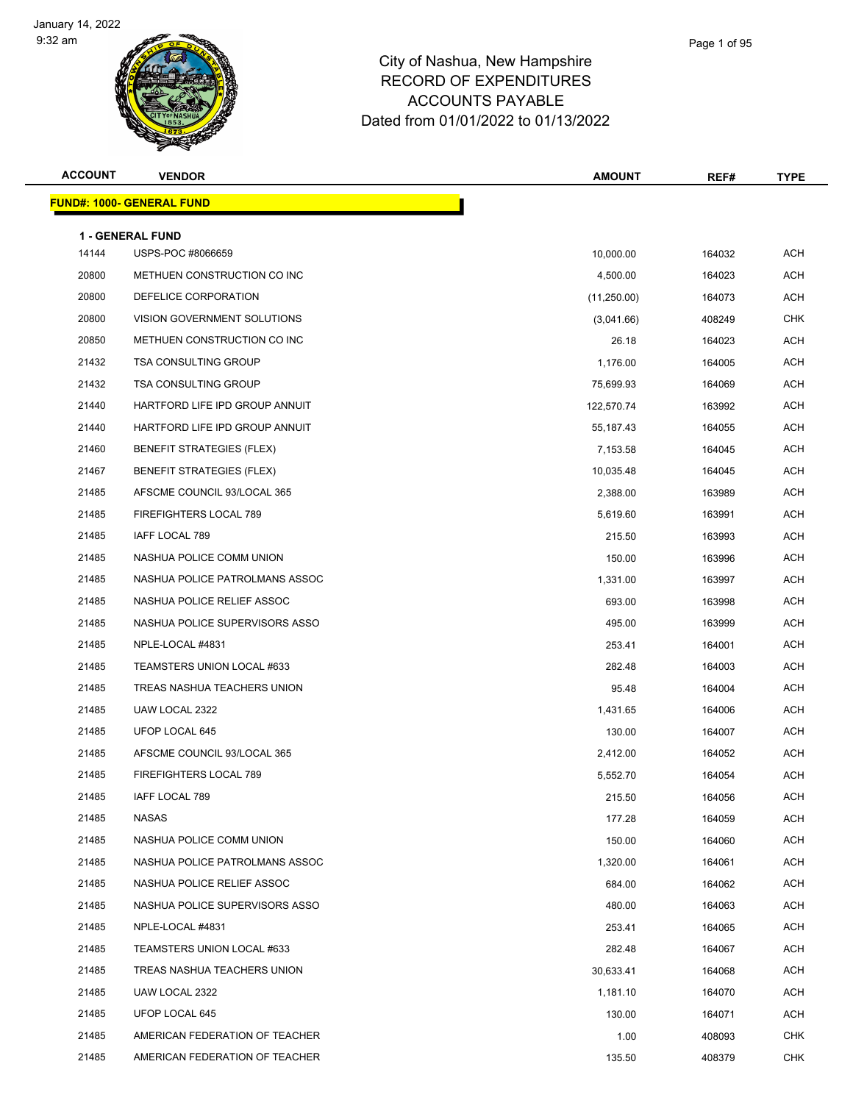

| Page 1 of 95 |  |
|--------------|--|
|              |  |

| <b>ACCOUNT</b> | <b>VENDOR</b>                         | <b>AMOUNT</b> | REF#   | <b>TYPE</b> |
|----------------|---------------------------------------|---------------|--------|-------------|
|                | <b>FUND#: 1000- GENERAL FUND</b>      |               |        |             |
|                |                                       |               |        |             |
| 14144          | 1 - GENERAL FUND<br>USPS-POC #8066659 | 10,000.00     | 164032 | ACH         |
| 20800          | METHUEN CONSTRUCTION CO INC           | 4,500.00      | 164023 | ACH         |
| 20800          | DEFELICE CORPORATION                  | (11,250.00)   | 164073 | ACH         |
| 20800          | VISION GOVERNMENT SOLUTIONS           | (3,041.66)    | 408249 | <b>CHK</b>  |
| 20850          | METHUEN CONSTRUCTION CO INC           | 26.18         | 164023 | ACH         |
| 21432          | <b>TSA CONSULTING GROUP</b>           | 1,176.00      | 164005 | ACH         |
| 21432          | <b>TSA CONSULTING GROUP</b>           | 75,699.93     | 164069 | ACH         |
| 21440          | HARTFORD LIFE IPD GROUP ANNUIT        | 122,570.74    | 163992 | ACH         |
| 21440          | HARTFORD LIFE IPD GROUP ANNUIT        | 55, 187. 43   | 164055 | ACH         |
| 21460          | <b>BENEFIT STRATEGIES (FLEX)</b>      | 7,153.58      | 164045 | ACH         |
| 21467          | <b>BENEFIT STRATEGIES (FLEX)</b>      | 10,035.48     | 164045 | ACH         |
| 21485          | AFSCME COUNCIL 93/LOCAL 365           | 2,388.00      | 163989 | ACH         |
| 21485          | FIREFIGHTERS LOCAL 789                | 5,619.60      | 163991 | ACH         |
| 21485          | IAFF LOCAL 789                        | 215.50        | 163993 | ACH         |
| 21485          | NASHUA POLICE COMM UNION              | 150.00        | 163996 | ACH         |
| 21485          | NASHUA POLICE PATROLMANS ASSOC        | 1,331.00      | 163997 | ACH         |
| 21485          | NASHUA POLICE RELIEF ASSOC            | 693.00        | 163998 | ACH         |
| 21485          | NASHUA POLICE SUPERVISORS ASSO        | 495.00        | 163999 | ACH         |
| 21485          | NPLE-LOCAL #4831                      | 253.41        | 164001 | ACH         |
| 21485          | TEAMSTERS UNION LOCAL #633            | 282.48        | 164003 | ACH         |
| 21485          | TREAS NASHUA TEACHERS UNION           | 95.48         | 164004 | ACH         |
| 21485          | UAW LOCAL 2322                        | 1,431.65      | 164006 | ACH         |
| 21485          | UFOP LOCAL 645                        | 130.00        | 164007 | ACH         |
| 21485          | AFSCME COUNCIL 93/LOCAL 365           | 2,412.00      | 164052 | ACH         |
| 21485          | FIREFIGHTERS LOCAL 789                | 5,552.70      | 164054 | ACH         |
| 21485          | IAFF LOCAL 789                        | 215.50        | 164056 | ACH         |
| 21485          | <b>NASAS</b>                          | 177.28        | 164059 | ACH         |
| 21485          | NASHUA POLICE COMM UNION              | 150.00        | 164060 | ACH         |
| 21485          | NASHUA POLICE PATROLMANS ASSOC        | 1,320.00      | 164061 | ACH         |
| 21485          | NASHUA POLICE RELIEF ASSOC            | 684.00        | 164062 | ACH         |
| 21485          | NASHUA POLICE SUPERVISORS ASSO        | 480.00        | 164063 | ACH         |
| 21485          | NPLE-LOCAL #4831                      | 253.41        | 164065 | ACH         |
| 21485          | TEAMSTERS UNION LOCAL #633            | 282.48        | 164067 | ACH         |
| 21485          | TREAS NASHUA TEACHERS UNION           | 30,633.41     | 164068 | ACH         |
| 21485          | UAW LOCAL 2322                        | 1,181.10      | 164070 | ACH         |
| 21485          | UFOP LOCAL 645                        | 130.00        | 164071 | ACH         |
| 21485          | AMERICAN FEDERATION OF TEACHER        | 1.00          | 408093 | <b>CHK</b>  |
| 21485          | AMERICAN FEDERATION OF TEACHER        | 135.50        | 408379 | CHK         |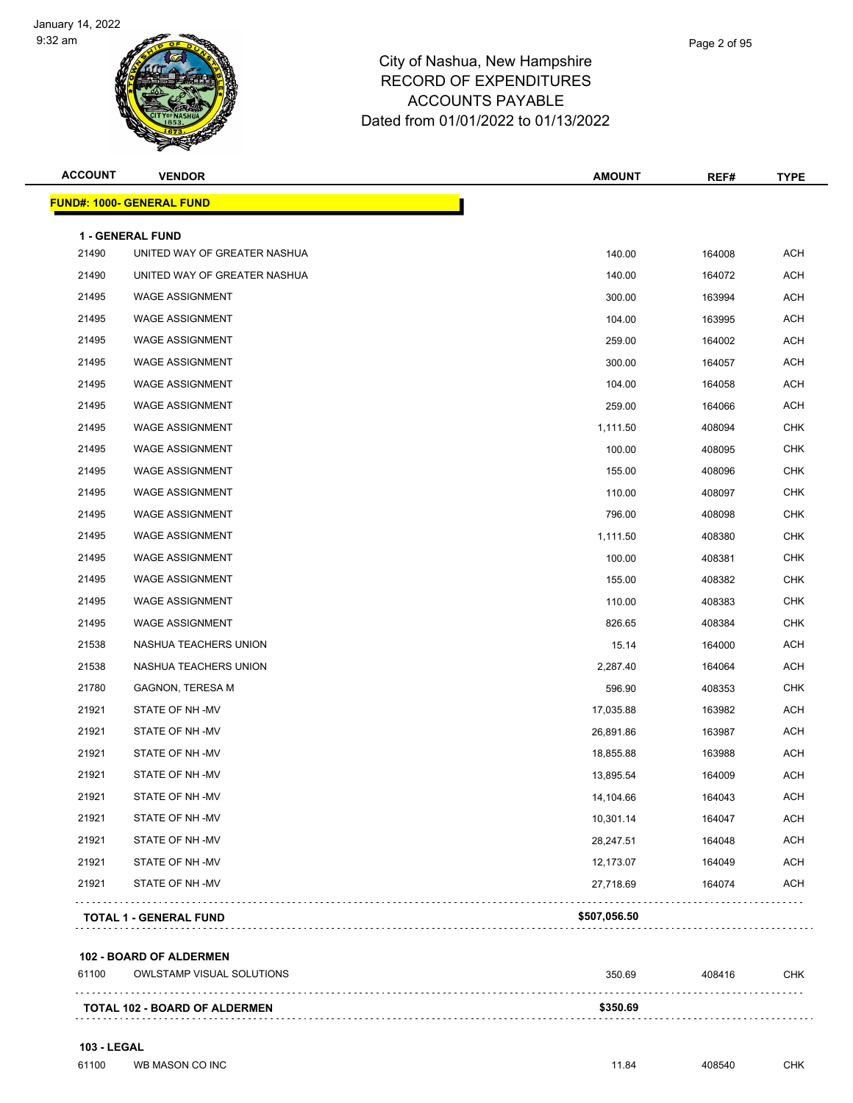

#### City of Nashua, New Hampshire RECORD OF EXPENDITURES ACCOUNTS PAYABLE Dated from 01/01/2022 to 01/13/2022

| <b>ACCOUNT</b> | <b>VENDOR</b>                     | <b>AMOUNT</b> | REF#   | <b>TYPE</b> |
|----------------|-----------------------------------|---------------|--------|-------------|
|                | <u> FUND#: 1000- GENERAL FUND</u> |               |        |             |
|                | 1 - GENERAL FUND                  |               |        |             |
| 21490          | UNITED WAY OF GREATER NASHUA      | 140.00        | 164008 | <b>ACH</b>  |
| 21490          | UNITED WAY OF GREATER NASHUA      | 140.00        | 164072 | <b>ACH</b>  |
| 21495          | <b>WAGE ASSIGNMENT</b>            | 300.00        | 163994 | <b>ACH</b>  |
| 21495          | <b>WAGE ASSIGNMENT</b>            | 104.00        | 163995 | <b>ACH</b>  |
| 21495          | <b>WAGE ASSIGNMENT</b>            | 259.00        | 164002 | <b>ACH</b>  |
| 21495          | <b>WAGE ASSIGNMENT</b>            | 300.00        | 164057 | <b>ACH</b>  |
| 21495          | <b>WAGE ASSIGNMENT</b>            | 104.00        | 164058 | <b>ACH</b>  |
| 21495          | <b>WAGE ASSIGNMENT</b>            | 259.00        | 164066 | <b>ACH</b>  |
| 21495          | <b>WAGE ASSIGNMENT</b>            | 1,111.50      | 408094 | <b>CHK</b>  |
| 21495          | <b>WAGE ASSIGNMENT</b>            | 100.00        | 408095 | <b>CHK</b>  |
| 21495          | <b>WAGE ASSIGNMENT</b>            | 155.00        | 408096 | <b>CHK</b>  |
| 21495          | <b>WAGE ASSIGNMENT</b>            | 110.00        | 408097 | <b>CHK</b>  |
| 21495          | <b>WAGE ASSIGNMENT</b>            | 796.00        | 408098 | <b>CHK</b>  |
| 21495          | <b>WAGE ASSIGNMENT</b>            | 1,111.50      | 408380 | <b>CHK</b>  |
| 21495          | <b>WAGE ASSIGNMENT</b>            | 100.00        | 408381 | <b>CHK</b>  |
| 21495          | <b>WAGE ASSIGNMENT</b>            | 155.00        | 408382 | <b>CHK</b>  |
| 21495          | <b>WAGE ASSIGNMENT</b>            | 110.00        | 408383 | <b>CHK</b>  |
| 21495          | <b>WAGE ASSIGNMENT</b>            | 826.65        | 408384 | <b>CHK</b>  |
| 21538          | NASHUA TEACHERS UNION             | 15.14         | 164000 | <b>ACH</b>  |
| 21538          | NASHUA TEACHERS UNION             | 2,287.40      | 164064 | <b>ACH</b>  |
| 21780          | <b>GAGNON, TERESA M</b>           | 596.90        | 408353 | <b>CHK</b>  |
| 21921          | STATE OF NH-MV                    | 17,035.88     | 163982 | ACH         |
| 21921          | STATE OF NH-MV                    | 26,891.86     | 163987 | <b>ACH</b>  |
| 21921          | STATE OF NH-MV                    | 18,855.88     | 163988 | <b>ACH</b>  |
| 21921          | STATE OF NH-MV                    | 13,895.54     | 164009 | <b>ACH</b>  |
| 21921          | STATE OF NH-MV                    | 14,104.66     | 164043 | <b>ACH</b>  |
| 21921          | STATE OF NH-MV                    | 10,301.14     | 164047 | <b>ACH</b>  |
| 21921          | STATE OF NH-MV                    | 28,247.51     | 164048 | <b>ACH</b>  |
| 21921          | STATE OF NH-MV                    | 12,173.07     | 164049 | <b>ACH</b>  |
| 21921          | STATE OF NH-MV                    | 27,718.69     | 164074 | <b>ACH</b>  |
|                | <b>TOTAL 1 - GENERAL FUND</b>     | \$507,056.50  |        |             |
|                | 102 - BOARD OF ALDERMEN           |               |        |             |
| 61100          | <b>OWLSTAMP VISUAL SOLUTIONS</b>  | 350.69        | 408416 | CHK         |
|                | TOTAL 102 - ROAPD OF ALDERMENT    | \$350.69      |        |             |

**TOTAL 102 - BOARD OF ALDERMEN \$350.69**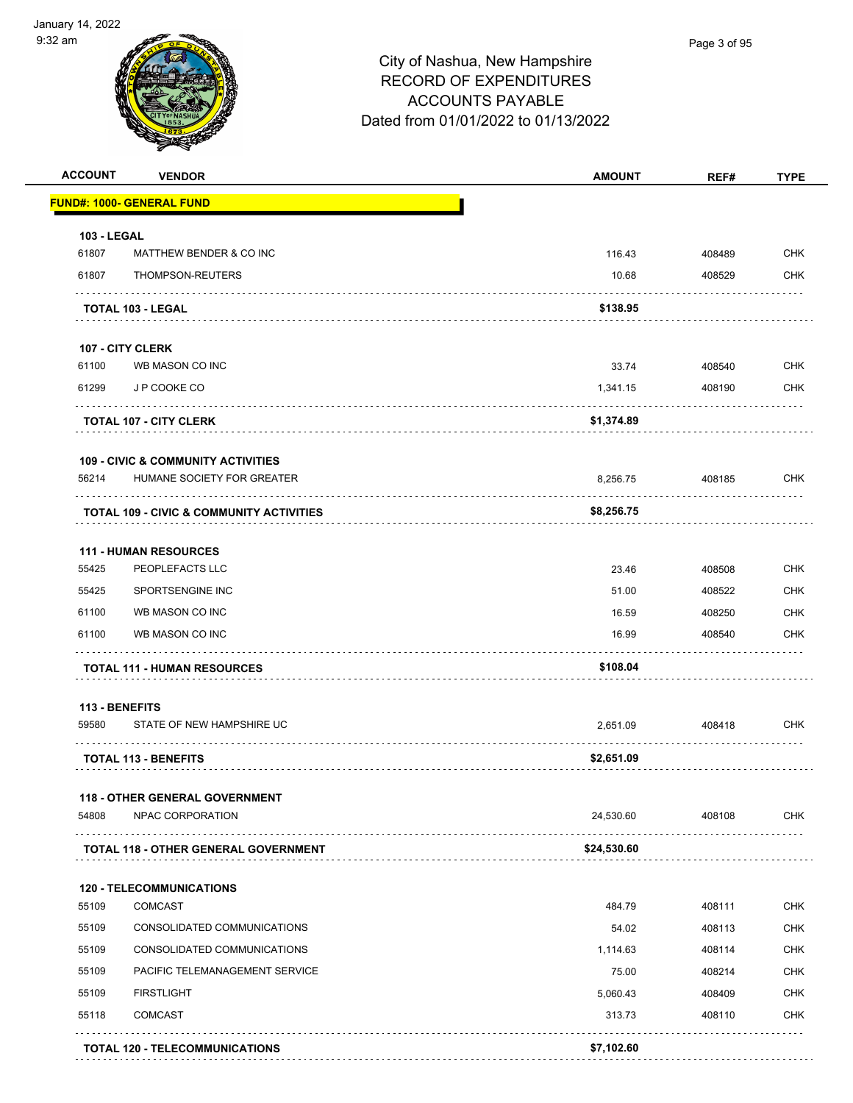

| <b>ACCOUNT</b>     | <b>VENDOR</b>                                 | <b>AMOUNT</b> | REF#   | <b>TYPE</b> |
|--------------------|-----------------------------------------------|---------------|--------|-------------|
|                    | <u> FUND#: 1000- GENERAL FUND</u>             |               |        |             |
| <b>103 - LEGAL</b> |                                               |               |        |             |
| 61807              | MATTHEW BENDER & CO INC                       | 116.43        | 408489 | <b>CHK</b>  |
| 61807              | THOMPSON-REUTERS                              | 10.68         | 408529 | <b>CHK</b>  |
|                    | <b>TOTAL 103 - LEGAL</b>                      | \$138.95      |        |             |
|                    | 107 - CITY CLERK                              |               |        |             |
| 61100              | WB MASON CO INC                               | 33.74         | 408540 | <b>CHK</b>  |
| 61299              | J P COOKE CO                                  | 1,341.15      | 408190 | <b>CHK</b>  |
|                    | <b>TOTAL 107 - CITY CLERK</b>                 | \$1,374.89    |        |             |
|                    | <b>109 - CIVIC &amp; COMMUNITY ACTIVITIES</b> |               |        |             |
| 56214              | HUMANE SOCIETY FOR GREATER                    | 8,256.75      | 408185 | <b>CHK</b>  |
|                    | TOTAL 109 - CIVIC & COMMUNITY ACTIVITIES      | \$8,256.75    |        |             |
|                    | <b>111 - HUMAN RESOURCES</b>                  |               |        |             |
| 55425              | PEOPLEFACTS LLC                               | 23.46         | 408508 | <b>CHK</b>  |
| 55425              | SPORTSENGINE INC                              | 51.00         | 408522 | <b>CHK</b>  |
| 61100              | WB MASON CO INC                               | 16.59         | 408250 | <b>CHK</b>  |
| 61100              | WB MASON CO INC                               | 16.99         | 408540 | <b>CHK</b>  |
|                    | <b>TOTAL 111 - HUMAN RESOURCES</b>            | \$108.04      |        |             |
| 113 - BENEFITS     |                                               |               |        |             |
| 59580              | STATE OF NEW HAMPSHIRE UC                     | 2,651.09      | 408418 | <b>CHK</b>  |
|                    | <b>TOTAL 113 - BENEFITS</b>                   | \$2,651.09    |        |             |
|                    | <b>118 - OTHER GENERAL GOVERNMENT</b>         |               |        |             |
| 54808              | NPAC CORPORATION                              | 24,530.60     | 408108 | <b>CHK</b>  |
|                    | <b>TOTAL 118 - OTHER GENERAL GOVERNMENT</b>   | \$24,530.60   |        |             |
|                    | <b>120 - TELECOMMUNICATIONS</b>               |               |        |             |
| 55109              | <b>COMCAST</b>                                | 484.79        | 408111 | <b>CHK</b>  |
| 55109              | CONSOLIDATED COMMUNICATIONS                   | 54.02         | 408113 | <b>CHK</b>  |
| 55109              | CONSOLIDATED COMMUNICATIONS                   | 1,114.63      | 408114 | <b>CHK</b>  |
| 55109              | PACIFIC TELEMANAGEMENT SERVICE                | 75.00         | 408214 | <b>CHK</b>  |
| 55109              | <b>FIRSTLIGHT</b>                             | 5,060.43      | 408409 | <b>CHK</b>  |
| 55118              | <b>COMCAST</b>                                | 313.73        | 408110 | <b>CHK</b>  |
|                    | <b>TOTAL 120 - TELECOMMUNICATIONS</b>         | \$7,102.60    |        |             |
|                    |                                               |               |        |             |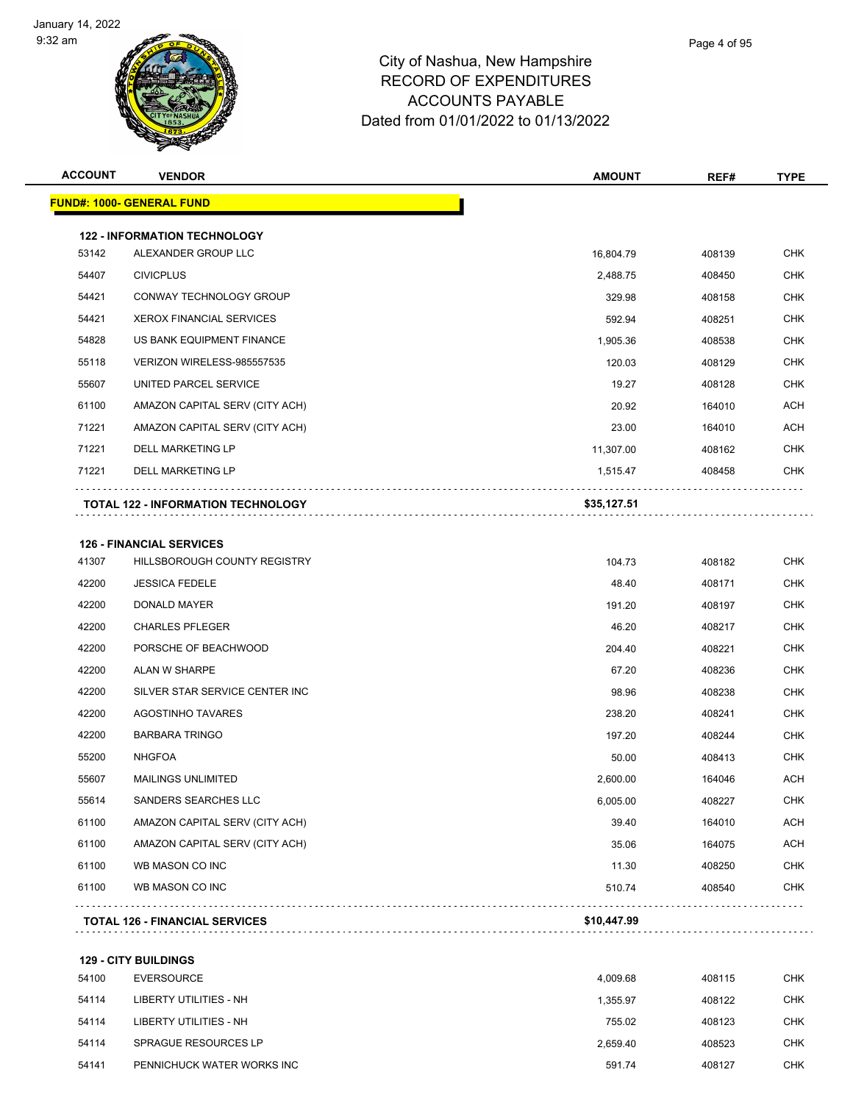

**126 - FINANCIAL SERVICES**

#### City of Nashua, New Hampshire RECORD OF EXPENDITURES ACCOUNTS PAYABLE Dated from 01/01/2022 to 01/13/2022

| <b>ACCOUNT</b> | <b>VENDOR</b>                             | <b>AMOUNT</b> | REF#   | <b>TYPE</b> |
|----------------|-------------------------------------------|---------------|--------|-------------|
|                | <b>FUND#: 1000- GENERAL FUND</b>          |               |        |             |
|                |                                           |               |        |             |
|                | <b>122 - INFORMATION TECHNOLOGY</b>       |               |        |             |
| 53142          | ALEXANDER GROUP LLC                       | 16,804.79     | 408139 | <b>CHK</b>  |
| 54407          | <b>CIVICPLUS</b>                          | 2,488.75      | 408450 | <b>CHK</b>  |
| 54421          | CONWAY TECHNOLOGY GROUP                   | 329.98        | 408158 | <b>CHK</b>  |
| 54421          | <b>XEROX FINANCIAL SERVICES</b>           | 592.94        | 408251 | <b>CHK</b>  |
| 54828          | US BANK EQUIPMENT FINANCE                 | 1,905.36      | 408538 | <b>CHK</b>  |
| 55118          | VERIZON WIRELESS-985557535                | 120.03        | 408129 | <b>CHK</b>  |
| 55607          | UNITED PARCEL SERVICE                     | 19.27         | 408128 | <b>CHK</b>  |
| 61100          | AMAZON CAPITAL SERV (CITY ACH)            | 20.92         | 164010 | <b>ACH</b>  |
| 71221          | AMAZON CAPITAL SERV (CITY ACH)            | 23.00         | 164010 | <b>ACH</b>  |
| 71221          | <b>DELL MARKETING LP</b>                  | 11,307.00     | 408162 | <b>CHK</b>  |
| 71221          | <b>DELL MARKETING LP</b>                  | 1,515.47      | 408458 | <b>CHK</b>  |
|                | <b>TOTAL 122 - INFORMATION TECHNOLOGY</b> | \$35,127.51   |        |             |
|                |                                           |               |        |             |

|       | -8-11 188 - 11:11:01:1 8-51:18-8    | 0.40.4470 |        |            |
|-------|-------------------------------------|-----------|--------|------------|
| 61100 | WB MASON CO INC                     | 510.74    | 408540 | <b>CHK</b> |
| 61100 | WB MASON CO INC                     | 11.30     | 408250 | CHK        |
| 61100 | AMAZON CAPITAL SERV (CITY ACH)      | 35.06     | 164075 | <b>ACH</b> |
| 61100 | AMAZON CAPITAL SERV (CITY ACH)      | 39.40     | 164010 | <b>ACH</b> |
| 55614 | SANDERS SEARCHES LLC                | 6,005.00  | 408227 | CHK        |
| 55607 | <b>MAILINGS UNLIMITED</b>           | 2,600.00  | 164046 | <b>ACH</b> |
| 55200 | <b>NHGFOA</b>                       | 50.00     | 408413 | CHK        |
| 42200 | <b>BARBARA TRINGO</b>               | 197.20    | 408244 | <b>CHK</b> |
| 42200 | <b>AGOSTINHO TAVARES</b>            | 238.20    | 408241 | CHK        |
| 42200 | SILVER STAR SERVICE CENTER INC      | 98.96     | 408238 | CHK        |
| 42200 | <b>ALAN W SHARPE</b>                | 67.20     | 408236 | CHK        |
| 42200 | PORSCHE OF BEACHWOOD                | 204.40    | 408221 | <b>CHK</b> |
| 42200 | <b>CHARLES PFLEGER</b>              | 46.20     | 408217 | <b>CHK</b> |
| 42200 | <b>DONALD MAYER</b>                 | 191.20    | 408197 | CHK        |
| 42200 | <b>JESSICA FEDELE</b>               | 48.40     | 408171 | CHK        |
| 41307 | <b>HILLSBOROUGH COUNTY REGISTRY</b> | 104.73    | 408182 | CHK        |

**TOTAL 126 - FINANCIAL SERVICES \$10,447.99**

**129 - CITY BUILDINGS** EVERSOURCE 4,009.68 408115 CHK LIBERTY UTILITIES - NH 1,355.97 408122 CHK LIBERTY UTILITIES - NH 755.02 408123 CHK SPRAGUE RESOURCES LP 2,659.40 408523 CHK PENNICHUCK WATER WORKS INC 591.74 408127 CHK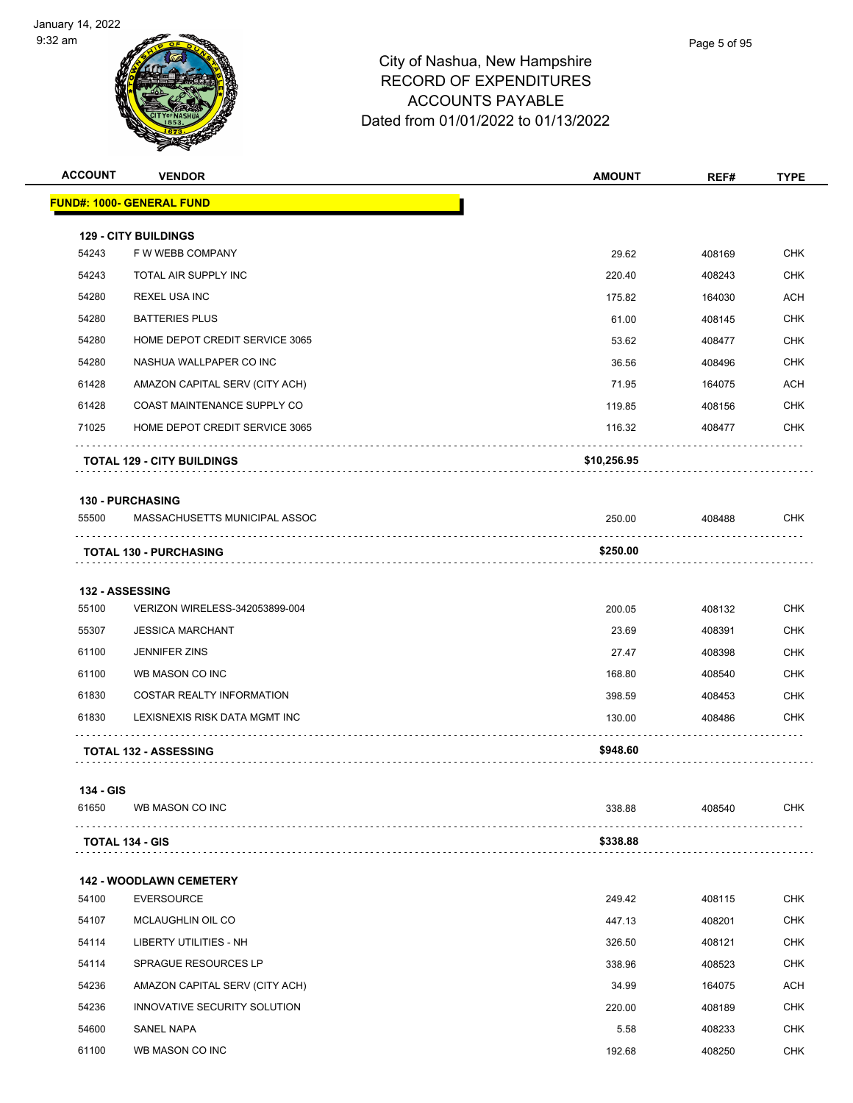

| Page 5 of 95 |
|--------------|
|              |

| <b>ACCOUNT</b> | <b>VENDOR</b>                     | <b>AMOUNT</b> | REF#   | <b>TYPE</b> |
|----------------|-----------------------------------|---------------|--------|-------------|
|                | <b>FUND#: 1000- GENERAL FUND</b>  |               |        |             |
|                | <b>129 - CITY BUILDINGS</b>       |               |        |             |
| 54243          | F W WEBB COMPANY                  | 29.62         | 408169 | <b>CHK</b>  |
| 54243          | TOTAL AIR SUPPLY INC              | 220.40        | 408243 | <b>CHK</b>  |
| 54280          | <b>REXEL USA INC</b>              | 175.82        | 164030 | <b>ACH</b>  |
| 54280          | <b>BATTERIES PLUS</b>             | 61.00         | 408145 | <b>CHK</b>  |
| 54280          | HOME DEPOT CREDIT SERVICE 3065    | 53.62         | 408477 | <b>CHK</b>  |
| 54280          | NASHUA WALLPAPER CO INC           | 36.56         | 408496 | <b>CHK</b>  |
| 61428          | AMAZON CAPITAL SERV (CITY ACH)    | 71.95         | 164075 | <b>ACH</b>  |
| 61428          | COAST MAINTENANCE SUPPLY CO       | 119.85        | 408156 | <b>CHK</b>  |
| 71025          | HOME DEPOT CREDIT SERVICE 3065    | 116.32        | 408477 | <b>CHK</b>  |
|                | <b>TOTAL 129 - CITY BUILDINGS</b> | \$10,256.95   |        |             |
|                | <b>130 - PURCHASING</b>           |               |        |             |
| 55500          | MASSACHUSETTS MUNICIPAL ASSOC     | 250.00        | 408488 | <b>CHK</b>  |
|                | <b>TOTAL 130 - PURCHASING</b>     | \$250.00      |        |             |
|                | 132 - ASSESSING                   |               |        |             |
| 55100          | VERIZON WIRELESS-342053899-004    | 200.05        | 408132 | <b>CHK</b>  |
| 55307          | <b>JESSICA MARCHANT</b>           | 23.69         | 408391 | <b>CHK</b>  |
| 61100          | <b>JENNIFER ZINS</b>              | 27.47         | 408398 | <b>CHK</b>  |
| 61100          | WB MASON CO INC                   | 168.80        | 408540 | <b>CHK</b>  |
| 61830          | <b>COSTAR REALTY INFORMATION</b>  | 398.59        | 408453 | <b>CHK</b>  |
| 61830          | LEXISNEXIS RISK DATA MGMT INC     | 130.00        | 408486 | <b>CHK</b>  |
|                | .<br><b>TOTAL 132 - ASSESSING</b> | \$948.60      |        |             |
|                |                                   |               |        |             |

| 61650                  | WB MASON CO INC | 338.88   | 408540 | СНК |
|------------------------|-----------------|----------|--------|-----|
|                        |                 |          |        |     |
| <b>TOTAL 134 - GIS</b> |                 | \$338.88 |        |     |

|       | <b>142 - WOODLAWN CEMETERY</b> |        |        |            |  |
|-------|--------------------------------|--------|--------|------------|--|
| 54100 | <b>EVERSOURCE</b>              | 249.42 | 408115 | <b>CHK</b> |  |
| 54107 | MCLAUGHLIN OIL CO              | 447.13 | 408201 | <b>CHK</b> |  |
| 54114 | LIBERTY UTILITIES - NH         | 326.50 | 408121 | <b>CHK</b> |  |
| 54114 | <b>SPRAGUE RESOURCES LP</b>    | 338.96 | 408523 | <b>CHK</b> |  |
| 54236 | AMAZON CAPITAL SERV (CITY ACH) | 34.99  | 164075 | <b>ACH</b> |  |
| 54236 | INNOVATIVE SECURITY SOLUTION   | 220.00 | 408189 | <b>CHK</b> |  |
| 54600 | <b>SANEL NAPA</b>              | 5.58   | 408233 | <b>CHK</b> |  |
| 61100 | WB MASON CO INC                | 192.68 | 408250 | <b>CHK</b> |  |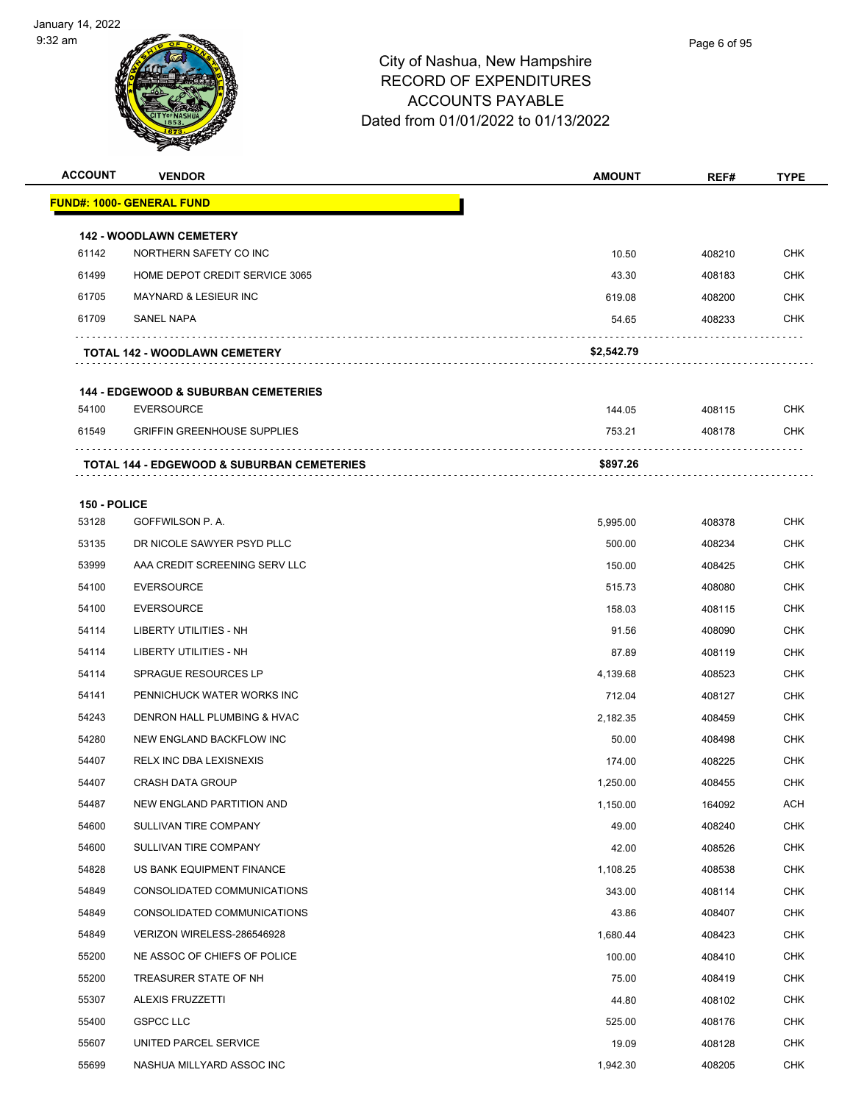

| <b>ACCOUNT</b> | <b>VENDOR</b>                                                        | <b>AMOUNT</b> | REF#   | <b>TYPE</b> |
|----------------|----------------------------------------------------------------------|---------------|--------|-------------|
|                | FUND#: 1000- GENERAL FUND                                            |               |        |             |
|                | <b>142 - WOODLAWN CEMETERY</b>                                       |               |        |             |
| 61142          | NORTHERN SAFETY CO INC                                               | 10.50         | 408210 | <b>CHK</b>  |
| 61499          | HOME DEPOT CREDIT SERVICE 3065                                       | 43.30         | 408183 | <b>CHK</b>  |
| 61705          | <b>MAYNARD &amp; LESIEUR INC</b>                                     | 619.08        | 408200 | CHK         |
| 61709          | SANEL NAPA                                                           | 54.65         | 408233 | <b>CHK</b>  |
|                | <b>TOTAL 142 - WOODLAWN CEMETERY</b>                                 | \$2,542.79    |        |             |
|                |                                                                      |               |        |             |
| 54100          | <b>144 - EDGEWOOD &amp; SUBURBAN CEMETERIES</b><br><b>EVERSOURCE</b> | 144.05        | 408115 | <b>CHK</b>  |
| 61549          | <b>GRIFFIN GREENHOUSE SUPPLIES</b>                                   | 753.21        | 408178 | <b>CHK</b>  |
|                |                                                                      |               |        |             |
|                | <b>TOTAL 144 - EDGEWOOD &amp; SUBURBAN CEMETERIES</b>                | \$897.26      |        |             |
| 150 - POLICE   |                                                                      |               |        |             |
| 53128          | GOFFWILSON P.A.                                                      | 5,995.00      | 408378 | <b>CHK</b>  |
| 53135          | DR NICOLE SAWYER PSYD PLLC                                           | 500.00        | 408234 | CHK         |
| 53999          | AAA CREDIT SCREENING SERV LLC                                        | 150.00        | 408425 | <b>CHK</b>  |
| 54100          | <b>EVERSOURCE</b>                                                    | 515.73        | 408080 | <b>CHK</b>  |
| 54100          | <b>EVERSOURCE</b>                                                    | 158.03        | 408115 | CHK         |
| 54114          | LIBERTY UTILITIES - NH                                               | 91.56         | 408090 | <b>CHK</b>  |
| 54114          | LIBERTY UTILITIES - NH                                               | 87.89         | 408119 | CHK         |
| 54114          | <b>SPRAGUE RESOURCES LP</b>                                          | 4,139.68      | 408523 | CHK         |
| 54141          | PENNICHUCK WATER WORKS INC                                           | 712.04        | 408127 | <b>CHK</b>  |
| 54243          | DENRON HALL PLUMBING & HVAC                                          | 2,182.35      | 408459 | <b>CHK</b>  |
| 54280          | NEW ENGLAND BACKFLOW INC                                             | 50.00         | 408498 | <b>CHK</b>  |
| 54407          | RELX INC DBA LEXISNEXIS                                              | 174.00        | 408225 | CHK         |
| 54407          | <b>CRASH DATA GROUP</b>                                              | 1,250.00      | 408455 | <b>CHK</b>  |
| 54487          | NEW ENGLAND PARTITION AND                                            | 1,150.00      | 164092 | <b>ACH</b>  |
| 54600          | SULLIVAN TIRE COMPANY                                                | 49.00         | 408240 | <b>CHK</b>  |
| 54600          | SULLIVAN TIRE COMPANY                                                | 42.00         | 408526 | <b>CHK</b>  |
| 54828          | US BANK EQUIPMENT FINANCE                                            | 1,108.25      | 408538 | <b>CHK</b>  |
| 54849          | CONSOLIDATED COMMUNICATIONS                                          | 343.00        | 408114 | <b>CHK</b>  |
| 54849          | CONSOLIDATED COMMUNICATIONS                                          | 43.86         | 408407 | <b>CHK</b>  |
| 54849          | VERIZON WIRELESS-286546928                                           | 1,680.44      | 408423 | <b>CHK</b>  |
| 55200          | NE ASSOC OF CHIEFS OF POLICE                                         | 100.00        | 408410 | <b>CHK</b>  |
| 55200          | TREASURER STATE OF NH                                                | 75.00         | 408419 | <b>CHK</b>  |
| 55307          | ALEXIS FRUZZETTI                                                     | 44.80         | 408102 | <b>CHK</b>  |
| 55400          | <b>GSPCC LLC</b>                                                     | 525.00        | 408176 | <b>CHK</b>  |
| 55607          | UNITED PARCEL SERVICE                                                | 19.09         | 408128 | <b>CHK</b>  |
| 55699          | NASHUA MILLYARD ASSOC INC                                            | 1,942.30      | 408205 | <b>CHK</b>  |
|                |                                                                      |               |        |             |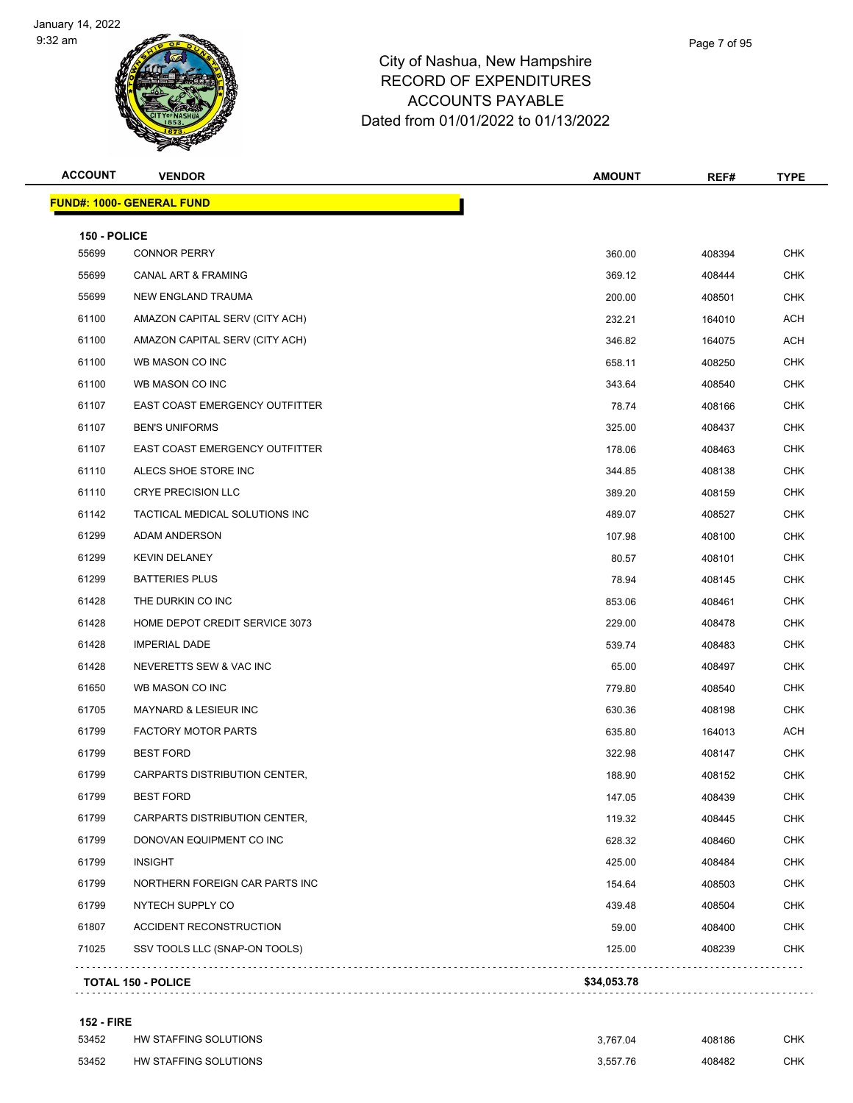

## City of Nashua, New Hamps RECORD OF EXPENDITUR ACCOUNTS PAYABLE Dated from 01/01/2022 to 01/13/2022

| shire      |  |  |  |
|------------|--|--|--|
| <b>RES</b> |  |  |  |

Page 7 of 95

| <b>ACCOUNT</b> | <b>VENDOR</b>                         | <b>AMOUNT</b> | REF#   | <b>TYPE</b> |
|----------------|---------------------------------------|---------------|--------|-------------|
|                | <b>FUND#: 1000- GENERAL FUND</b>      |               |        |             |
| 150 - POLICE   |                                       |               |        |             |
| 55699          | <b>CONNOR PERRY</b>                   | 360.00        | 408394 | <b>CHK</b>  |
| 55699          | CANAL ART & FRAMING                   | 369.12        | 408444 | <b>CHK</b>  |
| 55699          | NEW ENGLAND TRAUMA                    | 200.00        | 408501 | <b>CHK</b>  |
| 61100          | AMAZON CAPITAL SERV (CITY ACH)        | 232.21        | 164010 | <b>ACH</b>  |
| 61100          | AMAZON CAPITAL SERV (CITY ACH)        | 346.82        | 164075 | <b>ACH</b>  |
| 61100          | WB MASON CO INC                       | 658.11        | 408250 | CHK         |
| 61100          | WB MASON CO INC                       | 343.64        | 408540 | <b>CHK</b>  |
| 61107          | <b>EAST COAST EMERGENCY OUTFITTER</b> | 78.74         | 408166 | <b>CHK</b>  |
| 61107          | <b>BEN'S UNIFORMS</b>                 | 325.00        | 408437 | <b>CHK</b>  |
| 61107          | EAST COAST EMERGENCY OUTFITTER        | 178.06        | 408463 | <b>CHK</b>  |
| 61110          | ALECS SHOE STORE INC                  | 344.85        | 408138 | <b>CHK</b>  |
| 61110          | <b>CRYE PRECISION LLC</b>             | 389.20        | 408159 | <b>CHK</b>  |
| 61142          | TACTICAL MEDICAL SOLUTIONS INC        | 489.07        | 408527 | <b>CHK</b>  |
| 61299          | <b>ADAM ANDERSON</b>                  | 107.98        | 408100 | <b>CHK</b>  |
| 61299          | <b>KEVIN DELANEY</b>                  | 80.57         | 408101 | <b>CHK</b>  |
| 61299          | <b>BATTERIES PLUS</b>                 | 78.94         | 408145 | CHK         |
| 61428          | THE DURKIN CO INC                     | 853.06        | 408461 | <b>CHK</b>  |
| 61428          | HOME DEPOT CREDIT SERVICE 3073        | 229.00        | 408478 | <b>CHK</b>  |
| 61428          | <b>IMPERIAL DADE</b>                  | 539.74        | 408483 | <b>CHK</b>  |
| 61428          | NEVERETTS SEW & VAC INC               | 65.00         | 408497 | <b>CHK</b>  |
| 61650          | WB MASON CO INC                       | 779.80        | 408540 | <b>CHK</b>  |
| 61705          | MAYNARD & LESIEUR INC                 | 630.36        | 408198 | <b>CHK</b>  |
| 61799          | <b>FACTORY MOTOR PARTS</b>            | 635.80        | 164013 | <b>ACH</b>  |
| 61799          | <b>BEST FORD</b>                      | 322.98        | 408147 | <b>CHK</b>  |
| 61799          | CARPARTS DISTRIBUTION CENTER,         | 188.90        | 408152 | CHK         |
| 61799          | <b>BEST FORD</b>                      | 147.05        | 408439 | CHK         |
| 61799          | CARPARTS DISTRIBUTION CENTER,         | 119.32        | 408445 | <b>CHK</b>  |
| 61799          | DONOVAN EQUIPMENT CO INC              | 628.32        | 408460 | <b>CHK</b>  |
| 61799          | <b>INSIGHT</b>                        | 425.00        | 408484 | <b>CHK</b>  |
| 61799          | NORTHERN FOREIGN CAR PARTS INC        | 154.64        | 408503 | <b>CHK</b>  |
| 61799          | NYTECH SUPPLY CO                      | 439.48        | 408504 | <b>CHK</b>  |
| 61807          | ACCIDENT RECONSTRUCTION               | 59.00         | 408400 | <b>CHK</b>  |
| 71025          | SSV TOOLS LLC (SNAP-ON TOOLS)         | 125.00        | 408239 | <b>CHK</b>  |

#### **152 - FIRE**

| 53452 | HW STAFFING SOLUTIONS | 3.767.04 | 408186 | СНК |
|-------|-----------------------|----------|--------|-----|
| 53452 | HW STAFFING SOLUTIONS | 3.557.76 | 408482 | снк |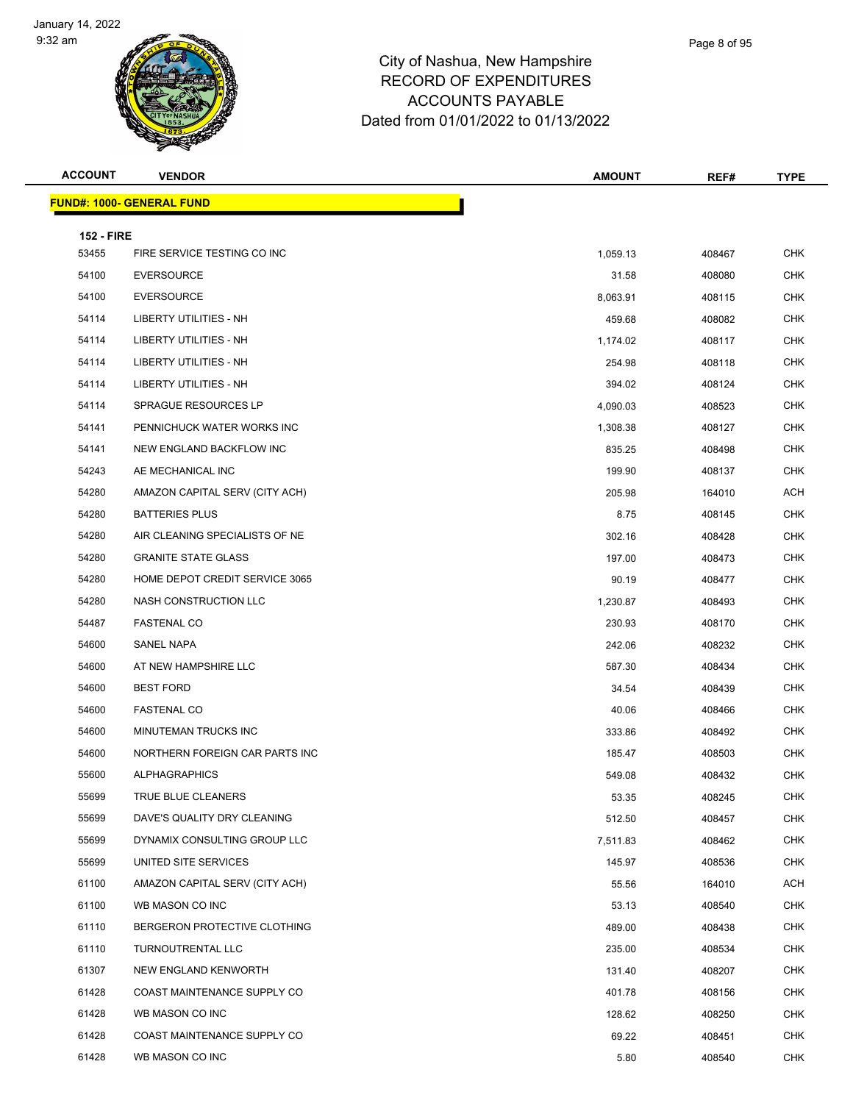

#### City of Nashua, New Ha RECORD OF EXPEND ACCOUNTS PAYABLE Dated from 01/01/2022 to 01/13/2022

| ampshire      |  |  |
|---------------|--|--|
| <b>ITURES</b> |  |  |
| RI F          |  |  |

Page 8 of 95

**ACCOUNT VENDOR AMOUNT REF# TYPE**

| ,我们也不会有什么?""我们的人,我们也不会有什么?""我们的人,我们也不会有什么?""我们的人,我们也不会有什么?""我们的人,我们也不会有什么?""我们的人 |  |  |
|----------------------------------------------------------------------------------|--|--|
|                                                                                  |  |  |
|                                                                                  |  |  |
|                                                                                  |  |  |

|                   | <b>FUND#: 1000- GENERAL FUND</b> |          |        |            |
|-------------------|----------------------------------|----------|--------|------------|
| <b>152 - FIRE</b> |                                  |          |        |            |
| 53455             | FIRE SERVICE TESTING CO INC      | 1,059.13 | 408467 | <b>CHK</b> |
| 54100             | <b>EVERSOURCE</b>                | 31.58    | 408080 | <b>CHK</b> |
| 54100             | <b>EVERSOURCE</b>                | 8,063.91 | 408115 | <b>CHK</b> |
| 54114             | LIBERTY UTILITIES - NH           | 459.68   | 408082 | <b>CHK</b> |
| 54114             | LIBERTY UTILITIES - NH           | 1,174.02 | 408117 | <b>CHK</b> |
| 54114             | <b>LIBERTY UTILITIES - NH</b>    | 254.98   | 408118 | <b>CHK</b> |
| 54114             | <b>LIBERTY UTILITIES - NH</b>    | 394.02   | 408124 | <b>CHK</b> |
| 54114             | SPRAGUE RESOURCES LP             | 4,090.03 | 408523 | <b>CHK</b> |
| 54141             | PENNICHUCK WATER WORKS INC       | 1,308.38 | 408127 | <b>CHK</b> |
| 54141             | NEW ENGLAND BACKFLOW INC         | 835.25   | 408498 | <b>CHK</b> |
| 54243             | AE MECHANICAL INC                | 199.90   | 408137 | <b>CHK</b> |
| 54280             | AMAZON CAPITAL SERV (CITY ACH)   | 205.98   | 164010 | ACH        |
| 54280             | <b>BATTERIES PLUS</b>            | 8.75     | 408145 | <b>CHK</b> |
| 54280             | AIR CLEANING SPECIALISTS OF NE   | 302.16   | 408428 | <b>CHK</b> |
| 54280             | <b>GRANITE STATE GLASS</b>       | 197.00   | 408473 | <b>CHK</b> |
| 54280             | HOME DEPOT CREDIT SERVICE 3065   | 90.19    | 408477 | <b>CHK</b> |
| 54280             | NASH CONSTRUCTION LLC            | 1,230.87 | 408493 | <b>CHK</b> |
| 54487             | <b>FASTENAL CO</b>               | 230.93   | 408170 | <b>CHK</b> |
| 54600             | SANEL NAPA                       | 242.06   | 408232 | <b>CHK</b> |
| 54600             | AT NEW HAMPSHIRE LLC             | 587.30   | 408434 | <b>CHK</b> |
| 54600             | <b>BEST FORD</b>                 | 34.54    | 408439 | <b>CHK</b> |
| 54600             | <b>FASTENAL CO</b>               | 40.06    | 408466 | <b>CHK</b> |
| 54600             | MINUTEMAN TRUCKS INC             | 333.86   | 408492 | <b>CHK</b> |
| 54600             | NORTHERN FOREIGN CAR PARTS INC   | 185.47   | 408503 | <b>CHK</b> |
| 55600             | <b>ALPHAGRAPHICS</b>             | 549.08   | 408432 | CHK        |
| 55699             | TRUE BLUE CLEANERS               | 53.35    | 408245 | <b>CHK</b> |
| 55699             | DAVE'S QUALITY DRY CLEANING      | 512.50   | 408457 | CHK        |
| 55699             | DYNAMIX CONSULTING GROUP LLC     | 7,511.83 | 408462 | <b>CHK</b> |
| 55699             | UNITED SITE SERVICES             | 145.97   | 408536 | <b>CHK</b> |
| 61100             | AMAZON CAPITAL SERV (CITY ACH)   | 55.56    | 164010 | ACH        |
| 61100             | WB MASON CO INC                  | 53.13    | 408540 | <b>CHK</b> |
| 61110             | BERGERON PROTECTIVE CLOTHING     | 489.00   | 408438 | <b>CHK</b> |
| 61110             | TURNOUTRENTAL LLC                | 235.00   | 408534 | <b>CHK</b> |
| 61307             | NEW ENGLAND KENWORTH             | 131.40   | 408207 | <b>CHK</b> |
| 61428             | COAST MAINTENANCE SUPPLY CO      | 401.78   | 408156 | <b>CHK</b> |
| 61428             | WB MASON CO INC                  | 128.62   | 408250 | <b>CHK</b> |
| 61428             | COAST MAINTENANCE SUPPLY CO      | 69.22    | 408451 | <b>CHK</b> |
| 61428             | WB MASON CO INC                  | 5.80     | 408540 | <b>CHK</b> |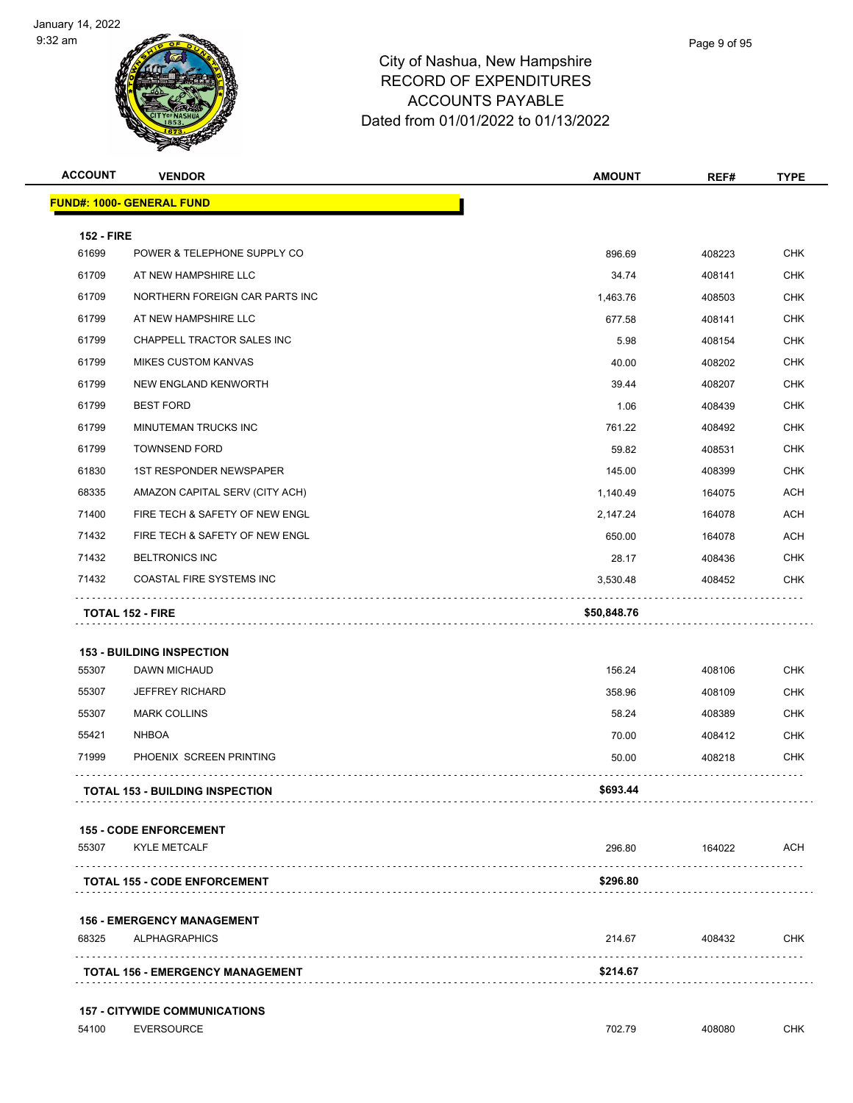

| <b>ACCOUNT</b>    | <b>VENDOR</b>                                    | <b>AMOUNT</b> | REF#   | <b>TYPE</b> |
|-------------------|--------------------------------------------------|---------------|--------|-------------|
|                   | <b>FUND#: 1000- GENERAL FUND</b>                 |               |        |             |
| <b>152 - FIRE</b> |                                                  |               |        |             |
| 61699             | POWER & TELEPHONE SUPPLY CO                      | 896.69        | 408223 | <b>CHK</b>  |
| 61709             | AT NEW HAMPSHIRE LLC                             | 34.74         | 408141 | <b>CHK</b>  |
| 61709             | NORTHERN FOREIGN CAR PARTS INC                   | 1,463.76      | 408503 | <b>CHK</b>  |
| 61799             | AT NEW HAMPSHIRE LLC                             | 677.58        | 408141 | <b>CHK</b>  |
| 61799             | <b>CHAPPELL TRACTOR SALES INC</b>                | 5.98          | 408154 | <b>CHK</b>  |
| 61799             | <b>MIKES CUSTOM KANVAS</b>                       | 40.00         | 408202 | <b>CHK</b>  |
| 61799             | NEW ENGLAND KENWORTH                             | 39.44         | 408207 | <b>CHK</b>  |
| 61799             | <b>BEST FORD</b>                                 | 1.06          | 408439 | <b>CHK</b>  |
| 61799             | MINUTEMAN TRUCKS INC                             | 761.22        | 408492 | <b>CHK</b>  |
| 61799             | <b>TOWNSEND FORD</b>                             | 59.82         | 408531 | <b>CHK</b>  |
| 61830             | <b>1ST RESPONDER NEWSPAPER</b>                   | 145.00        | 408399 | <b>CHK</b>  |
| 68335             | AMAZON CAPITAL SERV (CITY ACH)                   | 1,140.49      | 164075 | ACH         |
| 71400             | FIRE TECH & SAFETY OF NEW ENGL                   | 2,147.24      | 164078 | <b>ACH</b>  |
| 71432             | FIRE TECH & SAFETY OF NEW ENGL                   | 650.00        | 164078 | ACH         |
| 71432             | <b>BELTRONICS INC</b>                            | 28.17         | 408436 | <b>CHK</b>  |
| 71432             | COASTAL FIRE SYSTEMS INC                         | 3,530.48      | 408452 | <b>CHK</b>  |
|                   | <b>TOTAL 152 - FIRE</b>                          | \$50,848.76   |        |             |
|                   |                                                  |               |        |             |
| 55307             | <b>153 - BUILDING INSPECTION</b><br>DAWN MICHAUD | 156.24        | 408106 | <b>CHK</b>  |
| 55307             | <b>JEFFREY RICHARD</b>                           | 358.96        | 408109 | <b>CHK</b>  |
| 55307             | <b>MARK COLLINS</b>                              | 58.24         | 408389 | <b>CHK</b>  |
| 55421             | <b>NHBOA</b>                                     | 70.00         | 408412 | <b>CHK</b>  |
| 71999             | PHOENIX SCREEN PRINTING                          | 50.00         | 408218 | <b>CHK</b>  |
|                   | <b>TOTAL 153 - BUILDING INSPECTION</b>           | \$693.44      |        |             |
|                   |                                                  |               |        |             |
|                   | <b>155 - CODE ENFORCEMENT</b>                    |               |        |             |
| 55307             | <b>KYLE METCALF</b>                              | 296.80        | 164022 | <b>ACH</b>  |
|                   | <b>TOTAL 155 - CODE ENFORCEMENT</b>              | \$296.80      |        |             |
|                   | <b>156 - EMERGENCY MANAGEMENT</b>                |               |        |             |
| 68325             | <b>ALPHAGRAPHICS</b>                             | 214.67        | 408432 | <b>CHK</b>  |
|                   | <b>TOTAL 156 - EMERGENCY MANAGEMENT</b>          | \$214.67      |        |             |
|                   | <b>157 - CITYWIDE COMMUNICATIONS</b>             |               |        |             |
| 54100             | <b>EVERSOURCE</b>                                | 702.79        | 408080 | CHK         |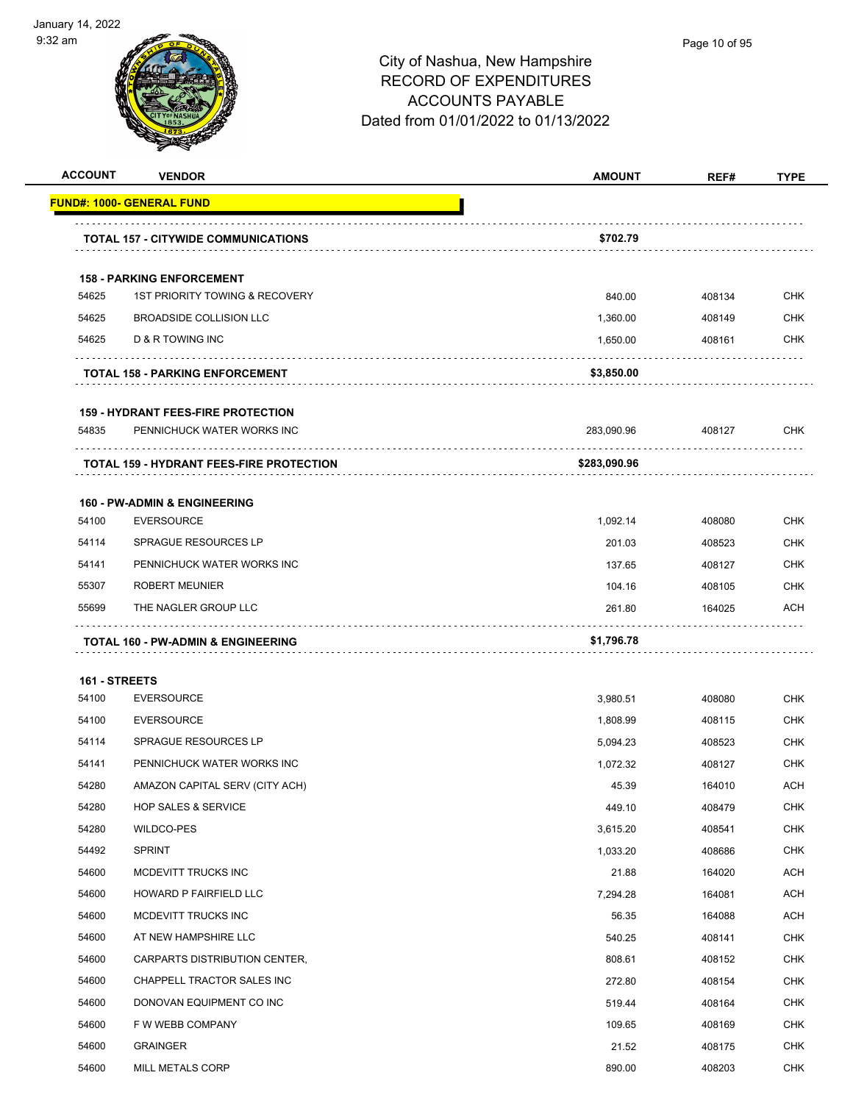



| <b>ACCOUNT</b> | <b>VENDOR</b>                                   | <b>AMOUNT</b> | REF#   | <b>TYPE</b> |
|----------------|-------------------------------------------------|---------------|--------|-------------|
|                | <b>FUND#: 1000- GENERAL FUND</b>                |               |        |             |
|                | <b>TOTAL 157 - CITYWIDE COMMUNICATIONS</b>      | \$702.79      |        |             |
|                | <b>158 - PARKING ENFORCEMENT</b>                |               |        |             |
| 54625          | 1ST PRIORITY TOWING & RECOVERY                  | 840.00        | 408134 | <b>CHK</b>  |
| 54625          | <b>BROADSIDE COLLISION LLC</b>                  | 1,360.00      | 408149 | <b>CHK</b>  |
| 54625          | D & R TOWING INC                                | 1,650.00      | 408161 | <b>CHK</b>  |
|                | <b>TOTAL 158 - PARKING ENFORCEMENT</b>          | \$3,850.00    |        |             |
|                | <b>159 - HYDRANT FEES-FIRE PROTECTION</b>       |               |        |             |
| 54835          | PENNICHUCK WATER WORKS INC                      | 283,090.96    | 408127 | <b>CHK</b>  |
|                | <b>TOTAL 159 - HYDRANT FEES-FIRE PROTECTION</b> | \$283,090.96  |        |             |
|                | <b>160 - PW-ADMIN &amp; ENGINEERING</b>         |               |        |             |
| 54100          | <b>EVERSOURCE</b>                               | 1,092.14      | 408080 | <b>CHK</b>  |
| 54114          | <b>SPRAGUE RESOURCES LP</b>                     | 201.03        | 408523 | <b>CHK</b>  |
| 54141          | PENNICHUCK WATER WORKS INC                      | 137.65        | 408127 | <b>CHK</b>  |
| 55307          | <b>ROBERT MEUNIER</b>                           | 104.16        | 408105 | <b>CHK</b>  |
| 55699          | THE NAGLER GROUP LLC                            | 261.80        | 164025 | ACH         |
|                | <b>TOTAL 160 - PW-ADMIN &amp; ENGINEERING</b>   | \$1,796.78    |        |             |
| 161 - STREETS  |                                                 |               |        |             |
| 54100          | <b>EVERSOURCE</b>                               | 3,980.51      | 408080 | <b>CHK</b>  |
| 54100          | <b>EVERSOURCE</b>                               | 1,808.99      | 408115 | <b>CHK</b>  |
| 54114          | <b>SPRAGUE RESOURCES LP</b>                     | 5,094.23      | 408523 | <b>CHK</b>  |
| 54141          | PENNICHUCK WATER WORKS INC                      | 1,072.32      | 408127 | <b>CHK</b>  |
| 54280          | AMAZON CAPITAL SERV (CITY ACH)                  | 45.39         | 164010 | <b>ACH</b>  |
| 54280          | <b>HOP SALES &amp; SERVICE</b>                  | 449.10        | 408479 | <b>CHK</b>  |
| 54280          | <b>WILDCO-PES</b>                               | 3,615.20      | 408541 | <b>CHK</b>  |
| 54492          | <b>SPRINT</b>                                   | 1,033.20      | 408686 | <b>CHK</b>  |
| 54600          | MCDEVITT TRUCKS INC                             | 21.88         | 164020 | <b>ACH</b>  |
| 54600          | HOWARD P FAIRFIELD LLC                          | 7,294.28      | 164081 | ACH         |
| 54600          | MCDEVITT TRUCKS INC                             | 56.35         | 164088 | <b>ACH</b>  |
| 54600          | AT NEW HAMPSHIRE LLC                            | 540.25        | 408141 | <b>CHK</b>  |
| 54600          | CARPARTS DISTRIBUTION CENTER,                   | 808.61        | 408152 | <b>CHK</b>  |
| 54600          | CHAPPELL TRACTOR SALES INC                      | 272.80        | 408154 | <b>CHK</b>  |
| 54600          | DONOVAN EQUIPMENT CO INC                        | 519.44        | 408164 | <b>CHK</b>  |
| 54600          | F W WEBB COMPANY                                | 109.65        | 408169 | <b>CHK</b>  |
| 54600          | <b>GRAINGER</b>                                 | 21.52         | 408175 | <b>CHK</b>  |
| 54600          | MILL METALS CORP                                | 890.00        | 408203 | <b>CHK</b>  |
|                |                                                 |               |        |             |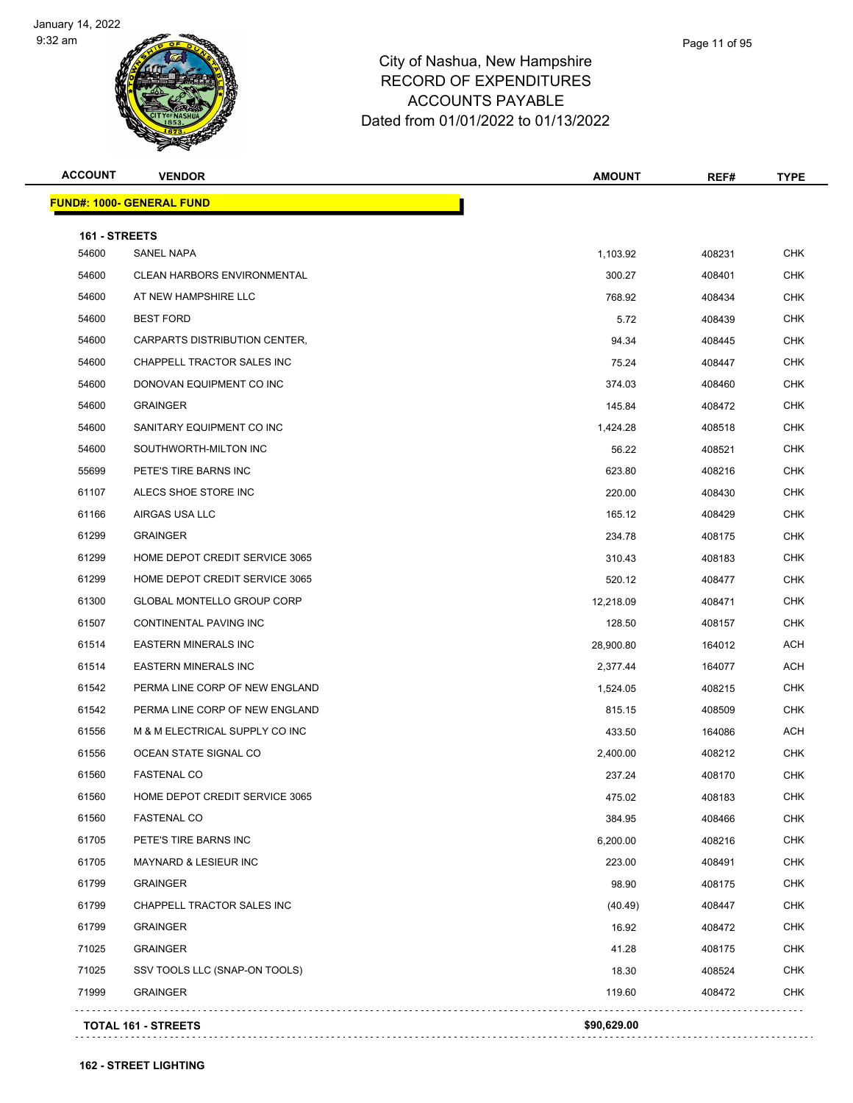

| <b>ACCOUNT</b> | <b>VENDOR</b>                      | <b>AMOUNT</b> | REF#   | <b>TYPE</b> |
|----------------|------------------------------------|---------------|--------|-------------|
|                | <b>FUND#: 1000- GENERAL FUND</b>   |               |        |             |
| 161 - STREETS  |                                    |               |        |             |
| 54600          | SANEL NAPA                         | 1,103.92      | 408231 | <b>CHK</b>  |
| 54600          | <b>CLEAN HARBORS ENVIRONMENTAL</b> | 300.27        | 408401 | <b>CHK</b>  |
| 54600          | AT NEW HAMPSHIRE LLC               | 768.92        | 408434 | <b>CHK</b>  |
| 54600          | <b>BEST FORD</b>                   | 5.72          | 408439 | <b>CHK</b>  |
| 54600          | CARPARTS DISTRIBUTION CENTER,      | 94.34         | 408445 | <b>CHK</b>  |
| 54600          | CHAPPELL TRACTOR SALES INC         | 75.24         | 408447 | CHK         |
| 54600          | DONOVAN EQUIPMENT CO INC           | 374.03        | 408460 | <b>CHK</b>  |
| 54600          | <b>GRAINGER</b>                    | 145.84        | 408472 | <b>CHK</b>  |
| 54600          | SANITARY EQUIPMENT CO INC          | 1,424.28      | 408518 | <b>CHK</b>  |
| 54600          | SOUTHWORTH-MILTON INC              | 56.22         | 408521 | <b>CHK</b>  |
| 55699          | PETE'S TIRE BARNS INC              | 623.80        | 408216 | <b>CHK</b>  |
| 61107          | ALECS SHOE STORE INC               | 220.00        | 408430 | <b>CHK</b>  |
| 61166          | AIRGAS USA LLC                     | 165.12        | 408429 | <b>CHK</b>  |
| 61299          | <b>GRAINGER</b>                    | 234.78        | 408175 | <b>CHK</b>  |
| 61299          | HOME DEPOT CREDIT SERVICE 3065     | 310.43        | 408183 | CHK         |
| 61299          | HOME DEPOT CREDIT SERVICE 3065     | 520.12        | 408477 | CHK         |
| 61300          | <b>GLOBAL MONTELLO GROUP CORP</b>  | 12,218.09     | 408471 | <b>CHK</b>  |
| 61507          | CONTINENTAL PAVING INC             | 128.50        | 408157 | <b>CHK</b>  |
| 61514          | <b>EASTERN MINERALS INC</b>        | 28,900.80     | 164012 | ACH         |
| 61514          | <b>EASTERN MINERALS INC</b>        | 2,377.44      | 164077 | <b>ACH</b>  |
| 61542          | PERMA LINE CORP OF NEW ENGLAND     | 1,524.05      | 408215 | <b>CHK</b>  |
| 61542          | PERMA LINE CORP OF NEW ENGLAND     | 815.15        | 408509 | <b>CHK</b>  |
| 61556          | M & M ELECTRICAL SUPPLY CO INC     | 433.50        | 164086 | ACH         |
| 61556          | OCEAN STATE SIGNAL CO              | 2,400.00      | 408212 | <b>CHK</b>  |
| 61560          | <b>FASTENAL CO</b>                 | 237.24        | 408170 | <b>CHK</b>  |
| 61560          | HOME DEPOT CREDIT SERVICE 3065     | 475.02        | 408183 | <b>CHK</b>  |
| 61560          | <b>FASTENAL CO</b>                 | 384.95        | 408466 | <b>CHK</b>  |
| 61705          | PETE'S TIRE BARNS INC              | 6,200.00      | 408216 | <b>CHK</b>  |
| 61705          | <b>MAYNARD &amp; LESIEUR INC</b>   | 223.00        | 408491 | <b>CHK</b>  |
| 61799          | <b>GRAINGER</b>                    | 98.90         | 408175 | <b>CHK</b>  |
| 61799          | CHAPPELL TRACTOR SALES INC         | (40.49)       | 408447 | <b>CHK</b>  |
| 61799          | <b>GRAINGER</b>                    | 16.92         | 408472 | <b>CHK</b>  |
| 71025          | <b>GRAINGER</b>                    | 41.28         | 408175 | <b>CHK</b>  |
| 71025          | SSV TOOLS LLC (SNAP-ON TOOLS)      | 18.30         | 408524 | <b>CHK</b>  |
| 71999          | <b>GRAINGER</b>                    | 119.60        | 408472 | <b>CHK</b>  |
|                | <b>TOTAL 161 - STREETS</b>         | \$90,629.00   |        |             |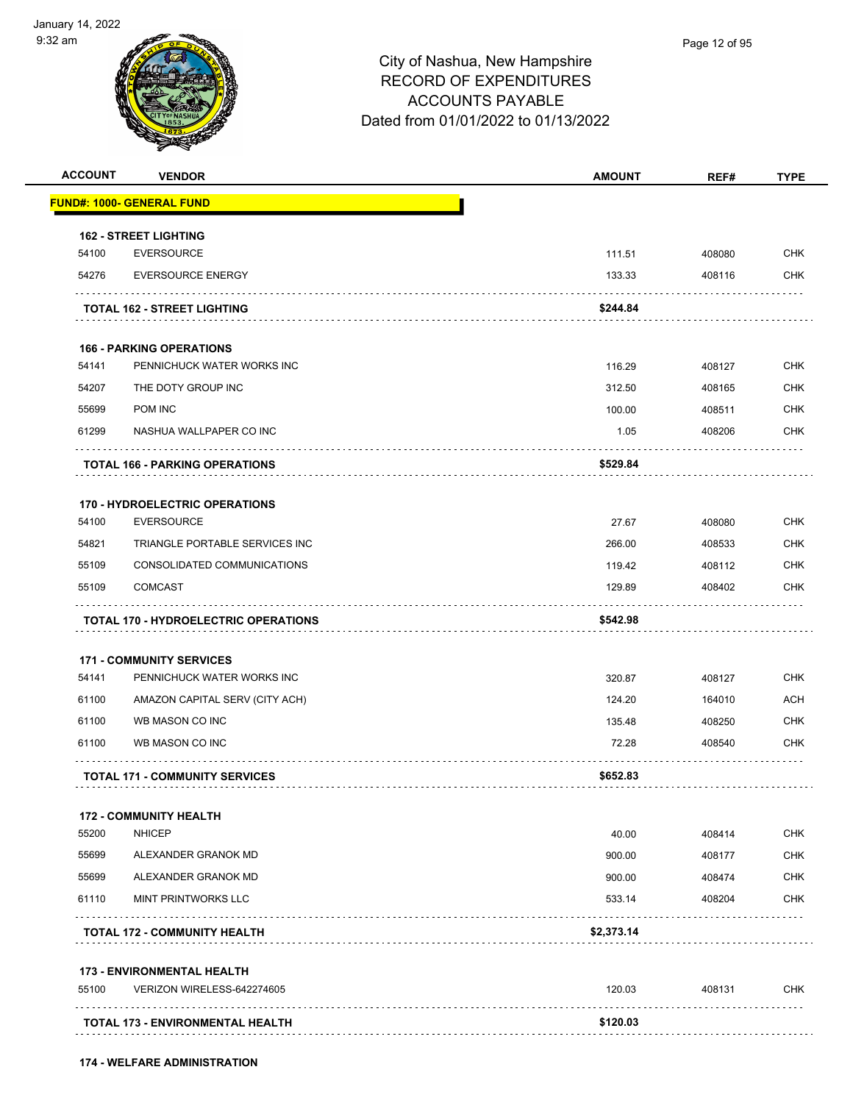

| <b>FUND#: 1000- GENERAL FUND</b><br><b>162 - STREET LIGHTING</b> |             |        |                                                                                                              |
|------------------------------------------------------------------|-------------|--------|--------------------------------------------------------------------------------------------------------------|
|                                                                  |             |        |                                                                                                              |
|                                                                  |             |        |                                                                                                              |
| <b>EVERSOURCE</b>                                                | 111.51      | 408080 | <b>CHK</b>                                                                                                   |
| <b>EVERSOURCE ENERGY</b>                                         | 133.33      | 408116 | <b>CHK</b>                                                                                                   |
| <b>TOTAL 162 - STREET LIGHTING</b>                               | \$244.84    |        |                                                                                                              |
| <b>166 - PARKING OPERATIONS</b>                                  |             |        |                                                                                                              |
| PENNICHUCK WATER WORKS INC                                       | 116.29      | 408127 | <b>CHK</b>                                                                                                   |
| THE DOTY GROUP INC                                               | 312.50      | 408165 | <b>CHK</b>                                                                                                   |
|                                                                  | 100.00      | 408511 | <b>CHK</b>                                                                                                   |
| NASHUA WALLPAPER CO INC                                          | 1.05        | 408206 | <b>CHK</b>                                                                                                   |
| <b>TOTAL 166 - PARKING OPERATIONS</b>                            | \$529.84    |        |                                                                                                              |
| <b>170 - HYDROELECTRIC OPERATIONS</b>                            |             |        |                                                                                                              |
| <b>EVERSOURCE</b>                                                | 27.67       | 408080 | <b>CHK</b>                                                                                                   |
| TRIANGLE PORTABLE SERVICES INC                                   | 266.00      | 408533 | <b>CHK</b>                                                                                                   |
| CONSOLIDATED COMMUNICATIONS                                      | 119.42      | 408112 | <b>CHK</b>                                                                                                   |
|                                                                  |             |        |                                                                                                              |
|                                                                  | 129.89      | 408402 |                                                                                                              |
| <b>TOTAL 170 - HYDROELECTRIC OPERATIONS</b>                      | \$542.98    |        | <b>CHK</b>                                                                                                   |
| <b>171 - COMMUNITY SERVICES</b>                                  |             |        |                                                                                                              |
| PENNICHUCK WATER WORKS INC                                       | 320.87      | 408127 |                                                                                                              |
| AMAZON CAPITAL SERV (CITY ACH)                                   | 124.20      | 164010 |                                                                                                              |
| WB MASON CO INC                                                  | 135.48      | 408250 |                                                                                                              |
| WB MASON CO INC                                                  | 72.28       | 408540 |                                                                                                              |
| <b>TOTAL 171 - COMMUNITY SERVICES</b>                            | \$652.83    |        |                                                                                                              |
| <b>172 - COMMUNITY HEALTH</b>                                    |             |        |                                                                                                              |
|                                                                  | 40.00       | 408414 |                                                                                                              |
| ALEXANDER GRANOK MD                                              | 900.00      | 408177 |                                                                                                              |
| ALEXANDER GRANOK MD                                              | 900.00      | 408474 |                                                                                                              |
| <b>MINT PRINTWORKS LLC</b>                                       | 533.14      | 408204 |                                                                                                              |
| <b>TOTAL 172 - COMMUNITY HEALTH</b>                              | \$2,373.14  |        |                                                                                                              |
| <b>173 - ENVIRONMENTAL HEALTH</b>                                |             |        |                                                                                                              |
| VERIZON WIRELESS-642274605                                       | 120.03<br>. | 408131 | <b>CHK</b><br><b>ACH</b><br><b>CHK</b><br><b>CHK</b><br><b>CHK</b><br><b>CHK</b><br><b>CHK</b><br>CHK<br>CHK |
|                                                                  |             |        |                                                                                                              |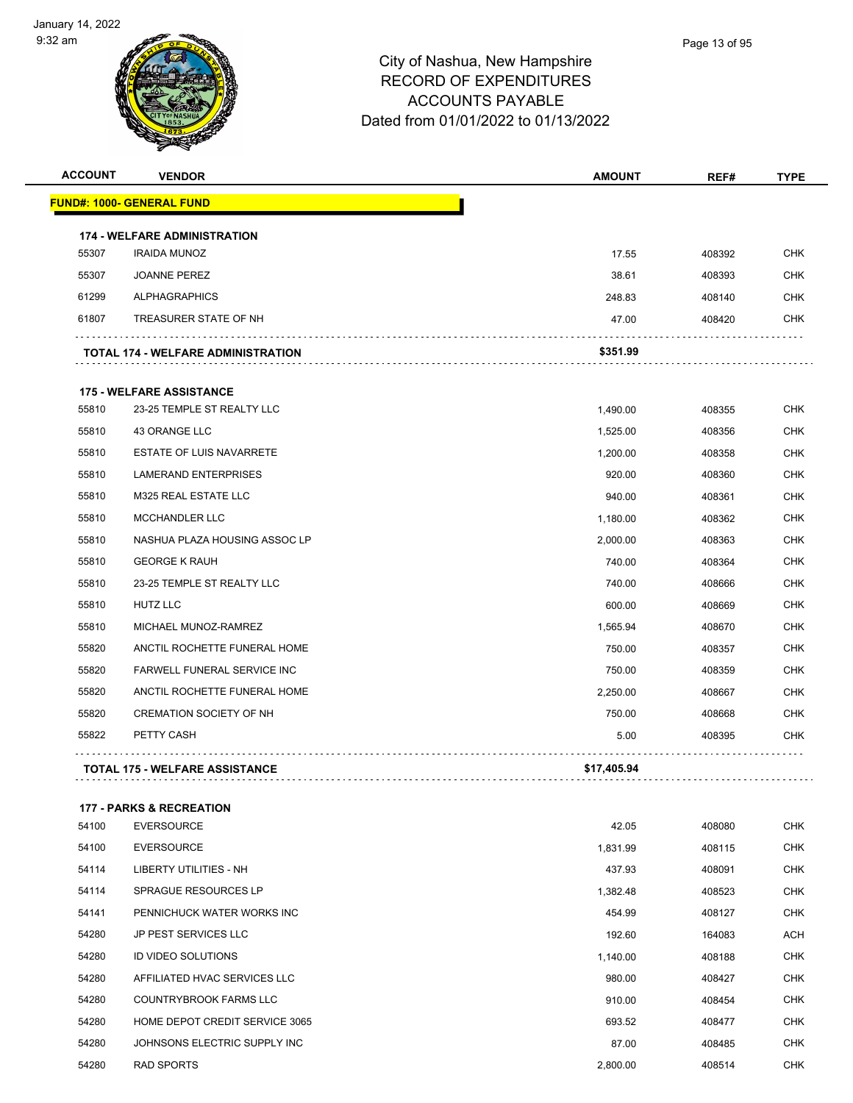

## City of Nashua, New Hampshire RECORD OF EXPENDITURES ACCOUNTS PAYABLE Dated from 01/01/2022 to 01/13/2022

| <b>ACCOUNT</b> | <b>VENDOR</b>                             | <b>AMOUNT</b> | REF#   | <b>TYPE</b> |
|----------------|-------------------------------------------|---------------|--------|-------------|
|                | <b>FUND#: 1000- GENERAL FUND</b>          |               |        |             |
|                | <b>174 - WELFARE ADMINISTRATION</b>       |               |        |             |
| 55307          | <b>IRAIDA MUNOZ</b>                       | 17.55         | 408392 | <b>CHK</b>  |
| 55307          | <b>JOANNE PEREZ</b>                       | 38.61         | 408393 | <b>CHK</b>  |
| 61299          | <b>ALPHAGRAPHICS</b>                      | 248.83        | 408140 | <b>CHK</b>  |
| 61807          | TREASURER STATE OF NH                     | 47.00         | 408420 | <b>CHK</b>  |
|                | <b>TOTAL 174 - WELFARE ADMINISTRATION</b> | \$351.99      |        |             |
|                | <b>175 - WELFARE ASSISTANCE</b>           |               |        |             |
| 55810          | 23-25 TEMPLE ST REALTY LLC                | 1,490.00      | 408355 | <b>CHK</b>  |
| 55810          | 43 ORANGE LLC                             | 1,525.00      | 408356 | <b>CHK</b>  |
| 55810          | <b>ESTATE OF LUIS NAVARRETE</b>           | 1,200.00      | 408358 | <b>CHK</b>  |
| 55810          | <b>LAMERAND ENTERPRISES</b>               | 920.00        | 408360 | <b>CHK</b>  |
| 55810          | <b>M325 REAL ESTATE LLC</b>               | 940.00        | 408361 | <b>CHK</b>  |
| 55810          | MCCHANDLER LLC                            | 1,180.00      | 408362 | <b>CHK</b>  |
| 55810          | NASHUA PLAZA HOUSING ASSOC LP             | 2,000.00      | 408363 | <b>CHK</b>  |
| 55810          | <b>GEORGE K RAUH</b>                      | 740.00        | 408364 | <b>CHK</b>  |
| 55810          | 23-25 TEMPLE ST REALTY LLC                | 740.00        | 408666 | <b>CHK</b>  |
| 55810          | HUTZ LLC                                  | 600.00        | 408669 | <b>CHK</b>  |
| 55810          | MICHAEL MUNOZ-RAMREZ                      | 1,565.94      | 408670 | <b>CHK</b>  |
| 55820          | ANCTIL ROCHETTE FUNERAL HOME              | 750.00        | 408357 | <b>CHK</b>  |
| 55820          | FARWELL FUNERAL SERVICE INC               | 750.00        | 408359 | <b>CHK</b>  |
| 55820          | ANCTIL ROCHETTE FUNERAL HOME              | 2,250.00      | 408667 | <b>CHK</b>  |
| 55820          | <b>CREMATION SOCIETY OF NH</b>            | 750.00        | 408668 | <b>CHK</b>  |
| 55822          | PETTY CASH                                | 5.00          | 408395 | <b>CHK</b>  |
|                | <b>TOTAL 175 - WELFARE ASSISTANCE</b>     | \$17,405.94   |        |             |

#### **177 - PARKS & RECREATION**

| 54100 | <b>EVERSOURCE</b>              | 42.05    | 408080 | CHK        |
|-------|--------------------------------|----------|--------|------------|
| 54100 | <b>EVERSOURCE</b>              | 1,831.99 | 408115 | <b>CHK</b> |
| 54114 | LIBERTY UTILITIES - NH         | 437.93   | 408091 | <b>CHK</b> |
| 54114 | SPRAGUE RESOURCES LP           | 1,382.48 | 408523 | <b>CHK</b> |
| 54141 | PENNICHUCK WATER WORKS INC     | 454.99   | 408127 | <b>CHK</b> |
| 54280 | <b>JP PEST SERVICES LLC</b>    | 192.60   | 164083 | ACH        |
| 54280 | <b>ID VIDEO SOLUTIONS</b>      | 1,140.00 | 408188 | <b>CHK</b> |
| 54280 | AFFILIATED HVAC SERVICES LLC   | 980.00   | 408427 | <b>CHK</b> |
| 54280 | <b>COUNTRYBROOK FARMS LLC</b>  | 910.00   | 408454 | <b>CHK</b> |
| 54280 | HOME DEPOT CREDIT SERVICE 3065 | 693.52   | 408477 | <b>CHK</b> |
| 54280 | JOHNSONS ELECTRIC SUPPLY INC   | 87.00    | 408485 | <b>CHK</b> |
| 54280 | <b>RAD SPORTS</b>              | 2,800.00 | 408514 | <b>CHK</b> |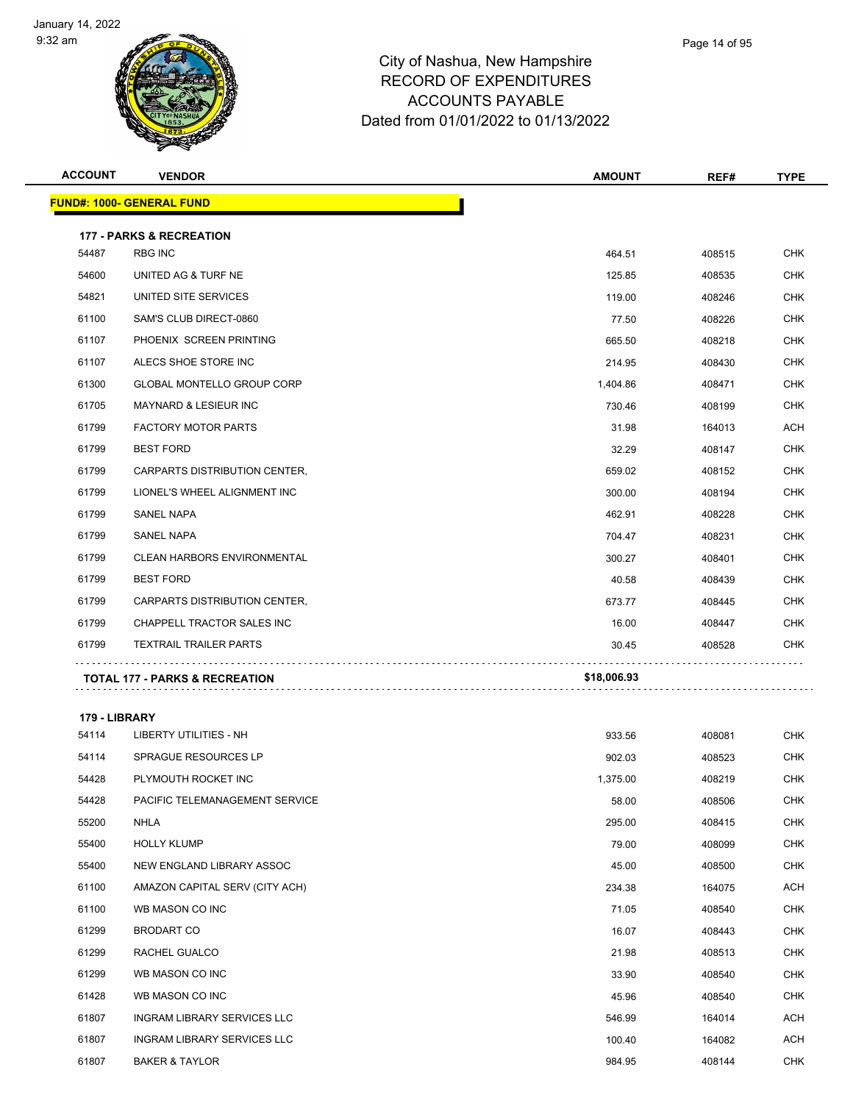

## City of Nashua, New Hampsh RECORD OF EXPENDITURES ACCOUNTS PAYABLE Dated from 01/01/2022 to 01/13/2022

| hire |  | - |  |
|------|--|---|--|
|      |  |   |  |
|      |  |   |  |

Page 14 of 95

| <b>ACCOUNT</b> | <b>VENDOR</b>                             | <b>AMOUNT</b> | REF#   | <b>TYPE</b> |
|----------------|-------------------------------------------|---------------|--------|-------------|
|                | <b>FUND#: 1000- GENERAL FUND</b>          |               |        |             |
|                | <b>177 - PARKS &amp; RECREATION</b>       |               |        |             |
| 54487          | <b>RBG INC</b>                            | 464.51        | 408515 | <b>CHK</b>  |
| 54600          | UNITED AG & TURF NE                       | 125.85        | 408535 | <b>CHK</b>  |
| 54821          | UNITED SITE SERVICES                      | 119.00        | 408246 | <b>CHK</b>  |
| 61100          | SAM'S CLUB DIRECT-0860                    | 77.50         | 408226 | <b>CHK</b>  |
| 61107          | PHOENIX SCREEN PRINTING                   | 665.50        | 408218 | <b>CHK</b>  |
| 61107          | ALECS SHOE STORE INC                      | 214.95        | 408430 | <b>CHK</b>  |
| 61300          | <b>GLOBAL MONTELLO GROUP CORP</b>         | 1,404.86      | 408471 | <b>CHK</b>  |
| 61705          | <b>MAYNARD &amp; LESIEUR INC</b>          | 730.46        | 408199 | <b>CHK</b>  |
| 61799          | <b>FACTORY MOTOR PARTS</b>                | 31.98         | 164013 | <b>ACH</b>  |
| 61799          | <b>BEST FORD</b>                          | 32.29         | 408147 | <b>CHK</b>  |
| 61799          | CARPARTS DISTRIBUTION CENTER,             | 659.02        | 408152 | <b>CHK</b>  |
| 61799          | LIONEL'S WHEEL ALIGNMENT INC              | 300.00        | 408194 | <b>CHK</b>  |
| 61799          | <b>SANEL NAPA</b>                         | 462.91        | 408228 | <b>CHK</b>  |
| 61799          | <b>SANEL NAPA</b>                         | 704.47        | 408231 | <b>CHK</b>  |
| 61799          | <b>CLEAN HARBORS ENVIRONMENTAL</b>        | 300.27        | 408401 | <b>CHK</b>  |
| 61799          | <b>BEST FORD</b>                          | 40.58         | 408439 | <b>CHK</b>  |
| 61799          | CARPARTS DISTRIBUTION CENTER,             | 673.77        | 408445 | <b>CHK</b>  |
| 61799          | CHAPPELL TRACTOR SALES INC                | 16.00         | 408447 | <b>CHK</b>  |
| 61799          | <b>TEXTRAIL TRAILER PARTS</b>             | 30.45         | 408528 | <b>CHK</b>  |
|                | <b>TOTAL 177 - PARKS &amp; RECREATION</b> | \$18,006.93   |        |             |

**179 - LIBRARY**

| 54114 | <b>LIBERTY UTILITIES - NH</b>      | 933.56   | 408081 | <b>CHK</b> |
|-------|------------------------------------|----------|--------|------------|
| 54114 | <b>SPRAGUE RESOURCES LP</b>        | 902.03   | 408523 | <b>CHK</b> |
| 54428 | PLYMOUTH ROCKET INC                | 1,375.00 | 408219 | <b>CHK</b> |
| 54428 | PACIFIC TELEMANAGEMENT SERVICE     | 58.00    | 408506 | <b>CHK</b> |
| 55200 | <b>NHLA</b>                        | 295.00   | 408415 | <b>CHK</b> |
| 55400 | <b>HOLLY KLUMP</b>                 | 79.00    | 408099 | <b>CHK</b> |
| 55400 | NEW ENGLAND LIBRARY ASSOC          | 45.00    | 408500 | <b>CHK</b> |
| 61100 | AMAZON CAPITAL SERV (CITY ACH)     | 234.38   | 164075 | ACH        |
| 61100 | WB MASON CO INC                    | 71.05    | 408540 | <b>CHK</b> |
| 61299 | <b>BRODART CO</b>                  | 16.07    | 408443 | <b>CHK</b> |
| 61299 | RACHEL GUALCO                      | 21.98    | 408513 | <b>CHK</b> |
| 61299 | WB MASON CO INC                    | 33.90    | 408540 | <b>CHK</b> |
| 61428 | WB MASON CO INC                    | 45.96    | 408540 | <b>CHK</b> |
| 61807 | INGRAM LIBRARY SERVICES LLC        | 546.99   | 164014 | ACH        |
| 61807 | <b>INGRAM LIBRARY SERVICES LLC</b> | 100.40   | 164082 | <b>ACH</b> |
| 61807 | <b>BAKER &amp; TAYLOR</b>          | 984.95   | 408144 | <b>CHK</b> |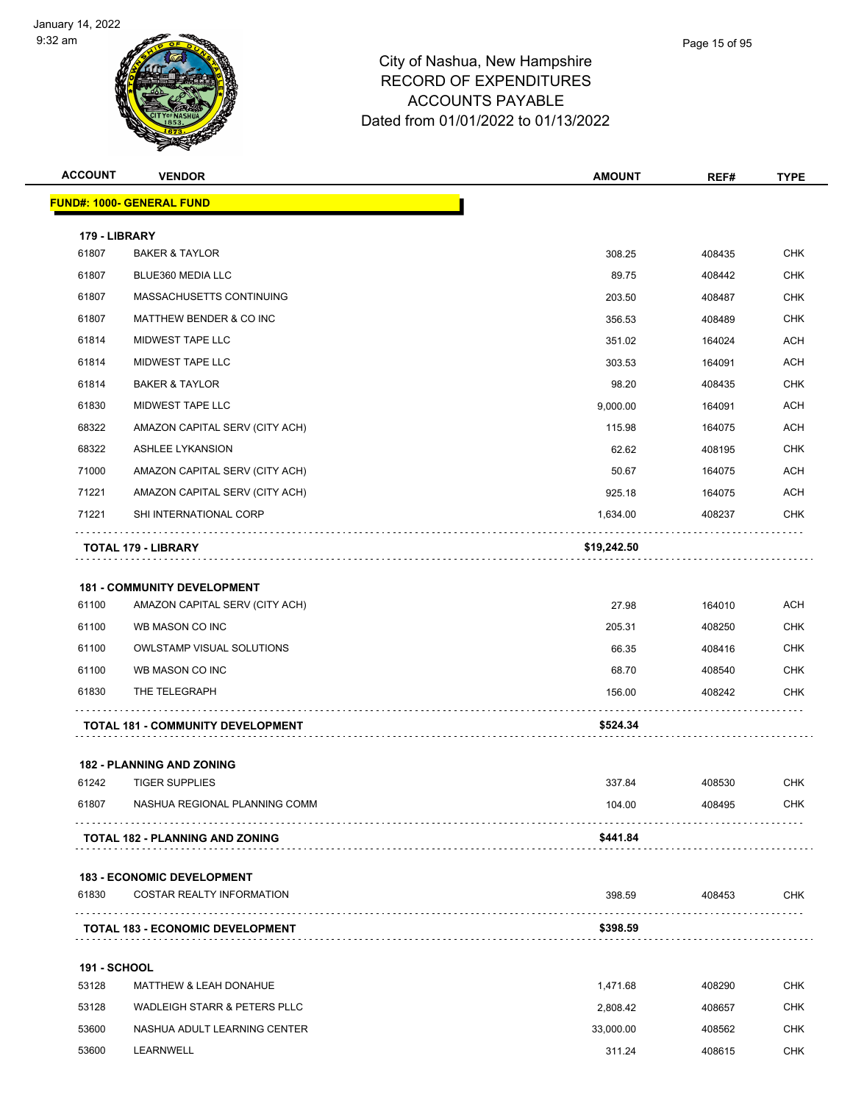

| <b>ACCOUNT</b>      | <b>VENDOR</b>                                                        | <b>AMOUNT</b> | REF#   | <b>TYPE</b> |
|---------------------|----------------------------------------------------------------------|---------------|--------|-------------|
|                     | <b>FUND#: 1000- GENERAL FUND</b>                                     |               |        |             |
| 179 - LIBRARY       |                                                                      |               |        |             |
| 61807               | <b>BAKER &amp; TAYLOR</b>                                            | 308.25        | 408435 | <b>CHK</b>  |
| 61807               | BLUE360 MEDIA LLC                                                    | 89.75         | 408442 | CHK         |
| 61807               | MASSACHUSETTS CONTINUING                                             | 203.50        | 408487 | <b>CHK</b>  |
| 61807               | MATTHEW BENDER & CO INC                                              | 356.53        | 408489 | <b>CHK</b>  |
| 61814               | MIDWEST TAPE LLC                                                     | 351.02        | 164024 | <b>ACH</b>  |
| 61814               | MIDWEST TAPE LLC                                                     | 303.53        | 164091 | ACH         |
| 61814               | <b>BAKER &amp; TAYLOR</b>                                            | 98.20         | 408435 | <b>CHK</b>  |
| 61830               | MIDWEST TAPE LLC                                                     | 9,000.00      | 164091 | <b>ACH</b>  |
| 68322               | AMAZON CAPITAL SERV (CITY ACH)                                       | 115.98        | 164075 | ACH         |
| 68322               | <b>ASHLEE LYKANSION</b>                                              | 62.62         | 408195 | <b>CHK</b>  |
| 71000               | AMAZON CAPITAL SERV (CITY ACH)                                       | 50.67         | 164075 | ACH         |
| 71221               | AMAZON CAPITAL SERV (CITY ACH)                                       | 925.18        | 164075 | <b>ACH</b>  |
| 71221               | SHI INTERNATIONAL CORP                                               | 1,634.00      | 408237 | <b>CHK</b>  |
|                     | TOTAL 179 - LIBRARY                                                  | \$19,242.50   |        |             |
|                     |                                                                      |               |        |             |
| 61100               | <b>181 - COMMUNITY DEVELOPMENT</b><br>AMAZON CAPITAL SERV (CITY ACH) | 27.98         | 164010 | <b>ACH</b>  |
| 61100               | WB MASON CO INC                                                      | 205.31        | 408250 | <b>CHK</b>  |
| 61100               | OWLSTAMP VISUAL SOLUTIONS                                            | 66.35         | 408416 | CHK         |
| 61100               | WB MASON CO INC                                                      | 68.70         | 408540 | <b>CHK</b>  |
| 61830               | THE TELEGRAPH                                                        | 156.00        | 408242 | CHK         |
|                     | <b>TOTAL 181 - COMMUNITY DEVELOPMENT</b>                             | \$524.34      |        |             |
|                     |                                                                      |               |        |             |
|                     | 182 - PLANNING AND ZONING                                            |               |        |             |
| 61242               | <b>TIGER SUPPLIES</b>                                                | 337.84        | 408530 | <b>CHK</b>  |
| 61807               | NASHUA REGIONAL PLANNING COMM                                        | 104.00        | 408495 | <b>CHK</b>  |
|                     | TOTAL 182 - PLANNING AND ZONING                                      | \$441.84      |        |             |
|                     | <b>183 - ECONOMIC DEVELOPMENT</b>                                    |               |        |             |
| 61830               | COSTAR REALTY INFORMATION                                            | 398.59        | 408453 | <b>CHK</b>  |
|                     | <b>TOTAL 183 - ECONOMIC DEVELOPMENT</b>                              | \$398.59      |        |             |
| <b>191 - SCHOOL</b> |                                                                      |               |        |             |
| 53128               | MATTHEW & LEAH DONAHUE                                               | 1,471.68      | 408290 | <b>CHK</b>  |
| 53128               | <b>WADLEIGH STARR &amp; PETERS PLLC</b>                              | 2,808.42      | 408657 | CHK         |
| 53600               | NASHUA ADULT LEARNING CENTER                                         | 33,000.00     | 408562 | <b>CHK</b>  |
| 53600               | LEARNWELL                                                            | 311.24        | 408615 | CHK         |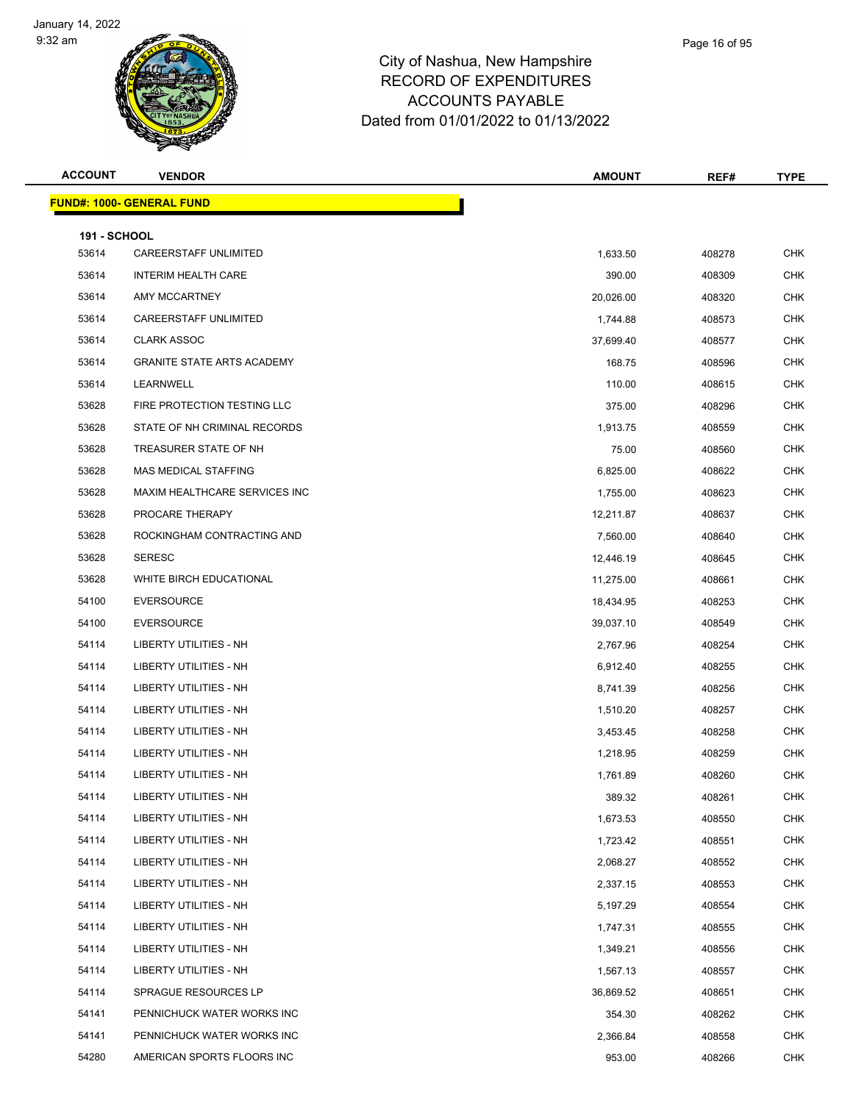

| Page 16 of 95 |
|---------------|
|               |

| <b>ACCOUNT</b>               | <b>VENDOR</b>                     | <b>AMOUNT</b> | REF#   | <b>TYPE</b> |
|------------------------------|-----------------------------------|---------------|--------|-------------|
|                              | <b>FUND#: 1000- GENERAL FUND</b>  |               |        |             |
|                              |                                   |               |        |             |
| <b>191 - SCHOOL</b><br>53614 | <b>CAREERSTAFF UNLIMITED</b>      | 1,633.50      | 408278 | <b>CHK</b>  |
| 53614                        | <b>INTERIM HEALTH CARE</b>        | 390.00        | 408309 | <b>CHK</b>  |
| 53614                        | AMY MCCARTNEY                     | 20,026.00     | 408320 | <b>CHK</b>  |
| 53614                        | CAREERSTAFF UNLIMITED             | 1,744.88      | 408573 | <b>CHK</b>  |
| 53614                        | <b>CLARK ASSOC</b>                | 37,699.40     | 408577 | <b>CHK</b>  |
| 53614                        | <b>GRANITE STATE ARTS ACADEMY</b> | 168.75        | 408596 | <b>CHK</b>  |
| 53614                        | LEARNWELL                         | 110.00        | 408615 | <b>CHK</b>  |
| 53628                        | FIRE PROTECTION TESTING LLC       | 375.00        | 408296 | <b>CHK</b>  |
| 53628                        | STATE OF NH CRIMINAL RECORDS      | 1,913.75      | 408559 | <b>CHK</b>  |
| 53628                        | TREASURER STATE OF NH             | 75.00         | 408560 | <b>CHK</b>  |
| 53628                        | MAS MEDICAL STAFFING              | 6,825.00      | 408622 | <b>CHK</b>  |
| 53628                        | MAXIM HEALTHCARE SERVICES INC     | 1,755.00      | 408623 | CHK         |
| 53628                        | PROCARE THERAPY                   | 12,211.87     | 408637 | <b>CHK</b>  |
| 53628                        | ROCKINGHAM CONTRACTING AND        | 7,560.00      | 408640 | <b>CHK</b>  |
| 53628                        | <b>SERESC</b>                     | 12,446.19     | 408645 | <b>CHK</b>  |
| 53628                        | WHITE BIRCH EDUCATIONAL           | 11,275.00     | 408661 | <b>CHK</b>  |
| 54100                        | <b>EVERSOURCE</b>                 | 18,434.95     | 408253 | <b>CHK</b>  |
| 54100                        | <b>EVERSOURCE</b>                 | 39,037.10     | 408549 | <b>CHK</b>  |
| 54114                        | LIBERTY UTILITIES - NH            | 2,767.96      | 408254 | CHK         |
| 54114                        | LIBERTY UTILITIES - NH            | 6,912.40      | 408255 | <b>CHK</b>  |
| 54114                        | LIBERTY UTILITIES - NH            | 8,741.39      | 408256 | <b>CHK</b>  |
| 54114                        | LIBERTY UTILITIES - NH            | 1,510.20      | 408257 | CHK         |
| 54114                        | LIBERTY UTILITIES - NH            | 3,453.45      | 408258 | <b>CHK</b>  |
| 54114                        | LIBERTY UTILITIES - NH            | 1,218.95      | 408259 | <b>CHK</b>  |
| 54114                        | LIBERTY UTILITIES - NH            | 1,761.89      | 408260 | <b>CHK</b>  |
| 54114                        | LIBERTY UTILITIES - NH            | 389.32        | 408261 | <b>CHK</b>  |
| 54114                        | LIBERTY UTILITIES - NH            | 1,673.53      | 408550 | <b>CHK</b>  |
| 54114                        | LIBERTY UTILITIES - NH            | 1,723.42      | 408551 | <b>CHK</b>  |
| 54114                        | LIBERTY UTILITIES - NH            | 2,068.27      | 408552 | <b>CHK</b>  |
| 54114                        | LIBERTY UTILITIES - NH            | 2,337.15      | 408553 | <b>CHK</b>  |
| 54114                        | LIBERTY UTILITIES - NH            | 5,197.29      | 408554 | CHK         |
| 54114                        | LIBERTY UTILITIES - NH            | 1,747.31      | 408555 | <b>CHK</b>  |
| 54114                        | LIBERTY UTILITIES - NH            | 1,349.21      | 408556 | <b>CHK</b>  |
| 54114                        | LIBERTY UTILITIES - NH            | 1,567.13      | 408557 | <b>CHK</b>  |
| 54114                        | SPRAGUE RESOURCES LP              | 36,869.52     | 408651 | <b>CHK</b>  |
| 54141                        | PENNICHUCK WATER WORKS INC        | 354.30        | 408262 | <b>CHK</b>  |
| 54141                        | PENNICHUCK WATER WORKS INC        | 2,366.84      | 408558 | CHK         |
| 54280                        | AMERICAN SPORTS FLOORS INC        | 953.00        | 408266 | <b>CHK</b>  |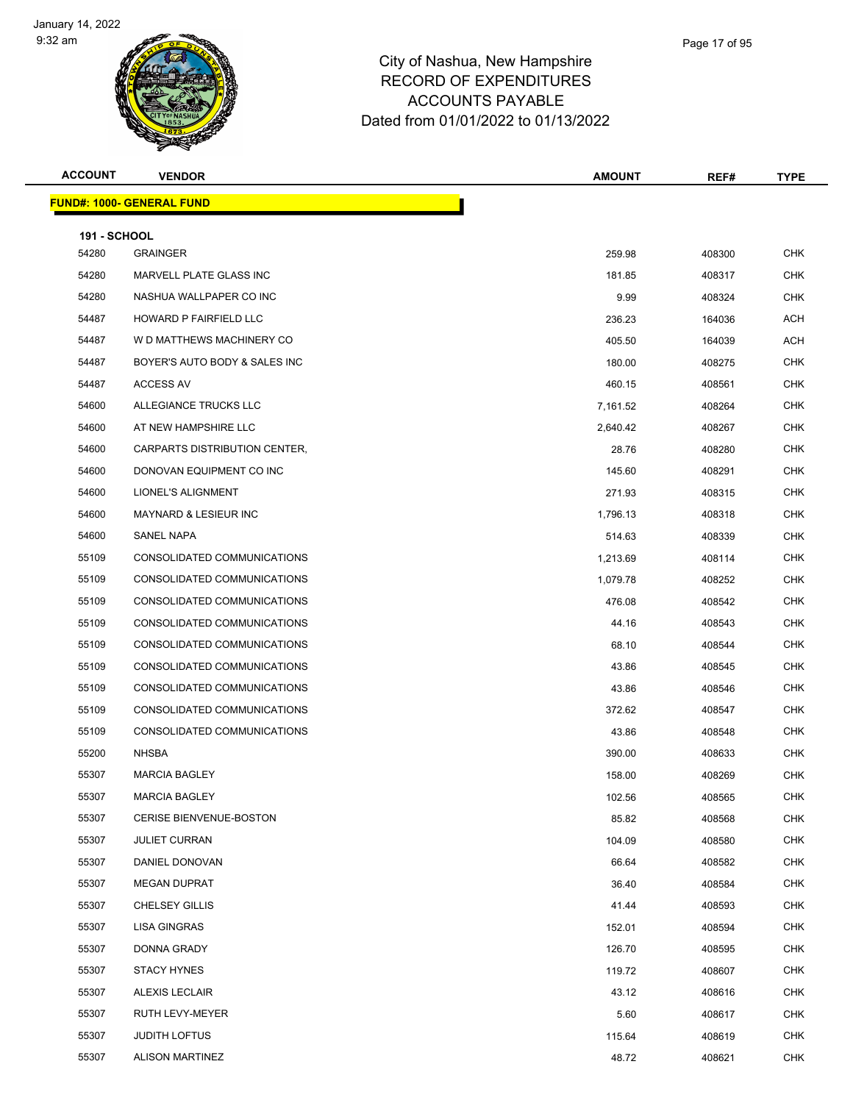

| Page 17 of 95 |  |
|---------------|--|
|               |  |

| <b>ACCOUNT</b>               | <b>VENDOR</b>                    | <b>AMOUNT</b>      | REF#             | <b>TYPE</b>              |
|------------------------------|----------------------------------|--------------------|------------------|--------------------------|
|                              | <b>FUND#: 1000- GENERAL FUND</b> |                    |                  |                          |
|                              |                                  |                    |                  |                          |
| <b>191 - SCHOOL</b><br>54280 | <b>GRAINGER</b>                  | 259.98             | 408300           | <b>CHK</b>               |
| 54280                        | MARVELL PLATE GLASS INC          | 181.85             | 408317           | <b>CHK</b>               |
| 54280                        | NASHUA WALLPAPER CO INC          | 9.99               | 408324           | <b>CHK</b>               |
| 54487                        | HOWARD P FAIRFIELD LLC           | 236.23             | 164036           | ACH                      |
| 54487                        | W D MATTHEWS MACHINERY CO        | 405.50             | 164039           | ACH                      |
| 54487                        | BOYER'S AUTO BODY & SALES INC    | 180.00             | 408275           | <b>CHK</b>               |
| 54487                        | <b>ACCESS AV</b>                 | 460.15             | 408561           | <b>CHK</b>               |
| 54600                        | ALLEGIANCE TRUCKS LLC            | 7,161.52           | 408264           | <b>CHK</b>               |
| 54600                        | AT NEW HAMPSHIRE LLC             | 2,640.42           | 408267           | <b>CHK</b>               |
| 54600                        | CARPARTS DISTRIBUTION CENTER,    | 28.76              | 408280           | <b>CHK</b>               |
| 54600                        | DONOVAN EQUIPMENT CO INC         | 145.60             | 408291           | <b>CHK</b>               |
| 54600                        | LIONEL'S ALIGNMENT               | 271.93             | 408315           | <b>CHK</b>               |
| 54600                        | <b>MAYNARD &amp; LESIEUR INC</b> |                    |                  | <b>CHK</b>               |
| 54600                        | <b>SANEL NAPA</b>                | 1,796.13<br>514.63 | 408318<br>408339 | <b>CHK</b>               |
|                              |                                  |                    |                  |                          |
| 55109<br>55109               | CONSOLIDATED COMMUNICATIONS      | 1,213.69           | 408114           | <b>CHK</b><br><b>CHK</b> |
|                              | CONSOLIDATED COMMUNICATIONS      | 1,079.78           | 408252           |                          |
| 55109                        | CONSOLIDATED COMMUNICATIONS      | 476.08             | 408542           | <b>CHK</b>               |
| 55109                        | CONSOLIDATED COMMUNICATIONS      | 44.16              | 408543           | <b>CHK</b>               |
| 55109                        | CONSOLIDATED COMMUNICATIONS      | 68.10              | 408544           | <b>CHK</b>               |
| 55109                        | CONSOLIDATED COMMUNICATIONS      | 43.86              | 408545           | <b>CHK</b>               |
| 55109                        | CONSOLIDATED COMMUNICATIONS      | 43.86              | 408546           | <b>CHK</b>               |
| 55109                        | CONSOLIDATED COMMUNICATIONS      | 372.62             | 408547           | <b>CHK</b>               |
| 55109                        | CONSOLIDATED COMMUNICATIONS      | 43.86              | 408548           | <b>CHK</b>               |
| 55200                        | <b>NHSBA</b>                     | 390.00             | 408633           | <b>CHK</b>               |
| 55307                        | <b>MARCIA BAGLEY</b>             | 158.00             | 408269           | <b>CHK</b>               |
| 55307                        | <b>MARCIA BAGLEY</b>             | 102.56             | 408565           | <b>CHK</b>               |
| 55307                        | CERISE BIENVENUE-BOSTON          | 85.82              | 408568           | <b>CHK</b>               |
| 55307                        | <b>JULIET CURRAN</b>             | 104.09             | 408580           | <b>CHK</b>               |
| 55307                        | DANIEL DONOVAN                   | 66.64              | 408582           | <b>CHK</b>               |
| 55307                        | <b>MEGAN DUPRAT</b>              | 36.40              | 408584           | CHK                      |
| 55307                        | <b>CHELSEY GILLIS</b>            | 41.44              | 408593           | <b>CHK</b>               |
| 55307                        | LISA GINGRAS                     | 152.01             | 408594           | <b>CHK</b>               |
| 55307                        | DONNA GRADY                      | 126.70             | 408595           | <b>CHK</b>               |
| 55307                        | <b>STACY HYNES</b>               | 119.72             | 408607           | CHK                      |
| 55307                        | <b>ALEXIS LECLAIR</b>            | 43.12              | 408616           | <b>CHK</b>               |
| 55307                        | RUTH LEVY-MEYER                  | 5.60               | 408617           | <b>CHK</b>               |
| 55307                        | <b>JUDITH LOFTUS</b>             | 115.64             | 408619           | <b>CHK</b>               |
| 55307                        | <b>ALISON MARTINEZ</b>           | 48.72              | 408621           | <b>CHK</b>               |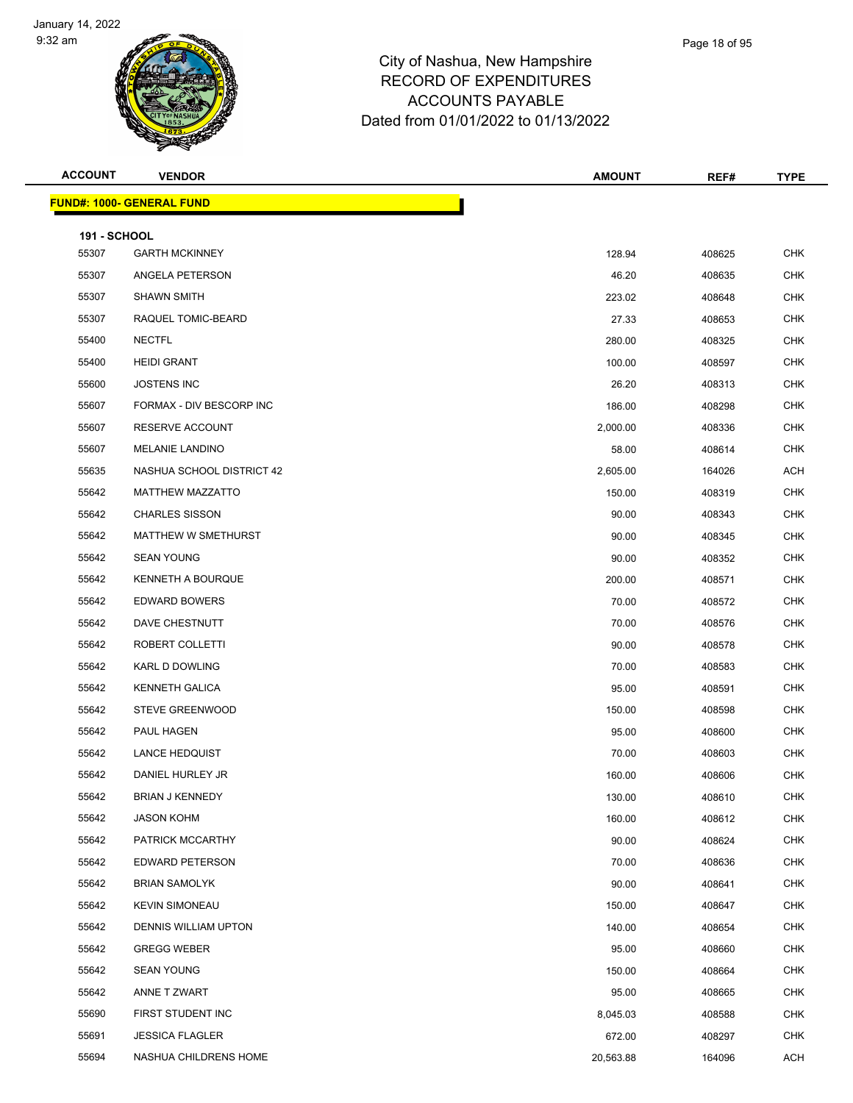

| Page 18 of 95 |
|---------------|
|               |

| <b>ACCOUNT</b>               | <b>VENDOR</b>                    | <b>AMOUNT</b> | REF#   | <b>TYPE</b> |
|------------------------------|----------------------------------|---------------|--------|-------------|
|                              | <b>FUND#: 1000- GENERAL FUND</b> |               |        |             |
|                              |                                  |               |        |             |
| <b>191 - SCHOOL</b><br>55307 | <b>GARTH MCKINNEY</b>            | 128.94        | 408625 | <b>CHK</b>  |
| 55307                        | ANGELA PETERSON                  | 46.20         | 408635 | <b>CHK</b>  |
| 55307                        | <b>SHAWN SMITH</b>               | 223.02        | 408648 | <b>CHK</b>  |
| 55307                        | RAQUEL TOMIC-BEARD               | 27.33         | 408653 | <b>CHK</b>  |
| 55400                        | <b>NECTFL</b>                    | 280.00        | 408325 | <b>CHK</b>  |
| 55400                        | <b>HEIDI GRANT</b>               | 100.00        | 408597 | <b>CHK</b>  |
| 55600                        | <b>JOSTENS INC</b>               | 26.20         | 408313 | <b>CHK</b>  |
| 55607                        | FORMAX - DIV BESCORP INC         | 186.00        | 408298 | <b>CHK</b>  |
| 55607                        | RESERVE ACCOUNT                  | 2,000.00      | 408336 | <b>CHK</b>  |
| 55607                        | <b>MELANIE LANDINO</b>           | 58.00         | 408614 | <b>CHK</b>  |
| 55635                        | NASHUA SCHOOL DISTRICT 42        | 2,605.00      | 164026 | <b>ACH</b>  |
| 55642                        | <b>MATTHEW MAZZATTO</b>          | 150.00        | 408319 | <b>CHK</b>  |
| 55642                        | <b>CHARLES SISSON</b>            | 90.00         | 408343 | <b>CHK</b>  |
| 55642                        | MATTHEW W SMETHURST              | 90.00         | 408345 | <b>CHK</b>  |
| 55642                        | <b>SEAN YOUNG</b>                | 90.00         | 408352 | <b>CHK</b>  |
| 55642                        | <b>KENNETH A BOURQUE</b>         | 200.00        | 408571 | <b>CHK</b>  |
| 55642                        | <b>EDWARD BOWERS</b>             | 70.00         | 408572 | <b>CHK</b>  |
| 55642                        | DAVE CHESTNUTT                   | 70.00         | 408576 | <b>CHK</b>  |
| 55642                        | ROBERT COLLETTI                  | 90.00         | 408578 | <b>CHK</b>  |
| 55642                        | KARL D DOWLING                   | 70.00         | 408583 | <b>CHK</b>  |
| 55642                        | <b>KENNETH GALICA</b>            | 95.00         | 408591 | <b>CHK</b>  |
| 55642                        | STEVE GREENWOOD                  | 150.00        | 408598 | <b>CHK</b>  |
| 55642                        | PAUL HAGEN                       | 95.00         | 408600 | <b>CHK</b>  |
| 55642                        | <b>LANCE HEDQUIST</b>            | 70.00         | 408603 | <b>CHK</b>  |
| 55642                        | DANIEL HURLEY JR                 | 160.00        | 408606 | <b>CHK</b>  |
| 55642                        | <b>BRIAN J KENNEDY</b>           | 130.00        | 408610 | <b>CHK</b>  |
| 55642                        | <b>JASON KOHM</b>                | 160.00        | 408612 | <b>CHK</b>  |
| 55642                        | PATRICK MCCARTHY                 | 90.00         | 408624 | <b>CHK</b>  |
| 55642                        | <b>EDWARD PETERSON</b>           | 70.00         | 408636 | <b>CHK</b>  |
| 55642                        | <b>BRIAN SAMOLYK</b>             | 90.00         | 408641 | <b>CHK</b>  |
| 55642                        | <b>KEVIN SIMONEAU</b>            | 150.00        | 408647 | <b>CHK</b>  |
| 55642                        | <b>DENNIS WILLIAM UPTON</b>      | 140.00        | 408654 | <b>CHK</b>  |
| 55642                        | <b>GREGG WEBER</b>               | 95.00         | 408660 | <b>CHK</b>  |
| 55642                        | <b>SEAN YOUNG</b>                | 150.00        | 408664 | <b>CHK</b>  |
| 55642                        | ANNE T ZWART                     | 95.00         | 408665 | <b>CHK</b>  |
| 55690                        | FIRST STUDENT INC                | 8,045.03      | 408588 | <b>CHK</b>  |
| 55691                        | <b>JESSICA FLAGLER</b>           | 672.00        | 408297 | <b>CHK</b>  |
| 55694                        | NASHUA CHILDRENS HOME            | 20,563.88     | 164096 | <b>ACH</b>  |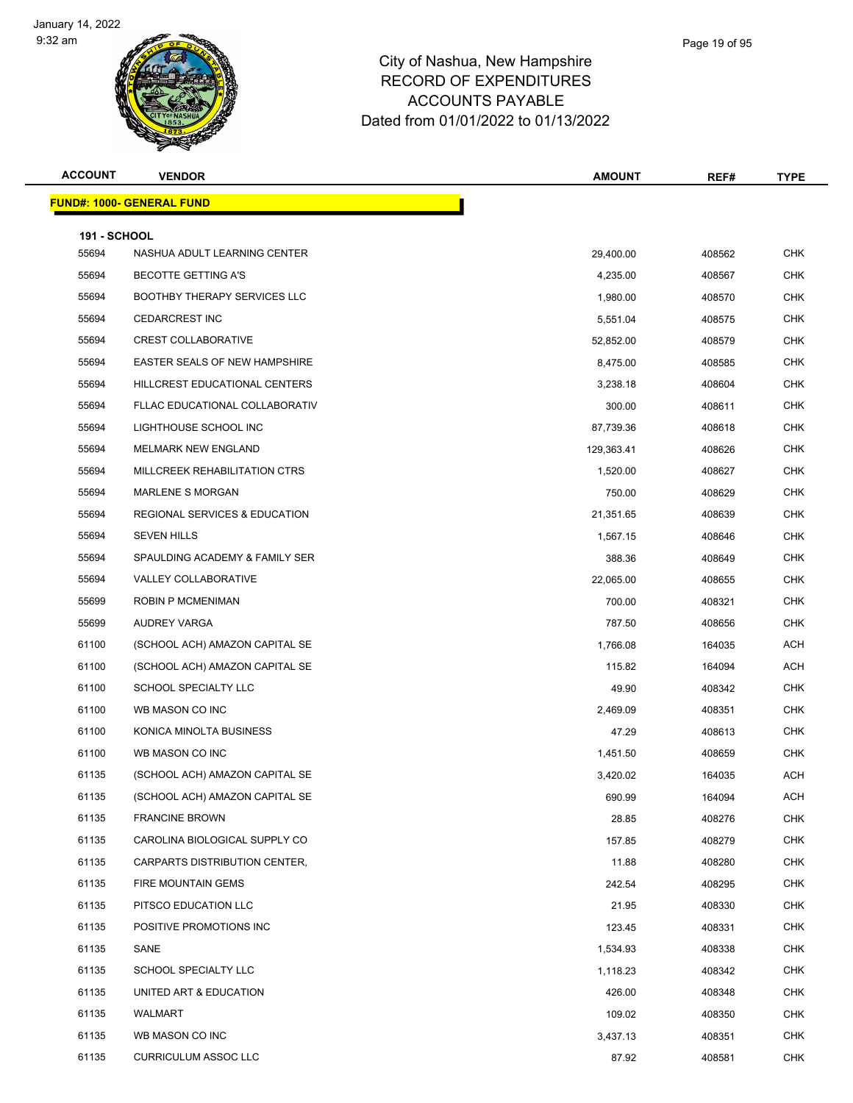

## City of Nashua, New Hampshire RECORD OF EXPENDITURES ACCOUNTS PAYABLE Dated from 01/01/2022 to 01/13/2022

Page 19 of 95

| <b>ACCOUNT</b>      | <b>VENDOR</b>                            | <b>AMOUNT</b> | REF#   | <b>TYPE</b> |
|---------------------|------------------------------------------|---------------|--------|-------------|
|                     | <u> FUND#: 1000- GENERAL FUND</u>        |               |        |             |
| <b>191 - SCHOOL</b> |                                          |               |        |             |
| 55694               | NASHUA ADULT LEARNING CENTER             | 29,400.00     | 408562 | <b>CHK</b>  |
| 55694               | <b>BECOTTE GETTING A'S</b>               | 4,235.00      | 408567 | CHK         |
| 55694               | <b>BOOTHBY THERAPY SERVICES LLC</b>      | 1,980.00      | 408570 | <b>CHK</b>  |
| 55694               | <b>CEDARCREST INC</b>                    | 5,551.04      | 408575 | CHK         |
| 55694               | <b>CREST COLLABORATIVE</b>               | 52,852.00     | 408579 | <b>CHK</b>  |
| 55694               | EASTER SEALS OF NEW HAMPSHIRE            | 8,475.00      | 408585 | CHK         |
| 55694               | HILLCREST EDUCATIONAL CENTERS            | 3,238.18      | 408604 | CHK         |
| 55694               | FLLAC EDUCATIONAL COLLABORATIV           | 300.00        | 408611 | <b>CHK</b>  |
| 55694               | LIGHTHOUSE SCHOOL INC                    | 87,739.36     | 408618 | <b>CHK</b>  |
| 55694               | <b>MELMARK NEW ENGLAND</b>               | 129,363.41    | 408626 | <b>CHK</b>  |
| 55694               | MILLCREEK REHABILITATION CTRS            | 1,520.00      | 408627 | CHK         |
| 55694               | <b>MARLENE S MORGAN</b>                  | 750.00        | 408629 | CHK         |
| 55694               | <b>REGIONAL SERVICES &amp; EDUCATION</b> | 21,351.65     | 408639 | <b>CHK</b>  |
| 55694               | <b>SEVEN HILLS</b>                       | 1,567.15      | 408646 | CHK         |
| 55694               | SPAULDING ACADEMY & FAMILY SER           | 388.36        | 408649 | <b>CHK</b>  |
| 55694               | <b>VALLEY COLLABORATIVE</b>              | 22,065.00     | 408655 | <b>CHK</b>  |
| 55699               | <b>ROBIN P MCMENIMAN</b>                 | 700.00        | 408321 | CHK         |
| 55699               | AUDREY VARGA                             | 787.50        | 408656 | <b>CHK</b>  |
| 61100               | (SCHOOL ACH) AMAZON CAPITAL SE           | 1,766.08      | 164035 | ACH         |
| 61100               | (SCHOOL ACH) AMAZON CAPITAL SE           | 115.82        | 164094 | ACH         |
| 61100               | SCHOOL SPECIALTY LLC                     | 49.90         | 408342 | <b>CHK</b>  |
| 61100               | WB MASON CO INC                          | 2,469.09      | 408351 | CHK         |
| 61100               | KONICA MINOLTA BUSINESS                  | 47.29         | 408613 | <b>CHK</b>  |
| 61100               | WB MASON CO INC                          | 1,451.50      | 408659 | <b>CHK</b>  |
| 61135               | (SCHOOL ACH) AMAZON CAPITAL SE           | 3,420.02      | 164035 | ACH         |
| 61135               | (SCHOOL ACH) AMAZON CAPITAL SE           | 690.99        | 164094 | <b>ACH</b>  |
| 61135               | <b>FRANCINE BROWN</b>                    | 28.85         | 408276 | CHK         |
| 61135               | CAROLINA BIOLOGICAL SUPPLY CO            | 157.85        | 408279 | <b>CHK</b>  |
| 61135               | CARPARTS DISTRIBUTION CENTER,            | 11.88         | 408280 | <b>CHK</b>  |
| 61135               | FIRE MOUNTAIN GEMS                       | 242.54        | 408295 | <b>CHK</b>  |
| 61135               | PITSCO EDUCATION LLC                     | 21.95         | 408330 | <b>CHK</b>  |
| 61135               | POSITIVE PROMOTIONS INC                  | 123.45        | 408331 | <b>CHK</b>  |
| 61135               | SANE                                     | 1,534.93      | 408338 | <b>CHK</b>  |
| 61135               | SCHOOL SPECIALTY LLC                     | 1,118.23      | 408342 | <b>CHK</b>  |
| 61135               | UNITED ART & EDUCATION                   | 426.00        | 408348 | <b>CHK</b>  |
| 61135               | WALMART                                  | 109.02        | 408350 | <b>CHK</b>  |
| 61135               | WB MASON CO INC                          | 3,437.13      | 408351 | <b>CHK</b>  |
| 61135               | <b>CURRICULUM ASSOC LLC</b>              | 87.92         | 408581 | <b>CHK</b>  |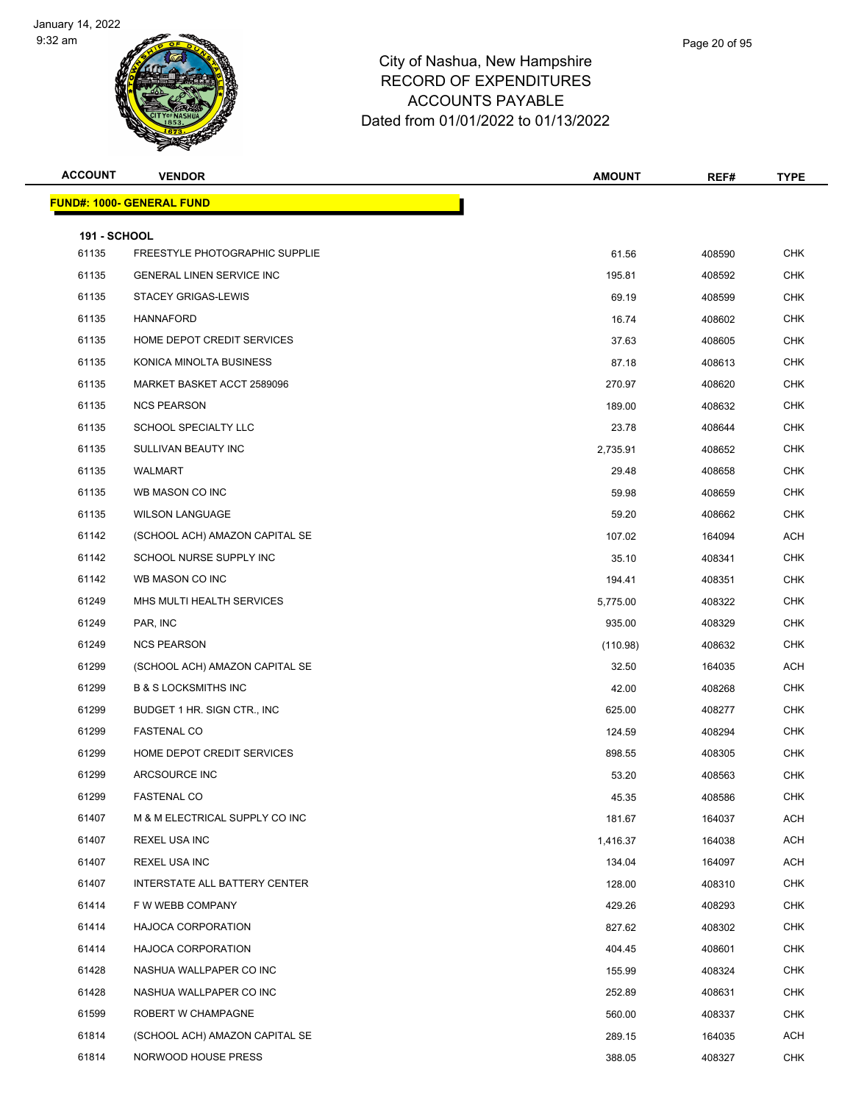

| Page 20 of 95 |  |
|---------------|--|
|               |  |

| <b>ACCOUNT</b>               | <b>VENDOR</b>                     | <b>AMOUNT</b> | REF#   | <b>TYPE</b> |
|------------------------------|-----------------------------------|---------------|--------|-------------|
|                              | <u> FUND#: 1000- GENERAL FUND</u> |               |        |             |
|                              |                                   |               |        |             |
| <b>191 - SCHOOL</b><br>61135 | FREESTYLE PHOTOGRAPHIC SUPPLIE    | 61.56         | 408590 | <b>CHK</b>  |
| 61135                        | <b>GENERAL LINEN SERVICE INC</b>  | 195.81        | 408592 | <b>CHK</b>  |
| 61135                        | <b>STACEY GRIGAS-LEWIS</b>        | 69.19         | 408599 | <b>CHK</b>  |
| 61135                        | <b>HANNAFORD</b>                  | 16.74         | 408602 | <b>CHK</b>  |
| 61135                        | HOME DEPOT CREDIT SERVICES        | 37.63         | 408605 | <b>CHK</b>  |
| 61135                        | KONICA MINOLTA BUSINESS           | 87.18         | 408613 | <b>CHK</b>  |
| 61135                        | MARKET BASKET ACCT 2589096        | 270.97        | 408620 | <b>CHK</b>  |
| 61135                        | <b>NCS PEARSON</b>                | 189.00        | 408632 | <b>CHK</b>  |
| 61135                        | SCHOOL SPECIALTY LLC              | 23.78         | 408644 | <b>CHK</b>  |
| 61135                        | SULLIVAN BEAUTY INC               | 2,735.91      | 408652 | <b>CHK</b>  |
| 61135                        | WALMART                           | 29.48         | 408658 | <b>CHK</b>  |
| 61135                        | WB MASON CO INC                   | 59.98         | 408659 | <b>CHK</b>  |
| 61135                        | <b>WILSON LANGUAGE</b>            | 59.20         | 408662 | <b>CHK</b>  |
| 61142                        | (SCHOOL ACH) AMAZON CAPITAL SE    | 107.02        | 164094 | ACH         |
| 61142                        | SCHOOL NURSE SUPPLY INC           | 35.10         | 408341 | <b>CHK</b>  |
| 61142                        | WB MASON CO INC                   | 194.41        | 408351 | <b>CHK</b>  |
| 61249                        | MHS MULTI HEALTH SERVICES         | 5,775.00      | 408322 | <b>CHK</b>  |
| 61249                        | PAR, INC                          | 935.00        | 408329 | <b>CHK</b>  |
| 61249                        | <b>NCS PEARSON</b>                | (110.98)      | 408632 | <b>CHK</b>  |
| 61299                        | (SCHOOL ACH) AMAZON CAPITAL SE    | 32.50         | 164035 | ACH         |
| 61299                        | <b>B &amp; S LOCKSMITHS INC</b>   | 42.00         | 408268 | <b>CHK</b>  |
| 61299                        | BUDGET 1 HR. SIGN CTR., INC.      | 625.00        | 408277 | <b>CHK</b>  |
| 61299                        | <b>FASTENAL CO</b>                | 124.59        | 408294 | <b>CHK</b>  |
| 61299                        | HOME DEPOT CREDIT SERVICES        | 898.55        | 408305 | <b>CHK</b>  |
| 61299                        | ARCSOURCE INC                     | 53.20         | 408563 | <b>CHK</b>  |
| 61299                        | <b>FASTENAL CO</b>                | 45.35         | 408586 | <b>CHK</b>  |
| 61407                        | M & M ELECTRICAL SUPPLY CO INC    | 181.67        | 164037 | ACH         |
| 61407                        | REXEL USA INC                     | 1,416.37      | 164038 | ACH         |
| 61407                        | REXEL USA INC                     | 134.04        | 164097 | ACH         |
| 61407                        | INTERSTATE ALL BATTERY CENTER     | 128.00        | 408310 | <b>CHK</b>  |
| 61414                        | F W WEBB COMPANY                  | 429.26        | 408293 | <b>CHK</b>  |
| 61414                        | <b>HAJOCA CORPORATION</b>         | 827.62        | 408302 | <b>CHK</b>  |
| 61414                        | <b>HAJOCA CORPORATION</b>         | 404.45        | 408601 | <b>CHK</b>  |
| 61428                        | NASHUA WALLPAPER CO INC           | 155.99        | 408324 | <b>CHK</b>  |
| 61428                        | NASHUA WALLPAPER CO INC           | 252.89        | 408631 | <b>CHK</b>  |
| 61599                        | ROBERT W CHAMPAGNE                | 560.00        | 408337 | <b>CHK</b>  |
| 61814                        | (SCHOOL ACH) AMAZON CAPITAL SE    | 289.15        | 164035 | ACH         |
| 61814                        | NORWOOD HOUSE PRESS               | 388.05        | 408327 | <b>CHK</b>  |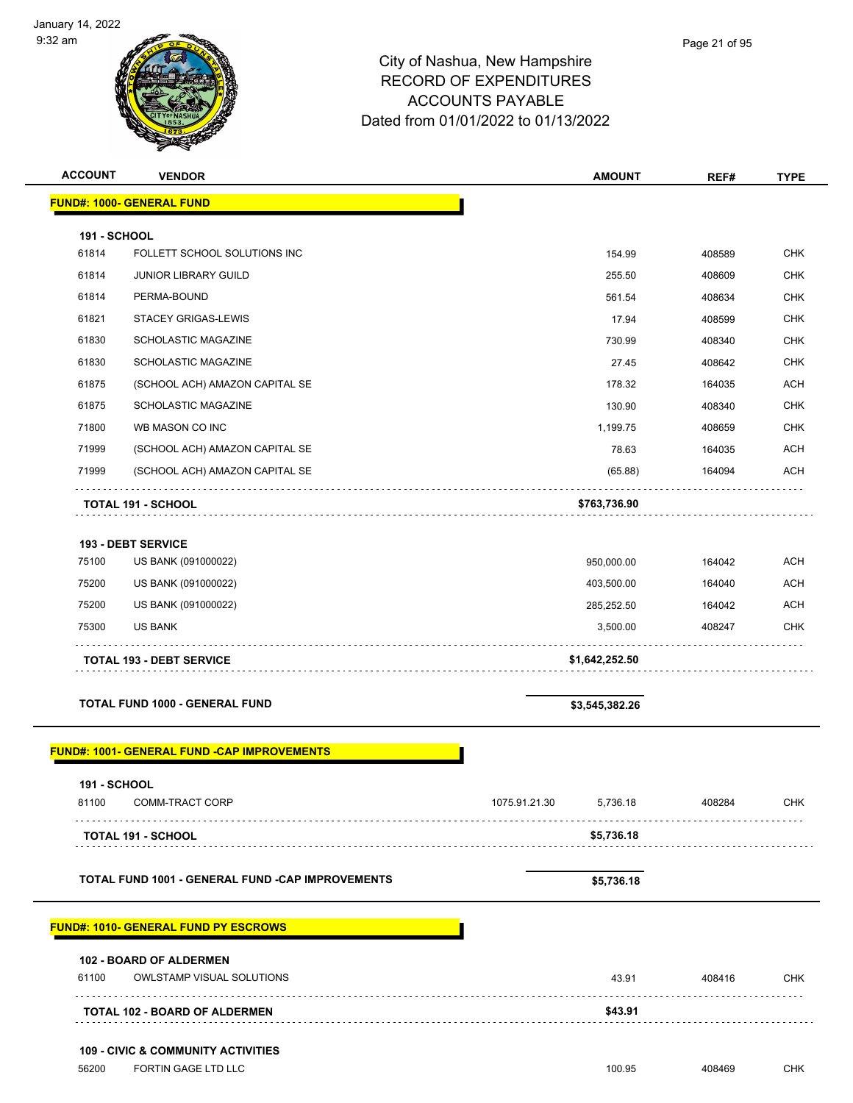

| <b>ACCOUNT</b>      | <b>VENDOR</b>                                                      |               | <b>AMOUNT</b>  | REF#   | <b>TYPE</b> |
|---------------------|--------------------------------------------------------------------|---------------|----------------|--------|-------------|
|                     | <b>FUND#: 1000- GENERAL FUND</b>                                   |               |                |        |             |
| <b>191 - SCHOOL</b> |                                                                    |               |                |        |             |
| 61814               | FOLLETT SCHOOL SOLUTIONS INC                                       |               | 154.99         | 408589 | <b>CHK</b>  |
| 61814               | <b>JUNIOR LIBRARY GUILD</b>                                        |               | 255.50         | 408609 | <b>CHK</b>  |
| 61814               | PERMA-BOUND                                                        |               | 561.54         | 408634 | <b>CHK</b>  |
| 61821               | <b>STACEY GRIGAS-LEWIS</b>                                         |               | 17.94          | 408599 | <b>CHK</b>  |
| 61830               | SCHOLASTIC MAGAZINE                                                |               | 730.99         | 408340 | <b>CHK</b>  |
| 61830               | SCHOLASTIC MAGAZINE                                                |               | 27.45          | 408642 | <b>CHK</b>  |
| 61875               | (SCHOOL ACH) AMAZON CAPITAL SE                                     |               | 178.32         | 164035 | <b>ACH</b>  |
| 61875               | <b>SCHOLASTIC MAGAZINE</b>                                         |               | 130.90         | 408340 | <b>CHK</b>  |
| 71800               | WB MASON CO INC                                                    |               | 1,199.75       | 408659 | <b>CHK</b>  |
| 71999               | (SCHOOL ACH) AMAZON CAPITAL SE                                     |               | 78.63          | 164035 | <b>ACH</b>  |
| 71999               | (SCHOOL ACH) AMAZON CAPITAL SE                                     |               | (65.88)        | 164094 | <b>ACH</b>  |
|                     | <b>TOTAL 191 - SCHOOL</b>                                          |               | \$763,736.90   |        |             |
|                     | <b>193 - DEBT SERVICE</b>                                          |               |                |        |             |
| 75100               | US BANK (091000022)                                                |               | 950,000.00     | 164042 | <b>ACH</b>  |
| 75200               | US BANK (091000022)                                                |               | 403,500.00     | 164040 | <b>ACH</b>  |
| 75200               | US BANK (091000022)                                                |               | 285,252.50     | 164042 | <b>ACH</b>  |
| 75300               | <b>US BANK</b>                                                     |               | 3,500.00       | 408247 | <b>CHK</b>  |
|                     | <b>TOTAL 193 - DEBT SERVICE</b>                                    |               | \$1,642,252.50 |        |             |
|                     | <b>TOTAL FUND 1000 - GENERAL FUND</b>                              |               | \$3,545,382.26 |        |             |
|                     |                                                                    |               |                |        |             |
|                     | <b>FUND#: 1001- GENERAL FUND -CAP IMPROVEMENTS</b>                 |               |                |        |             |
| <b>191 - SCHOOL</b> |                                                                    |               |                |        |             |
| 81100               | COMM-TRACT CORP                                                    | 1075.91.21.30 | 5,736.18       | 408284 | CHK         |
|                     | <b>TOTAL 191 - SCHOOL</b>                                          |               | \$5,736.18     |        |             |
|                     | <b>TOTAL FUND 1001 - GENERAL FUND -CAP IMPROVEMENTS</b>            |               | \$5,736.18     |        |             |
|                     | <b>FUND#: 1010- GENERAL FUND PY ESCROWS</b>                        |               |                |        |             |
|                     |                                                                    |               |                |        |             |
| 61100               | <b>102 - BOARD OF ALDERMEN</b><br><b>OWLSTAMP VISUAL SOLUTIONS</b> |               | 43.91          | 408416 | <b>CHK</b>  |
|                     | <b>TOTAL 102 - BOARD OF ALDERMEN</b>                               |               | \$43.91        |        |             |
|                     | <b>109 - CIVIC &amp; COMMUNITY ACTIVITIES</b>                      |               |                |        |             |
| 56200               | FORTIN GAGE LTD LLC                                                |               | 100.95         | 408469 | CHK         |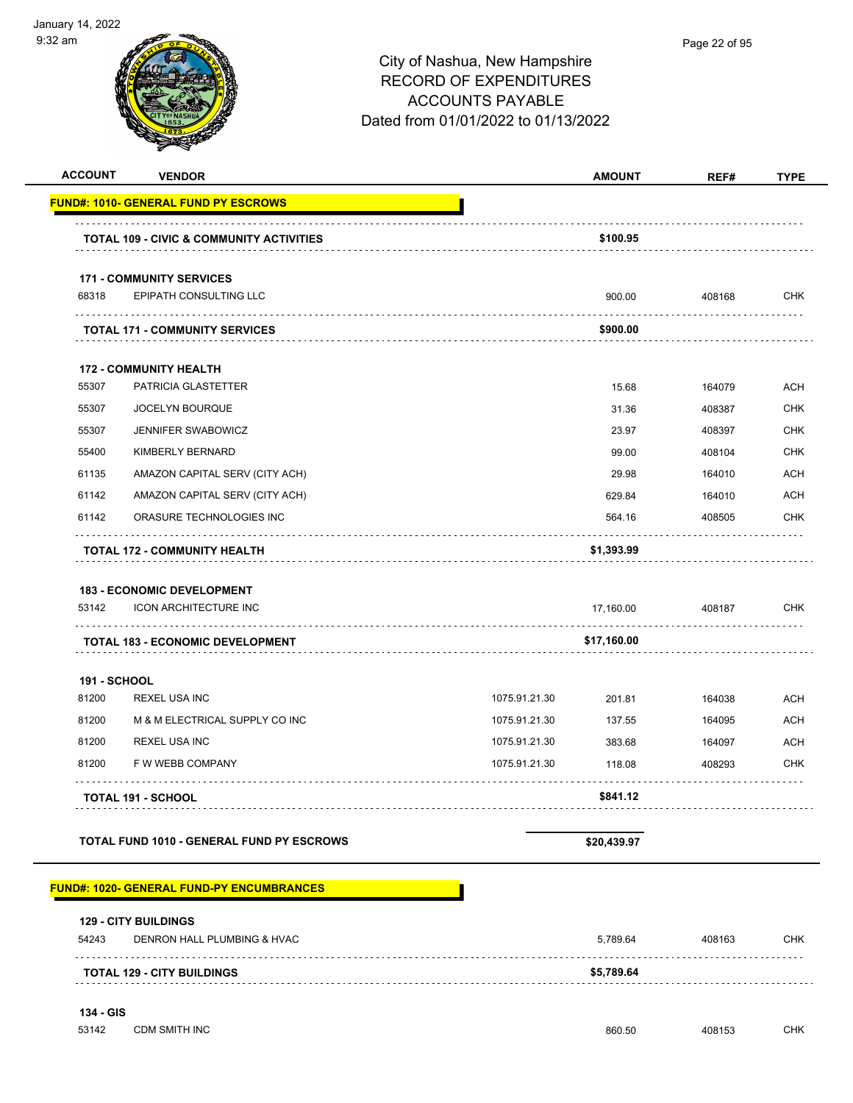|                     | <b>VENDOR</b>                                              |               | <b>AMOUNT</b> | REF#   | <b>TYPE</b> |
|---------------------|------------------------------------------------------------|---------------|---------------|--------|-------------|
|                     | <b>FUND#: 1010- GENERAL FUND PY ESCROWS</b>                |               |               |        |             |
|                     | <b>TOTAL 109 - CIVIC &amp; COMMUNITY ACTIVITIES</b>        |               | \$100.95      |        |             |
|                     | <b>171 - COMMUNITY SERVICES</b>                            |               |               |        |             |
|                     | EPIPATH CONSULTING LLC                                     |               | 900.00        | 408168 | <b>CHK</b>  |
|                     | <b>TOTAL 171 - COMMUNITY SERVICES</b>                      |               | \$900.00      | .      |             |
|                     | <b>172 - COMMUNITY HEALTH</b>                              |               |               |        |             |
|                     | PATRICIA GLASTETTER                                        |               | 15.68         | 164079 | <b>ACH</b>  |
|                     | JOCELYN BOURQUE                                            |               | 31.36         | 408387 | <b>CHK</b>  |
|                     | <b>JENNIFER SWABOWICZ</b>                                  |               | 23.97         | 408397 | <b>CHK</b>  |
|                     | KIMBERLY BERNARD                                           |               | 99.00         | 408104 | <b>CHK</b>  |
|                     | AMAZON CAPITAL SERV (CITY ACH)                             |               | 29.98         | 164010 | <b>ACH</b>  |
|                     | AMAZON CAPITAL SERV (CITY ACH)                             |               | 629.84        | 164010 | <b>ACH</b>  |
|                     | ORASURE TECHNOLOGIES INC                                   |               | 564.16        | 408505 | <b>CHK</b>  |
|                     | <b>TOTAL 172 - COMMUNITY HEALTH</b>                        |               | \$1,393.99    |        |             |
|                     |                                                            |               |               |        |             |
|                     | <b>183 - ECONOMIC DEVELOPMENT</b>                          |               |               |        |             |
|                     | <b>ICON ARCHITECTURE INC</b>                               |               | 17,160.00     | 408187 | <b>CHK</b>  |
|                     | <b>TOTAL 183 - ECONOMIC DEVELOPMENT</b>                    |               | \$17,160.00   |        |             |
| <b>191 - SCHOOL</b> |                                                            |               |               |        |             |
|                     | REXEL USA INC                                              | 1075.91.21.30 | 201.81        | 164038 | <b>ACH</b>  |
|                     | M & M ELECTRICAL SUPPLY CO INC                             | 1075.91.21.30 | 137.55        | 164095 | <b>ACH</b>  |
|                     | REXEL USA INC                                              | 1075.91.21.30 | 383.68        | 164097 | <b>ACH</b>  |
|                     | F W WEBB COMPANY                                           | 1075.91.21.30 | 118.08        | 408293 | <b>CHK</b>  |
|                     | <b>TOTAL 191 - SCHOOL</b>                                  |               | \$841.12      |        |             |
|                     | TOTAL FUND 1010 - GENERAL FUND PY ESCROWS                  |               | \$20,439.97   |        |             |
|                     | <b>FUND#: 1020- GENERAL FUND-PY ENCUMBRANCES</b>           |               |               |        |             |
|                     |                                                            |               |               |        |             |
|                     | <b>129 - CITY BUILDINGS</b><br>DENRON HALL PLUMBING & HVAC |               | 5,789.64      | 408163 | <b>CHK</b>  |
|                     | <b>TOTAL 129 - CITY BUILDINGS</b>                          |               | \$5,789.64    |        |             |
|                     |                                                            |               |               |        |             |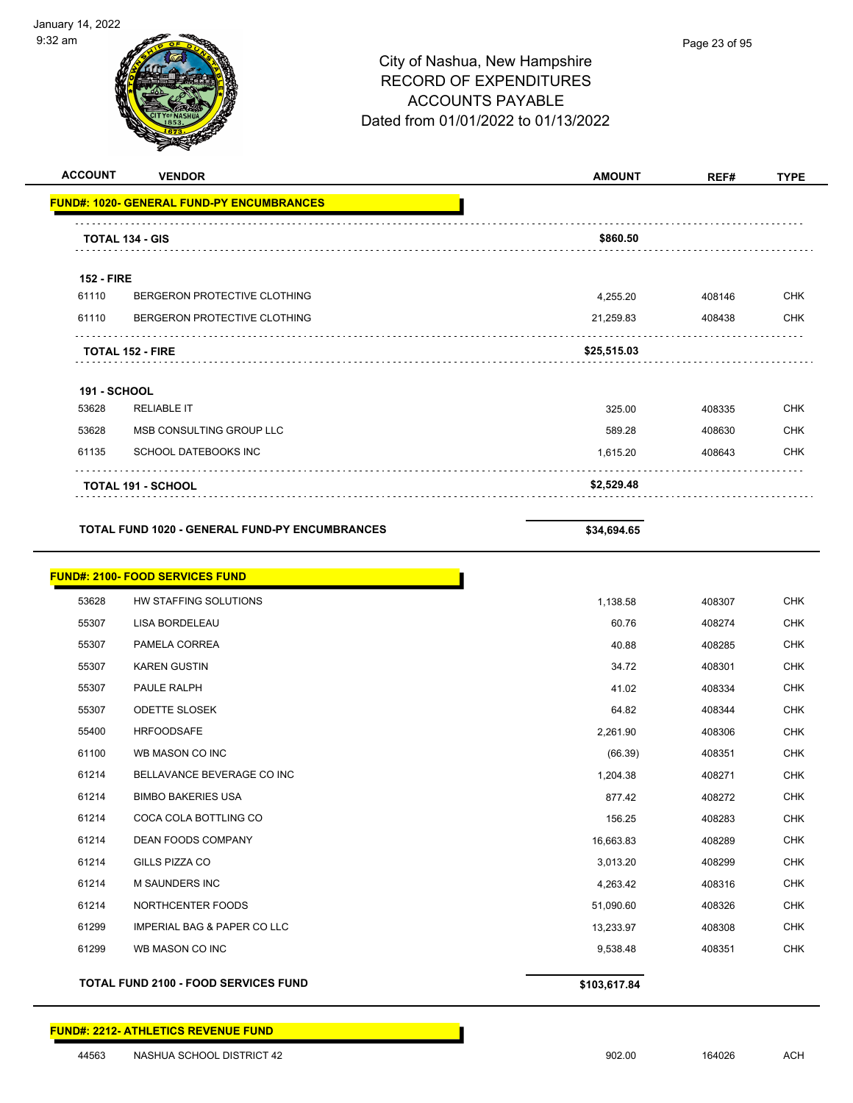

| <b>ACCOUNT</b>      | <b>VENDOR</b>                                         | <b>AMOUNT</b> | REF#   | <b>TYPE</b> |
|---------------------|-------------------------------------------------------|---------------|--------|-------------|
|                     | <b>FUND#: 1020- GENERAL FUND-PY ENCUMBRANCES</b>      |               |        |             |
|                     | <b>TOTAL 134 - GIS</b>                                | \$860.50      |        |             |
|                     |                                                       |               |        |             |
| <b>152 - FIRE</b>   |                                                       |               |        |             |
| 61110               | BERGERON PROTECTIVE CLOTHING                          | 4,255.20      | 408146 | <b>CHK</b>  |
| 61110               | BERGERON PROTECTIVE CLOTHING                          | 21,259.83     | 408438 | <b>CHK</b>  |
|                     | <b>TOTAL 152 - FIRE</b>                               | \$25,515.03   |        |             |
| <b>191 - SCHOOL</b> |                                                       |               |        |             |
| 53628               | <b>RELIABLE IT</b>                                    | 325.00        | 408335 | <b>CHK</b>  |
| 53628               | MSB CONSULTING GROUP LLC                              | 589.28        | 408630 | <b>CHK</b>  |
| 61135               | SCHOOL DATEBOOKS INC                                  | 1,615.20      | 408643 | <b>CHK</b>  |
|                     | <b>TOTAL 191 - SCHOOL</b>                             | \$2,529.48    |        |             |
|                     |                                                       |               |        |             |
|                     | <b>TOTAL FUND 1020 - GENERAL FUND-PY ENCUMBRANCES</b> | \$34,694.65   |        |             |
|                     | <b>FUND#: 2100- FOOD SERVICES FUND</b>                |               |        |             |
| 53628               | HW STAFFING SOLUTIONS                                 | 1,138.58      | 408307 | <b>CHK</b>  |
| 55307               | LISA BORDELEAU                                        | 60.76         | 408274 | <b>CHK</b>  |
| 55307               | PAMELA CORREA                                         | 40.88         | 408285 | <b>CHK</b>  |
| 55307               | <b>KAREN GUSTIN</b>                                   | 34.72         | 408301 | <b>CHK</b>  |
| 55307               | PAULE RALPH                                           | 41.02         | 408334 | <b>CHK</b>  |
| 55307               | <b>ODETTE SLOSEK</b>                                  | 64.82         | 408344 | <b>CHK</b>  |
| 55400               | <b>HRFOODSAFE</b>                                     | 2,261.90      | 408306 | <b>CHK</b>  |
| 61100               | WB MASON CO INC                                       | (66.39)       | 408351 | <b>CHK</b>  |
| 61214               | BELLAVANCE BEVERAGE CO INC                            | 1,204.38      | 408271 | <b>CHK</b>  |
| 61214               | <b>BIMBO BAKERIES USA</b>                             | 877.42        | 408272 | <b>CHK</b>  |
| 61214               | COCA COLA BOTTLING CO                                 | 156.25        | 408283 | <b>CHK</b>  |
| 61214               | DEAN FOODS COMPANY                                    | 16,663.83     | 408289 | CHK         |
| 61214               | GILLS PIZZA CO                                        | 3,013.20      | 408299 | <b>CHK</b>  |
| 61214               | <b>M SAUNDERS INC</b>                                 | 4,263.42      | 408316 | <b>CHK</b>  |
| 61214               | NORTHCENTER FOODS                                     | 51,090.60     | 408326 | <b>CHK</b>  |
| 61299               | <b>IMPERIAL BAG &amp; PAPER CO LLC</b>                | 13,233.97     | 408308 | <b>CHK</b>  |
| 61299               | WB MASON CO INC                                       | 9,538.48      | 408351 | <b>CHK</b>  |
|                     | TOTAL FUND 2100 - FOOD SERVICES FUND                  | \$103,617.84  |        |             |

#### **FUND#: 2212- ATHLETICS REVENUE FUND**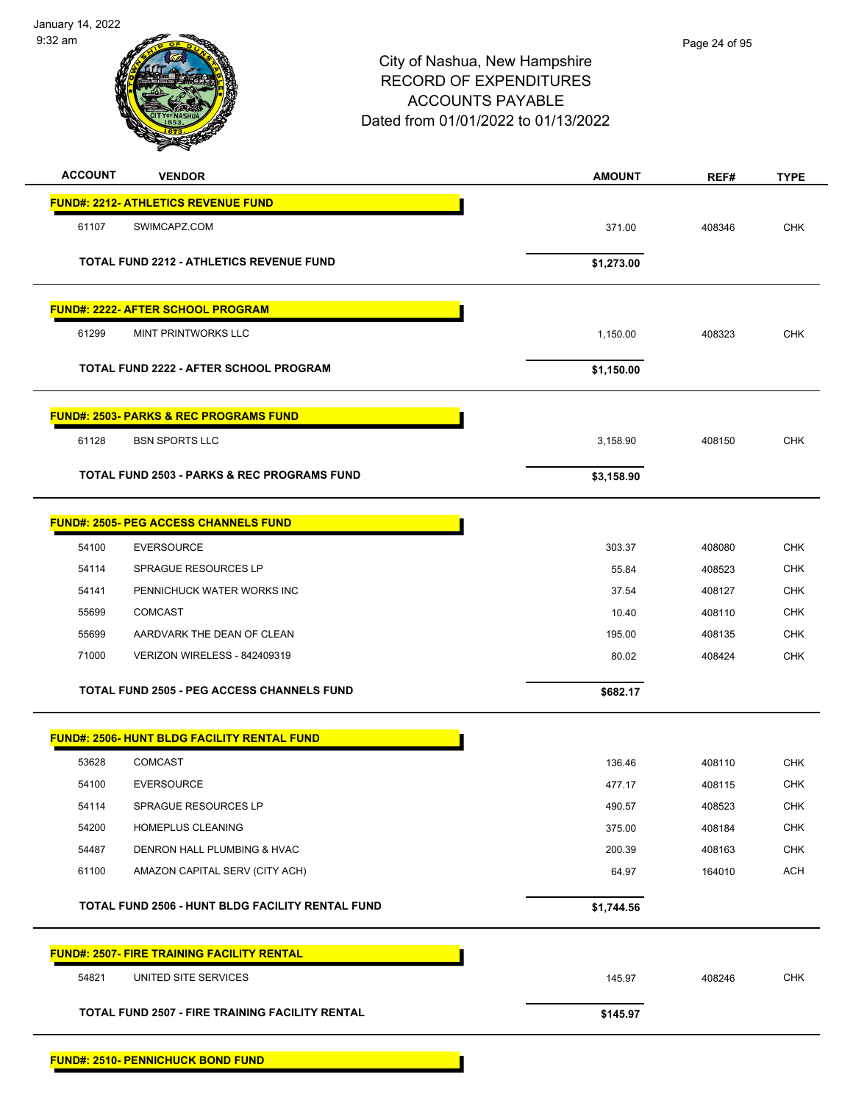

| <b>ACCOUNT</b> | <b>VENDOR</b>                                          | <b>AMOUNT</b> | REF#   | <b>TYPE</b> |
|----------------|--------------------------------------------------------|---------------|--------|-------------|
|                | <b>FUND#: 2212- ATHLETICS REVENUE FUND</b>             |               |        |             |
| 61107          | SWIMCAPZ.COM                                           | 371.00        | 408346 | <b>CHK</b>  |
|                | <b>TOTAL FUND 2212 - ATHLETICS REVENUE FUND</b>        | \$1,273.00    |        |             |
|                |                                                        |               |        |             |
|                | <b>FUND#: 2222- AFTER SCHOOL PROGRAM</b>               |               |        |             |
| 61299          | MINT PRINTWORKS LLC                                    | 1,150.00      | 408323 | <b>CHK</b>  |
|                | <b>TOTAL FUND 2222 - AFTER SCHOOL PROGRAM</b>          | \$1,150.00    |        |             |
|                | <b>FUND#: 2503- PARKS &amp; REC PROGRAMS FUND</b>      |               |        |             |
| 61128          | <b>BSN SPORTS LLC</b>                                  | 3,158.90      | 408150 | <b>CHK</b>  |
|                | <b>TOTAL FUND 2503 - PARKS &amp; REC PROGRAMS FUND</b> | \$3,158.90    |        |             |
|                |                                                        |               |        |             |
|                | <b>FUND#: 2505- PEG ACCESS CHANNELS FUND</b>           |               |        |             |
| 54100          | <b>EVERSOURCE</b>                                      | 303.37        | 408080 | <b>CHK</b>  |
| 54114          | <b>SPRAGUE RESOURCES LP</b>                            | 55.84         | 408523 | <b>CHK</b>  |
| 54141          | PENNICHUCK WATER WORKS INC                             | 37.54         | 408127 | <b>CHK</b>  |
| 55699          | <b>COMCAST</b>                                         | 10.40         | 408110 | <b>CHK</b>  |
| 55699          | AARDVARK THE DEAN OF CLEAN                             | 195.00        | 408135 | <b>CHK</b>  |
| 71000          | VERIZON WIRELESS - 842409319                           | 80.02         | 408424 | <b>CHK</b>  |
|                | <b>TOTAL FUND 2505 - PEG ACCESS CHANNELS FUND</b>      | \$682.17      |        |             |
|                | <b>FUND#: 2506- HUNT BLDG FACILITY RENTAL FUND</b>     |               |        |             |
| 53628          | <b>COMCAST</b>                                         | 136.46        | 408110 | <b>CHK</b>  |
| 54100          | <b>EVERSOURCE</b>                                      | 477.17        | 408115 | <b>CHK</b>  |
| 54114          | SPRAGUE RESOURCES LP                                   | 490.57        | 408523 | <b>CHK</b>  |
| 54200          | HOMEPLUS CLEANING                                      | 375.00        | 408184 | <b>CHK</b>  |
| 54487          | DENRON HALL PLUMBING & HVAC                            | 200.39        | 408163 | CHK         |
| 61100          | AMAZON CAPITAL SERV (CITY ACH)                         | 64.97         | 164010 | <b>ACH</b>  |
|                | TOTAL FUND 2506 - HUNT BLDG FACILITY RENTAL FUND       | \$1,744.56    |        |             |
|                | <b>FUND#: 2507- FIRE TRAINING FACILITY RENTAL</b>      |               |        |             |
| 54821          | UNITED SITE SERVICES                                   | 145.97        | 408246 | <b>CHK</b>  |
|                | <b>TOTAL FUND 2507 - FIRE TRAINING FACILITY RENTAL</b> | \$145.97      |        |             |
|                |                                                        |               |        |             |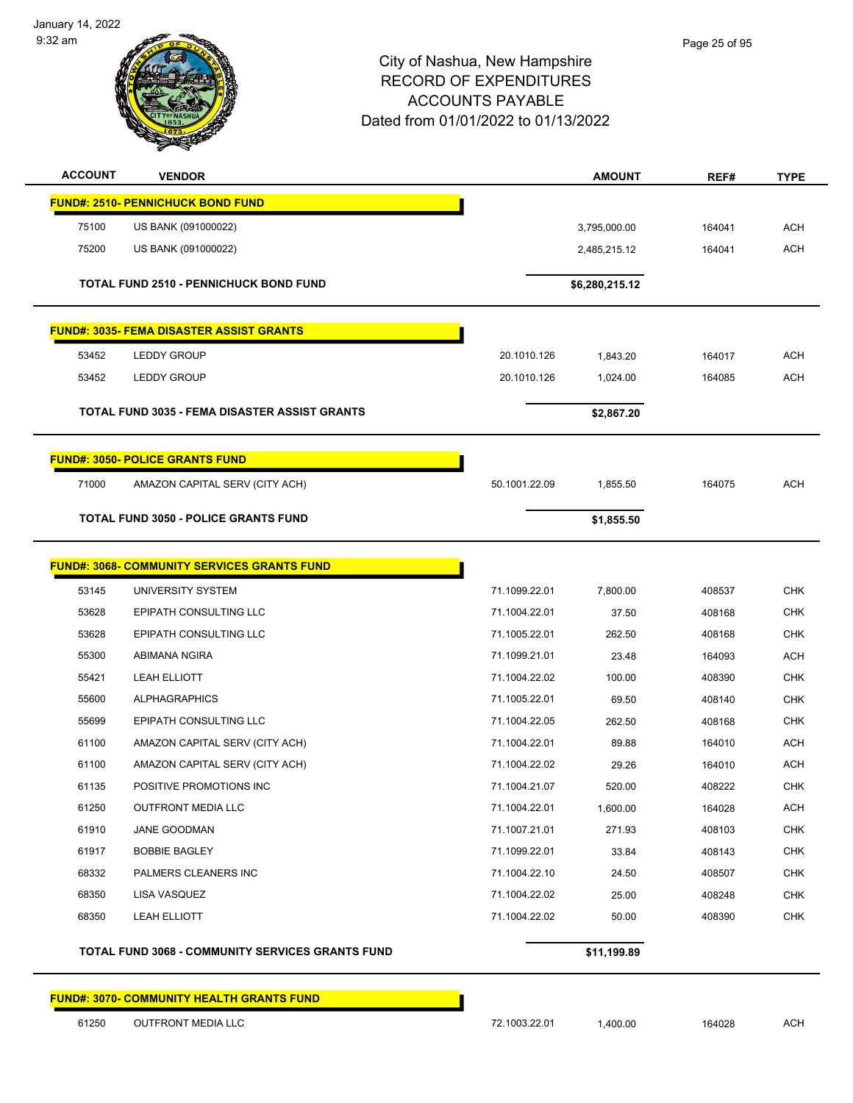January 14, 2022 9:32 am



#### City of Nashua, New Hampshire RECORD OF EXPENDITURES ACCOUNTS PAYABLE Dated from 01/01/2022 to 01/13/2022

| <b>ACCOUNT</b> | <b>VENDOR</b>                                      |               | <b>AMOUNT</b>  | REF#   | <b>TYPE</b> |
|----------------|----------------------------------------------------|---------------|----------------|--------|-------------|
|                | <b>FUND#: 2510- PENNICHUCK BOND FUND</b>           |               |                |        |             |
| 75100          | US BANK (091000022)                                |               | 3,795,000.00   | 164041 | <b>ACH</b>  |
| 75200          | US BANK (091000022)                                |               | 2,485,215.12   | 164041 | <b>ACH</b>  |
|                | <b>TOTAL FUND 2510 - PENNICHUCK BOND FUND</b>      |               | \$6,280,215.12 |        |             |
|                | <b>FUND#: 3035- FEMA DISASTER ASSIST GRANTS</b>    |               |                |        |             |
| 53452          | <b>LEDDY GROUP</b>                                 | 20.1010.126   | 1,843.20       | 164017 | <b>ACH</b>  |
| 53452          | LEDDY GROUP                                        | 20.1010.126   | 1,024.00       | 164085 | <b>ACH</b>  |
|                | TOTAL FUND 3035 - FEMA DISASTER ASSIST GRANTS      |               | \$2,867.20     |        |             |
|                | <b>FUND#: 3050- POLICE GRANTS FUND</b>             |               |                |        |             |
| 71000          | AMAZON CAPITAL SERV (CITY ACH)                     | 50.1001.22.09 | 1,855.50       | 164075 | <b>ACH</b>  |
|                | <b>TOTAL FUND 3050 - POLICE GRANTS FUND</b>        |               | \$1,855.50     |        |             |
|                | <b>FUND#: 3068- COMMUNITY SERVICES GRANTS FUND</b> |               |                |        |             |
| 53145          | UNIVERSITY SYSTEM                                  | 71.1099.22.01 | 7,800.00       | 408537 | <b>CHK</b>  |
| 53628          | EPIPATH CONSULTING LLC                             | 71.1004.22.01 | 37.50          | 408168 | <b>CHK</b>  |
| 53628          | EPIPATH CONSULTING LLC                             | 71.1005.22.01 | 262.50         | 408168 | <b>CHK</b>  |
| 55300          | ABIMANA NGIRA                                      | 71.1099.21.01 | 23.48          | 164093 | <b>ACH</b>  |
| 55421          | <b>LEAH ELLIOTT</b>                                | 71.1004.22.02 | 100.00         | 408390 | <b>CHK</b>  |
| 55600          | <b>ALPHAGRAPHICS</b>                               | 71.1005.22.01 | 69.50          | 408140 | <b>CHK</b>  |
| 55699          | EPIPATH CONSULTING LLC                             | 71.1004.22.05 | 262.50         | 408168 | <b>CHK</b>  |
| 61100          | AMAZON CAPITAL SERV (CITY ACH)                     | 71.1004.22.01 | 89.88          | 164010 | <b>ACH</b>  |
| 61100          | AMAZON CAPITAL SERV (CITY ACH)                     | 71.1004.22.02 | 29.26          | 164010 | <b>ACH</b>  |
| 61135          | POSITIVE PROMOTIONS INC                            | 71.1004.21.07 | 520.00         | 408222 | <b>CHK</b>  |
| 61250          | <b>OUTFRONT MEDIA LLC</b>                          | 71.1004.22.01 | 1,600.00       | 164028 | <b>ACH</b>  |
| 61910          | JANE GOODMAN                                       | 71.1007.21.01 | 271.93         | 408103 | <b>CHK</b>  |
| 61917          | <b>BOBBIE BAGLEY</b>                               | 71.1099.22.01 | 33.84          | 408143 | <b>CHK</b>  |
| 68332          | PALMERS CLEANERS INC                               | 71.1004.22.10 | 24.50          | 408507 | <b>CHK</b>  |
| 68350          | LISA VASQUEZ                                       | 71.1004.22.02 | 25.00          | 408248 | <b>CHK</b>  |
| 68350          | LEAH ELLIOTT                                       | 71.1004.22.02 | 50.00          | 408390 | <b>CHK</b>  |
|                | TOTAL FUND 3068 - COMMUNITY SERVICES GRANTS FUND   |               | \$11,199.89    |        |             |

**FUND#: 3070- COMMUNITY HEALTH GRANTS FUND**

61250 OUTFRONT MEDIA LLC 72.1003.22.01 1,400.00 164028 ACH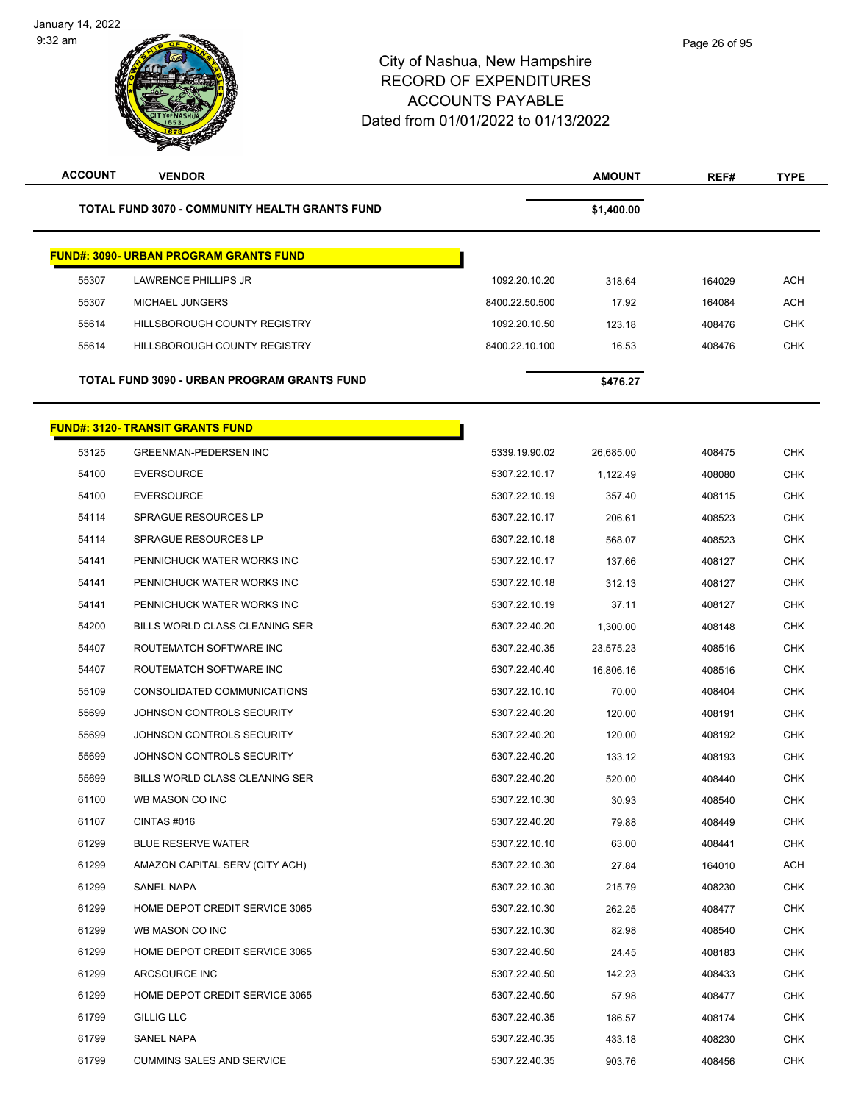| <b>ACCOUNT</b> | <b>VENDOR</b>                                  |                | <b>AMOUNT</b> | REF#   | <b>TYPE</b> |
|----------------|------------------------------------------------|----------------|---------------|--------|-------------|
|                | TOTAL FUND 3070 - COMMUNITY HEALTH GRANTS FUND |                | \$1,400.00    |        |             |
|                | <b>FUND#: 3090- URBAN PROGRAM GRANTS FUND</b>  |                |               |        |             |
| 55307          | <b>LAWRENCE PHILLIPS JR</b>                    | 1092.20.10.20  | 318.64        | 164029 | ACH         |
| 55307          | <b>MICHAEL JUNGERS</b>                         | 8400.22.50.500 | 17.92         | 164084 | ACH         |
| 55614          | HILLSBOROUGH COUNTY REGISTRY                   | 1092.20.10.50  | 123.18        | 408476 | <b>CHK</b>  |
| 55614          | HILLSBOROUGH COUNTY REGISTRY                   | 8400.22.10.100 | 16.53         | 408476 | <b>CHK</b>  |
|                | TOTAL FUND 3090 - URBAN PROGRAM GRANTS FUND    |                | \$476.27      |        |             |
|                | <b>FUND#: 3120- TRANSIT GRANTS FUND</b>        |                |               |        |             |
| 53125          | <b>GREENMAN-PEDERSEN INC</b>                   | 5339.19.90.02  | 26,685.00     | 408475 | <b>CHK</b>  |
| 54100          | <b>EVERSOURCE</b>                              | 5307.22.10.17  | 1,122.49      | 408080 | <b>CHK</b>  |
| 54100          | <b>EVERSOURCE</b>                              | 5307.22.10.19  | 357.40        | 408115 | CHK         |
| 54114          | <b>SPRAGUE RESOURCES LP</b>                    | 5307.22.10.17  | 206.61        | 408523 | CHK         |
| 54114          | <b>SPRAGUE RESOURCES LP</b>                    | 5307.22.10.18  | 568.07        | 408523 | <b>CHK</b>  |
| 54141          | PENNICHUCK WATER WORKS INC                     | 5307.22.10.17  | 137.66        | 408127 | <b>CHK</b>  |
| 54141          | PENNICHUCK WATER WORKS INC                     | 5307.22.10.18  | 312.13        | 408127 | CHK         |
| 54141          | PENNICHUCK WATER WORKS INC                     | 5307.22.10.19  | 37.11         | 408127 | CHK         |
| 54200          | BILLS WORLD CLASS CLEANING SER                 | 5307.22.40.20  | 1,300.00      | 408148 | CHK         |
| 54407          | ROUTEMATCH SOFTWARE INC                        | 5307.22.40.35  | 23,575.23     | 408516 | <b>CHK</b>  |
| 54407          | ROUTEMATCH SOFTWARE INC                        | 5307.22.40.40  | 16,806.16     | 408516 | CHK         |
| 55109          | CONSOLIDATED COMMUNICATIONS                    | 5307.22.10.10  | 70.00         | 408404 | <b>CHK</b>  |
| 55699          | JOHNSON CONTROLS SECURITY                      | 5307.22.40.20  | 120.00        | 408191 | CHK         |
| 55699          | JOHNSON CONTROLS SECURITY                      | 5307.22.40.20  | 120.00        | 408192 | CHK         |
| 55699          | JOHNSON CONTROLS SECURITY                      | 5307.22.40.20  | 133.12        | 408193 | <b>CHK</b>  |
| 55699          | BILLS WORLD CLASS CLEANING SER                 | 5307.22.40.20  | 520.00        | 408440 | CHK         |
| 61100          | WB MASON CO INC                                | 5307.22.10.30  | 30.93         | 408540 | CHK         |
| 61107          | CINTAS #016                                    | 5307.22.40.20  | 79.88         | 408449 | <b>CHK</b>  |
| 61299          | <b>BLUE RESERVE WATER</b>                      | 5307.22.10.10  | 63.00         | 408441 | CHK         |
| 61299          | AMAZON CAPITAL SERV (CITY ACH)                 | 5307.22.10.30  | 27.84         | 164010 | ACH         |
| 61299          | <b>SANEL NAPA</b>                              | 5307.22.10.30  | 215.79        | 408230 | <b>CHK</b>  |
| 61299          | HOME DEPOT CREDIT SERVICE 3065                 | 5307.22.10.30  | 262.25        | 408477 | <b>CHK</b>  |
| 61299          | WB MASON CO INC                                | 5307.22.10.30  | 82.98         | 408540 | CHK         |
| 61299          | HOME DEPOT CREDIT SERVICE 3065                 | 5307.22.40.50  | 24.45         | 408183 | CHK         |
| 61299          | ARCSOURCE INC                                  | 5307.22.40.50  | 142.23        | 408433 | <b>CHK</b>  |
| 61299          | HOME DEPOT CREDIT SERVICE 3065                 | 5307.22.40.50  | 57.98         | 408477 | CHK         |
| 61799          | <b>GILLIG LLC</b>                              | 5307.22.40.35  | 186.57        | 408174 | CHK         |
| 61799          | SANEL NAPA                                     | 5307.22.40.35  | 433.18        | 408230 | CHK         |
| 61799          | <b>CUMMINS SALES AND SERVICE</b>               | 5307.22.40.35  | 903.76        | 408456 | <b>CHK</b>  |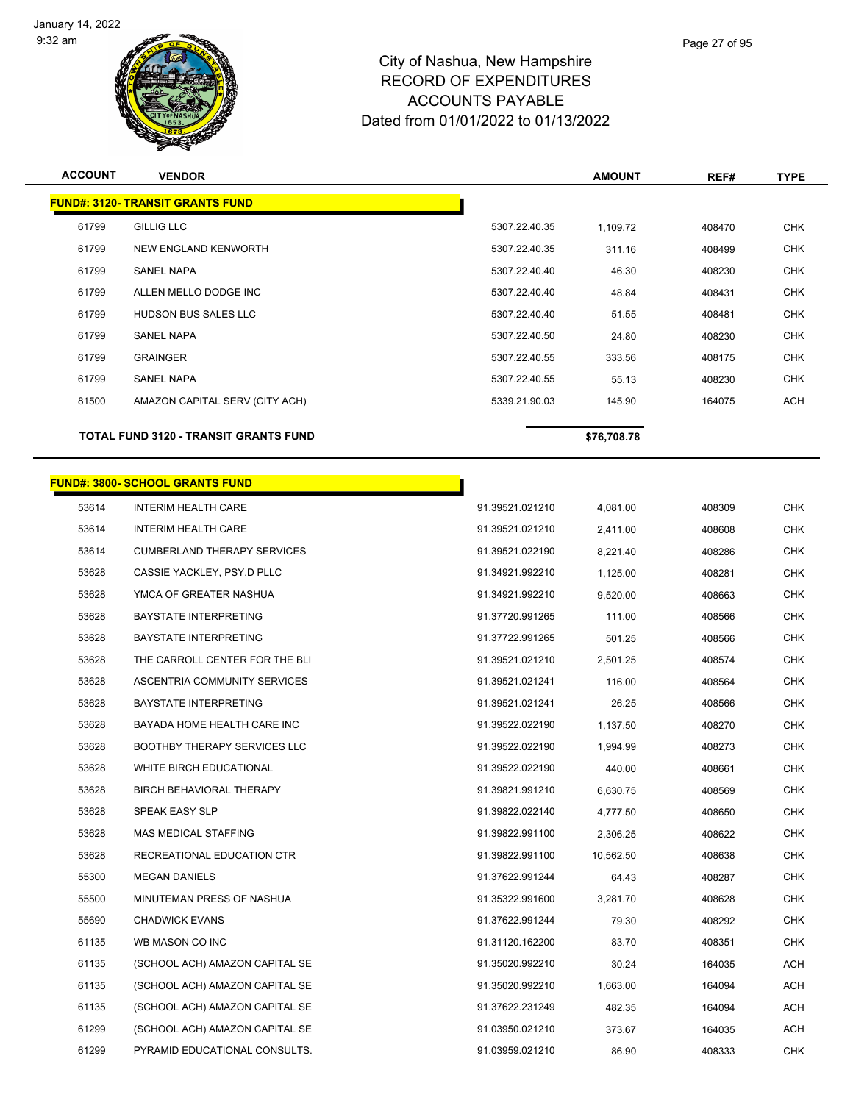

Page 27 of 95

| <b>ACCOUNT</b> | <b>VENDOR</b>                                |                 | <b>AMOUNT</b> | REF#   | <b>TYPE</b> |
|----------------|----------------------------------------------|-----------------|---------------|--------|-------------|
|                | <b>FUND#: 3120- TRANSIT GRANTS FUND</b>      |                 |               |        |             |
| 61799          | <b>GILLIG LLC</b>                            | 5307.22.40.35   | 1,109.72      | 408470 | <b>CHK</b>  |
| 61799          | NEW ENGLAND KENWORTH                         | 5307.22.40.35   | 311.16        | 408499 | <b>CHK</b>  |
| 61799          | <b>SANEL NAPA</b>                            | 5307.22.40.40   | 46.30         | 408230 | <b>CHK</b>  |
| 61799          | ALLEN MELLO DODGE INC                        | 5307.22.40.40   | 48.84         | 408431 | <b>CHK</b>  |
| 61799          | HUDSON BUS SALES LLC                         | 5307.22.40.40   | 51.55         | 408481 | <b>CHK</b>  |
| 61799          | <b>SANEL NAPA</b>                            | 5307.22.40.50   | 24.80         | 408230 | <b>CHK</b>  |
| 61799          | <b>GRAINGER</b>                              | 5307.22.40.55   | 333.56        | 408175 | <b>CHK</b>  |
| 61799          | <b>SANEL NAPA</b>                            | 5307.22.40.55   | 55.13         | 408230 | <b>CHK</b>  |
| 81500          | AMAZON CAPITAL SERV (CITY ACH)               | 5339.21.90.03   | 145.90        | 164075 | <b>ACH</b>  |
|                | <b>TOTAL FUND 3120 - TRANSIT GRANTS FUND</b> |                 | \$76,708.78   |        |             |
|                |                                              |                 |               |        |             |
|                | <b>FUND#: 3800- SCHOOL GRANTS FUND</b>       |                 |               |        |             |
| 53614          | <b>INTERIM HEALTH CARE</b>                   | 91.39521.021210 | 4,081.00      | 408309 | <b>CHK</b>  |
| 53614          | <b>INTERIM HEALTH CARE</b>                   | 91.39521.021210 | 2,411.00      | 408608 | <b>CHK</b>  |
| 53614          | <b>CUMBERLAND THERAPY SERVICES</b>           | 91.39521.022190 | 8,221.40      | 408286 | <b>CHK</b>  |
| 53628          | CASSIE YACKLEY, PSY.D PLLC                   | 91.34921.992210 | 1,125.00      | 408281 | <b>CHK</b>  |
| 53628          | YMCA OF GREATER NASHUA                       | 91.34921.992210 | 9,520.00      | 408663 | <b>CHK</b>  |
| 53628          | <b>BAYSTATE INTERPRETING</b>                 | 91.37720.991265 | 111.00        | 408566 | <b>CHK</b>  |
| 53628          | <b>BAYSTATE INTERPRETING</b>                 | 91.37722.991265 | 501.25        | 408566 | <b>CHK</b>  |
| 53628          | THE CARROLL CENTER FOR THE BLI               | 91.39521.021210 | 2,501.25      | 408574 | <b>CHK</b>  |
| 53628          | ASCENTRIA COMMUNITY SERVICES                 | 91.39521.021241 | 116.00        | 408564 | <b>CHK</b>  |
| 53628          | <b>BAYSTATE INTERPRETING</b>                 | 91.39521.021241 | 26.25         | 408566 | <b>CHK</b>  |
| 53628          | BAYADA HOME HEALTH CARE INC                  | 91.39522.022190 | 1,137.50      | 408270 | <b>CHK</b>  |
| 53628          | <b>BOOTHBY THERAPY SERVICES LLC</b>          | 91.39522.022190 | 1,994.99      | 408273 | <b>CHK</b>  |
| 53628          | WHITE BIRCH EDUCATIONAL                      | 91.39522.022190 | 440.00        | 408661 | <b>CHK</b>  |
| 53628          | BIRCH BEHAVIORAL THERAPY                     | 91.39821.991210 | 6,630.75      | 408569 | CHK         |
| 53628          | SPEAK EASY SLP                               | 91.39822.022140 | 4,777.50      | 408650 | <b>CHK</b>  |
| 53628          | MAS MEDICAL STAFFING                         | 91.39822.991100 | 2,306.25      | 408622 | <b>CHK</b>  |
| 53628          | RECREATIONAL EDUCATION CTR                   | 91.39822.991100 | 10,562.50     | 408638 | <b>CHK</b>  |
| 55300          | <b>MEGAN DANIELS</b>                         | 91.37622.991244 | 64.43         | 408287 | <b>CHK</b>  |
| 55500          | MINUTEMAN PRESS OF NASHUA                    | 91.35322.991600 | 3,281.70      | 408628 | <b>CHK</b>  |
| 55690          | <b>CHADWICK EVANS</b>                        | 91.37622.991244 | 79.30         | 408292 | <b>CHK</b>  |
| 61135          | WB MASON CO INC                              | 91.31120.162200 | 83.70         | 408351 | <b>CHK</b>  |
| 61135          | (SCHOOL ACH) AMAZON CAPITAL SE               | 91.35020.992210 | 30.24         | 164035 | ACH         |

 (SCHOOL ACH) AMAZON CAPITAL SE 91.35020.992210 1,663.00 164094 ACH (SCHOOL ACH) AMAZON CAPITAL SE 91.37622.231249 482.35 164094 ACH (SCHOOL ACH) AMAZON CAPITAL SE 91.03950.021210 373.67 164035 ACH PYRAMID EDUCATIONAL CONSULTS. 91.03959.021210 86.90 408333 CHK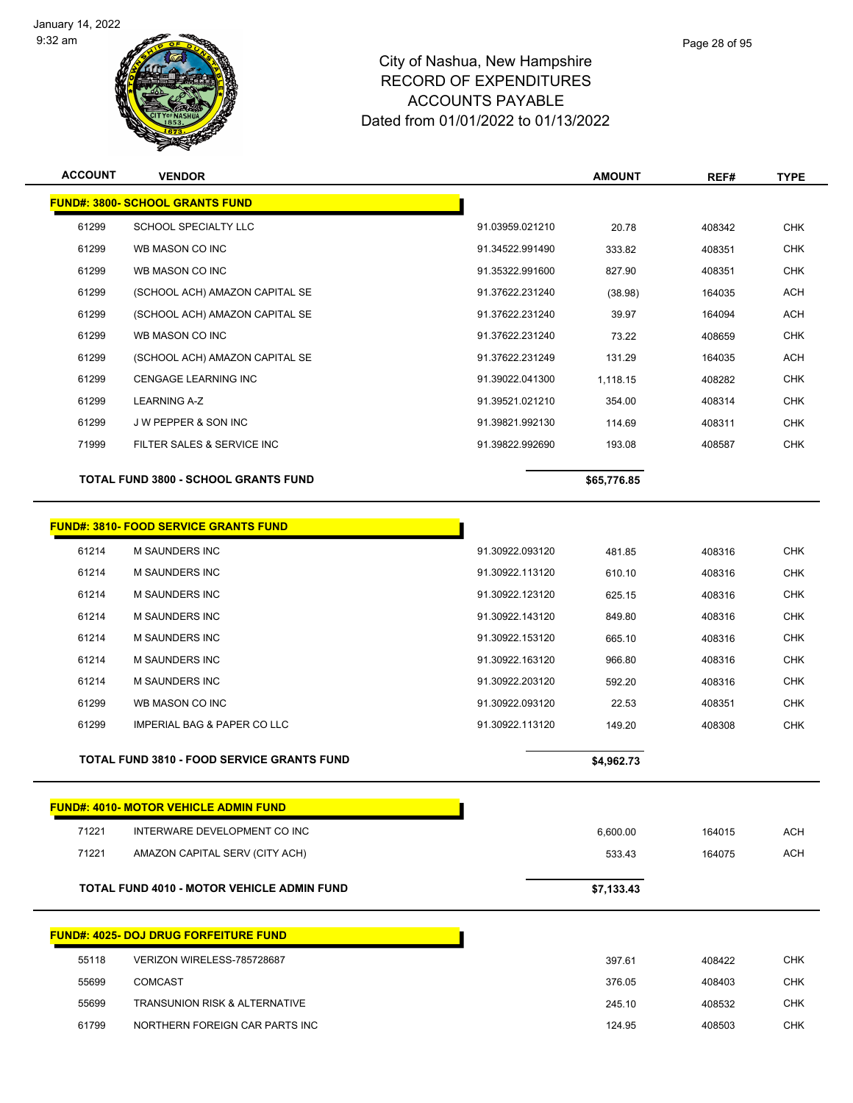

| <b>ACCOUNT</b> | <b>VENDOR</b>                                     |                 | <b>AMOUNT</b> | REF#   | <b>TYPE</b> |
|----------------|---------------------------------------------------|-----------------|---------------|--------|-------------|
|                | <b>FUND#: 3800- SCHOOL GRANTS FUND</b>            |                 |               |        |             |
| 61299          | SCHOOL SPECIALTY LLC                              | 91.03959.021210 | 20.78         | 408342 | <b>CHK</b>  |
| 61299          | WB MASON CO INC                                   | 91.34522.991490 | 333.82        | 408351 | <b>CHK</b>  |
| 61299          | WB MASON CO INC                                   | 91.35322.991600 | 827.90        | 408351 | <b>CHK</b>  |
| 61299          | (SCHOOL ACH) AMAZON CAPITAL SE                    | 91.37622.231240 | (38.98)       | 164035 | <b>ACH</b>  |
| 61299          | (SCHOOL ACH) AMAZON CAPITAL SE                    | 91.37622.231240 | 39.97         | 164094 | <b>ACH</b>  |
| 61299          | WB MASON CO INC                                   | 91.37622.231240 | 73.22         | 408659 | <b>CHK</b>  |
| 61299          | (SCHOOL ACH) AMAZON CAPITAL SE                    | 91.37622.231249 | 131.29        | 164035 | <b>ACH</b>  |
| 61299          | <b>CENGAGE LEARNING INC</b>                       | 91.39022.041300 | 1,118.15      | 408282 | <b>CHK</b>  |
| 61299          | <b>LEARNING A-Z</b>                               | 91.39521.021210 | 354.00        | 408314 | <b>CHK</b>  |
| 61299          | J W PEPPER & SON INC                              | 91.39821.992130 | 114.69        | 408311 | <b>CHK</b>  |
| 71999          | FILTER SALES & SERVICE INC                        | 91.39822.992690 | 193.08        | 408587 | <b>CHK</b>  |
|                | <b>TOTAL FUND 3800 - SCHOOL GRANTS FUND</b>       |                 | \$65,776.85   |        |             |
|                | <b>FUND#: 3810- FOOD SERVICE GRANTS FUND</b>      |                 |               |        |             |
| 61214          | M SAUNDERS INC                                    | 91.30922.093120 | 481.85        | 408316 | <b>CHK</b>  |
| 61214          | <b>M SAUNDERS INC</b>                             | 91.30922.113120 | 610.10        | 408316 | <b>CHK</b>  |
| 61214          | <b>M SAUNDERS INC</b>                             | 91.30922.123120 | 625.15        | 408316 | <b>CHK</b>  |
| 61214          | M SAUNDERS INC                                    | 91.30922.143120 | 849.80        | 408316 | <b>CHK</b>  |
| 61214          | M SAUNDERS INC                                    | 91.30922.153120 | 665.10        | 408316 | <b>CHK</b>  |
| 61214          | M SAUNDERS INC                                    | 91.30922.163120 | 966.80        | 408316 | <b>CHK</b>  |
| 61214          | <b>M SAUNDERS INC</b>                             | 91.30922.203120 | 592.20        | 408316 | <b>CHK</b>  |
| 61299          | WB MASON CO INC                                   | 91.30922.093120 | 22.53         | 408351 | <b>CHK</b>  |
| 61299          | <b>IMPERIAL BAG &amp; PAPER CO LLC</b>            | 91.30922.113120 | 149.20        | 408308 | <b>CHK</b>  |
|                | <b>TOTAL FUND 3810 - FOOD SERVICE GRANTS FUND</b> |                 | \$4,962.73    |        |             |
|                | <b>FUND#: 4010- MOTOR VEHICLE ADMIN FUND</b>      |                 |               |        |             |
| 71221          | INTERWARE DEVELOPMENT CO INC                      |                 | 6,600.00      | 164015 | <b>ACH</b>  |
| 71221          | AMAZON CAPITAL SERV (CITY ACH)                    |                 | 533.43        | 164075 | <b>ACH</b>  |
|                | TOTAL FUND 4010 - MOTOR VEHICLE ADMIN FUND        |                 | \$7,133.43    |        |             |
|                | <b>FUND#: 4025- DOJ DRUG FORFEITURE FUND</b>      |                 |               |        |             |
| 55118          | VERIZON WIRELESS-785728687                        |                 | 397.61        | 408422 | <b>CHK</b>  |
| 55699          | <b>COMCAST</b>                                    |                 | 376.05        | 408403 | <b>CHK</b>  |
| 55699          | <b>TRANSUNION RISK &amp; ALTERNATIVE</b>          |                 | 245.10        | 408532 | <b>CHK</b>  |
| 61799          | NORTHERN FOREIGN CAR PARTS INC                    |                 | 124.95        | 408503 | <b>CHK</b>  |
|                |                                                   |                 |               |        |             |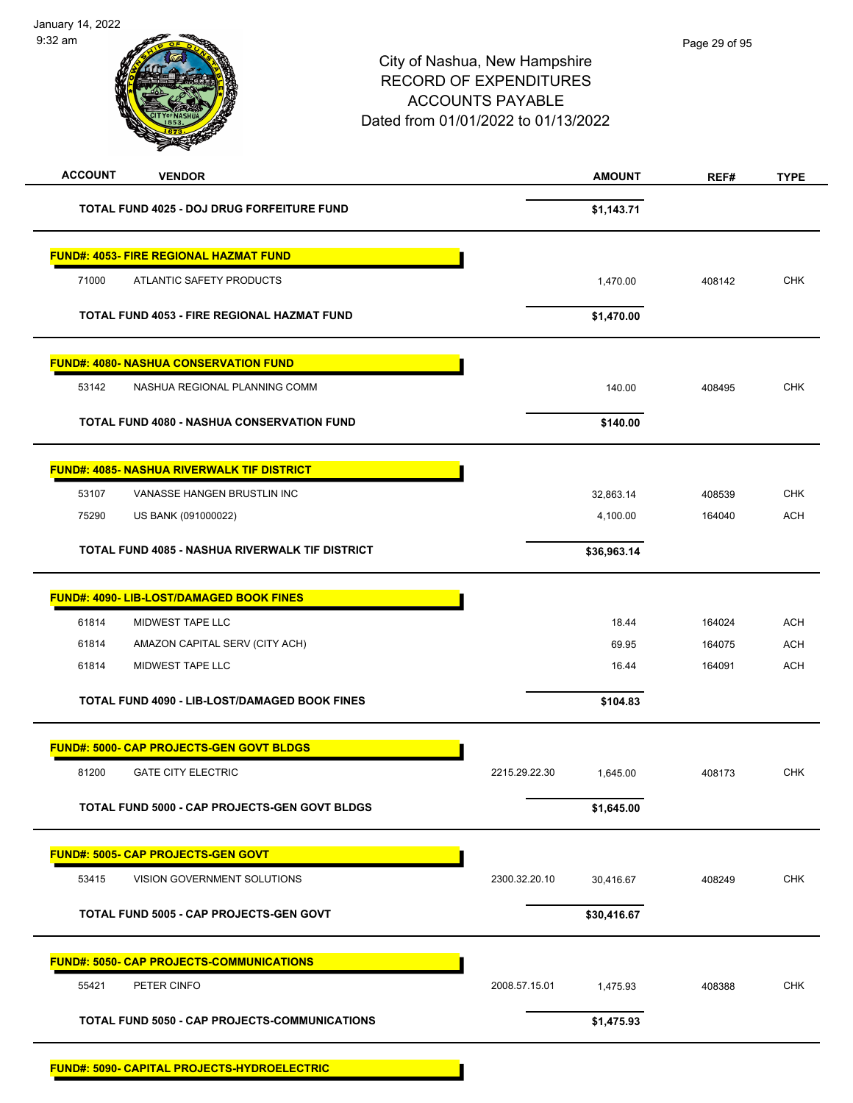| <b>ACCOUNT</b><br><b>VENDOR</b>                      | <b>AMOUNT</b>              | REF#   | <b>TYPE</b> |
|------------------------------------------------------|----------------------------|--------|-------------|
| TOTAL FUND 4025 - DOJ DRUG FORFEITURE FUND           | \$1,143.71                 |        |             |
| <b>FUND#: 4053- FIRE REGIONAL HAZMAT FUND</b>        |                            |        |             |
| 71000<br>ATLANTIC SAFETY PRODUCTS                    | 1,470.00                   | 408142 | <b>CHK</b>  |
| TOTAL FUND 4053 - FIRE REGIONAL HAZMAT FUND          | \$1,470.00                 |        |             |
| <b>FUND#: 4080- NASHUA CONSERVATION FUND</b>         |                            |        |             |
| 53142<br>NASHUA REGIONAL PLANNING COMM               | 140.00                     | 408495 | <b>CHK</b>  |
| <b>TOTAL FUND 4080 - NASHUA CONSERVATION FUND</b>    | \$140.00                   |        |             |
| <b>FUND#: 4085- NASHUA RIVERWALK TIF DISTRICT</b>    |                            |        |             |
| 53107<br>VANASSE HANGEN BRUSTLIN INC                 | 32,863.14                  | 408539 | <b>CHK</b>  |
| 75290<br>US BANK (091000022)                         | 4,100.00                   | 164040 | <b>ACH</b>  |
| TOTAL FUND 4085 - NASHUA RIVERWALK TIF DISTRICT      | \$36,963.14                |        |             |
| FUND#: 4090- LIB-LOST/DAMAGED BOOK FINES             |                            |        |             |
| MIDWEST TAPE LLC<br>61814                            | 18.44                      | 164024 | <b>ACH</b>  |
| 61814<br>AMAZON CAPITAL SERV (CITY ACH)              | 69.95                      | 164075 | <b>ACH</b>  |
| 61814<br>MIDWEST TAPE LLC                            | 16.44                      | 164091 | <b>ACH</b>  |
| <b>TOTAL FUND 4090 - LIB-LOST/DAMAGED BOOK FINES</b> | \$104.83                   |        |             |
| <b>FUND#: 5000- CAP PROJECTS-GEN GOVT BLDGS</b>      |                            |        |             |
| 81200<br><b>GATE CITY ELECTRIC</b>                   | 2215.29.22.30<br>1,645.00  | 408173 | <b>CHK</b>  |
| TOTAL FUND 5000 - CAP PROJECTS-GEN GOVT BLDGS        | \$1,645.00                 |        |             |
| <b>FUND#: 5005- CAP PROJECTS-GEN GOVT</b>            |                            |        |             |
| 53415<br>VISION GOVERNMENT SOLUTIONS                 | 2300.32.20.10<br>30,416.67 | 408249 | <b>CHK</b>  |
| TOTAL FUND 5005 - CAP PROJECTS-GEN GOVT              | \$30,416.67                |        |             |
| <b>FUND#: 5050- CAP PROJECTS-COMMUNICATIONS</b>      |                            |        |             |
| 55421<br>PETER CINFO                                 | 2008.57.15.01<br>1,475.93  | 408388 | <b>CHK</b>  |
| TOTAL FUND 5050 - CAP PROJECTS-COMMUNICATIONS        | \$1,475.93                 |        |             |
| FUND#: 5090- CAPITAL PROJECTS-HYDROELECTRIC          |                            |        |             |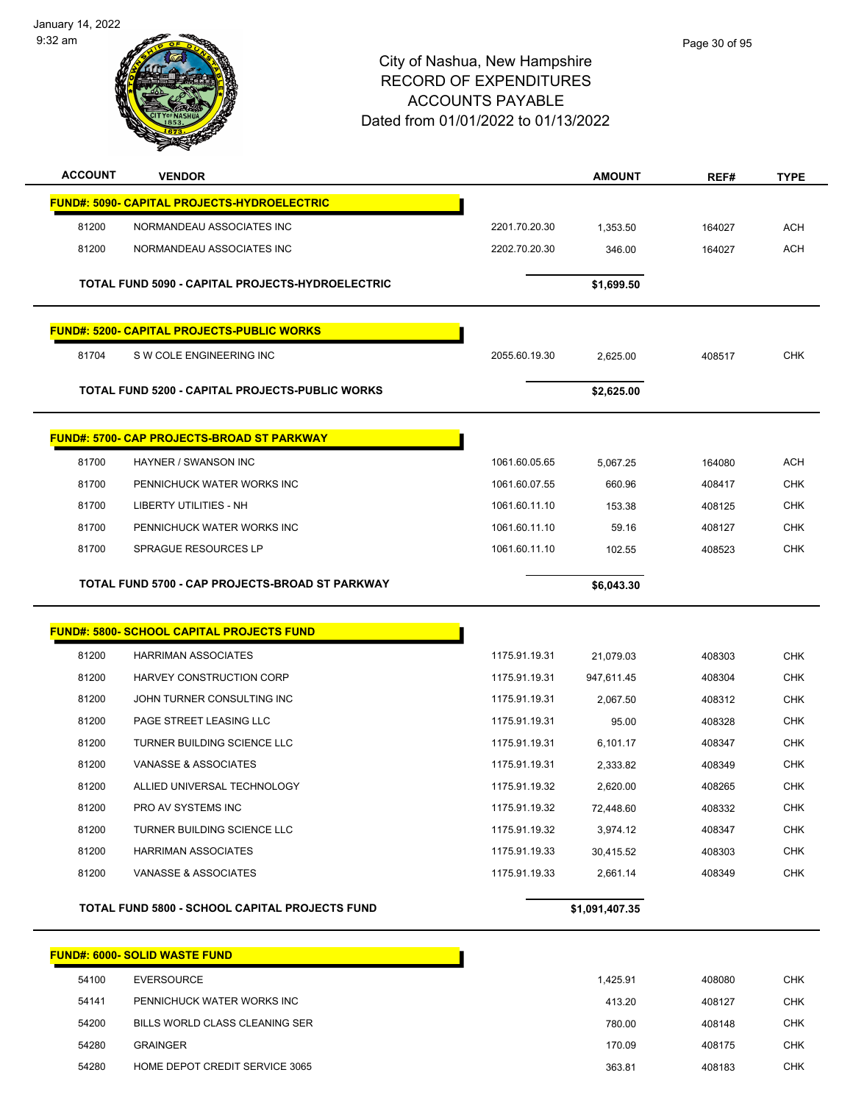January 14, 2022 9:32 am



| <b>ACCOUNT</b> | <b>VENDOR</b>                                         |               | <b>AMOUNT</b>  | REF#   | <b>TYPE</b> |
|----------------|-------------------------------------------------------|---------------|----------------|--------|-------------|
|                | <b>FUND#: 5090- CAPITAL PROJECTS-HYDROELECTRIC</b>    |               |                |        |             |
| 81200          | NORMANDEAU ASSOCIATES INC                             | 2201.70.20.30 | 1,353.50       | 164027 | ACH         |
| 81200          | NORMANDEAU ASSOCIATES INC                             | 2202.70.20.30 | 346.00         | 164027 | <b>ACH</b>  |
|                |                                                       |               |                |        |             |
|                | TOTAL FUND 5090 - CAPITAL PROJECTS-HYDROELECTRIC      |               | \$1,699.50     |        |             |
|                | <b>FUND#: 5200- CAPITAL PROJECTS-PUBLIC WORKS</b>     |               |                |        |             |
| 81704          | S W COLE ENGINEERING INC                              | 2055.60.19.30 | 2,625.00       | 408517 | <b>CHK</b>  |
|                |                                                       |               |                |        |             |
|                | TOTAL FUND 5200 - CAPITAL PROJECTS-PUBLIC WORKS       |               | \$2,625.00     |        |             |
|                | <b>FUND#: 5700- CAP PROJECTS-BROAD ST PARKWAY</b>     |               |                |        |             |
| 81700          | HAYNER / SWANSON INC                                  | 1061.60.05.65 | 5,067.25       | 164080 | <b>ACH</b>  |
| 81700          | PENNICHUCK WATER WORKS INC                            | 1061.60.07.55 | 660.96         | 408417 | CHK         |
| 81700          | <b>LIBERTY UTILITIES - NH</b>                         | 1061.60.11.10 | 153.38         | 408125 | <b>CHK</b>  |
| 81700          | PENNICHUCK WATER WORKS INC                            | 1061.60.11.10 | 59.16          | 408127 | <b>CHK</b>  |
| 81700          | <b>SPRAGUE RESOURCES LP</b>                           | 1061.60.11.10 | 102.55         | 408523 | <b>CHK</b>  |
|                | TOTAL FUND 5700 - CAP PROJECTS-BROAD ST PARKWAY       |               | \$6,043.30     |        |             |
|                |                                                       |               |                |        |             |
|                | <b>FUND#: 5800- SCHOOL CAPITAL PROJECTS FUND</b>      |               |                |        |             |
| 81200          | <b>HARRIMAN ASSOCIATES</b>                            | 1175.91.19.31 | 21,079.03      | 408303 | <b>CHK</b>  |
| 81200          | HARVEY CONSTRUCTION CORP                              | 1175.91.19.31 | 947,611.45     | 408304 | <b>CHK</b>  |
| 81200          | JOHN TURNER CONSULTING INC                            | 1175.91.19.31 | 2,067.50       | 408312 | CHK         |
| 81200          | PAGE STREET LEASING LLC                               | 1175.91.19.31 | 95.00          | 408328 | CHK         |
| 81200          | TURNER BUILDING SCIENCE LLC                           | 1175.91.19.31 | 6.101.17       | 408347 | <b>CHK</b>  |
| 81200          | VANASSE & ASSOCIATES                                  | 1175.91.19.31 | 2.333.82       | 408349 | CHK         |
| 81200          | ALLIED UNIVERSAL TECHNOLOGY                           | 1175.91.19.32 | 2,620.00       | 408265 | <b>CHK</b>  |
| 81200          | PRO AV SYSTEMS INC                                    | 1175.91.19.32 | 72,448.60      | 408332 | <b>CHK</b>  |
| 81200          | TURNER BUILDING SCIENCE LLC                           | 1175.91.19.32 | 3,974.12       | 408347 | <b>CHK</b>  |
| 81200          | <b>HARRIMAN ASSOCIATES</b>                            | 1175.91.19.33 | 30,415.52      | 408303 | <b>CHK</b>  |
| 81200          | VANASSE & ASSOCIATES                                  | 1175.91.19.33 | 2,661.14       | 408349 | <b>CHK</b>  |
|                | <b>TOTAL FUND 5800 - SCHOOL CAPITAL PROJECTS FUND</b> |               | \$1,091,407.35 |        |             |
|                |                                                       |               |                |        |             |
|                | FUND#: 6000- SOLID WASTE FUND                         |               |                |        |             |
| 54100          | <b>EVERSOURCE</b>                                     |               | 1,425.91       | 408080 | CHK         |
| 54141          | PENNICHUCK WATER WORKS INC                            |               | 413.20         | 408127 | <b>CHK</b>  |
| 54200          | BILLS WORLD CLASS CLEANING SER                        |               | 780.00         | 408148 | CHK         |
| 54280          | <b>GRAINGER</b>                                       |               | 170.09         | 408175 | <b>CHK</b>  |
| 54280          | HOME DEPOT CREDIT SERVICE 3065                        |               | 363.81         | 408183 | <b>CHK</b>  |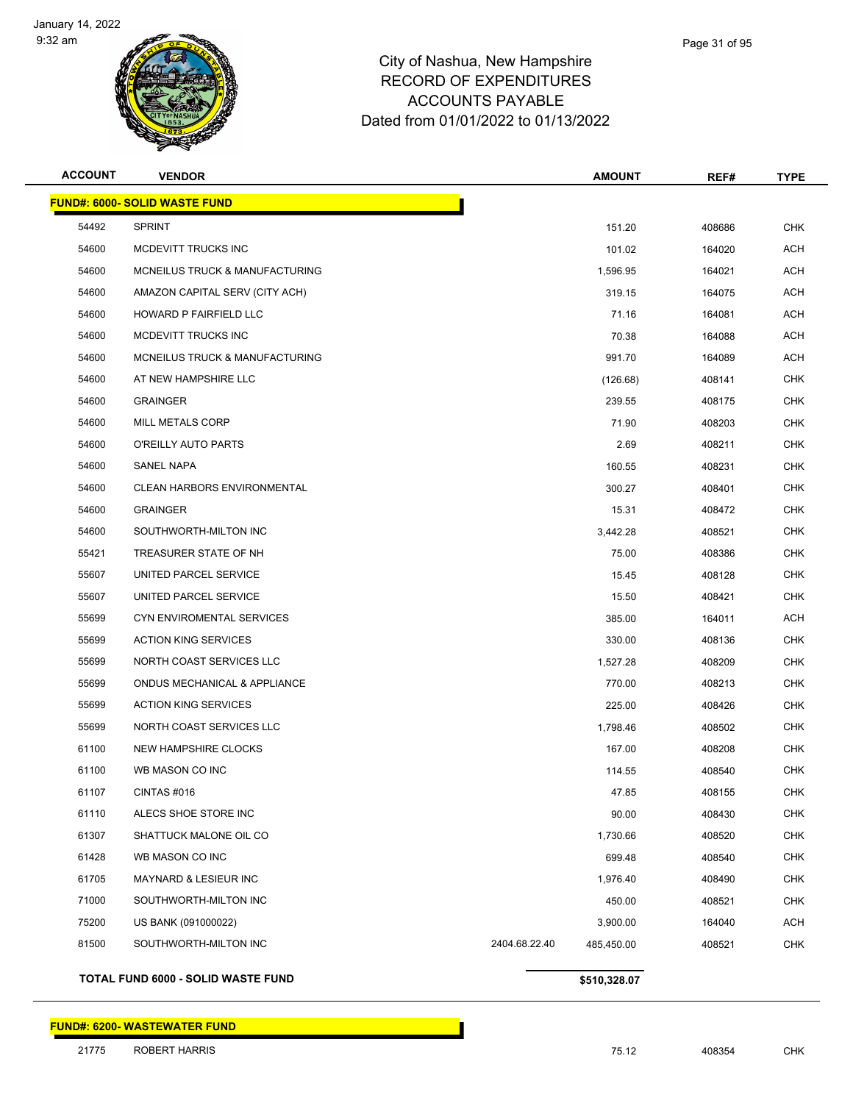

| Page 31 of 95 |
|---------------|
|               |

| <b>ACCOUNT</b> | <b>VENDOR</b>                        |               | <b>AMOUNT</b> | REF#   | <b>TYPE</b> |
|----------------|--------------------------------------|---------------|---------------|--------|-------------|
|                | <b>FUND#: 6000- SOLID WASTE FUND</b> |               |               |        |             |
| 54492          | <b>SPRINT</b>                        |               | 151.20        | 408686 | <b>CHK</b>  |
| 54600          | MCDEVITT TRUCKS INC                  |               | 101.02        | 164020 | <b>ACH</b>  |
| 54600          | MCNEILUS TRUCK & MANUFACTURING       |               | 1,596.95      | 164021 | ACH         |
| 54600          | AMAZON CAPITAL SERV (CITY ACH)       |               | 319.15        | 164075 | <b>ACH</b>  |
| 54600          | HOWARD P FAIRFIELD LLC               |               | 71.16         | 164081 | ACH         |
| 54600          | MCDEVITT TRUCKS INC                  |               | 70.38         | 164088 | ACH         |
| 54600          | MCNEILUS TRUCK & MANUFACTURING       |               | 991.70        | 164089 | <b>ACH</b>  |
| 54600          | AT NEW HAMPSHIRE LLC                 |               | (126.68)      | 408141 | <b>CHK</b>  |
| 54600          | <b>GRAINGER</b>                      |               | 239.55        | 408175 | <b>CHK</b>  |
| 54600          | MILL METALS CORP                     |               | 71.90         | 408203 | <b>CHK</b>  |
| 54600          | O'REILLY AUTO PARTS                  |               | 2.69          | 408211 | CHK         |
| 54600          | <b>SANEL NAPA</b>                    |               | 160.55        | 408231 | <b>CHK</b>  |
| 54600          | <b>CLEAN HARBORS ENVIRONMENTAL</b>   |               | 300.27        | 408401 | <b>CHK</b>  |
| 54600          | <b>GRAINGER</b>                      |               | 15.31         | 408472 | <b>CHK</b>  |
| 54600          | SOUTHWORTH-MILTON INC                |               | 3,442.28      | 408521 | <b>CHK</b>  |
| 55421          | TREASURER STATE OF NH                |               | 75.00         | 408386 | CHK         |
| 55607          | UNITED PARCEL SERVICE                |               | 15.45         | 408128 | <b>CHK</b>  |
| 55607          | UNITED PARCEL SERVICE                |               | 15.50         | 408421 | <b>CHK</b>  |
| 55699          | CYN ENVIROMENTAL SERVICES            |               | 385.00        | 164011 | <b>ACH</b>  |
| 55699          | <b>ACTION KING SERVICES</b>          |               | 330.00        | 408136 | <b>CHK</b>  |
| 55699          | NORTH COAST SERVICES LLC             |               | 1,527.28      | 408209 | CHK         |
| 55699          | ONDUS MECHANICAL & APPLIANCE         |               | 770.00        | 408213 | <b>CHK</b>  |
| 55699          | <b>ACTION KING SERVICES</b>          |               | 225.00        | 408426 | <b>CHK</b>  |
| 55699          | NORTH COAST SERVICES LLC             |               | 1,798.46      | 408502 | <b>CHK</b>  |
| 61100          | NEW HAMPSHIRE CLOCKS                 |               | 167.00        | 408208 | <b>CHK</b>  |
| 61100          | WB MASON CO INC                      |               | 114.55        | 408540 | <b>CHK</b>  |
| 61107          | <b>CINTAS #016</b>                   |               | 47.85         | 408155 | <b>CHK</b>  |
| 61110          | ALECS SHOE STORE INC                 |               | 90.00         | 408430 | <b>CHK</b>  |
| 61307          | SHATTUCK MALONE OIL CO               |               | 1,730.66      | 408520 | <b>CHK</b>  |
| 61428          | WB MASON CO INC                      |               | 699.48        | 408540 | <b>CHK</b>  |
| 61705          | MAYNARD & LESIEUR INC                |               | 1,976.40      | 408490 | <b>CHK</b>  |
| 71000          | SOUTHWORTH-MILTON INC                |               | 450.00        | 408521 | <b>CHK</b>  |
| 75200          | US BANK (091000022)                  |               | 3,900.00      | 164040 | <b>ACH</b>  |
| 81500          | SOUTHWORTH-MILTON INC                | 2404.68.22.40 | 485,450.00    | 408521 | <b>CHK</b>  |
|                |                                      |               |               |        |             |

**TOTAL FUND 6000 - SOLID WASTE FUND \$510,328.07** 

#### **FUND#: 6200- WASTEWATER FUND**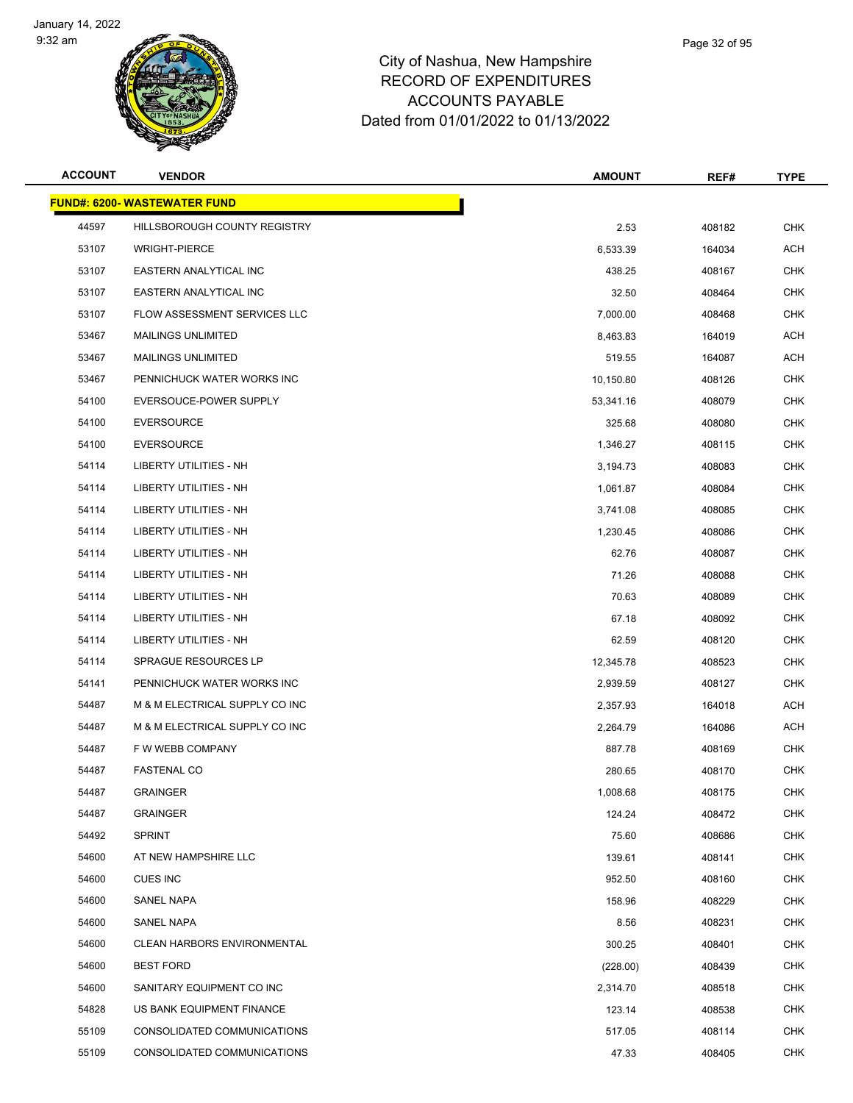

| <b>ACCOUNT</b> | <b>VENDOR</b>                       | <b>AMOUNT</b> | REF#   | <b>TYPE</b> |
|----------------|-------------------------------------|---------------|--------|-------------|
|                | <b>FUND#: 6200- WASTEWATER FUND</b> |               |        |             |
| 44597          | HILLSBOROUGH COUNTY REGISTRY        | 2.53          | 408182 | <b>CHK</b>  |
| 53107          | <b>WRIGHT-PIERCE</b>                | 6,533.39      | 164034 | <b>ACH</b>  |
| 53107          | EASTERN ANALYTICAL INC              | 438.25        | 408167 | CHK         |
| 53107          | EASTERN ANALYTICAL INC              | 32.50         | 408464 | <b>CHK</b>  |
| 53107          | <b>FLOW ASSESSMENT SERVICES LLC</b> | 7,000.00      | 408468 | <b>CHK</b>  |
| 53467          | <b>MAILINGS UNLIMITED</b>           | 8,463.83      | 164019 | ACH         |
| 53467          | <b>MAILINGS UNLIMITED</b>           | 519.55        | 164087 | <b>ACH</b>  |
| 53467          | PENNICHUCK WATER WORKS INC          | 10,150.80     | 408126 | <b>CHK</b>  |
| 54100          | EVERSOUCE-POWER SUPPLY              | 53,341.16     | 408079 | <b>CHK</b>  |
| 54100          | <b>EVERSOURCE</b>                   | 325.68        | 408080 | <b>CHK</b>  |
| 54100          | <b>EVERSOURCE</b>                   | 1,346.27      | 408115 | CHK         |
| 54114          | LIBERTY UTILITIES - NH              | 3,194.73      | 408083 | <b>CHK</b>  |
| 54114          | <b>LIBERTY UTILITIES - NH</b>       | 1,061.87      | 408084 | CHK         |
| 54114          | <b>LIBERTY UTILITIES - NH</b>       | 3,741.08      | 408085 | <b>CHK</b>  |
| 54114          | LIBERTY UTILITIES - NH              | 1,230.45      | 408086 | <b>CHK</b>  |
| 54114          | LIBERTY UTILITIES - NH              | 62.76         | 408087 | CHK         |
| 54114          | LIBERTY UTILITIES - NH              | 71.26         | 408088 | <b>CHK</b>  |
| 54114          | LIBERTY UTILITIES - NH              | 70.63         | 408089 | CHK         |
| 54114          | LIBERTY UTILITIES - NH              | 67.18         | 408092 | <b>CHK</b>  |
| 54114          | LIBERTY UTILITIES - NH              | 62.59         | 408120 | <b>CHK</b>  |
| 54114          | SPRAGUE RESOURCES LP                | 12,345.78     | 408523 | CHK         |
| 54141          | PENNICHUCK WATER WORKS INC          | 2,939.59      | 408127 | <b>CHK</b>  |
| 54487          | M & M ELECTRICAL SUPPLY CO INC      | 2,357.93      | 164018 | ACH         |
| 54487          | M & M ELECTRICAL SUPPLY CO INC      | 2,264.79      | 164086 | <b>ACH</b>  |
| 54487          | F W WEBB COMPANY                    | 887.78        | 408169 | CHK         |
| 54487          | <b>FASTENAL CO</b>                  | 280.65        | 408170 | <b>CHK</b>  |
| 54487          | <b>GRAINGER</b>                     | 1,008.68      | 408175 | <b>CHK</b>  |
| 54487          | <b>GRAINGER</b>                     | 124.24        | 408472 | <b>CHK</b>  |
| 54492          | <b>SPRINT</b>                       | 75.60         | 408686 | <b>CHK</b>  |
| 54600          | AT NEW HAMPSHIRE LLC                | 139.61        | 408141 | <b>CHK</b>  |
| 54600          | <b>CUES INC</b>                     | 952.50        | 408160 | <b>CHK</b>  |
| 54600          | <b>SANEL NAPA</b>                   | 158.96        | 408229 | <b>CHK</b>  |
| 54600          | <b>SANEL NAPA</b>                   | 8.56          | 408231 | <b>CHK</b>  |
| 54600          | <b>CLEAN HARBORS ENVIRONMENTAL</b>  | 300.25        | 408401 | <b>CHK</b>  |
| 54600          | <b>BEST FORD</b>                    | (228.00)      | 408439 | <b>CHK</b>  |
| 54600          | SANITARY EQUIPMENT CO INC           | 2,314.70      | 408518 | <b>CHK</b>  |
| 54828          | US BANK EQUIPMENT FINANCE           | 123.14        | 408538 | <b>CHK</b>  |
| 55109          | CONSOLIDATED COMMUNICATIONS         | 517.05        | 408114 | CHK         |
| 55109          | CONSOLIDATED COMMUNICATIONS         | 47.33         | 408405 | <b>CHK</b>  |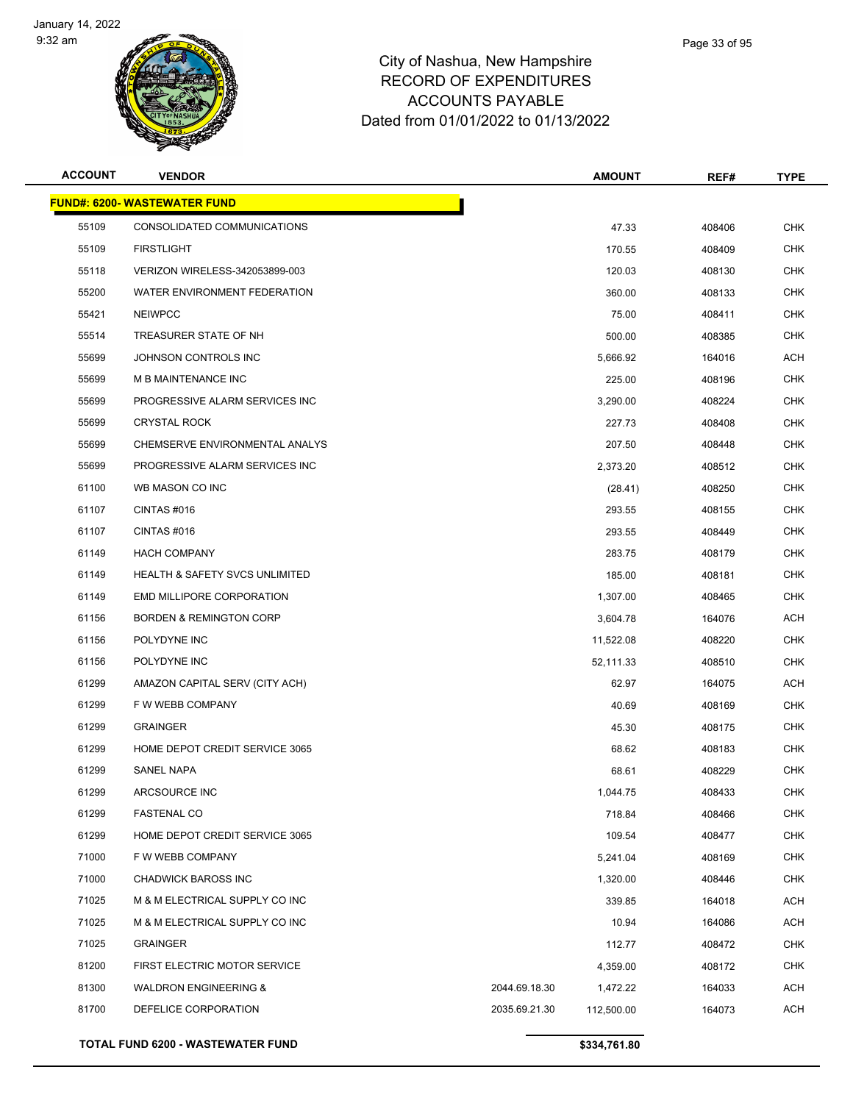

| Page 33 of 95 |
|---------------|
|               |

| <b>ACCOUNT</b> | <b>VENDOR</b>                             |               | <b>AMOUNT</b> | REF#   | <b>TYPE</b> |
|----------------|-------------------------------------------|---------------|---------------|--------|-------------|
|                | <b>FUND#: 6200- WASTEWATER FUND</b>       |               |               |        |             |
| 55109          | CONSOLIDATED COMMUNICATIONS               |               | 47.33         | 408406 | <b>CHK</b>  |
| 55109          | <b>FIRSTLIGHT</b>                         |               | 170.55        | 408409 | <b>CHK</b>  |
| 55118          | VERIZON WIRELESS-342053899-003            |               | 120.03        | 408130 | <b>CHK</b>  |
| 55200          | WATER ENVIRONMENT FEDERATION              |               | 360.00        | 408133 | <b>CHK</b>  |
| 55421          | <b>NEIWPCC</b>                            |               | 75.00         | 408411 | <b>CHK</b>  |
| 55514          | TREASURER STATE OF NH                     |               | 500.00        | 408385 | <b>CHK</b>  |
| 55699          | JOHNSON CONTROLS INC                      |               | 5,666.92      | 164016 | <b>ACH</b>  |
| 55699          | M B MAINTENANCE INC                       |               | 225.00        | 408196 | <b>CHK</b>  |
| 55699          | PROGRESSIVE ALARM SERVICES INC            |               | 3,290.00      | 408224 | <b>CHK</b>  |
| 55699          | <b>CRYSTAL ROCK</b>                       |               | 227.73        | 408408 | <b>CHK</b>  |
| 55699          | CHEMSERVE ENVIRONMENTAL ANALYS            |               | 207.50        | 408448 | <b>CHK</b>  |
| 55699          | PROGRESSIVE ALARM SERVICES INC            |               | 2,373.20      | 408512 | <b>CHK</b>  |
| 61100          | WB MASON CO INC                           |               | (28.41)       | 408250 | <b>CHK</b>  |
| 61107          | CINTAS#016                                |               | 293.55        | 408155 | <b>CHK</b>  |
| 61107          | CINTAS#016                                |               | 293.55        | 408449 | <b>CHK</b>  |
| 61149          | <b>HACH COMPANY</b>                       |               | 283.75        | 408179 | <b>CHK</b>  |
| 61149          | <b>HEALTH &amp; SAFETY SVCS UNLIMITED</b> |               | 185.00        | 408181 | <b>CHK</b>  |
| 61149          | <b>EMD MILLIPORE CORPORATION</b>          |               | 1,307.00      | 408465 | <b>CHK</b>  |
| 61156          | <b>BORDEN &amp; REMINGTON CORP</b>        |               | 3,604.78      | 164076 | ACH         |
| 61156          | POLYDYNE INC                              |               | 11,522.08     | 408220 | <b>CHK</b>  |
| 61156          | POLYDYNE INC                              |               | 52,111.33     | 408510 | <b>CHK</b>  |
| 61299          | AMAZON CAPITAL SERV (CITY ACH)            |               | 62.97         | 164075 | <b>ACH</b>  |
| 61299          | F W WEBB COMPANY                          |               | 40.69         | 408169 | <b>CHK</b>  |
| 61299          | <b>GRAINGER</b>                           |               | 45.30         | 408175 | <b>CHK</b>  |
| 61299          | HOME DEPOT CREDIT SERVICE 3065            |               | 68.62         | 408183 | <b>CHK</b>  |
| 61299          | <b>SANEL NAPA</b>                         |               | 68.61         | 408229 | <b>CHK</b>  |
| 61299          | ARCSOURCE INC                             |               | 1,044.75      | 408433 | CHK         |
| 61299          | <b>FASTENAL CO</b>                        |               | 718.84        | 408466 | <b>CHK</b>  |
| 61299          | HOME DEPOT CREDIT SERVICE 3065            |               | 109.54        | 408477 | <b>CHK</b>  |
| 71000          | F W WEBB COMPANY                          |               | 5,241.04      | 408169 | <b>CHK</b>  |
| 71000          | <b>CHADWICK BAROSS INC</b>                |               | 1,320.00      | 408446 | <b>CHK</b>  |
| 71025          | M & M ELECTRICAL SUPPLY CO INC            |               | 339.85        | 164018 | <b>ACH</b>  |
| 71025          | M & M ELECTRICAL SUPPLY CO INC            |               | 10.94         | 164086 | <b>ACH</b>  |
| 71025          | <b>GRAINGER</b>                           |               | 112.77        | 408472 | CHK         |
| 81200          | FIRST ELECTRIC MOTOR SERVICE              |               | 4,359.00      | 408172 | <b>CHK</b>  |
| 81300          | <b>WALDRON ENGINEERING &amp;</b>          | 2044.69.18.30 | 1,472.22      | 164033 | ACH         |
| 81700          | DEFELICE CORPORATION                      | 2035.69.21.30 | 112,500.00    | 164073 | <b>ACH</b>  |
|                | TOTAL FUND 6200 - WASTEWATER FUND         |               | \$334,761.80  |        |             |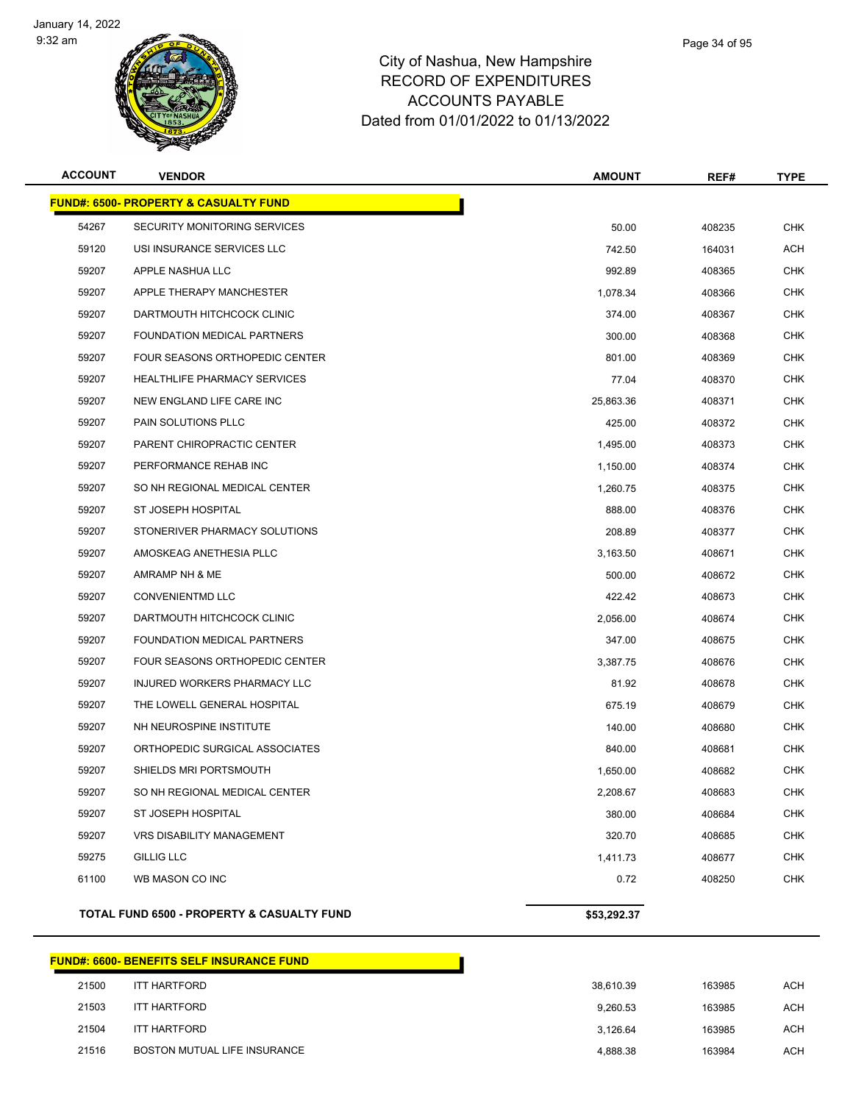

| <b>ACCOUNT</b> | <b>VENDOR</b>                                    | <b>AMOUNT</b> | REF#   | <b>TYPE</b> |
|----------------|--------------------------------------------------|---------------|--------|-------------|
|                | <b>FUND#: 6500- PROPERTY &amp; CASUALTY FUND</b> |               |        |             |
| 54267          | SECURITY MONITORING SERVICES                     | 50.00         | 408235 | <b>CHK</b>  |
| 59120          | USI INSURANCE SERVICES LLC                       | 742.50        | 164031 | ACH         |
| 59207          | APPLE NASHUA LLC                                 | 992.89        | 408365 | <b>CHK</b>  |
| 59207          | APPLE THERAPY MANCHESTER                         | 1,078.34      | 408366 | CHK         |
| 59207          | DARTMOUTH HITCHCOCK CLINIC                       | 374.00        | 408367 | <b>CHK</b>  |
| 59207          | FOUNDATION MEDICAL PARTNERS                      | 300.00        | 408368 | <b>CHK</b>  |
| 59207          | FOUR SEASONS ORTHOPEDIC CENTER                   | 801.00        | 408369 | <b>CHK</b>  |
| 59207          | <b>HEALTHLIFE PHARMACY SERVICES</b>              | 77.04         | 408370 | CHK         |
| 59207          | NEW ENGLAND LIFE CARE INC                        | 25,863.36     | 408371 | CHK         |
| 59207          | PAIN SOLUTIONS PLLC                              | 425.00        | 408372 | CHK         |
| 59207          | PARENT CHIROPRACTIC CENTER                       | 1,495.00      | 408373 | CHK         |
| 59207          | PERFORMANCE REHAB INC                            | 1,150.00      | 408374 | <b>CHK</b>  |
| 59207          | SO NH REGIONAL MEDICAL CENTER                    | 1,260.75      | 408375 | CHK         |
| 59207          | ST JOSEPH HOSPITAL                               | 888.00        | 408376 | CHK         |
| 59207          | STONERIVER PHARMACY SOLUTIONS                    | 208.89        | 408377 | CHK         |
| 59207          | AMOSKEAG ANETHESIA PLLC                          | 3,163.50      | 408671 | <b>CHK</b>  |
| 59207          | AMRAMP NH & ME                                   | 500.00        | 408672 | <b>CHK</b>  |
| 59207          | <b>CONVENIENTMD LLC</b>                          | 422.42        | 408673 | CHK         |
| 59207          | DARTMOUTH HITCHCOCK CLINIC                       | 2,056.00      | 408674 | CHK         |
| 59207          | FOUNDATION MEDICAL PARTNERS                      | 347.00        | 408675 | <b>CHK</b>  |
| 59207          | FOUR SEASONS ORTHOPEDIC CENTER                   | 3,387.75      | 408676 | CHK         |
| 59207          | INJURED WORKERS PHARMACY LLC                     | 81.92         | 408678 | <b>CHK</b>  |
| 59207          | THE LOWELL GENERAL HOSPITAL                      | 675.19        | 408679 | CHK         |
| 59207          | NH NEUROSPINE INSTITUTE                          | 140.00        | 408680 | <b>CHK</b>  |
| 59207          | ORTHOPEDIC SURGICAL ASSOCIATES                   | 840.00        | 408681 | <b>CHK</b>  |
| 59207          | SHIELDS MRI PORTSMOUTH                           | 1,650.00      | 408682 | <b>CHK</b>  |
| 59207          | SO NH REGIONAL MEDICAL CENTER                    | 2,208.67      | 408683 | CHK         |
| 59207          | ST JOSEPH HOSPITAL                               | 380.00        | 408684 | <b>CHK</b>  |
| 59207          | <b>VRS DISABILITY MANAGEMENT</b>                 | 320.70        | 408685 | <b>CHK</b>  |
| 59275          | <b>GILLIG LLC</b>                                | 1,411.73      | 408677 | <b>CHK</b>  |
| 61100          | WB MASON CO INC                                  | 0.72          | 408250 | <b>CHK</b>  |
|                | TOTAL FUND 6500 - PROPERTY & CASUALTY FUND       | \$53,292.37   |        |             |

# **FUND#: 6600- BENEFITS SELF INSURANCE FUND** ITT HARTFORD 38,610.39 163985 ACH ITT HARTFORD 9,260.53 163985 ACH ITT HARTFORD 3,126.64 163985 ACH 21516 BOSTON MUTUAL LIFE INSURANCE AND RESERVE THE SERVER OF A 4,888.38 163984 ACH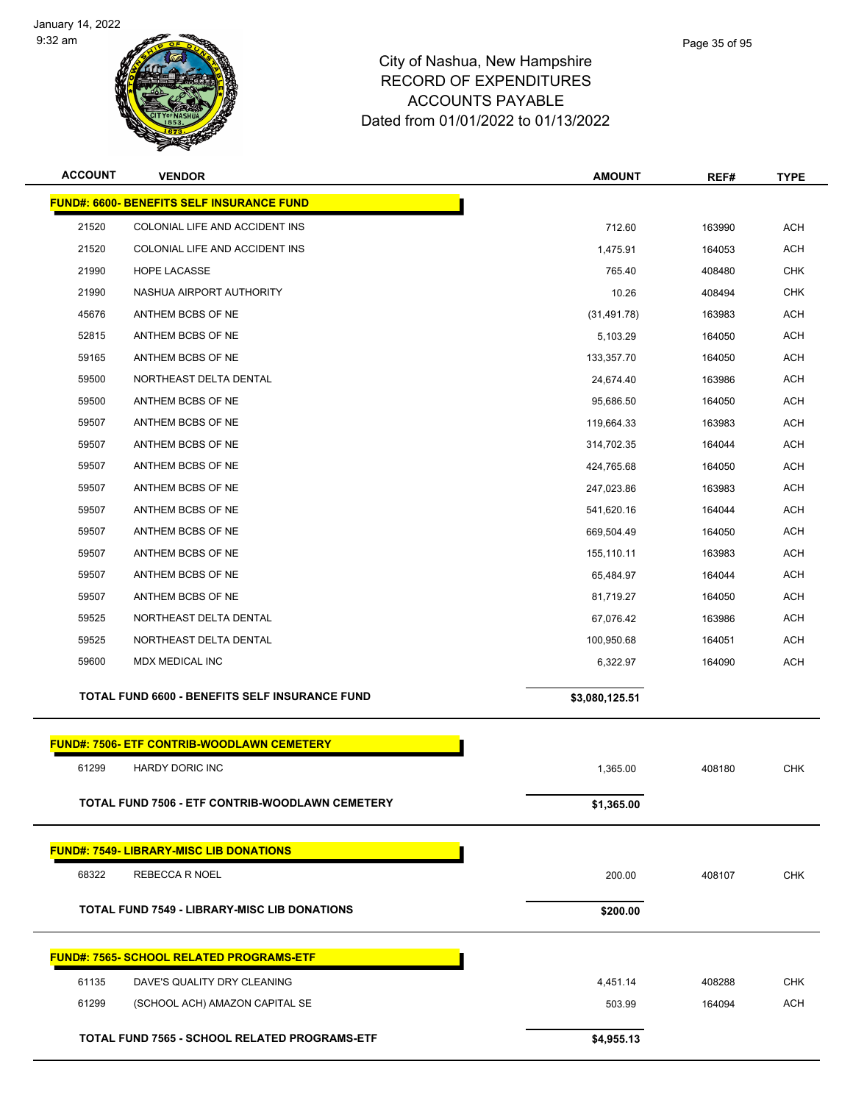



| <b>ACCOUNT</b> | <b>VENDOR</b>                                       | <b>AMOUNT</b>  | REF#             | <b>TYPE</b>       |
|----------------|-----------------------------------------------------|----------------|------------------|-------------------|
|                | <b>FUND#: 6600- BENEFITS SELF INSURANCE FUND</b>    |                |                  |                   |
| 21520          | COLONIAL LIFE AND ACCIDENT INS                      | 712.60         | 163990           | <b>ACH</b>        |
| 21520          | COLONIAL LIFE AND ACCIDENT INS                      | 1,475.91       | 164053           | <b>ACH</b>        |
| 21990          | <b>HOPE LACASSE</b>                                 | 765.40         | 408480           | <b>CHK</b>        |
| 21990          | NASHUA AIRPORT AUTHORITY                            | 10.26          | 408494           | <b>CHK</b>        |
| 45676          | ANTHEM BCBS OF NE                                   | (31, 491.78)   | 163983           | <b>ACH</b>        |
| 52815          | ANTHEM BCBS OF NE                                   | 5,103.29       | 164050           | ACH               |
| 59165          | ANTHEM BCBS OF NE                                   | 133,357.70     | 164050           | <b>ACH</b>        |
| 59500          | NORTHEAST DELTA DENTAL                              | 24,674.40      | 163986           | <b>ACH</b>        |
| 59500          | ANTHEM BCBS OF NE                                   | 95,686.50      | 164050           | <b>ACH</b>        |
| 59507          | ANTHEM BCBS OF NE                                   | 119,664.33     | 163983           | <b>ACH</b>        |
| 59507          | ANTHEM BCBS OF NE                                   | 314,702.35     | 164044           | ACH               |
| 59507          | ANTHEM BCBS OF NE                                   | 424,765.68     | 164050           | <b>ACH</b>        |
| 59507          | ANTHEM BCBS OF NE                                   | 247,023.86     | 163983           | <b>ACH</b>        |
| 59507          | ANTHEM BCBS OF NE                                   | 541,620.16     | 164044           | <b>ACH</b>        |
| 59507          | ANTHEM BCBS OF NE                                   | 669,504.49     | 164050           | <b>ACH</b>        |
| 59507          | ANTHEM BCBS OF NE                                   | 155,110.11     | 163983           | ACH               |
| 59507          | ANTHEM BCBS OF NE                                   | 65,484.97      | 164044           | <b>ACH</b>        |
| 59507          | ANTHEM BCBS OF NE                                   | 81,719.27      | 164050           | <b>ACH</b>        |
| 59525          | NORTHEAST DELTA DENTAL                              | 67,076.42      | 163986           | <b>ACH</b>        |
| 59525          | NORTHEAST DELTA DENTAL                              | 100,950.68     | 164051           | <b>ACH</b>        |
| 59600          | MDX MEDICAL INC                                     | 6,322.97       | 164090           | ACH               |
|                | TOTAL FUND 6600 - BENEFITS SELF INSURANCE FUND      | \$3,080,125.51 |                  |                   |
|                | <b>FUND#: 7506- ETF CONTRIB-WOODLAWN CEMETERY</b>   |                |                  |                   |
| 61299          | <b>HARDY DORIC INC</b>                              | 1,365.00       | 408180           | CHK               |
|                |                                                     |                |                  |                   |
|                | TOTAL FUND 7506 - ETF CONTRIB-WOODLAWN CEMETERY     | \$1,365.00     |                  |                   |
|                | <b>FUND#: 7549- LIBRARY-MISC LIB DONATIONS</b>      |                |                  |                   |
| 68322          | REBECCA R NOEL                                      | 200.00         | 408107           | <b>CHK</b>        |
|                | <b>TOTAL FUND 7549 - LIBRARY-MISC LIB DONATIONS</b> | \$200.00       |                  |                   |
|                | <b>FUND#: 7565- SCHOOL RELATED PROGRAMS-ETF</b>     |                |                  |                   |
|                |                                                     |                |                  |                   |
| 61135<br>61299 | DAVE'S QUALITY DRY CLEANING                         | 4,451.14       | 408288<br>164094 | <b>CHK</b><br>ACH |
|                | (SCHOOL ACH) AMAZON CAPITAL SE                      | 503.99         |                  |                   |
|                | TOTAL FUND 7565 - SCHOOL RELATED PROGRAMS-ETF       | \$4,955.13     |                  |                   |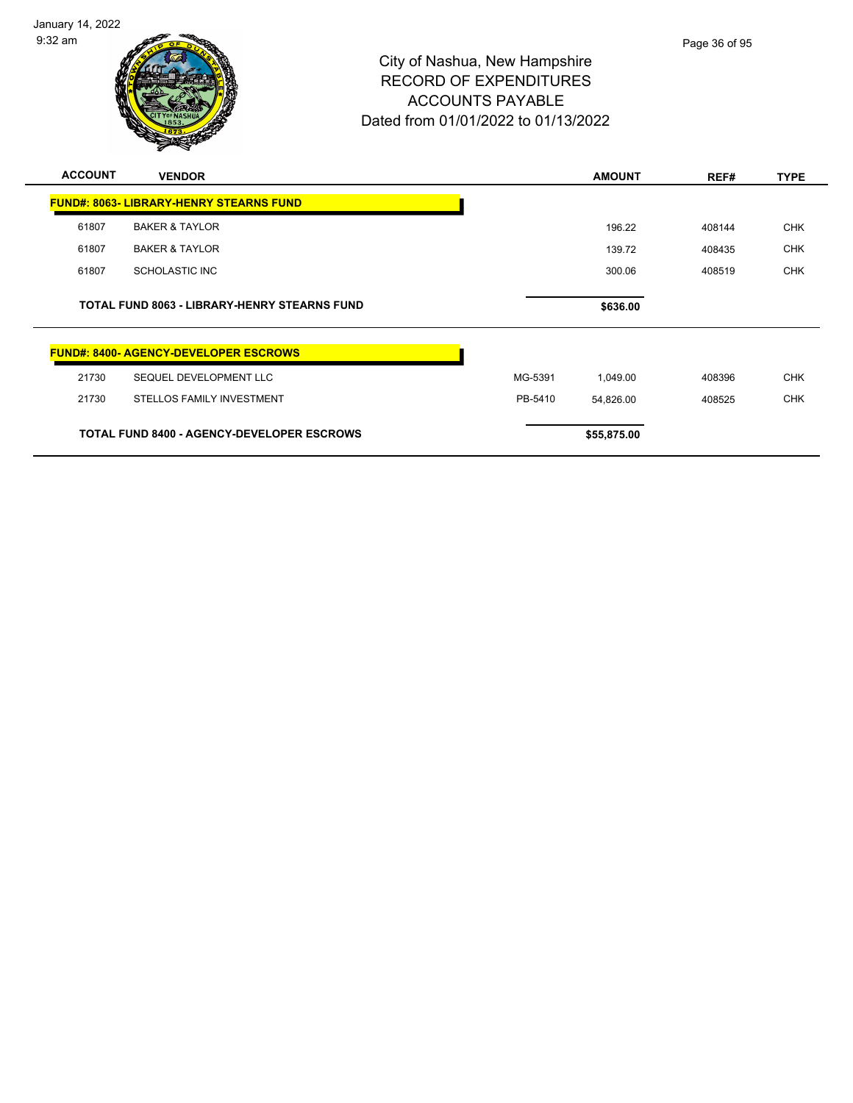January 14, 2022 9:32 am



| <b>ACCOUNT</b> | <b>VENDOR</b>                                       |         | <b>AMOUNT</b> | REF#   | <b>TYPE</b> |
|----------------|-----------------------------------------------------|---------|---------------|--------|-------------|
|                | <b>FUND#: 8063- LIBRARY-HENRY STEARNS FUND</b>      |         |               |        |             |
| 61807          | <b>BAKER &amp; TAYLOR</b>                           |         | 196.22        | 408144 | <b>CHK</b>  |
| 61807          | <b>BAKER &amp; TAYLOR</b>                           |         | 139.72        | 408435 | <b>CHK</b>  |
| 61807          | <b>SCHOLASTIC INC</b>                               |         | 300.06        | 408519 | <b>CHK</b>  |
|                | <b>TOTAL FUND 8063 - LIBRARY-HENRY STEARNS FUND</b> |         | \$636.00      |        |             |
|                | <b>FUND#: 8400- AGENCY-DEVELOPER ESCROWS</b>        |         |               |        |             |
| 21730          | SEQUEL DEVELOPMENT LLC                              | MG-5391 | 1,049.00      | 408396 | <b>CHK</b>  |
| 21730          | STELLOS FAMILY INVESTMENT                           | PB-5410 | 54,826.00     | 408525 | <b>CHK</b>  |
|                | <b>TOTAL FUND 8400 - AGENCY-DEVELOPER ESCROWS</b>   |         | \$55,875.00   |        |             |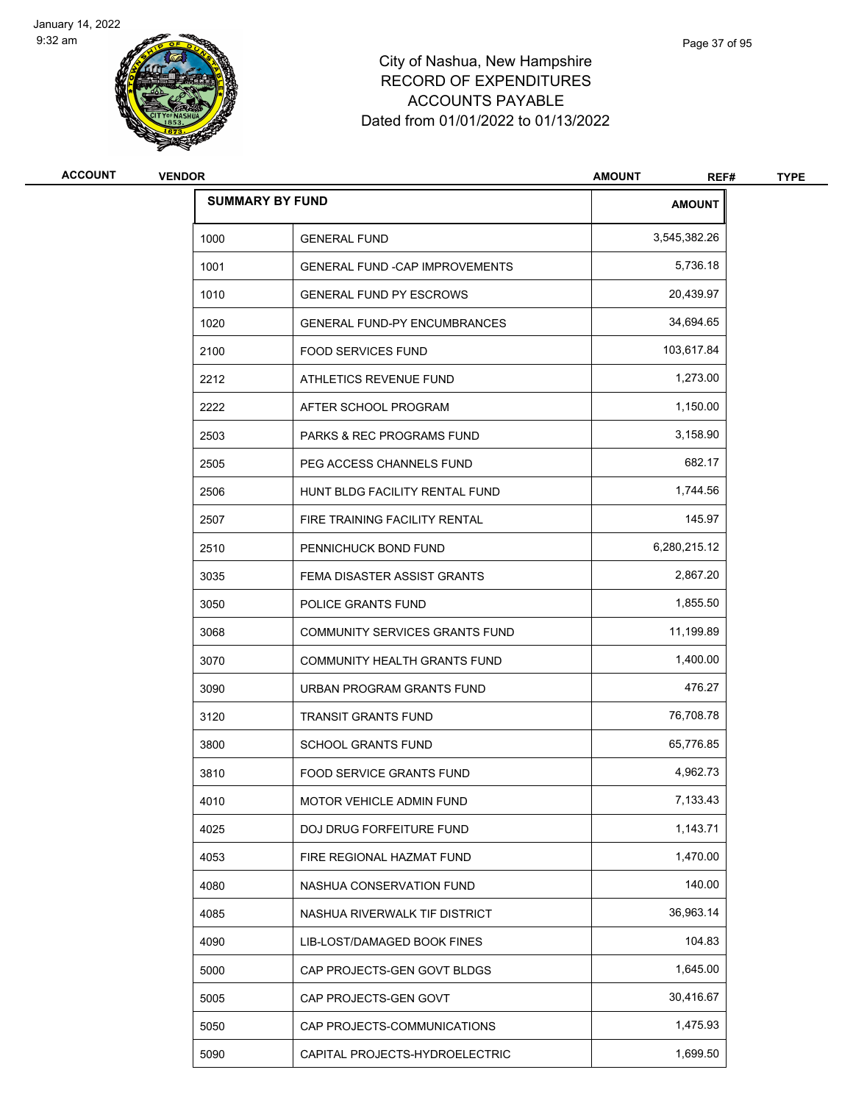

# City of Nashua, New Hampshire RECORD OF EXPENDITURES ACCOUN Dated from 01/0

|                |               |                                       | <b>ACCOUNTS PAYABLE</b><br>Dated from 01/01/2022 to 01/13/2022 |               |             |  |
|----------------|---------------|---------------------------------------|----------------------------------------------------------------|---------------|-------------|--|
| <b>ACCOUNT</b> | <b>VENDOR</b> |                                       | <b>AMOUNT</b>                                                  | REF#          | <b>TYPE</b> |  |
|                |               | <b>SUMMARY BY FUND</b>                |                                                                | <b>AMOUNT</b> |             |  |
|                | 1000          | <b>GENERAL FUND</b>                   |                                                                | 3,545,382.26  |             |  |
|                | 1001          | <b>GENERAL FUND -CAP IMPROVEMENTS</b> |                                                                | 5,736.18      |             |  |
|                | 1010          | <b>GENERAL FUND PY ESCROWS</b>        |                                                                | 20,439.97     |             |  |
|                | 1020          | <b>GENERAL FUND-PY ENCUMBRANCES</b>   |                                                                | 34,694.65     |             |  |

| 1000 | <b>GENERAL FUND</b>                    | 3,545,382.26 |
|------|----------------------------------------|--------------|
| 1001 | <b>GENERAL FUND - CAP IMPROVEMENTS</b> | 5,736.18     |
| 1010 | <b>GENERAL FUND PY ESCROWS</b>         | 20,439.97    |
| 1020 | <b>GENERAL FUND-PY ENCUMBRANCES</b>    | 34,694.65    |
| 2100 | <b>FOOD SERVICES FUND</b>              | 103,617.84   |
| 2212 | ATHLETICS REVENUE FUND                 | 1,273.00     |
| 2222 | AFTER SCHOOL PROGRAM                   | 1,150.00     |
| 2503 | <b>PARKS &amp; REC PROGRAMS FUND</b>   | 3,158.90     |
| 2505 | PEG ACCESS CHANNELS FUND               | 682.17       |
| 2506 | HUNT BLDG FACILITY RENTAL FUND         | 1,744.56     |
| 2507 | FIRE TRAINING FACILITY RENTAL          | 145.97       |
| 2510 | PENNICHUCK BOND FUND                   | 6,280,215.12 |
| 3035 | FEMA DISASTER ASSIST GRANTS            | 2,867.20     |
| 3050 | POLICE GRANTS FUND                     | 1,855.50     |
| 3068 | <b>COMMUNITY SERVICES GRANTS FUND</b>  | 11,199.89    |
| 3070 | <b>COMMUNITY HEALTH GRANTS FUND</b>    | 1,400.00     |
| 3090 | URBAN PROGRAM GRANTS FUND              | 476.27       |
| 3120 | <b>TRANSIT GRANTS FUND</b>             | 76,708.78    |
| 3800 | <b>SCHOOL GRANTS FUND</b>              | 65,776.85    |
| 3810 | <b>FOOD SERVICE GRANTS FUND</b>        | 4,962.73     |
| 4010 | <b>MOTOR VEHICLE ADMIN FUND</b>        | 7,133.43     |
| 4025 | <b>DOJ DRUG FORFEITURE FUND</b>        | 1,143.71     |
| 4053 | FIRE REGIONAL HAZMAT FUND              | 1,470.00     |
| 4080 | NASHUA CONSERVATION FUND               | 140.00       |
| 4085 | NASHUA RIVERWALK TIF DISTRICT          | 36,963.14    |
| 4090 | <b>LIB-LOST/DAMAGED BOOK FINES</b>     | 104.83       |
| 5000 | CAP PROJECTS-GEN GOVT BLDGS            | 1,645.00     |
| 5005 | CAP PROJECTS-GEN GOVT                  | 30,416.67    |
| 5050 | CAP PROJECTS-COMMUNICATIONS            | 1,475.93     |
| 5090 | CAPITAL PROJECTS-HYDROELECTRIC         | 1,699.50     |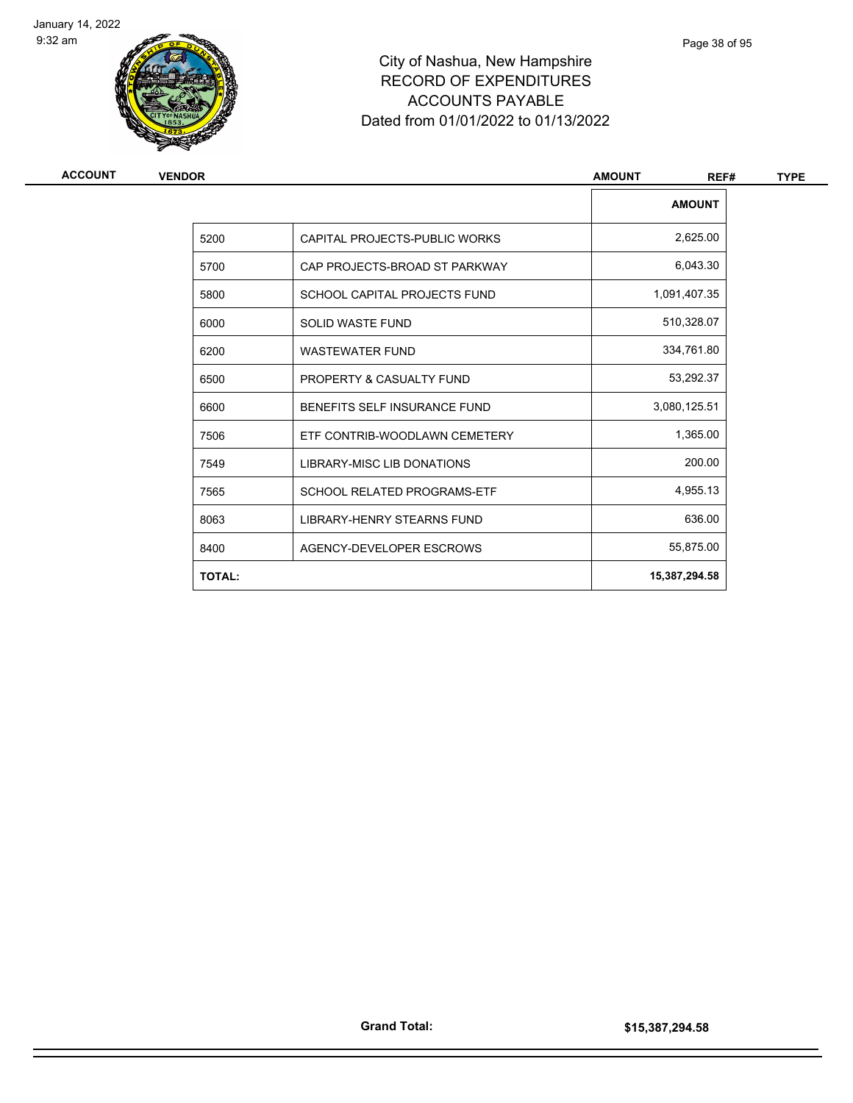



# City of Nashua, New Hampshire RECORD OF EXPENDITURES ACCOUNTS PAYABLE Dated from 01/01/2022 to 01/13/2022

| ACCOUNT | <b>VENDOR</b> |                                    | <b>AMOUNT</b><br>REF# | <b>TYPE</b> |  |
|---------|---------------|------------------------------------|-----------------------|-------------|--|
|         |               |                                    | <b>AMOUNT</b>         |             |  |
|         | 5200          | CAPITAL PROJECTS-PUBLIC WORKS      | 2,625.00              |             |  |
|         | 5700          | CAP PROJECTS-BROAD ST PARKWAY      | 6,043.30              |             |  |
|         | 5800          | SCHOOL CAPITAL PROJECTS FUND       | 1,091,407.35          |             |  |
|         | 6000          | <b>SOLID WASTE FUND</b>            | 510,328.07            |             |  |
|         | 6200          | <b>WASTEWATER FUND</b>             | 334,761.80            |             |  |
|         | 6500          | PROPERTY & CASUALTY FUND           | 53,292.37             |             |  |
|         | 6600          | BENEFITS SELF INSURANCE FUND       | 3,080,125.51          |             |  |
|         | 7506          | ETF CONTRIB-WOODLAWN CEMETERY      | 1,365.00              |             |  |
|         | 7549          | <b>LIBRARY-MISC LIB DONATIONS</b>  | 200.00                |             |  |
|         | 7565          | <b>SCHOOL RELATED PROGRAMS-ETF</b> | 4,955.13              |             |  |
|         | 8063          | LIBRARY-HENRY STEARNS FUND         | 636.00                |             |  |
|         | 8400          | AGENCY-DEVELOPER ESCROWS           | 55,875.00             |             |  |
|         | <b>TOTAL:</b> |                                    | 15,387,294.58         |             |  |
|         |               |                                    |                       |             |  |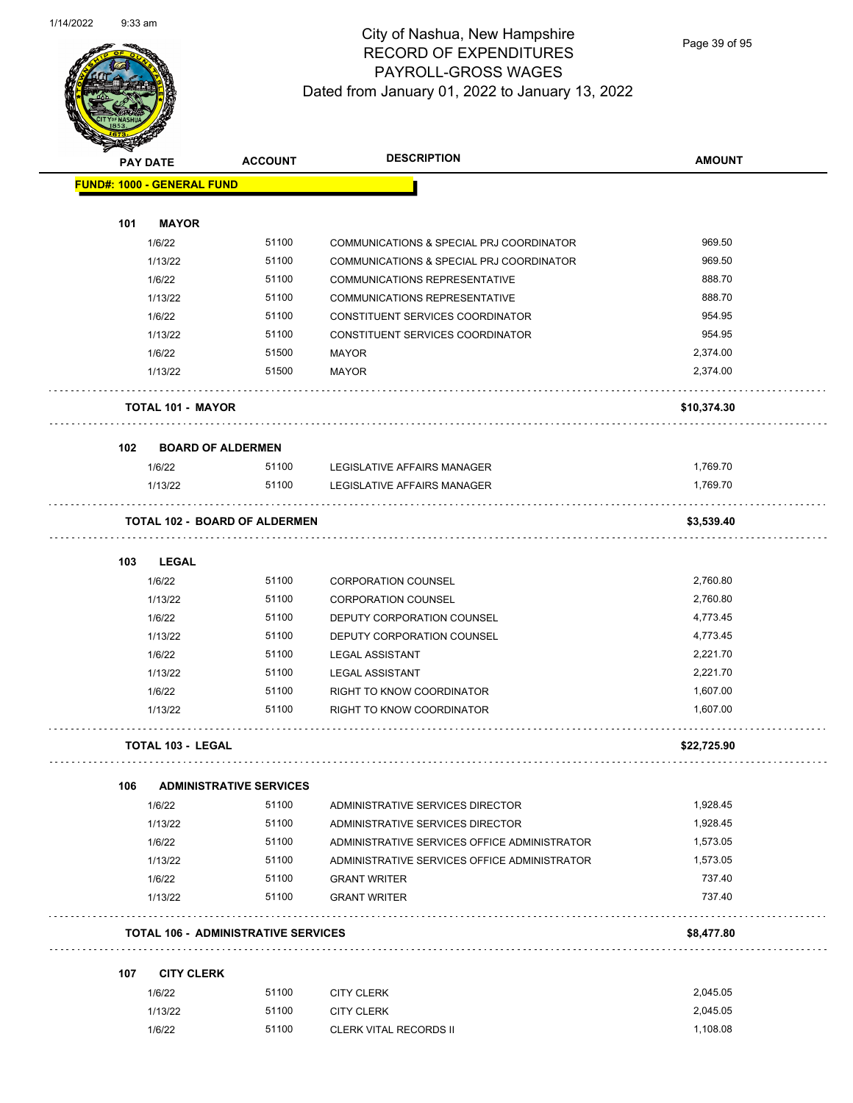

Page 39 of 95

|     | <b>PAY DATE</b>                   | <b>ACCOUNT</b>                             | <b>DESCRIPTION</b>                           | <b>AMOUNT</b> |
|-----|-----------------------------------|--------------------------------------------|----------------------------------------------|---------------|
|     | <b>FUND#: 1000 - GENERAL FUND</b> |                                            |                                              |               |
| 101 | <b>MAYOR</b>                      |                                            |                                              |               |
|     | 1/6/22                            | 51100                                      | COMMUNICATIONS & SPECIAL PRJ COORDINATOR     | 969.50        |
|     | 1/13/22                           | 51100                                      | COMMUNICATIONS & SPECIAL PRJ COORDINATOR     | 969.50        |
|     | 1/6/22                            | 51100                                      | <b>COMMUNICATIONS REPRESENTATIVE</b>         | 888.70        |
|     | 1/13/22                           | 51100                                      | <b>COMMUNICATIONS REPRESENTATIVE</b>         | 888.70        |
|     | 1/6/22                            | 51100                                      | CONSTITUENT SERVICES COORDINATOR             | 954.95        |
|     | 1/13/22                           | 51100                                      | CONSTITUENT SERVICES COORDINATOR             | 954.95        |
|     | 1/6/22                            | 51500                                      | <b>MAYOR</b>                                 | 2,374.00      |
|     | 1/13/22                           | 51500                                      | <b>MAYOR</b>                                 | 2,374.00      |
|     | <b>TOTAL 101 - MAYOR</b>          |                                            |                                              | \$10,374.30   |
|     |                                   |                                            |                                              |               |
| 102 | <b>BOARD OF ALDERMEN</b>          |                                            |                                              |               |
|     | 1/6/22                            | 51100                                      | LEGISLATIVE AFFAIRS MANAGER                  | 1,769.70      |
|     | 1/13/22                           | 51100                                      | LEGISLATIVE AFFAIRS MANAGER                  | 1,769.70      |
|     |                                   | <b>TOTAL 102 - BOARD OF ALDERMEN</b>       |                                              | \$3,539.40    |
| 103 | <b>LEGAL</b>                      |                                            |                                              |               |
|     | 1/6/22                            | 51100                                      | <b>CORPORATION COUNSEL</b>                   | 2,760.80      |
|     | 1/13/22                           | 51100                                      | <b>CORPORATION COUNSEL</b>                   | 2,760.80      |
|     | 1/6/22                            | 51100                                      | DEPUTY CORPORATION COUNSEL                   | 4,773.45      |
|     | 1/13/22                           | 51100                                      | DEPUTY CORPORATION COUNSEL                   | 4,773.45      |
|     | 1/6/22                            | 51100                                      | <b>LEGAL ASSISTANT</b>                       | 2,221.70      |
|     | 1/13/22                           | 51100                                      | <b>LEGAL ASSISTANT</b>                       | 2,221.70      |
|     | 1/6/22                            | 51100                                      | RIGHT TO KNOW COORDINATOR                    | 1,607.00      |
|     | 1/13/22                           | 51100                                      | RIGHT TO KNOW COORDINATOR                    | 1,607.00      |
|     | TOTAL 103 - LEGAL                 |                                            |                                              | \$22,725.90   |
| 106 |                                   | <b>ADMINISTRATIVE SERVICES</b>             |                                              |               |
|     | 1/6/22                            | 51100                                      | ADMINISTRATIVE SERVICES DIRECTOR             | 1,928.45      |
|     | 1/13/22                           | 51100                                      | ADMINISTRATIVE SERVICES DIRECTOR             | 1,928.45      |
|     | 1/6/22                            | 51100                                      | ADMINISTRATIVE SERVICES OFFICE ADMINISTRATOR | 1,573.05      |
|     | 1/13/22                           | 51100                                      | ADMINISTRATIVE SERVICES OFFICE ADMINISTRATOR | 1,573.05      |
|     | 1/6/22                            | 51100                                      | <b>GRANT WRITER</b>                          | 737.40        |
|     | 1/13/22                           | 51100                                      | <b>GRANT WRITER</b>                          | 737.40        |
|     |                                   | <b>TOTAL 106 - ADMINISTRATIVE SERVICES</b> |                                              | \$8,477.80    |
|     |                                   |                                            |                                              |               |
| 107 | <b>CITY CLERK</b><br>1/6/22       | 51100                                      | <b>CITY CLERK</b>                            | 2,045.05      |
|     | 1/13/22                           | 51100                                      | <b>CITY CLERK</b>                            | 2,045.05      |
|     | 1/6/22                            | 51100                                      | <b>CLERK VITAL RECORDS II</b>                | 1,108.08      |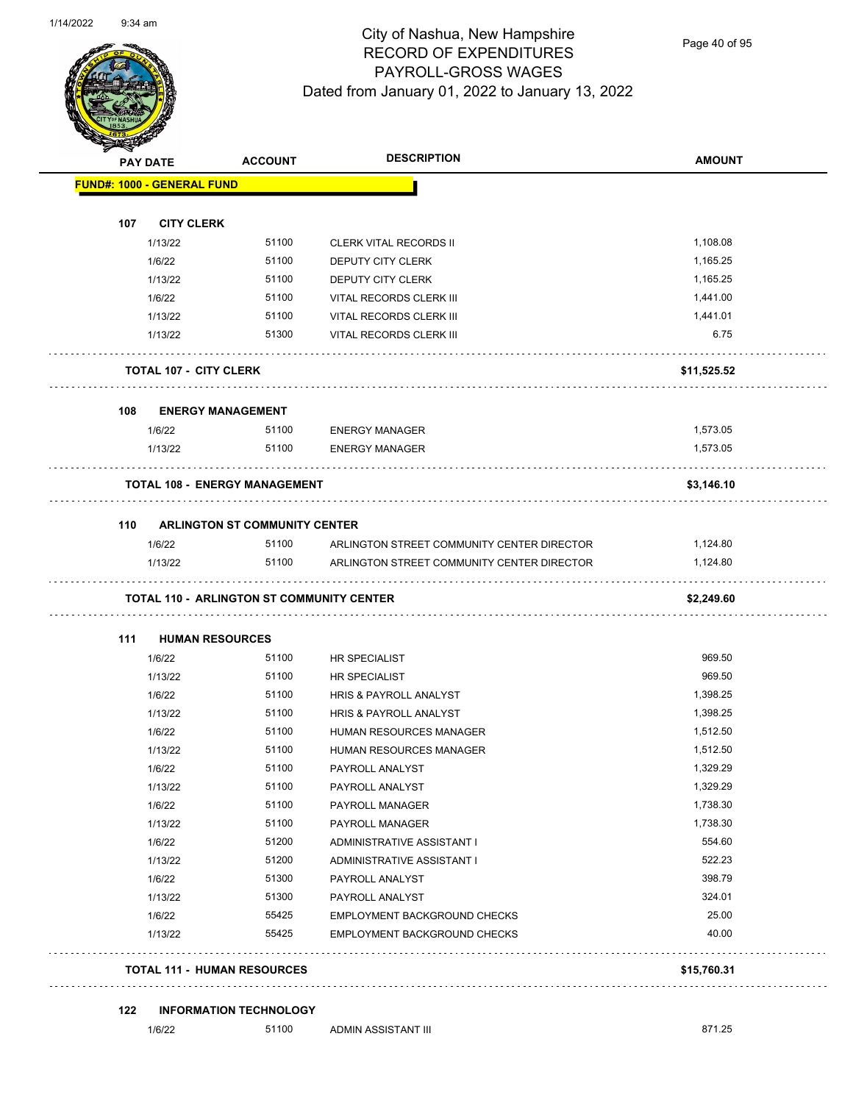

Page 40 of 95

|     | <b>PAY DATE</b>                   | <b>ACCOUNT</b>                                   | <b>DESCRIPTION</b>                         | <b>AMOUNT</b>    |
|-----|-----------------------------------|--------------------------------------------------|--------------------------------------------|------------------|
|     | <b>FUND#: 1000 - GENERAL FUND</b> |                                                  |                                            |                  |
|     |                                   |                                                  |                                            |                  |
| 107 | <b>CITY CLERK</b>                 |                                                  |                                            |                  |
|     | 1/13/22                           | 51100                                            | <b>CLERK VITAL RECORDS II</b>              | 1,108.08         |
|     | 1/6/22                            | 51100                                            | <b>DEPUTY CITY CLERK</b>                   | 1,165.25         |
|     | 1/13/22                           | 51100                                            | DEPUTY CITY CLERK                          | 1,165.25         |
|     | 1/6/22                            | 51100                                            | VITAL RECORDS CLERK III                    | 1,441.00         |
|     | 1/13/22                           | 51100<br>51300                                   | VITAL RECORDS CLERK III                    | 1,441.01<br>6.75 |
|     | 1/13/22                           |                                                  | VITAL RECORDS CLERK III                    |                  |
|     | <b>TOTAL 107 - CITY CLERK</b>     |                                                  |                                            | \$11,525.52      |
| 108 |                                   | <b>ENERGY MANAGEMENT</b>                         |                                            |                  |
|     | 1/6/22                            | 51100                                            | <b>ENERGY MANAGER</b>                      | 1,573.05         |
|     | 1/13/22                           | 51100                                            | <b>ENERGY MANAGER</b>                      | 1,573.05         |
|     |                                   | <b>TOTAL 108 - ENERGY MANAGEMENT</b>             |                                            | \$3,146.10       |
|     |                                   |                                                  |                                            |                  |
| 110 | 1/6/22                            | <b>ARLINGTON ST COMMUNITY CENTER</b><br>51100    | ARLINGTON STREET COMMUNITY CENTER DIRECTOR | 1,124.80         |
|     | 1/13/22                           | 51100                                            | ARLINGTON STREET COMMUNITY CENTER DIRECTOR | 1,124.80         |
|     |                                   | <b>TOTAL 110 - ARLINGTON ST COMMUNITY CENTER</b> |                                            | \$2,249.60       |
| 111 |                                   | <b>HUMAN RESOURCES</b>                           |                                            |                  |
|     | 1/6/22                            | 51100                                            | HR SPECIALIST                              | 969.50           |
|     | 1/13/22                           | 51100                                            | HR SPECIALIST                              | 969.50           |
|     | 1/6/22                            | 51100                                            | HRIS & PAYROLL ANALYST                     | 1,398.25         |
|     | 1/13/22                           | 51100                                            | HRIS & PAYROLL ANALYST                     | 1,398.25         |
|     | 1/6/22                            | 51100                                            | HUMAN RESOURCES MANAGER                    | 1,512.50         |
|     | 1/13/22                           | 51100                                            | HUMAN RESOURCES MANAGER                    | 1,512.50         |
|     | 1/6/22                            | 51100                                            | PAYROLL ANALYST                            | 1,329.29         |
|     | 1/13/22                           | 51100                                            | PAYROLL ANALYST                            | 1,329.29         |
|     | 1/6/22                            | 51100                                            | PAYROLL MANAGER                            | 1,738.30         |
|     | 1/13/22                           | 51100                                            | PAYROLL MANAGER                            | 1,738.30         |
|     | 1/6/22                            | 51200                                            | ADMINISTRATIVE ASSISTANT I                 | 554.60           |
|     | 1/13/22                           | 51200                                            | ADMINISTRATIVE ASSISTANT I                 | 522.23           |
|     | 1/6/22                            | 51300                                            | PAYROLL ANALYST                            | 398.79           |
|     | 1/13/22                           | 51300                                            | PAYROLL ANALYST                            | 324.01           |
|     | 1/6/22                            | 55425                                            | <b>EMPLOYMENT BACKGROUND CHECKS</b>        | 25.00            |
|     | 1/13/22                           | 55425                                            | EMPLOYMENT BACKGROUND CHECKS               | 40.00            |
|     |                                   | <b>TOTAL 111 - HUMAN RESOURCES</b>               |                                            | \$15,760.31      |
| 122 |                                   | <b>INFORMATION TECHNOLOGY</b>                    |                                            |                  |
|     | 1/6/22                            | 51100                                            | ADMIN ASSISTANT III                        | 871.25           |
|     |                                   |                                                  |                                            |                  |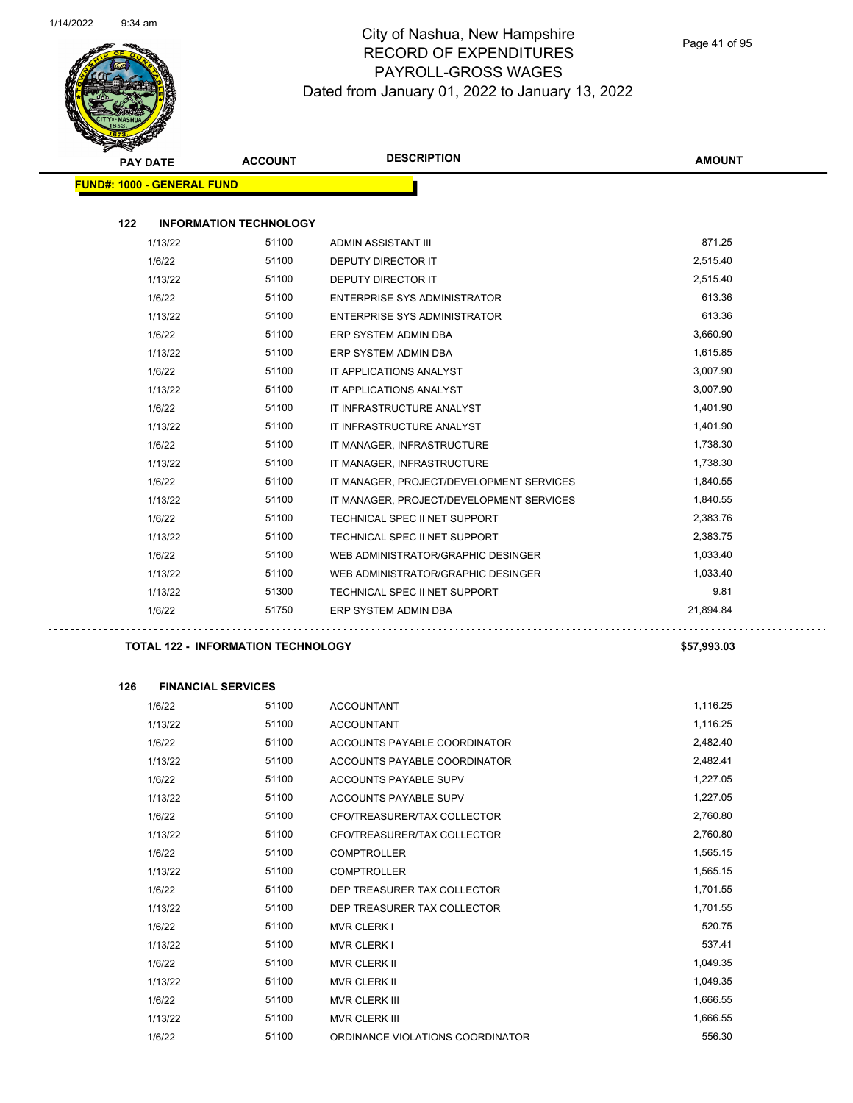

# City of Nashua, New Hampshire RECORD OF EXPENDITURES PAYROLL-GROSS WAGES Dated from January 01, 2022 to January 13, 2022

Page 41 of 95

| <b>STARBAN</b>                    |                 |                                    |                                          |               |
|-----------------------------------|-----------------|------------------------------------|------------------------------------------|---------------|
|                                   | <b>PAY DATE</b> | <b>ACCOUNT</b>                     | <b>DESCRIPTION</b>                       | <b>AMOUNT</b> |
| <b>FUND#: 1000 - GENERAL FUND</b> |                 |                                    |                                          |               |
|                                   |                 |                                    |                                          |               |
| 122                               |                 | <b>INFORMATION TECHNOLOGY</b>      |                                          |               |
|                                   | 1/13/22         | 51100                              | ADMIN ASSISTANT III                      | 871.25        |
|                                   | 1/6/22          | 51100                              | DEPUTY DIRECTOR IT                       | 2,515.40      |
|                                   | 1/13/22         | 51100                              | DEPUTY DIRECTOR IT                       | 2,515.40      |
|                                   | 1/6/22          | 51100                              | ENTERPRISE SYS ADMINISTRATOR             | 613.36        |
|                                   | 1/13/22         | 51100                              | ENTERPRISE SYS ADMINISTRATOR             | 613.36        |
|                                   | 1/6/22          | 51100                              | ERP SYSTEM ADMIN DBA                     | 3,660.90      |
|                                   | 1/13/22         | 51100                              | ERP SYSTEM ADMIN DBA                     | 1,615.85      |
|                                   | 1/6/22          | 51100                              | IT APPLICATIONS ANALYST                  | 3,007.90      |
|                                   | 1/13/22         | 51100                              | IT APPLICATIONS ANALYST                  | 3,007.90      |
|                                   | 1/6/22          | 51100                              | IT INFRASTRUCTURE ANALYST                | 1,401.90      |
|                                   | 1/13/22         | 51100                              | IT INFRASTRUCTURE ANALYST                | 1,401.90      |
|                                   | 1/6/22          | 51100                              | IT MANAGER, INFRASTRUCTURE               | 1,738.30      |
|                                   | 1/13/22         | 51100                              | IT MANAGER, INFRASTRUCTURE               | 1,738.30      |
|                                   | 1/6/22          | 51100                              | IT MANAGER, PROJECT/DEVELOPMENT SERVICES | 1,840.55      |
|                                   | 1/13/22         | 51100                              | IT MANAGER, PROJECT/DEVELOPMENT SERVICES | 1,840.55      |
|                                   | 1/6/22          | 51100                              | TECHNICAL SPEC II NET SUPPORT            | 2,383.76      |
|                                   | 1/13/22         | 51100                              | TECHNICAL SPEC II NET SUPPORT            | 2,383.75      |
|                                   | 1/6/22          | 51100                              | WEB ADMINISTRATOR/GRAPHIC DESINGER       | 1,033.40      |
|                                   | 1/13/22         | 51100                              | WEB ADMINISTRATOR/GRAPHIC DESINGER       | 1,033.40      |
|                                   | 1/13/22         | 51300                              | TECHNICAL SPEC II NET SUPPORT            | 9.81          |
|                                   | 1/6/22          | 51750                              | ERP SYSTEM ADMIN DBA                     | 21,894.84     |
|                                   |                 | TOTAL 122 - INFORMATION TECHNOLOGY |                                          | \$57,993.03   |
|                                   |                 |                                    |                                          |               |
| 126                               |                 | <b>FINANCIAL SERVICES</b>          |                                          |               |
|                                   | 1/6/22          | 51100                              | <b>ACCOUNTANT</b>                        | 1,116.25      |
|                                   | 1/13/22         | 51100                              | <b>ACCOUNTANT</b>                        | 1,116.25      |
|                                   | 1/6/22          | 51100                              | ACCOUNTS PAYABLE COORDINATOR             | 2,482.40      |
|                                   | 1/13/22         | 51100                              | ACCOUNTS PAYABLE COORDINATOR             | 2,482.41      |
|                                   | 1/6/22          | 51100                              | ACCOUNTS PAYABLE SUPV                    | 1,227.05      |
|                                   | 1/13/22         | 51100                              | ACCOUNTS PAYABLE SUPV                    | 1,227.05      |
|                                   | 1/6/22          | 51100                              | CFO/TREASURER/TAX COLLECTOR              | 2,760.80      |
|                                   | 1/13/22         | 51100                              | CFO/TREASURER/TAX COLLECTOR              | 2,760.80      |
|                                   | 1/6/22          | 51100                              | COMPTROLLER                              | 1,565.15      |
|                                   | 1/13/22         | 51100                              | COMPTROLLER                              | 1,565.15      |
|                                   | 1/6/22          | 51100                              | DEP TREASURER TAX COLLECTOR              | 1,701.55      |
|                                   | 1/13/22         | 51100                              | DEP TREASURER TAX COLLECTOR              | 1,701.55      |
|                                   | 1/6/22          | 51100                              | <b>MVR CLERK I</b>                       | 520.75        |
|                                   | 1/13/22         | 51100                              | MVR CLERK I                              | 537.41        |
|                                   | 1/6/22          | 51100                              | MVR CLERK II                             | 1,049.35      |
|                                   | 1/13/22         | 51100                              | MVR CLERK II                             | 1,049.35      |
|                                   | 1/6/22          | 51100                              | MVR CLERK III                            | 1,666.55      |

1/13/22 51100 MVR CLERK III 1,666.55 1/6/22 51100 ORDINANCE VIOLATIONS COORDINATOR 556.30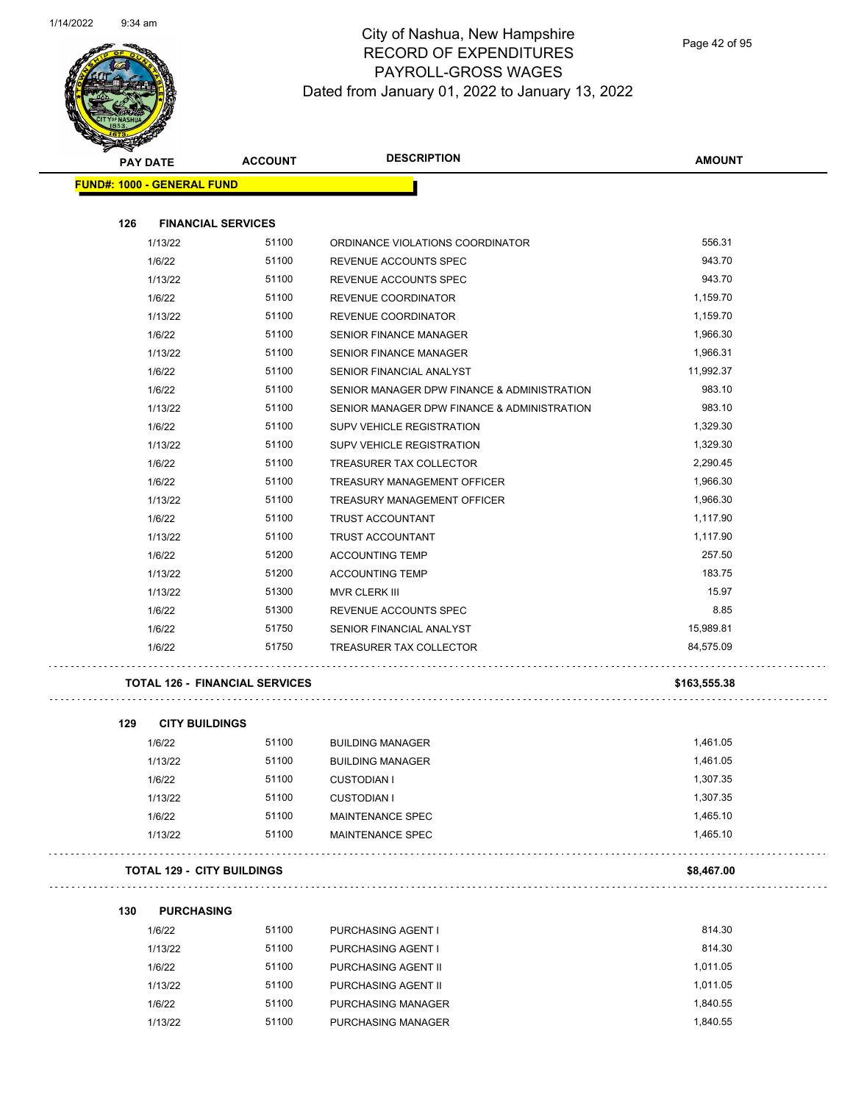

Page 42 of 95

| Q,<br>T                           |                                       |                                             |               |
|-----------------------------------|---------------------------------------|---------------------------------------------|---------------|
| <b>PAY DATE</b>                   | <b>ACCOUNT</b>                        | <b>DESCRIPTION</b>                          | <b>AMOUNT</b> |
| <b>FUND#: 1000 - GENERAL FUND</b> |                                       |                                             |               |
|                                   |                                       |                                             |               |
| 126                               | <b>FINANCIAL SERVICES</b>             |                                             |               |
| 1/13/22                           | 51100                                 | ORDINANCE VIOLATIONS COORDINATOR            | 556.31        |
| 1/6/22                            | 51100                                 | REVENUE ACCOUNTS SPEC                       | 943.70        |
| 1/13/22                           | 51100                                 | REVENUE ACCOUNTS SPEC                       | 943.70        |
| 1/6/22                            | 51100                                 | REVENUE COORDINATOR                         | 1,159.70      |
| 1/13/22                           | 51100                                 | REVENUE COORDINATOR                         | 1,159.70      |
| 1/6/22                            | 51100                                 | SENIOR FINANCE MANAGER                      | 1,966.30      |
| 1/13/22                           | 51100                                 | SENIOR FINANCE MANAGER                      | 1,966.31      |
| 1/6/22                            | 51100                                 | SENIOR FINANCIAL ANALYST                    | 11,992.37     |
| 1/6/22                            | 51100                                 | SENIOR MANAGER DPW FINANCE & ADMINISTRATION | 983.10        |
| 1/13/22                           | 51100                                 | SENIOR MANAGER DPW FINANCE & ADMINISTRATION | 983.10        |
| 1/6/22                            | 51100                                 | <b>SUPV VEHICLE REGISTRATION</b>            | 1,329.30      |
| 1/13/22                           | 51100                                 | SUPV VEHICLE REGISTRATION                   | 1,329.30      |
| 1/6/22                            | 51100                                 | TREASURER TAX COLLECTOR                     | 2,290.45      |
| 1/6/22                            | 51100                                 | TREASURY MANAGEMENT OFFICER                 | 1,966.30      |
| 1/13/22                           | 51100                                 | TREASURY MANAGEMENT OFFICER                 | 1,966.30      |
| 1/6/22                            | 51100                                 | TRUST ACCOUNTANT                            | 1,117.90      |
| 1/13/22                           | 51100                                 | TRUST ACCOUNTANT                            | 1,117.90      |
| 1/6/22                            | 51200                                 | <b>ACCOUNTING TEMP</b>                      | 257.50        |
| 1/13/22                           | 51200                                 | <b>ACCOUNTING TEMP</b>                      | 183.75        |
| 1/13/22                           | 51300                                 | <b>MVR CLERK III</b>                        | 15.97         |
| 1/6/22                            | 51300                                 | REVENUE ACCOUNTS SPEC                       | 8.85          |
| 1/6/22                            | 51750                                 | SENIOR FINANCIAL ANALYST                    | 15,989.81     |
| 1/6/22                            | 51750                                 | TREASURER TAX COLLECTOR                     | 84,575.09     |
|                                   | <b>TOTAL 126 - FINANCIAL SERVICES</b> |                                             | \$163,555.38  |
| 129<br><b>CITY BUILDINGS</b>      |                                       |                                             |               |
| 1/6/22                            | 51100                                 | <b>BUILDING MANAGER</b>                     | 1,461.05      |
| 1/13/22                           | 51100                                 | <b>BUILDING MANAGER</b>                     | 1,461.05      |
| 1/6/22                            | 51100                                 | <b>CUSTODIAN I</b>                          | 1,307.35      |
| 1/13/22                           | 51100                                 | <b>CUSTODIAN I</b>                          | 1,307.35      |

| <b>TOTAL 129 -</b><br><b>CITY BUILDINGS</b> | \$8.467.00 |
|---------------------------------------------|------------|
|                                             | .          |

#### **130 PURCHASING**

| 1/6/22  | 51100 | <b>PURCHASING AGENT I</b> | 814.30   |
|---------|-------|---------------------------|----------|
| 1/13/22 | 51100 | <b>PURCHASING AGENT I</b> | 814.30   |
| 1/6/22  | 51100 | PURCHASING AGENT II       | 1.011.05 |
| 1/13/22 | 51100 | PURCHASING AGENT II       | 1.011.05 |
| 1/6/22  | 51100 | PURCHASING MANAGER        | 1.840.55 |
| 1/13/22 | 51100 | PURCHASING MANAGER        | 1.840.55 |

1/6/22 51100 MAINTENANCE SPEC 1,465.10 1/13/22 51100 MAINTENANCE SPEC 1,465.10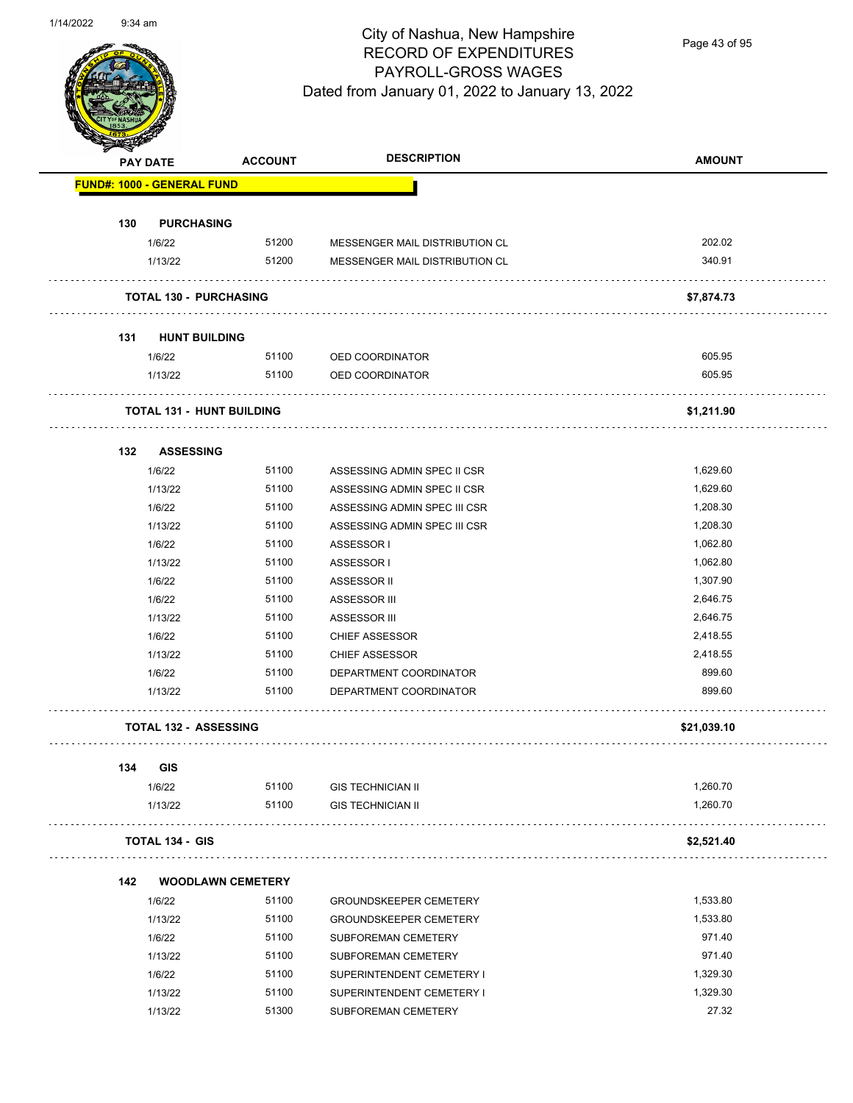

Page 43 of 95

|     | PAY DATE                          | <b>ACCOUNT</b>                   | <b>DESCRIPTION</b>                                          | <b>AMOUNT</b>        |
|-----|-----------------------------------|----------------------------------|-------------------------------------------------------------|----------------------|
|     | <b>FUND#: 1000 - GENERAL FUND</b> |                                  |                                                             |                      |
| 130 |                                   |                                  |                                                             |                      |
|     | <b>PURCHASING</b><br>1/6/22       | 51200                            | MESSENGER MAIL DISTRIBUTION CL                              | 202.02               |
|     | 1/13/22                           | 51200                            | MESSENGER MAIL DISTRIBUTION CL                              | 340.91               |
|     |                                   |                                  |                                                             |                      |
|     | <b>TOTAL 130 - PURCHASING</b>     |                                  |                                                             | \$7,874.73           |
| 131 | <b>HUNT BUILDING</b>              |                                  |                                                             |                      |
|     | 1/6/22                            | 51100                            | OED COORDINATOR                                             | 605.95               |
|     | 1/13/22                           | 51100                            | OED COORDINATOR                                             | 605.95               |
|     |                                   | <b>TOTAL 131 - HUNT BUILDING</b> |                                                             | \$1,211.90           |
|     |                                   |                                  |                                                             |                      |
| 132 | <b>ASSESSING</b>                  |                                  |                                                             |                      |
|     | 1/6/22                            | 51100<br>51100                   | ASSESSING ADMIN SPEC II CSR                                 | 1,629.60<br>1,629.60 |
|     | 1/13/22<br>1/6/22                 | 51100                            | ASSESSING ADMIN SPEC II CSR<br>ASSESSING ADMIN SPEC III CSR | 1,208.30             |
|     | 1/13/22                           | 51100                            | ASSESSING ADMIN SPEC III CSR                                | 1,208.30             |
|     | 1/6/22                            | 51100                            | ASSESSOR I                                                  | 1,062.80             |
|     | 1/13/22                           | 51100                            | ASSESSOR I                                                  | 1,062.80             |
|     | 1/6/22                            | 51100                            | ASSESSOR II                                                 | 1,307.90             |
|     | 1/6/22                            | 51100                            | ASSESSOR III                                                | 2,646.75             |
|     | 1/13/22                           | 51100                            | ASSESSOR III                                                | 2,646.75             |
|     | 1/6/22                            | 51100                            | <b>CHIEF ASSESSOR</b>                                       | 2,418.55             |
|     | 1/13/22                           | 51100                            | <b>CHIEF ASSESSOR</b>                                       | 2,418.55             |
|     | 1/6/22                            | 51100                            | DEPARTMENT COORDINATOR                                      | 899.60               |
|     | 1/13/22                           | 51100                            | DEPARTMENT COORDINATOR                                      | 899.60               |
|     | <b>TOTAL 132 - ASSESSING</b>      |                                  |                                                             | \$21,039.10          |
| 134 | <b>GIS</b>                        |                                  |                                                             |                      |
|     | 1/6/22                            | 51100                            | <b>GIS TECHNICIAN II</b>                                    | 1,260.70             |
|     | 1/13/22                           | 51100                            | <b>GIS TECHNICIAN II</b>                                    | 1,260.70             |
|     | <b>TOTAL 134 - GIS</b>            |                                  |                                                             | \$2,521.40           |
| 142 |                                   | <b>WOODLAWN CEMETERY</b>         |                                                             |                      |
|     | 1/6/22                            | 51100                            | <b>GROUNDSKEEPER CEMETERY</b>                               | 1,533.80             |
|     | 1/13/22                           | 51100                            | <b>GROUNDSKEEPER CEMETERY</b>                               | 1,533.80             |
|     | 1/6/22                            | 51100                            | SUBFOREMAN CEMETERY                                         | 971.40               |
|     | 1/13/22                           | 51100                            | SUBFOREMAN CEMETERY                                         | 971.40               |
|     | 1/6/22                            | 51100                            | SUPERINTENDENT CEMETERY I                                   | 1,329.30             |
|     | 1/13/22                           | 51100                            | SUPERINTENDENT CEMETERY I                                   | 1,329.30             |
|     | 1/13/22                           | 51300                            | SUBFOREMAN CEMETERY                                         | 27.32                |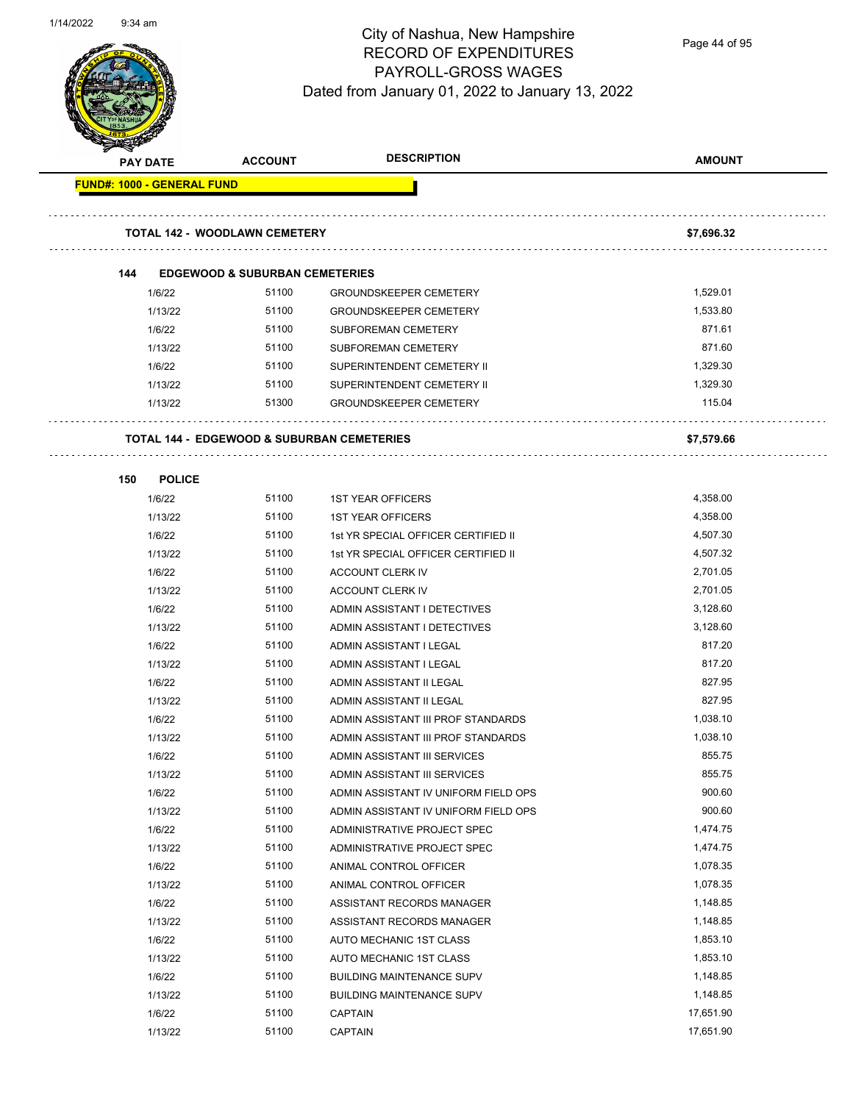

Page 44 of 95

| <b>PAY DATE</b>                   | <b>ACCOUNT</b>                                        | <b>DESCRIPTION</b>                   | <b>AMOUNT</b> |
|-----------------------------------|-------------------------------------------------------|--------------------------------------|---------------|
| <b>FUND#: 1000 - GENERAL FUND</b> |                                                       |                                      |               |
|                                   |                                                       |                                      |               |
|                                   |                                                       |                                      |               |
|                                   | <b>TOTAL 142 - WOODLAWN CEMETERY</b>                  |                                      | \$7,696.32    |
|                                   |                                                       |                                      |               |
| 144                               | <b>EDGEWOOD &amp; SUBURBAN CEMETERIES</b>             |                                      |               |
| 1/6/22                            | 51100                                                 | <b>GROUNDSKEEPER CEMETERY</b>        | 1,529.01      |
| 1/13/22                           | 51100                                                 | <b>GROUNDSKEEPER CEMETERY</b>        | 1,533.80      |
| 1/6/22                            | 51100                                                 | SUBFOREMAN CEMETERY                  | 871.61        |
| 1/13/22                           | 51100                                                 | SUBFOREMAN CEMETERY                  | 871.60        |
| 1/6/22                            | 51100                                                 | SUPERINTENDENT CEMETERY II           | 1,329.30      |
| 1/13/22                           | 51100                                                 | SUPERINTENDENT CEMETERY II           | 1,329.30      |
| 1/13/22                           | 51300                                                 | <b>GROUNDSKEEPER CEMETERY</b>        | 115.04        |
|                                   | <b>TOTAL 144 - EDGEWOOD &amp; SUBURBAN CEMETERIES</b> |                                      | \$7,579.66    |
|                                   |                                                       |                                      |               |
| 150                               | <b>POLICE</b>                                         |                                      |               |
| 1/6/22                            | 51100                                                 | <b>1ST YEAR OFFICERS</b>             | 4,358.00      |
| 1/13/22                           | 51100                                                 | <b>1ST YEAR OFFICERS</b>             | 4,358.00      |
| 1/6/22                            | 51100                                                 | 1st YR SPECIAL OFFICER CERTIFIED II  | 4,507.30      |
| 1/13/22                           | 51100                                                 | 1st YR SPECIAL OFFICER CERTIFIED II  | 4,507.32      |
| 1/6/22                            | 51100                                                 | ACCOUNT CLERK IV                     | 2,701.05      |
| 1/13/22                           | 51100                                                 | ACCOUNT CLERK IV                     | 2,701.05      |
| 1/6/22                            | 51100                                                 | ADMIN ASSISTANT I DETECTIVES         | 3,128.60      |
| 1/13/22                           | 51100                                                 | ADMIN ASSISTANT I DETECTIVES         | 3,128.60      |
| 1/6/22                            | 51100                                                 | ADMIN ASSISTANT I LEGAL              | 817.20        |
| 1/13/22                           | 51100                                                 | ADMIN ASSISTANT I LEGAL              | 817.20        |
| 1/6/22                            | 51100                                                 | ADMIN ASSISTANT II LEGAL             | 827.95        |
| 1/13/22                           | 51100                                                 | ADMIN ASSISTANT II LEGAL             | 827.95        |
| 1/6/22                            | 51100                                                 | ADMIN ASSISTANT III PROF STANDARDS   | 1,038.10      |
| 1/13/22                           | 51100                                                 | ADMIN ASSISTANT III PROF STANDARDS   | 1,038.10      |
| 1/6/22                            | 51100                                                 | ADMIN ASSISTANT III SERVICES         | 855.75        |
| 1/13/22                           | 51100                                                 | ADMIN ASSISTANT III SERVICES         | 855.75        |
| 1/6/22                            | 51100                                                 | ADMIN ASSISTANT IV UNIFORM FIELD OPS | 900.60        |
| 1/13/22                           | 51100                                                 | ADMIN ASSISTANT IV UNIFORM FIELD OPS | 900.60        |
| 1/6/22                            | 51100                                                 | ADMINISTRATIVE PROJECT SPEC          | 1,474.75      |
| 1/13/22                           | 51100                                                 | ADMINISTRATIVE PROJECT SPEC          | 1,474.75      |
| 1/6/22                            | 51100                                                 | ANIMAL CONTROL OFFICER               | 1,078.35      |
| 1/13/22                           | 51100                                                 | ANIMAL CONTROL OFFICER               | 1,078.35      |
| 1/6/22                            | 51100                                                 | ASSISTANT RECORDS MANAGER            | 1,148.85      |
| 1/13/22                           | 51100                                                 | ASSISTANT RECORDS MANAGER            | 1,148.85      |
| 1/6/22                            | 51100                                                 | AUTO MECHANIC 1ST CLASS              | 1,853.10      |
| 1/13/22                           | 51100                                                 | AUTO MECHANIC 1ST CLASS              | 1,853.10      |
| 1/6/22                            | 51100                                                 | <b>BUILDING MAINTENANCE SUPV</b>     | 1,148.85      |
| 1/13/22                           | 51100                                                 | <b>BUILDING MAINTENANCE SUPV</b>     | 1,148.85      |
| 1/6/22                            | 51100                                                 | <b>CAPTAIN</b>                       | 17,651.90     |
| 1/13/22                           | 51100                                                 | <b>CAPTAIN</b>                       | 17,651.90     |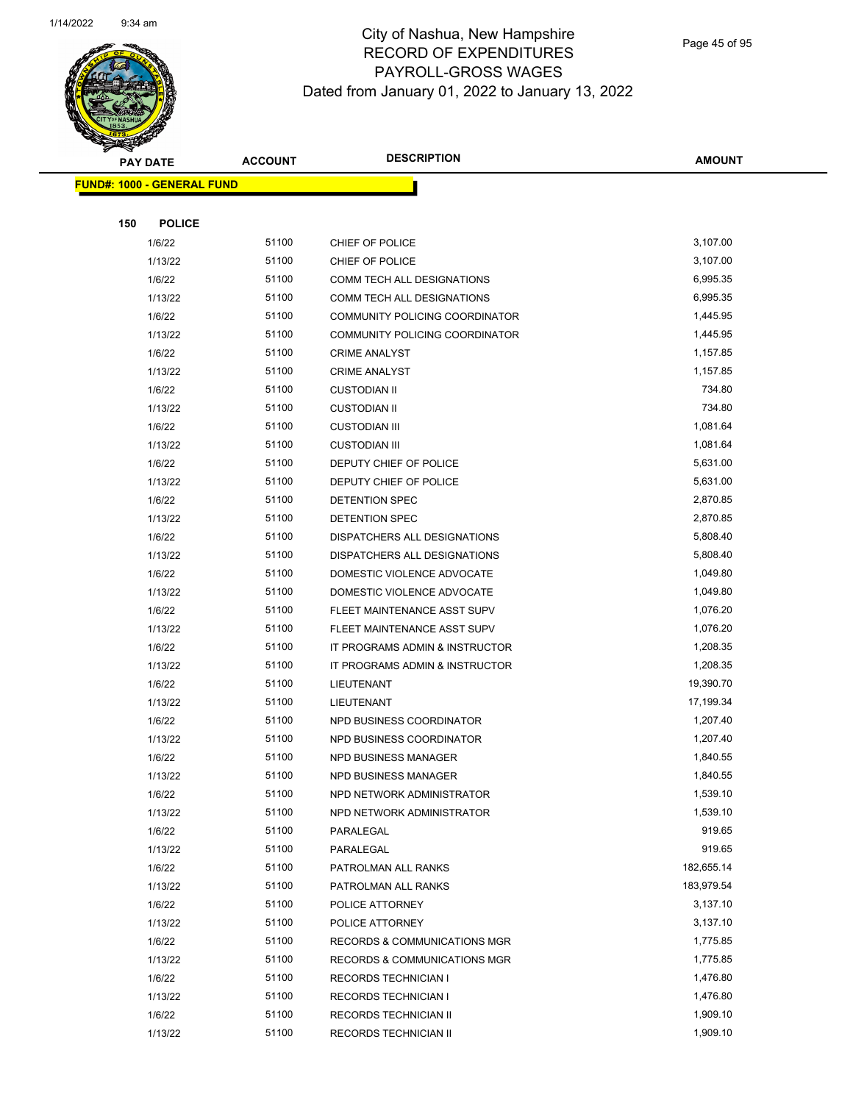

Page 45 of 95

|     | <b>PAY DATE</b>                   | <b>ACCOUNT</b> | <b>DESCRIPTION</b>                      | <b>AMOUNT</b>        |
|-----|-----------------------------------|----------------|-----------------------------------------|----------------------|
|     | <b>FUND#: 1000 - GENERAL FUND</b> |                |                                         |                      |
|     |                                   |                |                                         |                      |
| 150 | <b>POLICE</b>                     |                |                                         |                      |
|     | 1/6/22                            | 51100          | CHIEF OF POLICE                         | 3,107.00             |
|     | 1/13/22                           | 51100          | CHIEF OF POLICE                         | 3,107.00             |
|     | 1/6/22                            | 51100          | COMM TECH ALL DESIGNATIONS              | 6,995.35             |
|     | 1/13/22                           | 51100          | COMM TECH ALL DESIGNATIONS              | 6,995.35             |
|     | 1/6/22                            | 51100          | COMMUNITY POLICING COORDINATOR          | 1,445.95             |
|     | 1/13/22                           | 51100          | COMMUNITY POLICING COORDINATOR          | 1,445.95             |
|     | 1/6/22                            | 51100          | <b>CRIME ANALYST</b>                    | 1,157.85             |
|     | 1/13/22                           | 51100          | <b>CRIME ANALYST</b>                    | 1,157.85             |
|     | 1/6/22                            | 51100          | <b>CUSTODIAN II</b>                     | 734.80               |
|     | 1/13/22                           | 51100          | <b>CUSTODIAN II</b>                     | 734.80               |
|     | 1/6/22                            | 51100          | <b>CUSTODIAN III</b>                    | 1,081.64             |
|     | 1/13/22                           | 51100          | <b>CUSTODIAN III</b>                    | 1,081.64             |
|     | 1/6/22                            | 51100          | DEPUTY CHIEF OF POLICE                  | 5,631.00             |
|     | 1/13/22                           | 51100          | DEPUTY CHIEF OF POLICE                  | 5,631.00             |
|     | 1/6/22                            | 51100          | <b>DETENTION SPEC</b>                   | 2,870.85             |
|     | 1/13/22                           | 51100          | <b>DETENTION SPEC</b>                   | 2,870.85             |
|     | 1/6/22                            | 51100          | DISPATCHERS ALL DESIGNATIONS            | 5,808.40             |
|     | 1/13/22                           | 51100          | DISPATCHERS ALL DESIGNATIONS            | 5,808.40             |
|     | 1/6/22                            | 51100          | DOMESTIC VIOLENCE ADVOCATE              | 1,049.80             |
|     | 1/13/22                           | 51100          | DOMESTIC VIOLENCE ADVOCATE              | 1,049.80             |
|     | 1/6/22                            | 51100          | FLEET MAINTENANCE ASST SUPV             | 1,076.20             |
|     | 1/13/22                           | 51100          | FLEET MAINTENANCE ASST SUPV             | 1,076.20             |
|     | 1/6/22                            | 51100          | IT PROGRAMS ADMIN & INSTRUCTOR          | 1,208.35             |
|     | 1/13/22                           | 51100          | IT PROGRAMS ADMIN & INSTRUCTOR          | 1,208.35             |
|     | 1/6/22                            | 51100          | LIEUTENANT                              | 19,390.70            |
|     | 1/13/22                           | 51100          | LIEUTENANT                              | 17,199.34            |
|     | 1/6/22                            | 51100          | NPD BUSINESS COORDINATOR                | 1,207.40             |
|     | 1/13/22                           | 51100          | NPD BUSINESS COORDINATOR                | 1,207.40             |
|     | 1/6/22                            | 51100          | <b>NPD BUSINESS MANAGER</b>             | 1,840.55             |
|     | 1/13/22                           | 51100          | NPD BUSINESS MANAGER                    | 1,840.55             |
|     | 1/6/22                            | 51100<br>51100 | NPD NETWORK ADMINISTRATOR               | 1,539.10<br>1,539.10 |
|     | 1/13/22<br>1/6/22                 | 51100          | NPD NETWORK ADMINISTRATOR<br>PARALEGAL  | 919.65               |
|     | 1/13/22                           | 51100          | PARALEGAL                               | 919.65               |
|     | 1/6/22                            | 51100          | PATROLMAN ALL RANKS                     | 182,655.14           |
|     | 1/13/22                           | 51100          | PATROLMAN ALL RANKS                     | 183,979.54           |
|     | 1/6/22                            | 51100          | POLICE ATTORNEY                         | 3,137.10             |
|     | 1/13/22                           | 51100          | POLICE ATTORNEY                         | 3,137.10             |
|     | 1/6/22                            | 51100          | <b>RECORDS &amp; COMMUNICATIONS MGR</b> | 1,775.85             |
|     | 1/13/22                           | 51100          | <b>RECORDS &amp; COMMUNICATIONS MGR</b> | 1,775.85             |
|     | 1/6/22                            | 51100          | <b>RECORDS TECHNICIAN I</b>             | 1,476.80             |
|     | 1/13/22                           | 51100          | <b>RECORDS TECHNICIAN I</b>             | 1,476.80             |
|     | 1/6/22                            | 51100          | RECORDS TECHNICIAN II                   | 1,909.10             |
|     | 1/13/22                           | 51100          | RECORDS TECHNICIAN II                   | 1,909.10             |
|     |                                   |                |                                         |                      |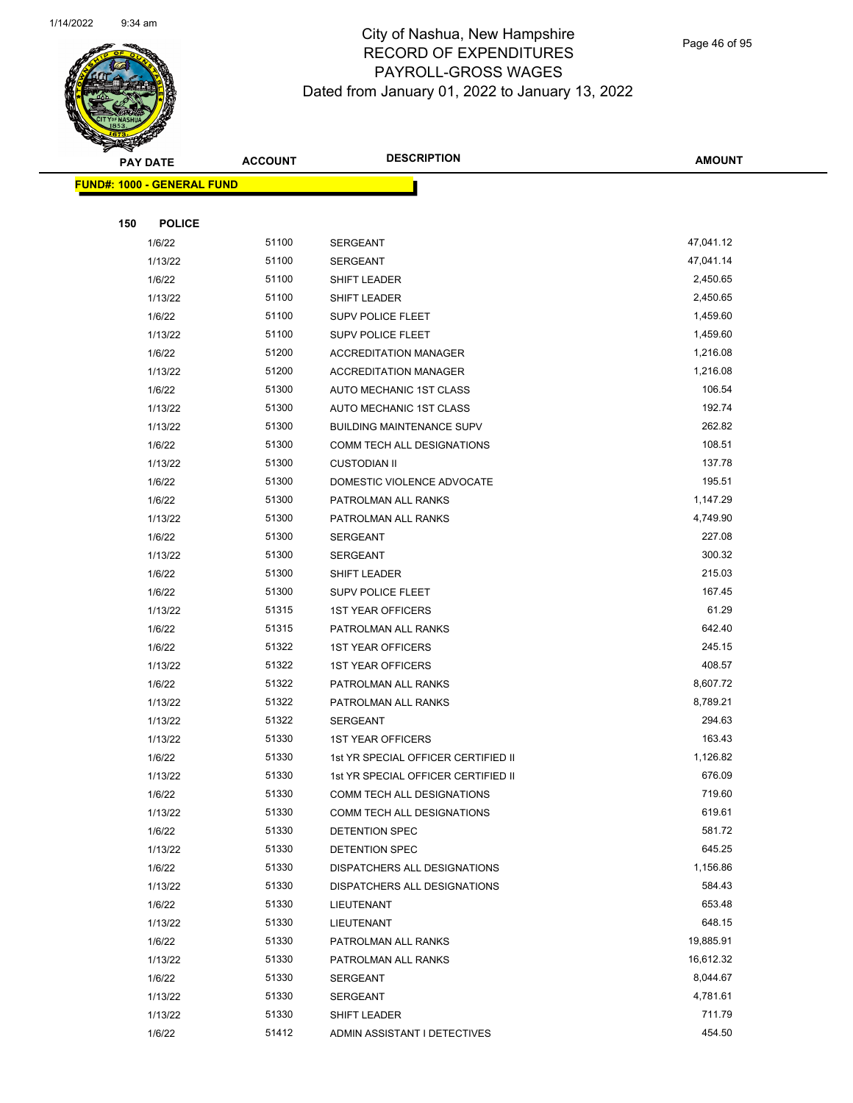

Page 46 of 95

|     | <b>PAY DATE</b>                   | <b>ACCOUNT</b> | <b>DESCRIPTION</b>                                                | <b>AMOUNT</b>      |
|-----|-----------------------------------|----------------|-------------------------------------------------------------------|--------------------|
|     | <b>FUND#: 1000 - GENERAL FUND</b> |                |                                                                   |                    |
|     |                                   |                |                                                                   |                    |
| 150 | <b>POLICE</b>                     |                |                                                                   |                    |
|     | 1/6/22                            | 51100          | SERGEANT                                                          | 47,041.12          |
|     | 1/13/22                           | 51100          | <b>SERGEANT</b>                                                   | 47,041.14          |
|     | 1/6/22                            | 51100          | SHIFT LEADER                                                      | 2,450.65           |
|     | 1/13/22                           | 51100          | SHIFT LEADER                                                      | 2,450.65           |
|     | 1/6/22                            | 51100          | <b>SUPV POLICE FLEET</b>                                          | 1,459.60           |
|     | 1/13/22                           | 51100          | SUPV POLICE FLEET                                                 | 1,459.60           |
|     | 1/6/22                            | 51200          | <b>ACCREDITATION MANAGER</b>                                      | 1,216.08           |
|     | 1/13/22                           | 51200          | <b>ACCREDITATION MANAGER</b>                                      | 1,216.08           |
|     | 1/6/22                            | 51300          | AUTO MECHANIC 1ST CLASS                                           | 106.54             |
|     | 1/13/22                           | 51300          | AUTO MECHANIC 1ST CLASS                                           | 192.74             |
|     | 1/13/22                           | 51300          | <b>BUILDING MAINTENANCE SUPV</b>                                  | 262.82             |
|     | 1/6/22                            | 51300          | COMM TECH ALL DESIGNATIONS                                        | 108.51             |
|     | 1/13/22                           | 51300          | <b>CUSTODIAN II</b>                                               | 137.78             |
|     | 1/6/22                            | 51300          | DOMESTIC VIOLENCE ADVOCATE                                        | 195.51             |
|     | 1/6/22                            | 51300          | PATROLMAN ALL RANKS                                               | 1,147.29           |
|     | 1/13/22                           | 51300          | PATROLMAN ALL RANKS                                               | 4,749.90           |
|     | 1/6/22                            | 51300          | <b>SERGEANT</b>                                                   | 227.08             |
|     | 1/13/22                           | 51300          | <b>SERGEANT</b>                                                   | 300.32             |
|     | 1/6/22                            | 51300          | SHIFT LEADER                                                      | 215.03             |
|     | 1/6/22                            | 51300          | <b>SUPV POLICE FLEET</b>                                          | 167.45             |
|     | 1/13/22                           | 51315          | <b>1ST YEAR OFFICERS</b>                                          | 61.29              |
|     | 1/6/22                            | 51315          | PATROLMAN ALL RANKS                                               | 642.40             |
|     | 1/6/22                            | 51322          | <b>1ST YEAR OFFICERS</b>                                          | 245.15             |
|     | 1/13/22                           | 51322          | <b>1ST YEAR OFFICERS</b>                                          | 408.57             |
|     | 1/6/22                            | 51322          | PATROLMAN ALL RANKS                                               | 8,607.72           |
|     | 1/13/22                           | 51322          | PATROLMAN ALL RANKS                                               | 8,789.21           |
|     | 1/13/22                           | 51322          | <b>SERGEANT</b>                                                   | 294.63             |
|     | 1/13/22                           | 51330          | <b>1ST YEAR OFFICERS</b>                                          | 163.43             |
|     | 1/6/22                            | 51330<br>51330 | 1st YR SPECIAL OFFICER CERTIFIED II                               | 1,126.82<br>676.09 |
|     | 1/13/22<br>1/6/22                 | 51330          | 1st YR SPECIAL OFFICER CERTIFIED II<br>COMM TECH ALL DESIGNATIONS | 719.60             |
|     | 1/13/22                           | 51330          | COMM TECH ALL DESIGNATIONS                                        | 619.61             |
|     | 1/6/22                            | 51330          | DETENTION SPEC                                                    | 581.72             |
|     | 1/13/22                           | 51330          | DETENTION SPEC                                                    | 645.25             |
|     | 1/6/22                            | 51330          | DISPATCHERS ALL DESIGNATIONS                                      | 1,156.86           |
|     | 1/13/22                           | 51330          | DISPATCHERS ALL DESIGNATIONS                                      | 584.43             |
|     | 1/6/22                            | 51330          | LIEUTENANT                                                        | 653.48             |
|     | 1/13/22                           | 51330          | LIEUTENANT                                                        | 648.15             |
|     | 1/6/22                            | 51330          | PATROLMAN ALL RANKS                                               | 19,885.91          |
|     | 1/13/22                           | 51330          | PATROLMAN ALL RANKS                                               | 16,612.32          |
|     | 1/6/22                            | 51330          | <b>SERGEANT</b>                                                   | 8,044.67           |
|     | 1/13/22                           | 51330          | <b>SERGEANT</b>                                                   | 4,781.61           |
|     | 1/13/22                           | 51330          | SHIFT LEADER                                                      | 711.79             |
|     | 1/6/22                            | 51412          | ADMIN ASSISTANT I DETECTIVES                                      | 454.50             |
|     |                                   |                |                                                                   |                    |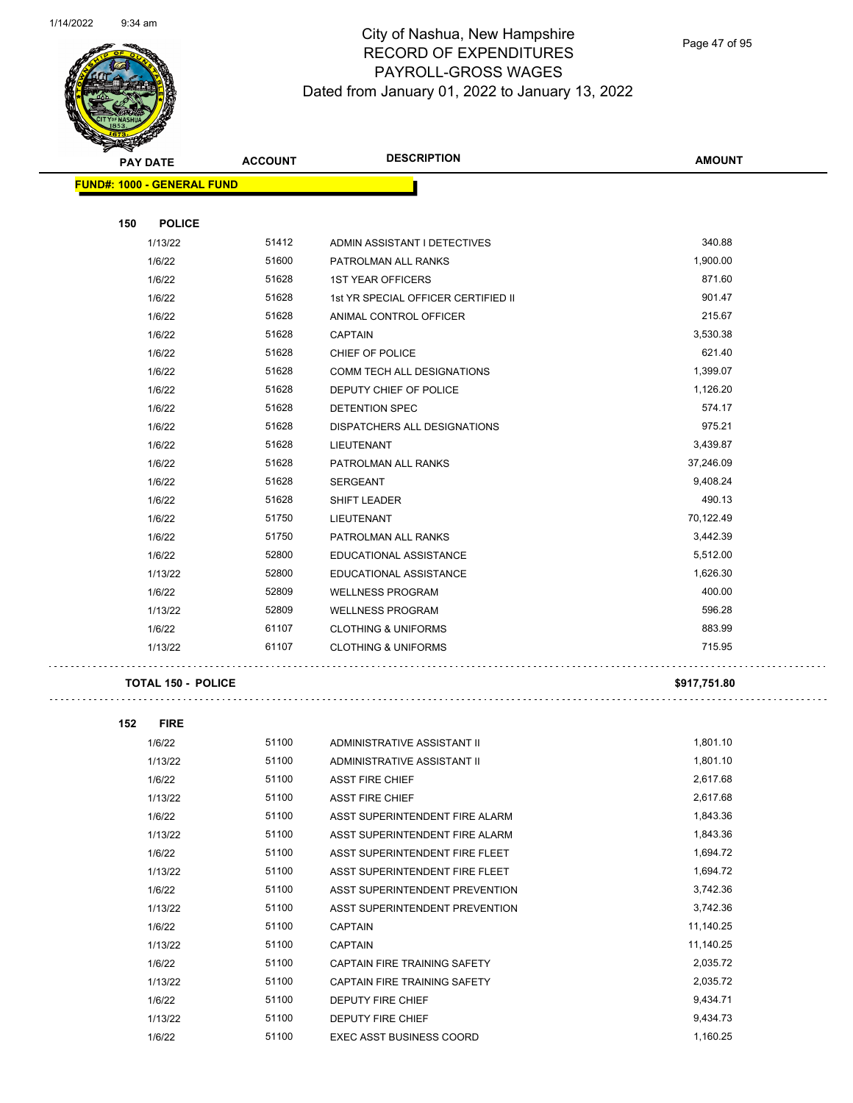$\bar{\mathcal{L}}$  .



# City of Nashua, New Hampshire RECORD OF EXPENDITURES PAYROLL-GROSS WAGES Dated from January 01, 2022 to January 13, 2022

Page 47 of 95

| $\blacktriangleleft$ .<br><b>PAY DATE</b> | <b>DESCRIPTION</b><br><b>ACCOUNT</b> |                                     | <b>AMOUNT</b> |
|-------------------------------------------|--------------------------------------|-------------------------------------|---------------|
| <b>FUND#: 1000 - GENERAL FUND</b>         |                                      |                                     |               |
| 150<br><b>POLICE</b>                      |                                      |                                     |               |
| 1/13/22                                   | 51412                                | ADMIN ASSISTANT I DETECTIVES        | 340.88        |
| 1/6/22                                    | 51600                                | PATROLMAN ALL RANKS                 | 1,900.00      |
| 1/6/22                                    | 51628                                | <b>1ST YEAR OFFICERS</b>            | 871.60        |
| 1/6/22                                    | 51628                                | 1st YR SPECIAL OFFICER CERTIFIED II | 901.47        |
| 1/6/22                                    | 51628                                | ANIMAL CONTROL OFFICER              | 215.67        |
| 1/6/22                                    | 51628                                | <b>CAPTAIN</b>                      | 3,530.38      |
| 1/6/22                                    | 51628                                | CHIEF OF POLICE                     | 621.40        |
| 1/6/22                                    | 51628                                | <b>COMM TECH ALL DESIGNATIONS</b>   | 1,399.07      |
| 1/6/22                                    | 51628                                | DEPUTY CHIEF OF POLICE              | 1,126.20      |
| 1/6/22                                    | 51628                                | <b>DETENTION SPEC</b>               | 574.17        |
| 1/6/22                                    | 51628                                | <b>DISPATCHERS ALL DESIGNATIONS</b> | 975.21        |
| 1/6/22                                    | 51628                                | LIEUTENANT                          | 3,439.87      |
| 1/6/22                                    | 51628                                | PATROLMAN ALL RANKS                 | 37,246.09     |
| 1/6/22                                    | 51628                                | <b>SERGEANT</b>                     | 9,408.24      |
| 1/6/22                                    | 51628                                | SHIFT LEADER                        | 490.13        |
| 1/6/22                                    | 51750                                | LIEUTENANT                          | 70,122.49     |
| 1/6/22                                    | 51750                                | PATROLMAN ALL RANKS                 | 3,442.39      |
| 1/6/22                                    | 52800                                | EDUCATIONAL ASSISTANCE              | 5,512.00      |
| 1/13/22                                   | 52800                                | EDUCATIONAL ASSISTANCE              | 1,626.30      |
| 1/6/22                                    | 52809                                | <b>WELLNESS PROGRAM</b>             | 400.00        |
| 1/13/22                                   | 52809                                | <b>WELLNESS PROGRAM</b>             | 596.28        |
| 1/6/22                                    | 61107                                | <b>CLOTHING &amp; UNIFORMS</b>      | 883.99        |
| 1/13/22                                   | 61107                                | <b>CLOTHING &amp; UNIFORMS</b>      | 715.95        |
| <b>TOTAL 150 - POLICE</b>                 |                                      |                                     | \$917,751.80  |

| 152 | <b>FIRE</b> |       |                                 |           |
|-----|-------------|-------|---------------------------------|-----------|
|     | 1/6/22      | 51100 | ADMINISTRATIVE ASSISTANT II     | 1,801.10  |
|     | 1/13/22     | 51100 | ADMINISTRATIVE ASSISTANT II     | 1,801.10  |
|     | 1/6/22      | 51100 | <b>ASST FIRE CHIEF</b>          | 2,617.68  |
|     | 1/13/22     | 51100 | <b>ASST FIRE CHIEF</b>          | 2,617.68  |
|     | 1/6/22      | 51100 | ASST SUPERINTENDENT FIRE ALARM  | 1,843.36  |
|     | 1/13/22     | 51100 | ASST SUPERINTENDENT FIRE ALARM  | 1,843.36  |
|     | 1/6/22      | 51100 | ASST SUPERINTENDENT FIRE FLEET  | 1,694.72  |
|     | 1/13/22     | 51100 | ASST SUPERINTENDENT FIRE FLEET  | 1,694.72  |
|     | 1/6/22      | 51100 | ASST SUPERINTENDENT PREVENTION  | 3,742.36  |
|     | 1/13/22     | 51100 | ASST SUPERINTENDENT PREVENTION  | 3,742.36  |
|     | 1/6/22      | 51100 | <b>CAPTAIN</b>                  | 11,140.25 |
|     | 1/13/22     | 51100 | <b>CAPTAIN</b>                  | 11,140.25 |
|     | 1/6/22      | 51100 | CAPTAIN FIRE TRAINING SAFETY    | 2,035.72  |
|     | 1/13/22     | 51100 | CAPTAIN FIRE TRAINING SAFETY    | 2,035.72  |
|     | 1/6/22      | 51100 | <b>DEPUTY FIRE CHIEF</b>        | 9,434.71  |
|     | 1/13/22     | 51100 | <b>DEPUTY FIRE CHIEF</b>        | 9,434.73  |
|     | 1/6/22      | 51100 | <b>EXEC ASST BUSINESS COORD</b> | 1,160.25  |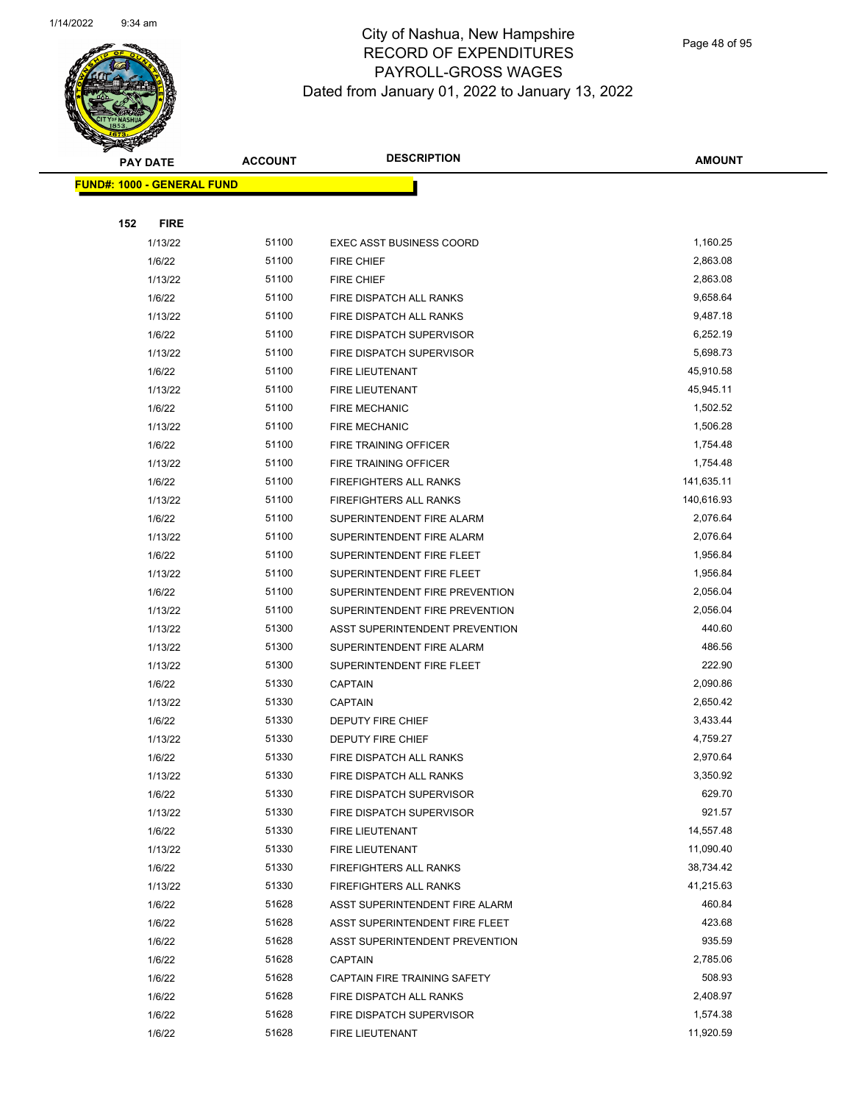

Page 48 of 95

|     | <b>PAY DATE</b>                   | <b>ACCOUNT</b> | <b>DESCRIPTION</b>              | <b>AMOUNT</b> |
|-----|-----------------------------------|----------------|---------------------------------|---------------|
|     | <b>FUND#: 1000 - GENERAL FUND</b> |                |                                 |               |
|     |                                   |                |                                 |               |
| 152 | <b>FIRE</b>                       |                |                                 |               |
|     | 1/13/22                           | 51100          | <b>EXEC ASST BUSINESS COORD</b> | 1,160.25      |
|     | 1/6/22                            | 51100          | FIRE CHIEF                      | 2,863.08      |
|     | 1/13/22                           | 51100          | FIRE CHIEF                      | 2,863.08      |
|     | 1/6/22                            | 51100          | FIRE DISPATCH ALL RANKS         | 9,658.64      |
|     | 1/13/22                           | 51100          | FIRE DISPATCH ALL RANKS         | 9,487.18      |
|     | 1/6/22                            | 51100          | FIRE DISPATCH SUPERVISOR        | 6,252.19      |
|     | 1/13/22                           | 51100          | FIRE DISPATCH SUPERVISOR        | 5,698.73      |
|     | 1/6/22                            | 51100          | FIRE LIEUTENANT                 | 45,910.58     |
|     | 1/13/22                           | 51100          | FIRE LIEUTENANT                 | 45,945.11     |
|     | 1/6/22                            | 51100          | <b>FIRE MECHANIC</b>            | 1,502.52      |
|     | 1/13/22                           | 51100          | <b>FIRE MECHANIC</b>            | 1,506.28      |
|     | 1/6/22                            | 51100          | FIRE TRAINING OFFICER           | 1,754.48      |
|     | 1/13/22                           | 51100          | FIRE TRAINING OFFICER           | 1,754.48      |
|     | 1/6/22                            | 51100          | <b>FIREFIGHTERS ALL RANKS</b>   | 141,635.11    |
|     | 1/13/22                           | 51100          | <b>FIREFIGHTERS ALL RANKS</b>   | 140,616.93    |
|     | 1/6/22                            | 51100          | SUPERINTENDENT FIRE ALARM       | 2,076.64      |
|     | 1/13/22                           | 51100          | SUPERINTENDENT FIRE ALARM       | 2,076.64      |
|     | 1/6/22                            | 51100          | SUPERINTENDENT FIRE FLEET       | 1,956.84      |
|     | 1/13/22                           | 51100          | SUPERINTENDENT FIRE FLEET       | 1,956.84      |
|     | 1/6/22                            | 51100          | SUPERINTENDENT FIRE PREVENTION  | 2,056.04      |
|     | 1/13/22                           | 51100          | SUPERINTENDENT FIRE PREVENTION  | 2,056.04      |
|     | 1/13/22                           | 51300          | ASST SUPERINTENDENT PREVENTION  | 440.60        |
|     | 1/13/22                           | 51300          | SUPERINTENDENT FIRE ALARM       | 486.56        |
|     | 1/13/22                           | 51300          | SUPERINTENDENT FIRE FLEET       | 222.90        |
|     | 1/6/22                            | 51330          | <b>CAPTAIN</b>                  | 2,090.86      |
|     | 1/13/22                           | 51330          | <b>CAPTAIN</b>                  | 2,650.42      |
|     | 1/6/22                            | 51330          | DEPUTY FIRE CHIEF               | 3,433.44      |
|     | 1/13/22                           | 51330          | DEPUTY FIRE CHIEF               | 4,759.27      |
|     | 1/6/22                            | 51330          | FIRE DISPATCH ALL RANKS         | 2,970.64      |
|     | 1/13/22                           | 51330          | FIRE DISPATCH ALL RANKS         | 3,350.92      |
|     | 1/6/22                            | 51330          | FIRE DISPATCH SUPERVISOR        | 629.70        |
|     | 1/13/22                           | 51330          | FIRE DISPATCH SUPERVISOR        | 921.57        |
|     | 1/6/22                            | 51330          | FIRE LIEUTENANT                 | 14,557.48     |
|     | 1/13/22                           | 51330          | FIRE LIEUTENANT                 | 11,090.40     |
|     | 1/6/22                            | 51330          | FIREFIGHTERS ALL RANKS          | 38,734.42     |
|     | 1/13/22                           | 51330          | FIREFIGHTERS ALL RANKS          | 41,215.63     |
|     | 1/6/22                            | 51628          | ASST SUPERINTENDENT FIRE ALARM  | 460.84        |
|     | 1/6/22                            | 51628          | ASST SUPERINTENDENT FIRE FLEET  | 423.68        |
|     | 1/6/22                            | 51628          | ASST SUPERINTENDENT PREVENTION  | 935.59        |
|     | 1/6/22                            | 51628          | <b>CAPTAIN</b>                  | 2,785.06      |
|     | 1/6/22                            | 51628          | CAPTAIN FIRE TRAINING SAFETY    | 508.93        |
|     | 1/6/22                            | 51628          | FIRE DISPATCH ALL RANKS         | 2,408.97      |
|     | 1/6/22                            | 51628          | FIRE DISPATCH SUPERVISOR        | 1,574.38      |
|     | 1/6/22                            | 51628          | FIRE LIEUTENANT                 | 11,920.59     |
|     |                                   |                |                                 |               |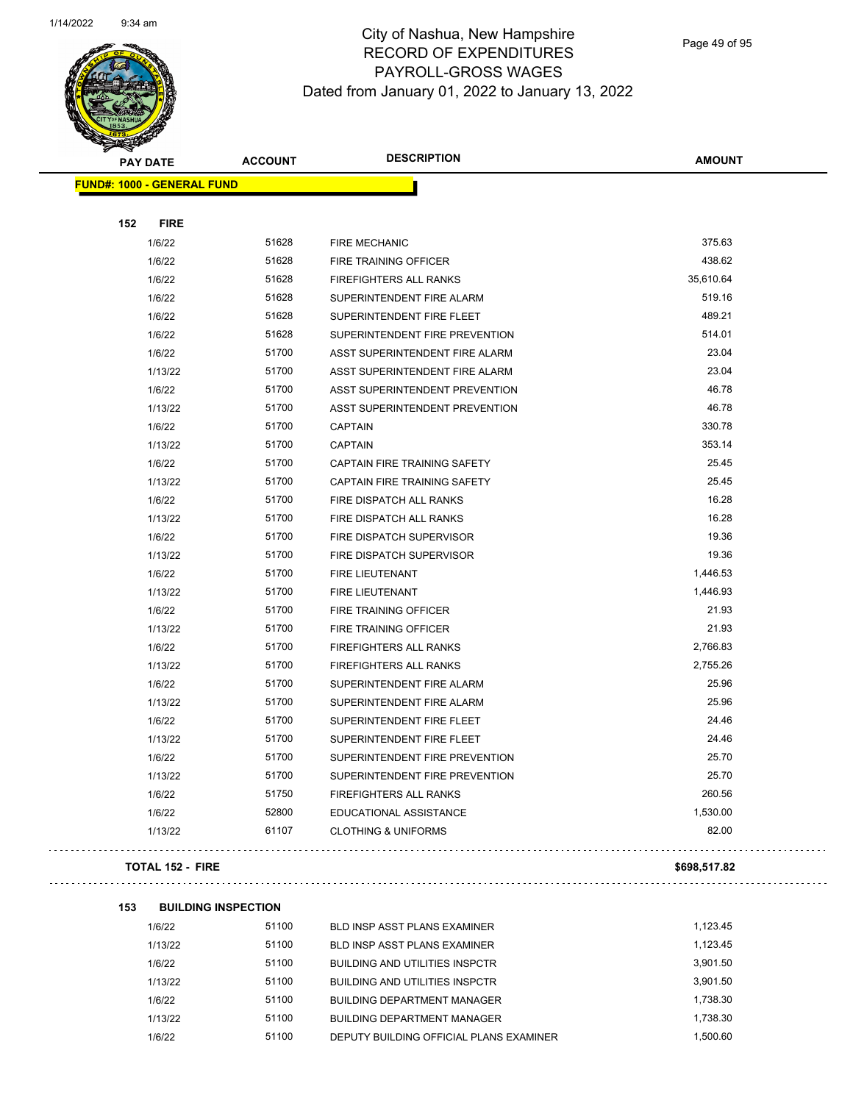

Page 49 of 95

| <b>PAY DATE</b>                   | <b>ACCOUNT</b> | <b>DESCRIPTION</b>             | <b>AMOUNT</b> |
|-----------------------------------|----------------|--------------------------------|---------------|
| <b>FUND#: 1000 - GENERAL FUND</b> |                |                                |               |
| 152<br><b>FIRE</b>                |                |                                |               |
| 1/6/22                            | 51628          | <b>FIRE MECHANIC</b>           | 375.63        |
| 1/6/22                            | 51628          | <b>FIRE TRAINING OFFICER</b>   | 438.62        |
| 1/6/22                            | 51628          | <b>FIREFIGHTERS ALL RANKS</b>  | 35,610.64     |
| 1/6/22                            | 51628          | SUPERINTENDENT FIRE ALARM      | 519.16        |
| 1/6/22                            | 51628          | SUPERINTENDENT FIRE FLEET      | 489.21        |
| 1/6/22                            | 51628          | SUPERINTENDENT FIRE PREVENTION | 514.01        |
| 1/6/22                            | 51700          | ASST SUPERINTENDENT FIRE ALARM | 23.04         |
| 1/13/22                           | 51700          | ASST SUPERINTENDENT FIRE ALARM | 23.04         |
| 1/6/22                            | 51700          | ASST SUPERINTENDENT PREVENTION | 46.78         |
| 1/13/22                           | 51700          | ASST SUPERINTENDENT PREVENTION | 46.78         |
| 1/6/22                            | 51700          | <b>CAPTAIN</b>                 | 330.78        |
| 1/13/22                           | 51700          | <b>CAPTAIN</b>                 | 353.14        |
| 1/6/22                            | 51700          | CAPTAIN FIRE TRAINING SAFETY   | 25.45         |
| 1/13/22                           | 51700          | CAPTAIN FIRE TRAINING SAFETY   | 25.45         |
| 1/6/22                            | 51700          | FIRE DISPATCH ALL RANKS        | 16.28         |
| 1/13/22                           | 51700          | FIRE DISPATCH ALL RANKS        | 16.28         |
| 1/6/22                            | 51700          | FIRE DISPATCH SUPERVISOR       | 19.36         |
| 1/13/22                           | 51700          | FIRE DISPATCH SUPERVISOR       | 19.36         |
| 1/6/22                            | 51700          | FIRE LIEUTENANT                | 1,446.53      |
| 1/13/22                           | 51700          | FIRE LIEUTENANT                | 1,446.93      |
| 1/6/22                            | 51700          | FIRE TRAINING OFFICER          | 21.93         |
| 1/13/22                           | 51700          | <b>FIRE TRAINING OFFICER</b>   | 21.93         |
| 1/6/22                            | 51700          | FIREFIGHTERS ALL RANKS         | 2,766.83      |
| 1/13/22                           | 51700          | FIREFIGHTERS ALL RANKS         | 2,755.26      |
| 1/6/22                            | 51700          | SUPERINTENDENT FIRE ALARM      | 25.96         |
| 1/13/22                           | 51700          | SUPERINTENDENT FIRE ALARM      | 25.96         |
| 1/6/22                            | 51700          | SUPERINTENDENT FIRE FLEET      | 24.46         |
| 1/13/22                           | 51700          | SUPERINTENDENT FIRE FLEET      | 24.46         |
| 1/6/22                            | 51700          | SUPERINTENDENT FIRE PREVENTION | 25.70         |
| 1/13/22                           | 51700          | SUPERINTENDENT FIRE PREVENTION | 25.70         |
| 1/6/22                            | 51750          | FIREFIGHTERS ALL RANKS         | 260.56        |
| 1/6/22                            | 52800          | EDUCATIONAL ASSISTANCE         | 1,530.00      |
| 1/13/22                           | 61107          | <b>CLOTHING &amp; UNIFORMS</b> | 82.00         |

#### **TOTAL 152 - FIRE \$698,517.82**

 $\Box$  .

## **153 BUILDING INSPECTION**

| 1/6/22  | 51100 | BLD INSP ASST PLANS EXAMINER            | 1.123.45 |
|---------|-------|-----------------------------------------|----------|
| 1/13/22 | 51100 | <b>BLD INSP ASST PLANS EXAMINER</b>     | 1.123.45 |
| 1/6/22  | 51100 | <b>BUILDING AND UTILITIES INSPCTR</b>   | 3.901.50 |
| 1/13/22 | 51100 | <b>BUILDING AND UTILITIES INSPCTR</b>   | 3.901.50 |
| 1/6/22  | 51100 | <b>BUILDING DEPARTMENT MANAGER</b>      | 1.738.30 |
| 1/13/22 | 51100 | <b>BUILDING DEPARTMENT MANAGER</b>      | 1.738.30 |
| 1/6/22  | 51100 | DEPUTY BUILDING OFFICIAL PLANS EXAMINER | 1.500.60 |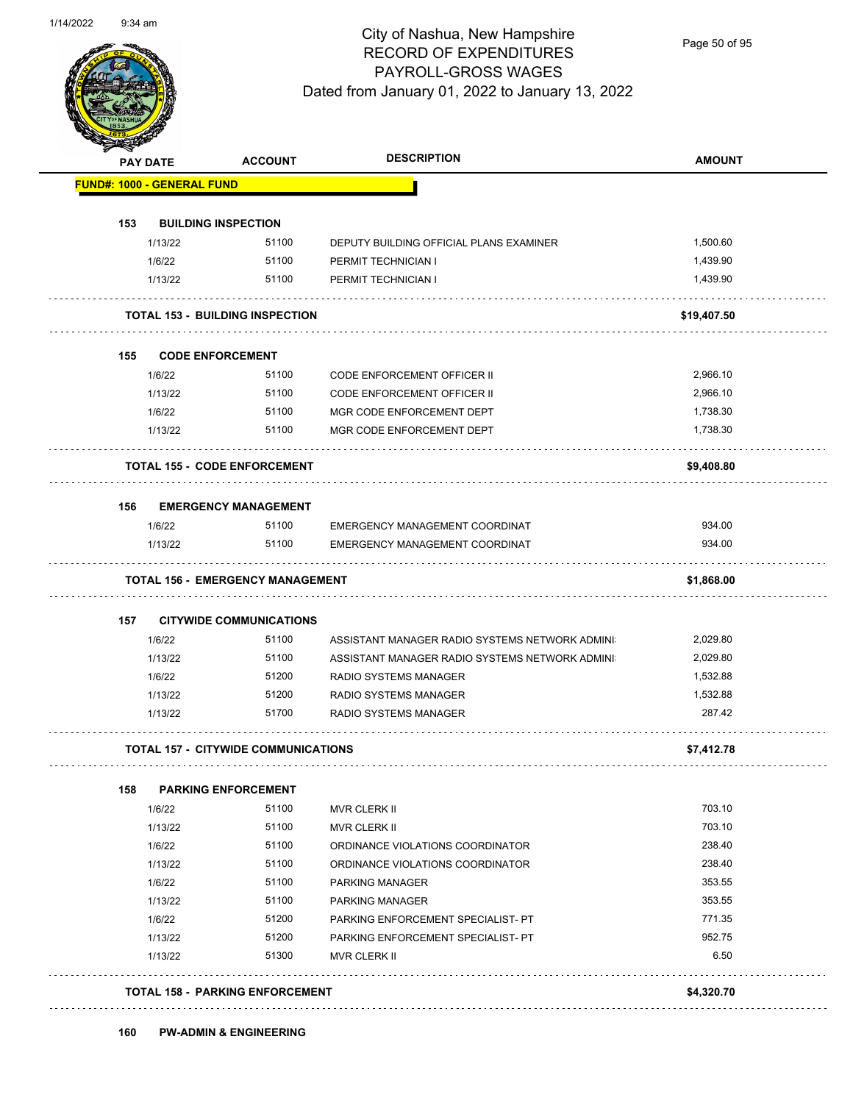

Page 50 of 95

|     | <b>PAY DATE</b>                   | <b>ACCOUNT</b>                             |                                                | <b>AMOUNT</b> |
|-----|-----------------------------------|--------------------------------------------|------------------------------------------------|---------------|
|     | <b>FUND#: 1000 - GENERAL FUND</b> |                                            |                                                |               |
| 153 |                                   | <b>BUILDING INSPECTION</b>                 |                                                |               |
|     | 1/13/22                           | 51100                                      | DEPUTY BUILDING OFFICIAL PLANS EXAMINER        | 1,500.60      |
|     | 1/6/22                            | 51100                                      | PERMIT TECHNICIAN I                            | 1,439.90      |
|     | 1/13/22                           | 51100                                      | PERMIT TECHNICIAN I                            | 1,439.90      |
|     |                                   | <b>TOTAL 153 - BUILDING INSPECTION</b>     |                                                | \$19,407.50   |
| 155 |                                   | <b>CODE ENFORCEMENT</b>                    |                                                |               |
|     | 1/6/22                            | 51100                                      | <b>CODE ENFORCEMENT OFFICER II</b>             | 2,966.10      |
|     | 1/13/22                           | 51100                                      | <b>CODE ENFORCEMENT OFFICER II</b>             | 2,966.10      |
|     | 1/6/22                            | 51100                                      | MGR CODE ENFORCEMENT DEPT                      | 1,738.30      |
|     | 1/13/22                           | 51100                                      | MGR CODE ENFORCEMENT DEPT                      | 1,738.30      |
|     |                                   | <b>TOTAL 155 - CODE ENFORCEMENT</b>        |                                                | \$9,408.80    |
| 156 |                                   | <b>EMERGENCY MANAGEMENT</b>                |                                                |               |
|     | 1/6/22                            | 51100                                      | EMERGENCY MANAGEMENT COORDINAT                 | 934.00        |
|     | 1/13/22                           | 51100                                      | <b>EMERGENCY MANAGEMENT COORDINAT</b>          | 934.00        |
|     |                                   | <b>TOTAL 156 - EMERGENCY MANAGEMENT</b>    |                                                | \$1,868.00    |
| 157 |                                   | <b>CITYWIDE COMMUNICATIONS</b>             |                                                |               |
|     | 1/6/22                            | 51100                                      | ASSISTANT MANAGER RADIO SYSTEMS NETWORK ADMINI | 2,029.80      |
|     | 1/13/22                           | 51100                                      | ASSISTANT MANAGER RADIO SYSTEMS NETWORK ADMINI | 2,029.80      |
|     | 1/6/22                            | 51200                                      | <b>RADIO SYSTEMS MANAGER</b>                   | 1,532.88      |
|     | 1/13/22                           | 51200                                      | <b>RADIO SYSTEMS MANAGER</b>                   | 1,532.88      |
|     | 1/13/22                           | 51700                                      | <b>RADIO SYSTEMS MANAGER</b>                   | 287.42        |
|     |                                   | <b>TOTAL 157 - CITYWIDE COMMUNICATIONS</b> |                                                | \$7,412.78    |
| 158 |                                   | <b>PARKING ENFORCEMENT</b>                 |                                                |               |
|     | 1/6/22                            | 51100                                      | MVR CLERK II                                   | 703.10        |
|     | 1/13/22                           | 51100                                      | MVR CLERK II                                   | 703.10        |
|     | 1/6/22                            | 51100                                      | ORDINANCE VIOLATIONS COORDINATOR               | 238.40        |
|     | 1/13/22                           | 51100                                      | ORDINANCE VIOLATIONS COORDINATOR               | 238.40        |
|     | 1/6/22                            | 51100                                      | <b>PARKING MANAGER</b>                         | 353.55        |
|     | 1/13/22                           | 51100                                      | PARKING MANAGER                                | 353.55        |
|     | 1/6/22                            | 51200                                      | PARKING ENFORCEMENT SPECIALIST- PT             | 771.35        |
|     | 1/13/22                           | 51200                                      | PARKING ENFORCEMENT SPECIALIST- PT             | 952.75        |
|     | 1/13/22                           | 51300                                      | MVR CLERK II                                   | 6.50          |
|     |                                   |                                            |                                                |               |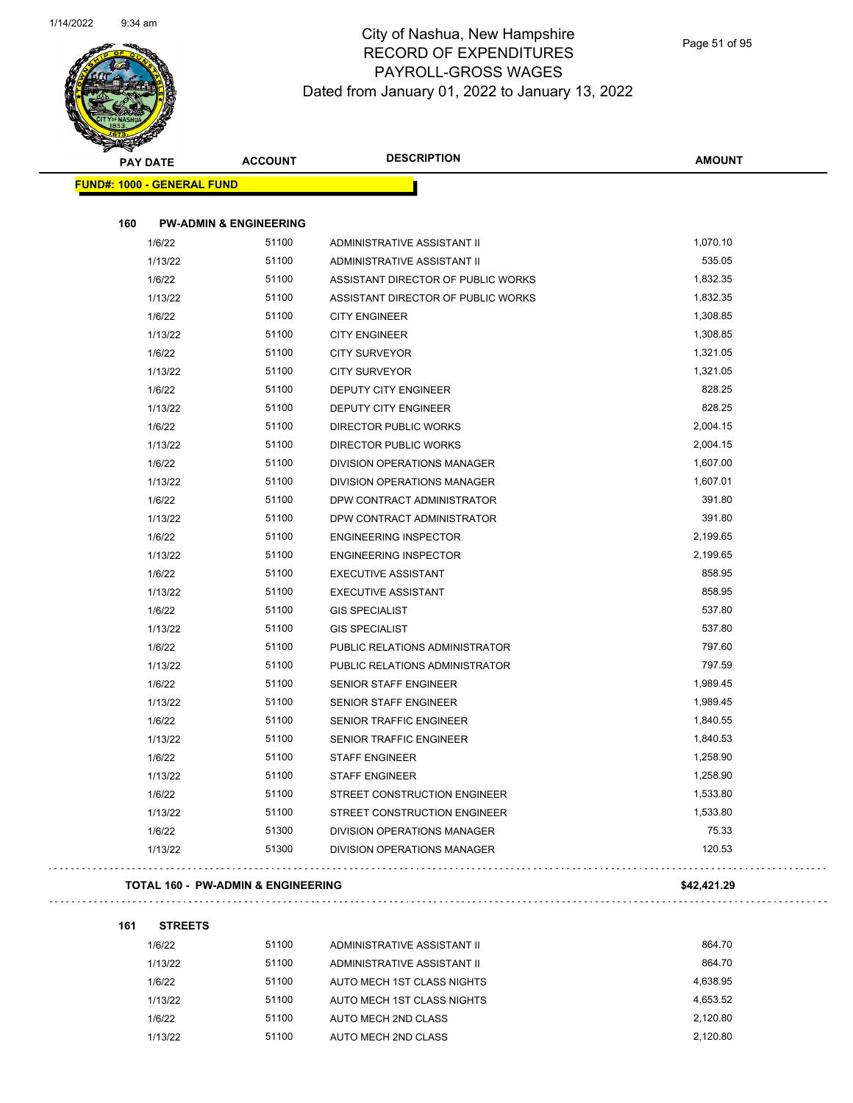

| <b>Kalendary Company</b>          | <b>PAY DATE</b> | <b>ACCOUNT</b>                    | <b>DESCRIPTION</b>                 | <b>AMOUNT</b> |  |  |  |
|-----------------------------------|-----------------|-----------------------------------|------------------------------------|---------------|--|--|--|
| <b>FUND#: 1000 - GENERAL FUND</b> |                 |                                   |                                    |               |  |  |  |
|                                   |                 |                                   |                                    |               |  |  |  |
| 160                               |                 | <b>PW-ADMIN &amp; ENGINEERING</b> |                                    |               |  |  |  |
|                                   | 1/6/22          | 51100                             | ADMINISTRATIVE ASSISTANT II        | 1,070.10      |  |  |  |
|                                   | 1/13/22         | 51100                             | ADMINISTRATIVE ASSISTANT II        | 535.05        |  |  |  |
|                                   | 1/6/22          | 51100                             | ASSISTANT DIRECTOR OF PUBLIC WORKS | 1,832.35      |  |  |  |
|                                   | 1/13/22         | 51100                             | ASSISTANT DIRECTOR OF PUBLIC WORKS | 1,832.35      |  |  |  |
|                                   | 1/6/22          | 51100                             | <b>CITY ENGINEER</b>               | 1,308.85      |  |  |  |
|                                   | 1/13/22         | 51100                             | <b>CITY ENGINEER</b>               | 1,308.85      |  |  |  |
|                                   | 1/6/22          | 51100                             | <b>CITY SURVEYOR</b>               | 1,321.05      |  |  |  |
|                                   | 1/13/22         | 51100                             | <b>CITY SURVEYOR</b>               | 1,321.05      |  |  |  |
|                                   | 1/6/22          | 51100                             | <b>DEPUTY CITY ENGINEER</b>        | 828.25        |  |  |  |
|                                   | 1/13/22         | 51100                             | <b>DEPUTY CITY ENGINEER</b>        | 828.25        |  |  |  |
|                                   | 1/6/22          | 51100                             | <b>DIRECTOR PUBLIC WORKS</b>       | 2,004.15      |  |  |  |
|                                   | 1/13/22         | 51100                             | <b>DIRECTOR PUBLIC WORKS</b>       | 2,004.15      |  |  |  |
|                                   | 1/6/22          | 51100                             | DIVISION OPERATIONS MANAGER        | 1,607.00      |  |  |  |
|                                   | 1/13/22         | 51100                             | DIVISION OPERATIONS MANAGER        | 1,607.01      |  |  |  |
|                                   | 1/6/22          | 51100                             | DPW CONTRACT ADMINISTRATOR         | 391.80        |  |  |  |
|                                   | 1/13/22         | 51100                             | DPW CONTRACT ADMINISTRATOR         | 391.80        |  |  |  |
|                                   | 1/6/22          | 51100                             | <b>ENGINEERING INSPECTOR</b>       | 2,199.65      |  |  |  |
|                                   | 1/13/22         | 51100                             | <b>ENGINEERING INSPECTOR</b>       | 2,199.65      |  |  |  |
|                                   | 1/6/22          | 51100                             | <b>EXECUTIVE ASSISTANT</b>         | 858.95        |  |  |  |
|                                   | 1/13/22         | 51100                             | <b>EXECUTIVE ASSISTANT</b>         | 858.95        |  |  |  |
|                                   | 1/6/22          | 51100                             | <b>GIS SPECIALIST</b>              | 537.80        |  |  |  |
|                                   | 1/13/22         | 51100                             | <b>GIS SPECIALIST</b>              | 537.80        |  |  |  |
|                                   | 1/6/22          | 51100                             | PUBLIC RELATIONS ADMINISTRATOR     | 797.60        |  |  |  |
|                                   | 1/13/22         | 51100                             | PUBLIC RELATIONS ADMINISTRATOR     | 797.59        |  |  |  |
|                                   | 1/6/22          | 51100                             | SENIOR STAFF ENGINEER              | 1,989.45      |  |  |  |
|                                   | 1/13/22         | 51100                             | <b>SENIOR STAFF ENGINEER</b>       | 1,989.45      |  |  |  |
|                                   | 1/6/22          | 51100                             | SENIOR TRAFFIC ENGINEER            | 1,840.55      |  |  |  |
|                                   | 1/13/22         | 51100                             | <b>SENIOR TRAFFIC ENGINEER</b>     | 1,840.53      |  |  |  |
|                                   | 1/6/22          | 51100                             | <b>STAFF ENGINEER</b>              | 1,258.90      |  |  |  |
|                                   | 1/13/22         | 51100                             | <b>STAFF ENGINEER</b>              | 1,258.90      |  |  |  |
|                                   | 1/6/22          | 51100                             | STREET CONSTRUCTION ENGINEER       | 1,533.80      |  |  |  |
|                                   | 1/13/22         | 51100                             | STREET CONSTRUCTION ENGINEER       | 1,533.80      |  |  |  |
|                                   | 1/6/22          | 51300                             | DIVISION OPERATIONS MANAGER        | 75.33         |  |  |  |
|                                   | 1/13/22         | 51300                             | DIVISION OPERATIONS MANAGER        | 120.53        |  |  |  |

#### **TOTAL 160 - PW-ADMIN & ENGINEERING \$42,421.29**

 $\mathbb{R}^2$ 

**161 STREETS** 1/6/22 51100 ADMINISTRATIVE ASSISTANT II 864.70 1/13/22 51100 ADMINISTRATIVE ASSISTANT II 864.70 1/6/22 51100 AUTO MECH 1ST CLASS NIGHTS 4,638.95 1/13/22 51100 AUTO MECH 1ST CLASS NIGHTS 4,653.52 1/6/22 51100 AUTO MECH 2ND CLASS 2,120.80 1/13/22 51100 AUTO MECH 2ND CLASS 2,120.80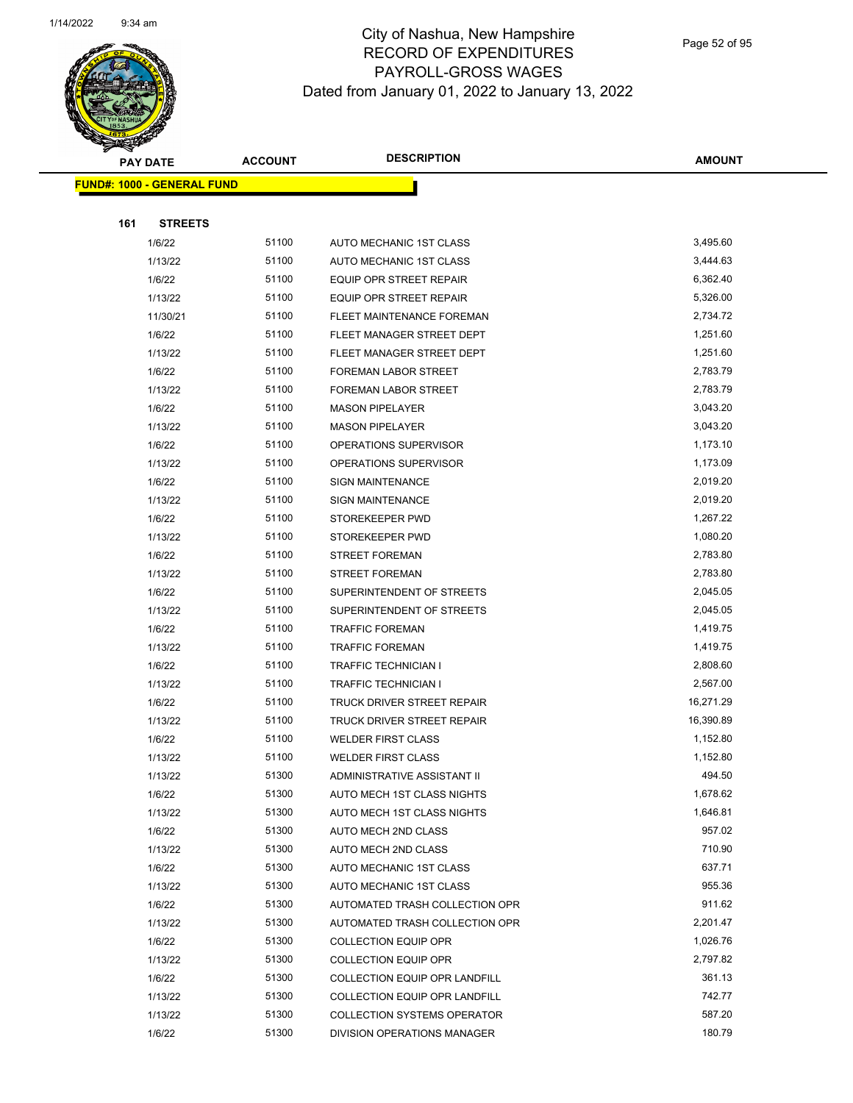

Page 52 of 95

|     | <b>PAY DATE</b>                   | <b>ACCOUNT</b> | <b>DESCRIPTION</b>                                | <b>AMOUNT</b>        |
|-----|-----------------------------------|----------------|---------------------------------------------------|----------------------|
|     | <b>FUND#: 1000 - GENERAL FUND</b> |                |                                                   |                      |
|     |                                   |                |                                                   |                      |
| 161 | <b>STREETS</b>                    |                |                                                   |                      |
|     | 1/6/22                            | 51100          | AUTO MECHANIC 1ST CLASS                           | 3,495.60             |
|     | 1/13/22                           | 51100          | AUTO MECHANIC 1ST CLASS                           | 3,444.63             |
|     | 1/6/22                            | 51100          | EQUIP OPR STREET REPAIR                           | 6,362.40             |
|     | 1/13/22                           | 51100          | EQUIP OPR STREET REPAIR                           | 5,326.00             |
|     | 11/30/21                          | 51100          | FLEET MAINTENANCE FOREMAN                         | 2,734.72             |
|     | 1/6/22                            | 51100          | FLEET MANAGER STREET DEPT                         | 1,251.60             |
|     | 1/13/22                           | 51100          | FLEET MANAGER STREET DEPT                         | 1,251.60             |
|     | 1/6/22                            | 51100          | FOREMAN LABOR STREET                              | 2,783.79             |
|     | 1/13/22                           | 51100          | FOREMAN LABOR STREET                              | 2,783.79             |
|     | 1/6/22                            | 51100          | <b>MASON PIPELAYER</b>                            | 3,043.20             |
|     | 1/13/22                           | 51100          | <b>MASON PIPELAYER</b>                            | 3,043.20             |
|     | 1/6/22                            | 51100          | OPERATIONS SUPERVISOR                             | 1,173.10             |
|     | 1/13/22                           | 51100          | OPERATIONS SUPERVISOR                             | 1,173.09             |
|     | 1/6/22                            | 51100          | <b>SIGN MAINTENANCE</b>                           | 2,019.20             |
|     | 1/13/22                           | 51100          | <b>SIGN MAINTENANCE</b>                           | 2,019.20             |
|     | 1/6/22                            | 51100          | STOREKEEPER PWD                                   | 1,267.22             |
|     | 1/13/22                           | 51100          | STOREKEEPER PWD                                   | 1,080.20             |
|     | 1/6/22                            | 51100          | <b>STREET FOREMAN</b>                             | 2,783.80             |
|     | 1/13/22                           | 51100          | <b>STREET FOREMAN</b>                             | 2,783.80             |
|     | 1/6/22                            | 51100          | SUPERINTENDENT OF STREETS                         | 2,045.05             |
|     | 1/13/22                           | 51100          | SUPERINTENDENT OF STREETS                         | 2,045.05             |
|     | 1/6/22                            | 51100          | <b>TRAFFIC FOREMAN</b>                            | 1,419.75             |
|     | 1/13/22                           | 51100          | <b>TRAFFIC FOREMAN</b>                            | 1,419.75             |
|     | 1/6/22                            | 51100          | <b>TRAFFIC TECHNICIAN I</b>                       | 2,808.60             |
|     | 1/13/22                           | 51100          | <b>TRAFFIC TECHNICIAN I</b>                       | 2,567.00             |
|     | 1/6/22                            | 51100          | TRUCK DRIVER STREET REPAIR                        | 16,271.29            |
|     | 1/13/22                           | 51100          | TRUCK DRIVER STREET REPAIR                        | 16,390.89            |
|     | 1/6/22                            | 51100          | <b>WELDER FIRST CLASS</b>                         | 1,152.80             |
|     | 1/13/22                           | 51100          | <b>WELDER FIRST CLASS</b>                         | 1,152.80             |
|     | 1/13/22                           | 51300          | ADMINISTRATIVE ASSISTANT II                       | 494.50               |
|     | 1/6/22                            | 51300<br>51300 | AUTO MECH 1ST CLASS NIGHTS                        | 1,678.62<br>1,646.81 |
|     | 1/13/22<br>1/6/22                 | 51300          | AUTO MECH 1ST CLASS NIGHTS<br>AUTO MECH 2ND CLASS | 957.02               |
|     | 1/13/22                           | 51300          | AUTO MECH 2ND CLASS                               | 710.90               |
|     | 1/6/22                            | 51300          | AUTO MECHANIC 1ST CLASS                           | 637.71               |
|     | 1/13/22                           | 51300          | AUTO MECHANIC 1ST CLASS                           | 955.36               |
|     | 1/6/22                            | 51300          | AUTOMATED TRASH COLLECTION OPR                    | 911.62               |
|     | 1/13/22                           | 51300          | AUTOMATED TRASH COLLECTION OPR                    | 2,201.47             |
|     | 1/6/22                            | 51300          | <b>COLLECTION EQUIP OPR</b>                       | 1,026.76             |
|     | 1/13/22                           | 51300          | COLLECTION EQUIP OPR                              | 2,797.82             |
|     | 1/6/22                            | 51300          | COLLECTION EQUIP OPR LANDFILL                     | 361.13               |
|     | 1/13/22                           | 51300          | COLLECTION EQUIP OPR LANDFILL                     | 742.77               |
|     | 1/13/22                           | 51300          | <b>COLLECTION SYSTEMS OPERATOR</b>                | 587.20               |
|     | 1/6/22                            | 51300          | DIVISION OPERATIONS MANAGER                       | 180.79               |
|     |                                   |                |                                                   |                      |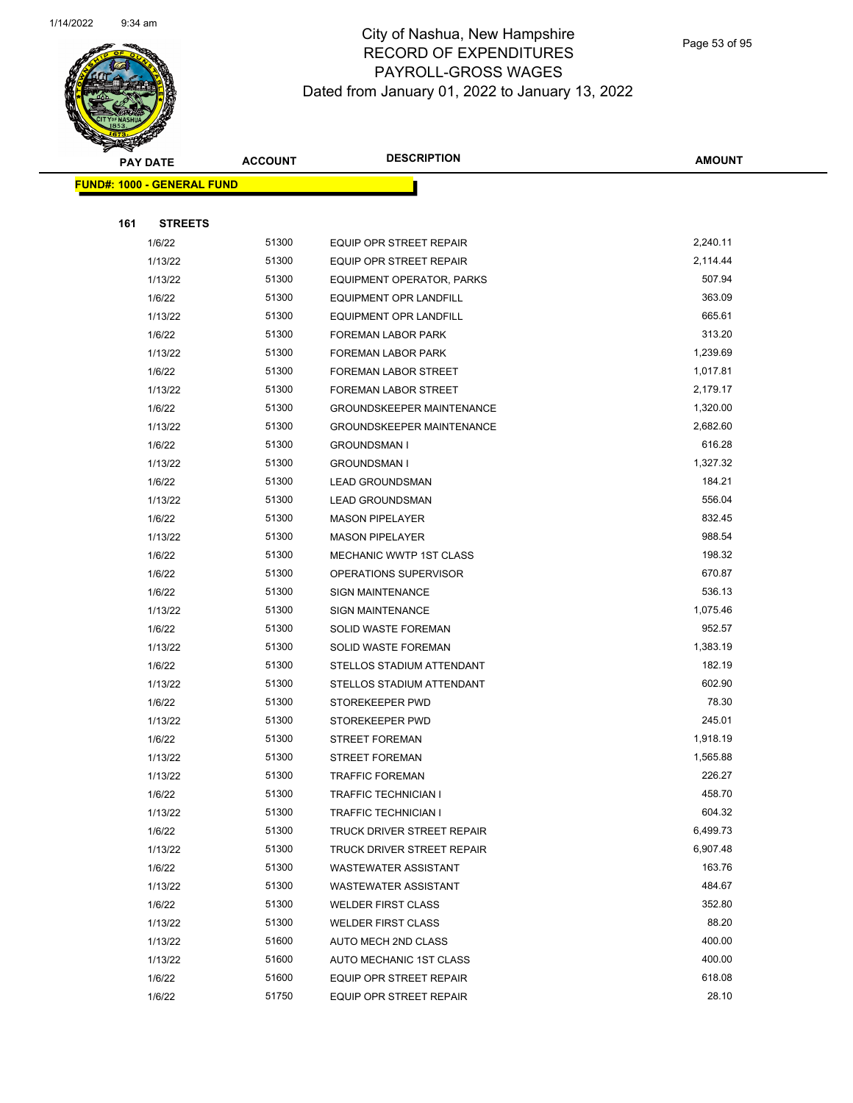

Page 53 of 95

|     | <b>PAY DATE</b>                   | <b>ACCOUNT</b> | <b>DESCRIPTION</b>               | <b>AMOUNT</b> |
|-----|-----------------------------------|----------------|----------------------------------|---------------|
|     | <b>FUND#: 1000 - GENERAL FUND</b> |                |                                  |               |
|     |                                   |                |                                  |               |
| 161 | <b>STREETS</b>                    |                |                                  |               |
|     | 1/6/22                            | 51300          | EQUIP OPR STREET REPAIR          | 2,240.11      |
|     | 1/13/22                           | 51300          | EQUIP OPR STREET REPAIR          | 2,114.44      |
|     | 1/13/22                           | 51300          | EQUIPMENT OPERATOR, PARKS        | 507.94        |
|     | 1/6/22                            | 51300          | <b>EQUIPMENT OPR LANDFILL</b>    | 363.09        |
|     | 1/13/22                           | 51300          | <b>EQUIPMENT OPR LANDFILL</b>    | 665.61        |
|     | 1/6/22                            | 51300          | <b>FOREMAN LABOR PARK</b>        | 313.20        |
|     | 1/13/22                           | 51300          | <b>FOREMAN LABOR PARK</b>        | 1,239.69      |
|     | 1/6/22                            | 51300          | FOREMAN LABOR STREET             | 1,017.81      |
|     | 1/13/22                           | 51300          | FOREMAN LABOR STREET             | 2,179.17      |
|     | 1/6/22                            | 51300          | <b>GROUNDSKEEPER MAINTENANCE</b> | 1,320.00      |
|     | 1/13/22                           | 51300          | <b>GROUNDSKEEPER MAINTENANCE</b> | 2,682.60      |
|     | 1/6/22                            | 51300          | <b>GROUNDSMAN I</b>              | 616.28        |
|     | 1/13/22                           | 51300          | <b>GROUNDSMAN I</b>              | 1,327.32      |
|     | 1/6/22                            | 51300          | <b>LEAD GROUNDSMAN</b>           | 184.21        |
|     | 1/13/22                           | 51300          | <b>LEAD GROUNDSMAN</b>           | 556.04        |
|     | 1/6/22                            | 51300          | <b>MASON PIPELAYER</b>           | 832.45        |
|     | 1/13/22                           | 51300          | <b>MASON PIPELAYER</b>           | 988.54        |
|     | 1/6/22                            | 51300          | MECHANIC WWTP 1ST CLASS          | 198.32        |
|     | 1/6/22                            | 51300          | OPERATIONS SUPERVISOR            | 670.87        |
|     | 1/6/22                            | 51300          | <b>SIGN MAINTENANCE</b>          | 536.13        |
|     | 1/13/22                           | 51300          | <b>SIGN MAINTENANCE</b>          | 1,075.46      |
|     | 1/6/22                            | 51300          | <b>SOLID WASTE FOREMAN</b>       | 952.57        |
|     | 1/13/22                           | 51300          | <b>SOLID WASTE FOREMAN</b>       | 1,383.19      |
|     | 1/6/22                            | 51300          | STELLOS STADIUM ATTENDANT        | 182.19        |
|     | 1/13/22                           | 51300          | STELLOS STADIUM ATTENDANT        | 602.90        |
|     | 1/6/22                            | 51300          | STOREKEEPER PWD                  | 78.30         |
|     | 1/13/22                           | 51300          | STOREKEEPER PWD                  | 245.01        |
|     | 1/6/22                            | 51300          | <b>STREET FOREMAN</b>            | 1,918.19      |
|     | 1/13/22                           | 51300          | <b>STREET FOREMAN</b>            | 1,565.88      |
|     | 1/13/22                           | 51300          | <b>TRAFFIC FOREMAN</b>           | 226.27        |
|     | 1/6/22                            | 51300          | <b>TRAFFIC TECHNICIAN I</b>      | 458.70        |
|     | 1/13/22                           | 51300          | <b>TRAFFIC TECHNICIAN I</b>      | 604.32        |
|     | 1/6/22                            | 51300          | TRUCK DRIVER STREET REPAIR       | 6,499.73      |
|     | 1/13/22                           | 51300          | TRUCK DRIVER STREET REPAIR       | 6,907.48      |
|     | 1/6/22                            | 51300          | <b>WASTEWATER ASSISTANT</b>      | 163.76        |
|     | 1/13/22                           | 51300          | <b>WASTEWATER ASSISTANT</b>      | 484.67        |
|     | 1/6/22                            | 51300          | <b>WELDER FIRST CLASS</b>        | 352.80        |
|     | 1/13/22                           | 51300          | <b>WELDER FIRST CLASS</b>        | 88.20         |
|     | 1/13/22                           | 51600          | AUTO MECH 2ND CLASS              | 400.00        |
|     | 1/13/22                           | 51600          | AUTO MECHANIC 1ST CLASS          | 400.00        |
|     | 1/6/22                            | 51600          | EQUIP OPR STREET REPAIR          | 618.08        |
|     | 1/6/22                            | 51750          | EQUIP OPR STREET REPAIR          | 28.10         |
|     |                                   |                |                                  |               |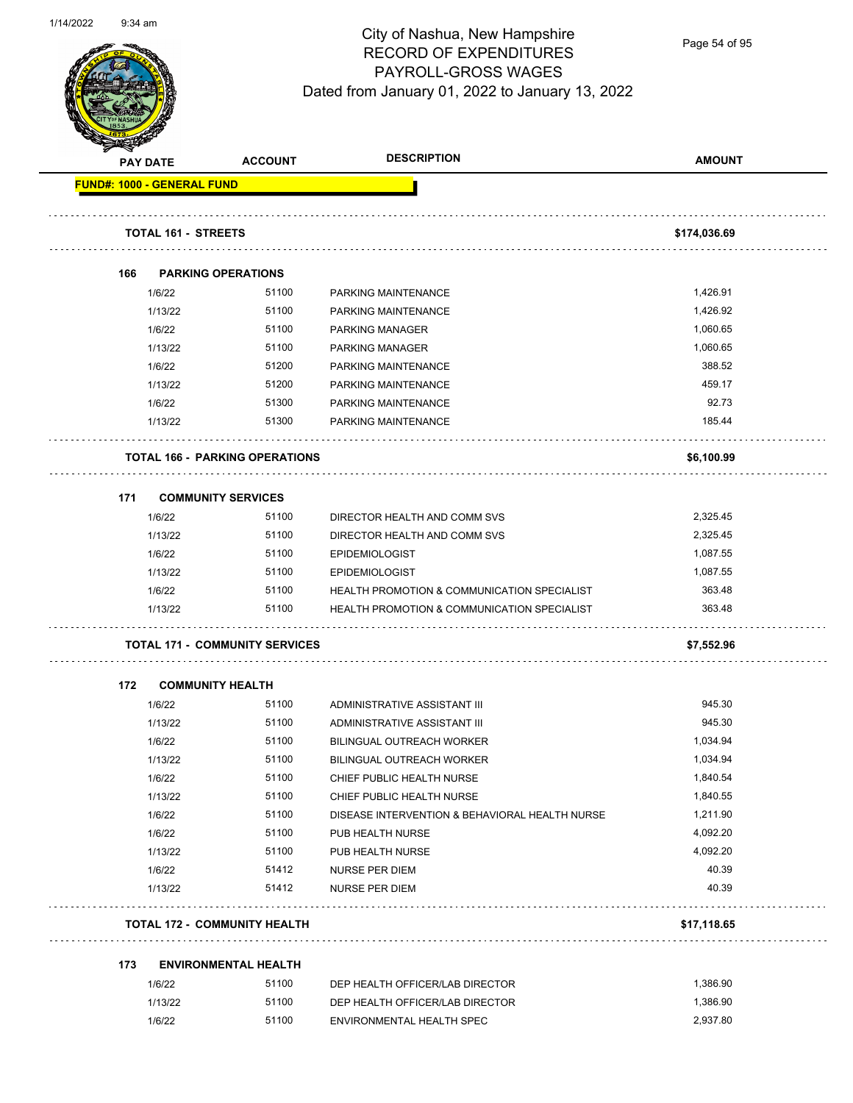

Page 54 of 95

|     | <b>PAY DATE</b>            | <b>ACCOUNT</b>                        | <b>DESCRIPTION</b>                                     | <b>AMOUNT</b>      |
|-----|----------------------------|---------------------------------------|--------------------------------------------------------|--------------------|
|     | FUND#: 1000 - GENERAL FUND |                                       |                                                        |                    |
|     | TOTAL 161 - STREETS        |                                       |                                                        | \$174,036.69       |
|     |                            |                                       |                                                        |                    |
| 166 | <b>PARKING OPERATIONS</b>  |                                       |                                                        |                    |
|     | 1/6/22                     | 51100                                 | PARKING MAINTENANCE                                    | 1,426.91           |
|     | 1/13/22                    | 51100                                 | PARKING MAINTENANCE                                    | 1,426.92           |
|     | 1/6/22                     | 51100                                 | <b>PARKING MANAGER</b>                                 | 1,060.65           |
|     | 1/13/22                    | 51100<br>51200                        | <b>PARKING MANAGER</b>                                 | 1,060.65<br>388.52 |
|     | 1/6/22                     | 51200                                 | PARKING MAINTENANCE                                    | 459.17             |
|     | 1/13/22<br>1/6/22          | 51300                                 | PARKING MAINTENANCE<br>PARKING MAINTENANCE             | 92.73              |
|     |                            | 51300                                 |                                                        | 185.44             |
|     | 1/13/22                    |                                       | PARKING MAINTENANCE                                    |                    |
|     |                            | <b>TOTAL 166 - PARKING OPERATIONS</b> |                                                        | \$6,100.99         |
| 171 | <b>COMMUNITY SERVICES</b>  |                                       |                                                        |                    |
|     | 1/6/22                     | 51100                                 | DIRECTOR HEALTH AND COMM SVS                           | 2,325.45           |
|     | 1/13/22                    | 51100                                 | DIRECTOR HEALTH AND COMM SVS                           | 2,325.45           |
|     | 1/6/22                     | 51100                                 | <b>EPIDEMIOLOGIST</b>                                  | 1,087.55           |
|     | 1/13/22                    | 51100                                 | <b>EPIDEMIOLOGIST</b>                                  | 1,087.55           |
|     | 1/6/22                     | 51100                                 | HEALTH PROMOTION & COMMUNICATION SPECIALIST            | 363.48             |
|     | 1/13/22                    | 51100                                 | <b>HEALTH PROMOTION &amp; COMMUNICATION SPECIALIST</b> | 363.48             |
|     |                            | <b>TOTAL 171 - COMMUNITY SERVICES</b> |                                                        | \$7,552.96         |
| 172 | <b>COMMUNITY HEALTH</b>    |                                       |                                                        |                    |
|     | 1/6/22                     | 51100                                 | ADMINISTRATIVE ASSISTANT III                           | 945.30             |
|     | 1/13/22                    | 51100                                 | ADMINISTRATIVE ASSISTANT III                           | 945.30             |
|     | 1/6/22                     | 51100                                 | <b>BILINGUAL OUTREACH WORKER</b>                       | 1,034.94           |
|     | 1/13/22                    | 51100                                 | BILINGUAL OUTREACH WORKER                              | 1,034.94           |
|     | 1/6/22                     | 51100                                 | CHIEF PUBLIC HEALTH NURSE                              | 1,840.54           |
|     | 1/13/22                    | 51100                                 | CHIEF PUBLIC HEALTH NURSE                              | 1,840.55           |
|     | 1/6/22                     | 51100                                 | DISEASE INTERVENTION & BEHAVIORAL HEALTH NURSE         | 1,211.90           |
|     | 1/6/22                     | 51100                                 | PUB HEALTH NURSE                                       | 4,092.20           |
|     | 1/13/22                    | 51100                                 | PUB HEALTH NURSE                                       | 4,092.20           |
|     | 1/6/22                     | 51412                                 | <b>NURSE PER DIEM</b>                                  | 40.39              |
|     | 1/13/22                    | 51412                                 | NURSE PER DIEM                                         | 40.39              |
|     |                            | <b>TOTAL 172 - COMMUNITY HEALTH</b>   |                                                        | \$17,118.65        |
|     |                            | <b>ENVIRONMENTAL HEALTH</b>           |                                                        |                    |
| 173 |                            |                                       | DEP HEALTH OFFICER/LAB DIRECTOR                        | 1,386.90           |
|     | 1/6/22                     | 51100                                 |                                                        |                    |
|     | 1/13/22                    | 51100                                 | DEP HEALTH OFFICER/LAB DIRECTOR                        | 1,386.90           |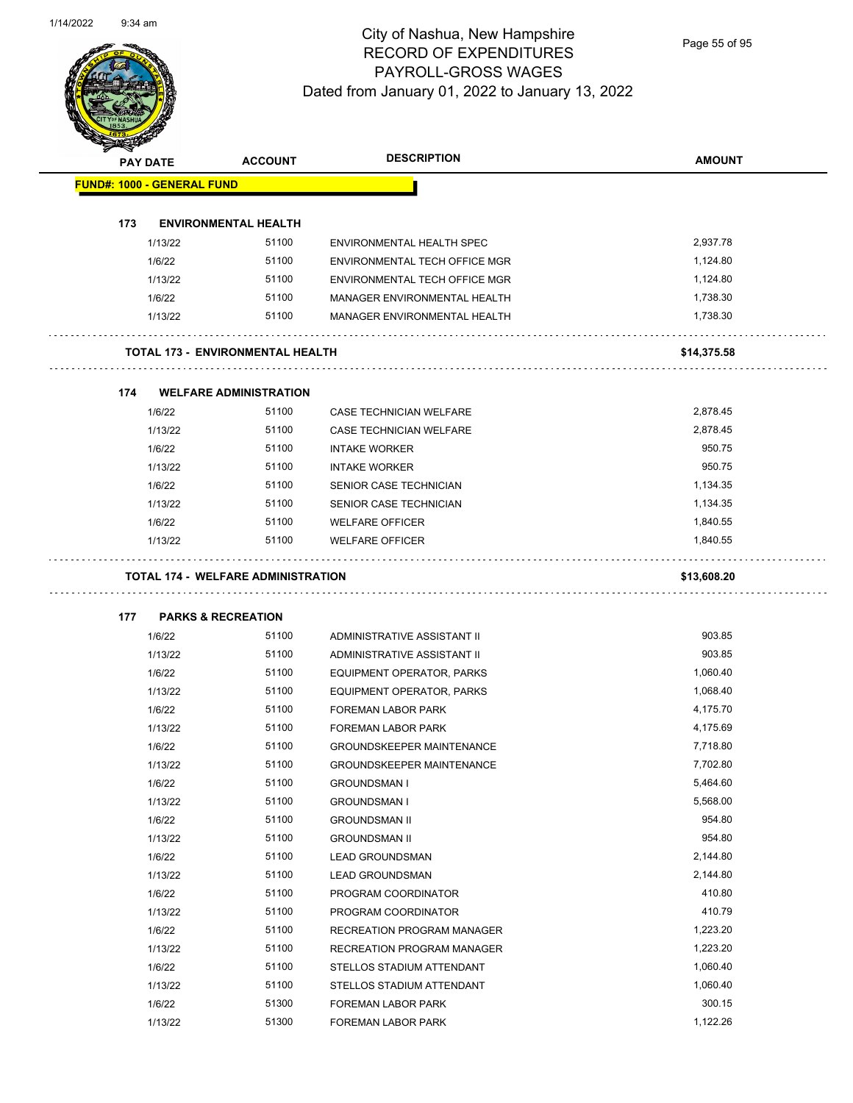

Page 55 of 95

| <b>PAY DATE</b> |                                   | <b>ACCOUNT</b>                            | <b>DESCRIPTION</b>               | <b>AMOUNT</b> |
|-----------------|-----------------------------------|-------------------------------------------|----------------------------------|---------------|
|                 | <b>FUND#: 1000 - GENERAL FUND</b> |                                           |                                  |               |
|                 |                                   |                                           |                                  |               |
| 173             |                                   | <b>ENVIRONMENTAL HEALTH</b>               |                                  |               |
|                 | 1/13/22                           | 51100                                     | ENVIRONMENTAL HEALTH SPEC        | 2,937.78      |
|                 | 1/6/22                            | 51100                                     | ENVIRONMENTAL TECH OFFICE MGR    | 1,124.80      |
|                 | 1/13/22                           | 51100                                     | ENVIRONMENTAL TECH OFFICE MGR    | 1,124.80      |
|                 | 1/6/22                            | 51100                                     | MANAGER ENVIRONMENTAL HEALTH     | 1,738.30      |
|                 | 1/13/22                           | 51100                                     | MANAGER ENVIRONMENTAL HEALTH     | 1,738.30      |
|                 |                                   | <b>TOTAL 173 - ENVIRONMENTAL HEALTH</b>   |                                  | \$14,375.58   |
|                 |                                   |                                           |                                  |               |
| 174             |                                   | <b>WELFARE ADMINISTRATION</b>             |                                  |               |
|                 | 1/6/22                            | 51100                                     | CASE TECHNICIAN WELFARE          | 2,878.45      |
|                 | 1/13/22                           | 51100                                     | CASE TECHNICIAN WELFARE          | 2,878.45      |
|                 | 1/6/22                            | 51100                                     | <b>INTAKE WORKER</b>             | 950.75        |
|                 | 1/13/22                           | 51100                                     | <b>INTAKE WORKER</b>             | 950.75        |
|                 | 1/6/22                            | 51100                                     | SENIOR CASE TECHNICIAN           | 1,134.35      |
|                 | 1/13/22                           | 51100                                     | SENIOR CASE TECHNICIAN           | 1,134.35      |
|                 | 1/6/22                            | 51100                                     | <b>WELFARE OFFICER</b>           | 1,840.55      |
|                 | 1/13/22                           | 51100                                     | <b>WELFARE OFFICER</b>           | 1,840.55      |
|                 |                                   |                                           |                                  |               |
|                 |                                   | <b>TOTAL 174 - WELFARE ADMINISTRATION</b> |                                  | \$13,608.20   |
| 177             |                                   | <b>PARKS &amp; RECREATION</b>             |                                  |               |
|                 | 1/6/22                            | 51100                                     | ADMINISTRATIVE ASSISTANT II      | 903.85        |
|                 | 1/13/22                           | 51100                                     | ADMINISTRATIVE ASSISTANT II      | 903.85        |
|                 | 1/6/22                            | 51100                                     | EQUIPMENT OPERATOR, PARKS        | 1,060.40      |
|                 | 1/13/22                           | 51100                                     | EQUIPMENT OPERATOR, PARKS        | 1,068.40      |
|                 | 1/6/22                            | 51100                                     | FOREMAN LABOR PARK               | 4,175.70      |
|                 | 1/13/22                           | 51100                                     | FOREMAN LABOR PARK               | 4,175.69      |
|                 | 1/6/22                            | 51100                                     | <b>GROUNDSKEEPER MAINTENANCE</b> | 7,718.80      |
|                 | 1/13/22                           | 51100                                     | <b>GROUNDSKEEPER MAINTENANCE</b> | 7,702.80      |
|                 | 1/6/22                            | 51100                                     | <b>GROUNDSMAN I</b>              | 5,464.60      |
|                 | 1/13/22                           | 51100                                     | <b>GROUNDSMAN I</b>              | 5,568.00      |
|                 | 1/6/22                            | 51100                                     | <b>GROUNDSMAN II</b>             | 954.80        |
|                 | 1/13/22                           | 51100                                     | <b>GROUNDSMAN II</b>             | 954.80        |
|                 | 1/6/22                            | 51100                                     | <b>LEAD GROUNDSMAN</b>           | 2,144.80      |
|                 | 1/13/22                           | 51100                                     | <b>LEAD GROUNDSMAN</b>           | 2,144.80      |
|                 | 1/6/22                            | 51100                                     | PROGRAM COORDINATOR              | 410.80        |
|                 | 1/13/22                           | 51100                                     | PROGRAM COORDINATOR              | 410.79        |
|                 | 1/6/22                            | 51100                                     | RECREATION PROGRAM MANAGER       | 1,223.20      |
|                 | 1/13/22                           | 51100                                     | RECREATION PROGRAM MANAGER       | 1,223.20      |
|                 | 1/6/22                            | 51100                                     | STELLOS STADIUM ATTENDANT        | 1,060.40      |
|                 | 1/13/22                           | 51100                                     | STELLOS STADIUM ATTENDANT        | 1,060.40      |
|                 | 1/6/22                            | 51300                                     | FOREMAN LABOR PARK               | 300.15        |
|                 | 1/13/22                           | 51300                                     | FOREMAN LABOR PARK               | 1,122.26      |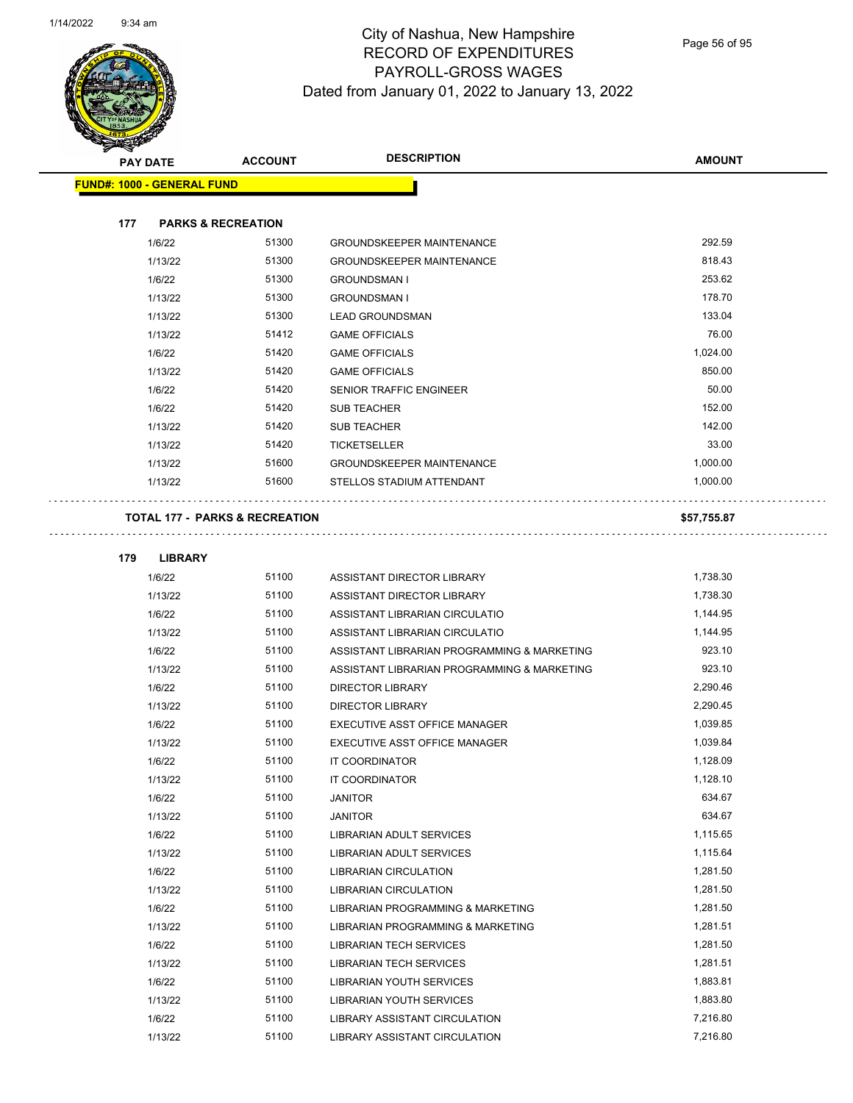

Page 56 of 95

|     | <b>PAY DATE</b>                   | <b>ACCOUNT</b>                            | <b>DESCRIPTION</b>                          | <b>AMOUNT</b> |
|-----|-----------------------------------|-------------------------------------------|---------------------------------------------|---------------|
|     | <b>FUND#: 1000 - GENERAL FUND</b> |                                           |                                             |               |
|     |                                   |                                           |                                             |               |
| 177 |                                   | <b>PARKS &amp; RECREATION</b>             |                                             |               |
|     | 1/6/22                            | 51300                                     | <b>GROUNDSKEEPER MAINTENANCE</b>            | 292.59        |
|     | 1/13/22                           | 51300                                     | <b>GROUNDSKEEPER MAINTENANCE</b>            | 818.43        |
|     | 1/6/22                            | 51300                                     | <b>GROUNDSMAN I</b>                         | 253.62        |
|     | 1/13/22                           | 51300                                     | <b>GROUNDSMAN I</b>                         | 178.70        |
|     | 1/13/22                           | 51300                                     | <b>LEAD GROUNDSMAN</b>                      | 133.04        |
|     | 1/13/22                           | 51412                                     | <b>GAME OFFICIALS</b>                       | 76.00         |
|     | 1/6/22                            | 51420                                     | <b>GAME OFFICIALS</b>                       | 1,024.00      |
|     | 1/13/22                           | 51420                                     | <b>GAME OFFICIALS</b>                       | 850.00        |
|     | 1/6/22                            | 51420                                     | SENIOR TRAFFIC ENGINEER                     | 50.00         |
|     | 1/6/22                            | 51420                                     | <b>SUB TEACHER</b>                          | 152.00        |
|     | 1/13/22                           | 51420                                     | <b>SUB TEACHER</b>                          | 142.00        |
|     | 1/13/22                           | 51420                                     | <b>TICKETSELLER</b>                         | 33.00         |
|     | 1/13/22                           | 51600                                     | <b>GROUNDSKEEPER MAINTENANCE</b>            | 1,000.00      |
|     | 1/13/22                           | 51600                                     | STELLOS STADIUM ATTENDANT                   | 1,000.00      |
|     |                                   | <b>TOTAL 177 - PARKS &amp; RECREATION</b> |                                             | \$57,755.87   |
|     |                                   |                                           |                                             |               |
| 179 | <b>LIBRARY</b>                    |                                           |                                             |               |
|     | 1/6/22                            | 51100                                     | ASSISTANT DIRECTOR LIBRARY                  | 1,738.30      |
|     | 1/13/22                           | 51100                                     | ASSISTANT DIRECTOR LIBRARY                  | 1,738.30      |
|     | 1/6/22                            | 51100                                     | ASSISTANT LIBRARIAN CIRCULATIO              | 1,144.95      |
|     | 1/13/22                           | 51100                                     | ASSISTANT LIBRARIAN CIRCULATIO              | 1,144.95      |
|     | 1/6/22                            | 51100                                     | ASSISTANT LIBRARIAN PROGRAMMING & MARKETING | 923.10        |
|     | 1/13/22                           | 51100                                     | ASSISTANT LIBRARIAN PROGRAMMING & MARKETING | 923.10        |
|     | 1/6/22                            | 51100                                     | <b>DIRECTOR LIBRARY</b>                     | 2,290.46      |
|     | 1/13/22                           | 51100                                     | <b>DIRECTOR LIBRARY</b>                     | 2,290.45      |
|     | 1/6/22                            | 51100                                     | EXECUTIVE ASST OFFICE MANAGER               | 1,039.85      |
|     | 1/13/22                           | 51100                                     | EXECUTIVE ASST OFFICE MANAGER               | 1,039.84      |
|     | 1/6/22                            | 51100                                     | <b>IT COORDINATOR</b>                       | 1,128.09      |
|     | 1/13/22                           | 51100                                     | IT COORDINATOR                              | 1,128.10      |
|     | 1/6/22                            | 51100                                     | <b>JANITOR</b>                              | 634.67        |
|     | 1/13/22                           | 51100                                     | <b>JANITOR</b>                              | 634.67        |
|     | 1/6/22                            | 51100                                     | LIBRARIAN ADULT SERVICES                    | 1,115.65      |
|     | 1/13/22                           | 51100                                     | LIBRARIAN ADULT SERVICES                    | 1,115.64      |
|     | 1/6/22                            | 51100                                     | <b>LIBRARIAN CIRCULATION</b>                | 1,281.50      |
|     | 1/13/22                           | 51100                                     | LIBRARIAN CIRCULATION                       | 1,281.50      |
|     | 1/6/22                            | 51100                                     | LIBRARIAN PROGRAMMING & MARKETING           | 1,281.50      |
|     | 1/13/22                           | 51100                                     | LIBRARIAN PROGRAMMING & MARKETING           | 1,281.51      |
|     | 1/6/22                            | 51100                                     | <b>LIBRARIAN TECH SERVICES</b>              | 1,281.50      |
|     | 1/13/22                           | 51100                                     | <b>LIBRARIAN TECH SERVICES</b>              | 1,281.51      |
|     | 1/6/22                            | 51100                                     | <b>LIBRARIAN YOUTH SERVICES</b>             | 1,883.81      |
|     | 1/13/22                           | 51100                                     | <b>LIBRARIAN YOUTH SERVICES</b>             | 1,883.80      |
|     | 1/6/22                            | 51100                                     | LIBRARY ASSISTANT CIRCULATION               | 7,216.80      |
|     | 1/13/22                           | 51100                                     | LIBRARY ASSISTANT CIRCULATION               | 7,216.80      |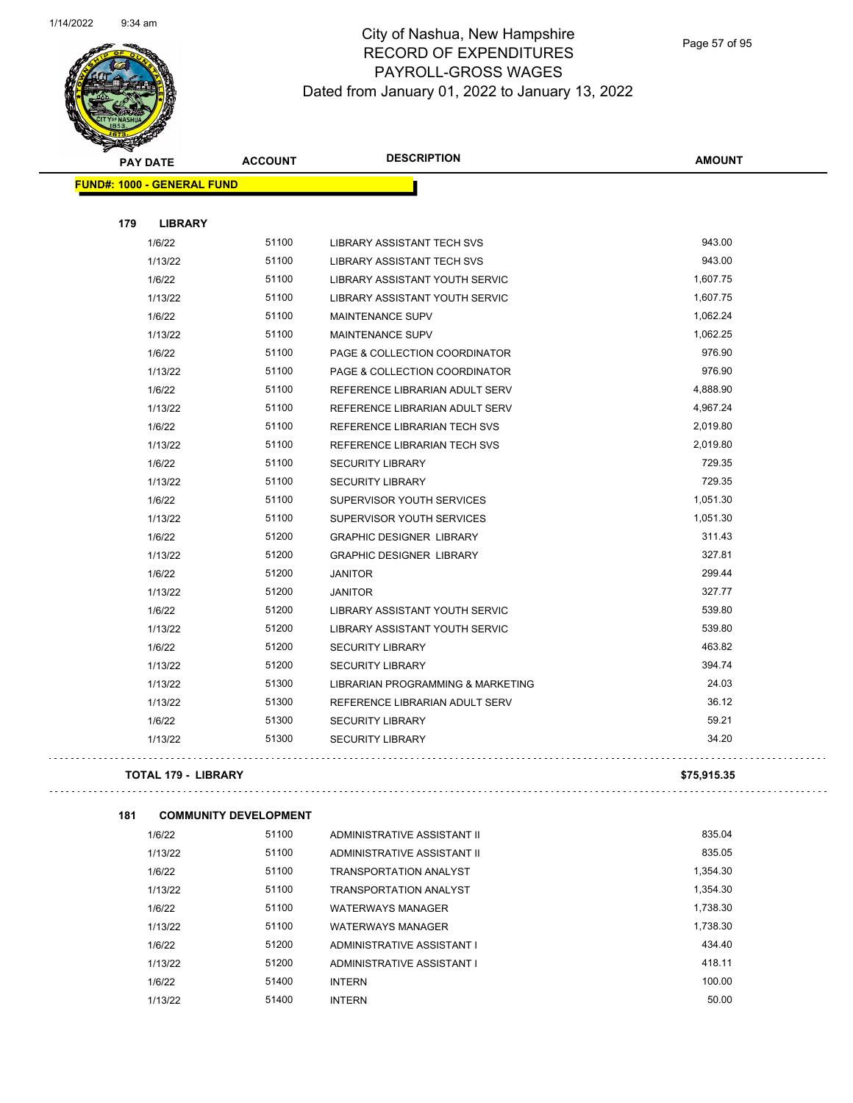

|     | <b>PAY DATE</b>                   | <b>ACCOUNT</b> | <b>DESCRIPTION</b>                | <b>AMOUNT</b> |
|-----|-----------------------------------|----------------|-----------------------------------|---------------|
|     | <b>FUND#: 1000 - GENERAL FUND</b> |                |                                   |               |
| 179 | <b>LIBRARY</b>                    |                |                                   |               |
|     | 1/6/22                            | 51100          | LIBRARY ASSISTANT TECH SVS        | 943.00        |
|     | 1/13/22                           | 51100          | <b>LIBRARY ASSISTANT TECH SVS</b> | 943.00        |
|     | 1/6/22                            | 51100          | LIBRARY ASSISTANT YOUTH SERVIC    | 1,607.75      |
|     | 1/13/22                           | 51100          | LIBRARY ASSISTANT YOUTH SERVIC    | 1,607.75      |
|     | 1/6/22                            | 51100          | <b>MAINTENANCE SUPV</b>           | 1,062.24      |
|     | 1/13/22                           | 51100          | <b>MAINTENANCE SUPV</b>           | 1,062.25      |
|     | 1/6/22                            | 51100          | PAGE & COLLECTION COORDINATOR     | 976.90        |
|     | 1/13/22                           | 51100          | PAGE & COLLECTION COORDINATOR     | 976.90        |
|     | 1/6/22                            | 51100          | REFERENCE LIBRARIAN ADULT SERV    | 4,888.90      |
|     | 1/13/22                           | 51100          | REFERENCE LIBRARIAN ADULT SERV    | 4,967.24      |
|     | 1/6/22                            | 51100          | REFERENCE LIBRARIAN TECH SVS      | 2,019.80      |
|     | 1/13/22                           | 51100          | REFERENCE LIBRARIAN TECH SVS      | 2,019.80      |
|     | 1/6/22                            | 51100          | <b>SECURITY LIBRARY</b>           | 729.35        |
|     | 1/13/22                           | 51100          | <b>SECURITY LIBRARY</b>           | 729.35        |
|     | 1/6/22                            | 51100          | SUPERVISOR YOUTH SERVICES         | 1,051.30      |
|     | 1/13/22                           | 51100          | SUPERVISOR YOUTH SERVICES         | 1,051.30      |
|     | 1/6/22                            | 51200          | <b>GRAPHIC DESIGNER LIBRARY</b>   | 311.43        |
|     | 1/13/22                           | 51200          | <b>GRAPHIC DESIGNER LIBRARY</b>   | 327.81        |
|     | 1/6/22                            | 51200          | <b>JANITOR</b>                    | 299.44        |
|     | 1/13/22                           | 51200          | <b>JANITOR</b>                    | 327.77        |
|     | 1/6/22                            | 51200          | LIBRARY ASSISTANT YOUTH SERVIC    | 539.80        |
|     | 1/13/22                           | 51200          | LIBRARY ASSISTANT YOUTH SERVIC    | 539.80        |
|     | 1/6/22                            | 51200          | <b>SECURITY LIBRARY</b>           | 463.82        |
|     | 1/13/22                           | 51200          | <b>SECURITY LIBRARY</b>           | 394.74        |
|     | 1/13/22                           | 51300          | LIBRARIAN PROGRAMMING & MARKETING | 24.03         |
|     | 1/13/22                           | 51300          | REFERENCE LIBRARIAN ADULT SERV    | 36.12         |
|     | 1/6/22                            | 51300          | <b>SECURITY LIBRARY</b>           | 59.21         |
|     | 1/13/22                           | 51300          | <b>SECURITY LIBRARY</b>           | 34.20         |
|     |                                   |                |                                   |               |

#### **TOTAL 179 - LIBRARY \$75,915.35**

 $\tau$  ,  $\tau$  ,  $\tau$ 

. . . . . . . . . . . . . . . . . .

```
181 COMMUNITY DEVELOPMENT
```

| 1/6/22  | 51100 | ADMINISTRATIVE ASSISTANT II   | 835.04   |
|---------|-------|-------------------------------|----------|
| 1/13/22 | 51100 | ADMINISTRATIVE ASSISTANT II   | 835.05   |
| 1/6/22  | 51100 | <b>TRANSPORTATION ANALYST</b> | 1.354.30 |
| 1/13/22 | 51100 | <b>TRANSPORTATION ANALYST</b> | 1.354.30 |
| 1/6/22  | 51100 | <b>WATERWAYS MANAGER</b>      | 1.738.30 |
| 1/13/22 | 51100 | <b>WATERWAYS MANAGER</b>      | 1.738.30 |
| 1/6/22  | 51200 | ADMINISTRATIVE ASSISTANT I    | 434.40   |
| 1/13/22 | 51200 | ADMINISTRATIVE ASSISTANT I    | 418.11   |
| 1/6/22  | 51400 | <b>INTERN</b>                 | 100.00   |
| 1/13/22 | 51400 | <b>INTERN</b>                 | 50.00    |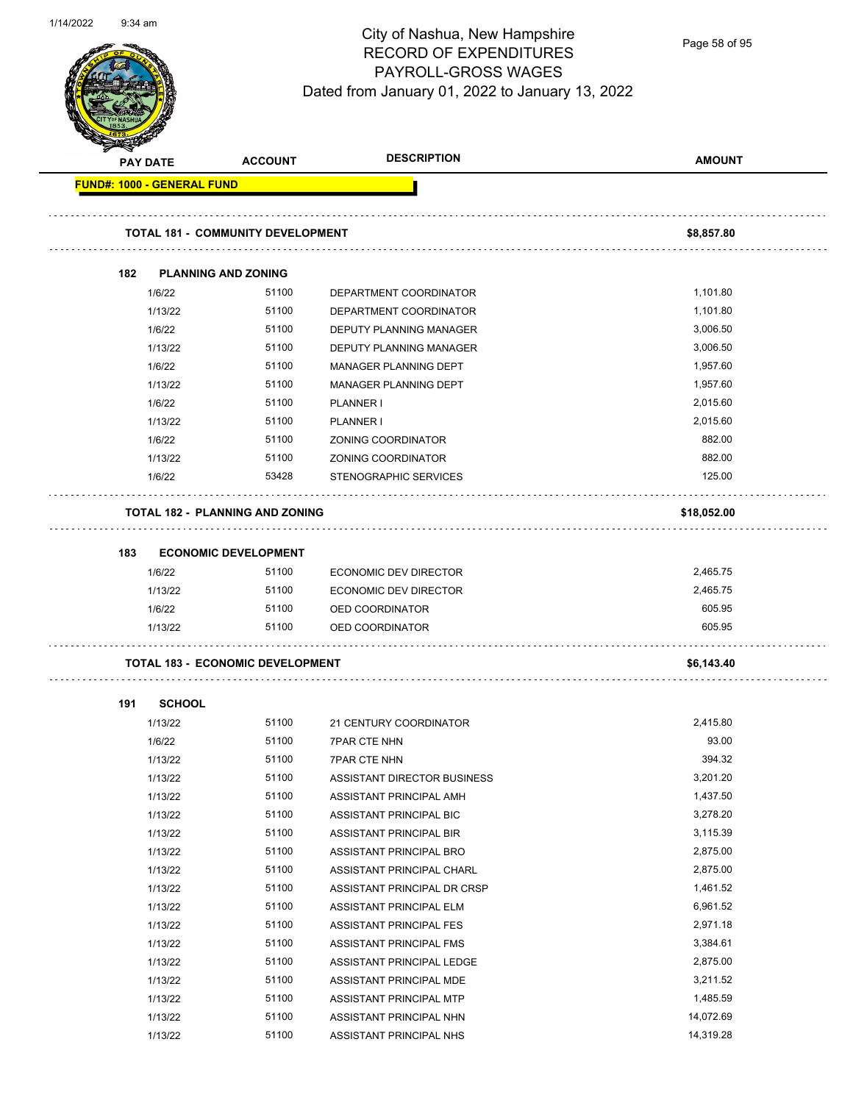

Page 58 of 95

| <b>PAY DATE</b>                   | <b>ACCOUNT</b>                           | <b>DESCRIPTION</b>             | <b>AMOUNT</b> |
|-----------------------------------|------------------------------------------|--------------------------------|---------------|
| <b>FUND#: 1000 - GENERAL FUND</b> |                                          |                                |               |
|                                   | <b>TOTAL 181 - COMMUNITY DEVELOPMENT</b> |                                | \$8,857.80    |
|                                   |                                          |                                |               |
| 182                               | <b>PLANNING AND ZONING</b>               |                                |               |
| 1/6/22                            | 51100                                    | DEPARTMENT COORDINATOR         | 1,101.80      |
| 1/13/22                           | 51100                                    | DEPARTMENT COORDINATOR         | 1,101.80      |
| 1/6/22                            | 51100                                    | <b>DEPUTY PLANNING MANAGER</b> | 3,006.50      |
| 1/13/22                           | 51100                                    | DEPUTY PLANNING MANAGER        | 3,006.50      |
| 1/6/22                            | 51100                                    | MANAGER PLANNING DEPT          | 1,957.60      |
| 1/13/22                           | 51100                                    | MANAGER PLANNING DEPT          | 1,957.60      |
| 1/6/22                            | 51100                                    | PLANNER I                      | 2,015.60      |
| 1/13/22                           | 51100                                    | PLANNER I                      | 2,015.60      |
| 1/6/22                            | 51100                                    | ZONING COORDINATOR             | 882.00        |
| 1/13/22                           | 51100                                    | ZONING COORDINATOR             | 882.00        |
| 1/6/22                            | 53428                                    | STENOGRAPHIC SERVICES          | 125.00        |
|                                   | <b>TOTAL 182 - PLANNING AND ZONING</b>   |                                | \$18,052.00   |
| 183                               | <b>ECONOMIC DEVELOPMENT</b>              |                                |               |
| 1/6/22                            | 51100                                    | ECONOMIC DEV DIRECTOR          | 2,465.75      |
| 1/13/22                           | 51100                                    | ECONOMIC DEV DIRECTOR          | 2,465.75      |
| 1/6/22                            | 51100                                    | OED COORDINATOR                | 605.95        |
| 1/13/22                           | 51100                                    | OED COORDINATOR                | 605.95        |
|                                   | <b>TOTAL 183 - ECONOMIC DEVELOPMENT</b>  |                                | \$6,143.40    |
| 191                               | <b>SCHOOL</b>                            |                                |               |
| 1/13/22                           | 51100                                    | 21 CENTURY COORDINATOR         | 2,415.80      |
| 1/6/22                            | 51100                                    | <b>7PAR CTE NHN</b>            | 93.00         |
| 1/13/22                           | 51100                                    | <b>7PAR CTE NHN</b>            | 394.32        |
| 1/13/22                           | 51100                                    | ASSISTANT DIRECTOR BUSINESS    | 3,201.20      |
| 1/13/22                           | 51100                                    | ASSISTANT PRINCIPAL AMH        | 1,437.50      |
| 1/13/22                           | 51100                                    | ASSISTANT PRINCIPAL BIC        | 3,278.20      |
| 1/13/22                           | 51100                                    | ASSISTANT PRINCIPAL BIR        | 3,115.39      |
| 1/13/22                           | 51100                                    | ASSISTANT PRINCIPAL BRO        | 2,875.00      |
| 1/13/22                           | 51100                                    | ASSISTANT PRINCIPAL CHARL      | 2,875.00      |
| 1/13/22                           | 51100                                    | ASSISTANT PRINCIPAL DR CRSP    | 1,461.52      |
| 1/13/22                           | 51100                                    | ASSISTANT PRINCIPAL ELM        | 6,961.52      |
| 1/13/22                           | 51100                                    | ASSISTANT PRINCIPAL FES        | 2,971.18      |
| 1/13/22                           | 51100                                    | ASSISTANT PRINCIPAL FMS        | 3,384.61      |
| 1/13/22                           | 51100                                    | ASSISTANT PRINCIPAL LEDGE      | 2,875.00      |
| 1/13/22                           | 51100                                    | ASSISTANT PRINCIPAL MDE        | 3,211.52      |
| 1/13/22                           | 51100                                    | ASSISTANT PRINCIPAL MTP        | 1,485.59      |
| 1/13/22                           | 51100                                    | ASSISTANT PRINCIPAL NHN        | 14,072.69     |
| 1/13/22                           | 51100                                    | ASSISTANT PRINCIPAL NHS        | 14,319.28     |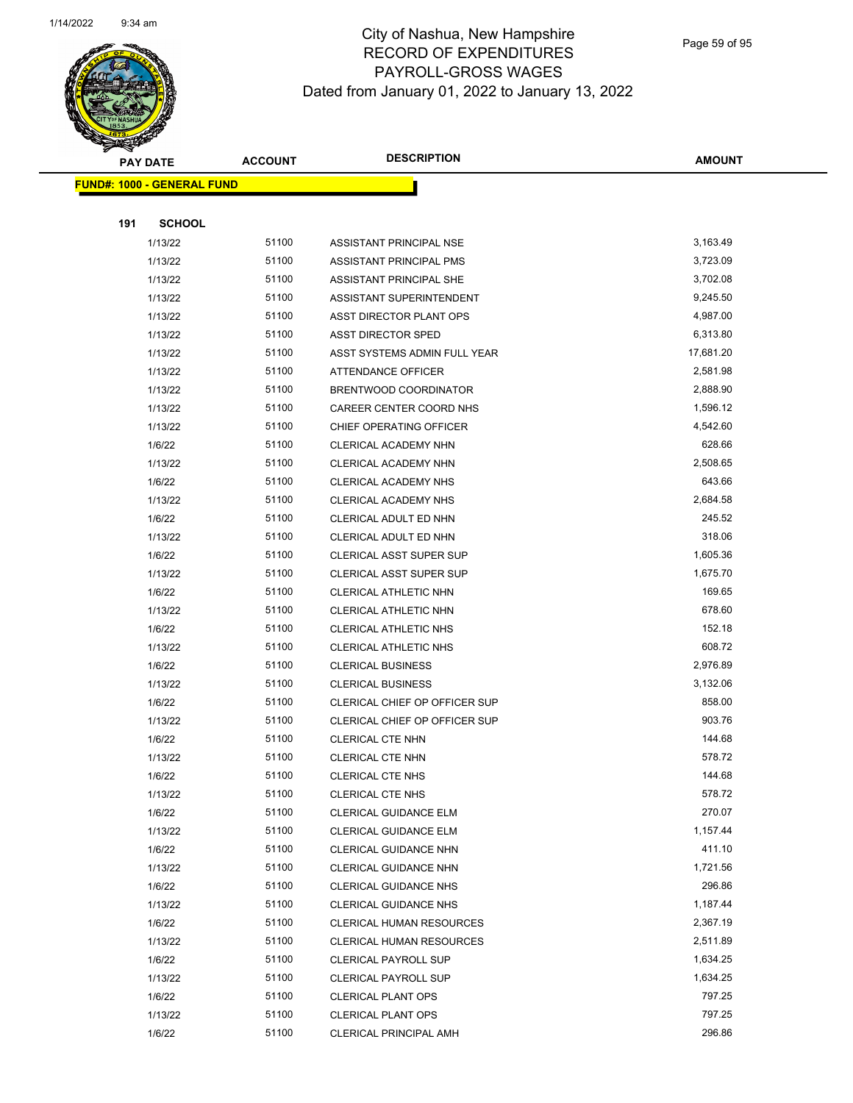

Page 59 of 95

|     | <b>PAY DATE</b>                   | <b>ACCOUNT</b> | <b>DESCRIPTION</b>                                     | <b>AMOUNT</b>      |
|-----|-----------------------------------|----------------|--------------------------------------------------------|--------------------|
|     | <b>FUND#: 1000 - GENERAL FUND</b> |                |                                                        |                    |
|     |                                   |                |                                                        |                    |
| 191 | <b>SCHOOL</b>                     |                |                                                        |                    |
|     | 1/13/22                           | 51100          | ASSISTANT PRINCIPAL NSE                                | 3,163.49           |
|     | 1/13/22                           | 51100          | ASSISTANT PRINCIPAL PMS                                | 3,723.09           |
|     | 1/13/22                           | 51100          | ASSISTANT PRINCIPAL SHE                                | 3,702.08           |
|     | 1/13/22                           | 51100          | ASSISTANT SUPERINTENDENT                               | 9,245.50           |
|     | 1/13/22                           | 51100          | ASST DIRECTOR PLANT OPS                                | 4,987.00           |
|     | 1/13/22                           | 51100          | ASST DIRECTOR SPED                                     | 6,313.80           |
|     | 1/13/22                           | 51100          | ASST SYSTEMS ADMIN FULL YEAR                           | 17,681.20          |
|     | 1/13/22                           | 51100          | ATTENDANCE OFFICER                                     | 2,581.98           |
|     | 1/13/22                           | 51100          | BRENTWOOD COORDINATOR                                  | 2,888.90           |
|     | 1/13/22                           | 51100          | CAREER CENTER COORD NHS                                | 1,596.12           |
|     | 1/13/22                           | 51100          | CHIEF OPERATING OFFICER                                | 4,542.60           |
|     | 1/6/22                            | 51100          | CLERICAL ACADEMY NHN                                   | 628.66             |
|     | 1/13/22                           | 51100          | CLERICAL ACADEMY NHN                                   | 2,508.65           |
|     | 1/6/22                            | 51100          | CLERICAL ACADEMY NHS                                   | 643.66             |
|     | 1/13/22                           | 51100          | <b>CLERICAL ACADEMY NHS</b>                            | 2,684.58           |
|     | 1/6/22                            | 51100          | CLERICAL ADULT ED NHN                                  | 245.52             |
|     | 1/13/22                           | 51100          | CLERICAL ADULT ED NHN                                  | 318.06             |
|     | 1/6/22                            | 51100          | CLERICAL ASST SUPER SUP                                | 1,605.36           |
|     | 1/13/22                           | 51100          | <b>CLERICAL ASST SUPER SUP</b>                         | 1,675.70           |
|     | 1/6/22                            | 51100          | CLERICAL ATHLETIC NHN                                  | 169.65             |
|     | 1/13/22                           | 51100          | CLERICAL ATHLETIC NHN                                  | 678.60             |
|     | 1/6/22                            | 51100          | CLERICAL ATHLETIC NHS                                  | 152.18             |
|     | 1/13/22                           | 51100          | CLERICAL ATHLETIC NHS                                  | 608.72             |
|     | 1/6/22                            | 51100          | <b>CLERICAL BUSINESS</b>                               | 2,976.89           |
|     | 1/13/22                           | 51100          | <b>CLERICAL BUSINESS</b>                               | 3,132.06           |
|     | 1/6/22                            | 51100          | CLERICAL CHIEF OP OFFICER SUP                          | 858.00             |
|     | 1/13/22                           | 51100          | CLERICAL CHIEF OP OFFICER SUP                          | 903.76             |
|     | 1/6/22                            | 51100          | <b>CLERICAL CTE NHN</b>                                | 144.68             |
|     | 1/13/22                           | 51100          | CLERICAL CTE NHN                                       | 578.72             |
|     | 1/6/22                            | 51100          | CLERICAL CTE NHS                                       | 144.68             |
|     | 1/13/22                           | 51100          | <b>CLERICAL CTE NHS</b>                                | 578.72             |
|     | 1/6/22                            | 51100          | CLERICAL GUIDANCE ELM                                  | 270.07             |
|     | 1/13/22                           | 51100          | CLERICAL GUIDANCE ELM                                  | 1,157.44           |
|     | 1/6/22                            | 51100          | CLERICAL GUIDANCE NHN                                  | 411.10             |
|     | 1/13/22                           | 51100          | CLERICAL GUIDANCE NHN                                  | 1,721.56           |
|     | 1/6/22                            | 51100          | <b>CLERICAL GUIDANCE NHS</b>                           | 296.86             |
|     | 1/13/22                           | 51100          | <b>CLERICAL GUIDANCE NHS</b>                           | 1,187.44           |
|     | 1/6/22                            | 51100          | CLERICAL HUMAN RESOURCES                               | 2,367.19           |
|     | 1/13/22                           | 51100          | CLERICAL HUMAN RESOURCES                               | 2,511.89           |
|     | 1/6/22                            | 51100          | <b>CLERICAL PAYROLL SUP</b>                            | 1,634.25           |
|     | 1/13/22                           | 51100<br>51100 | <b>CLERICAL PAYROLL SUP</b>                            | 1,634.25<br>797.25 |
|     | 1/6/22                            | 51100          | <b>CLERICAL PLANT OPS</b><br><b>CLERICAL PLANT OPS</b> | 797.25             |
|     | 1/13/22<br>1/6/22                 | 51100          | <b>CLERICAL PRINCIPAL AMH</b>                          | 296.86             |
|     |                                   |                |                                                        |                    |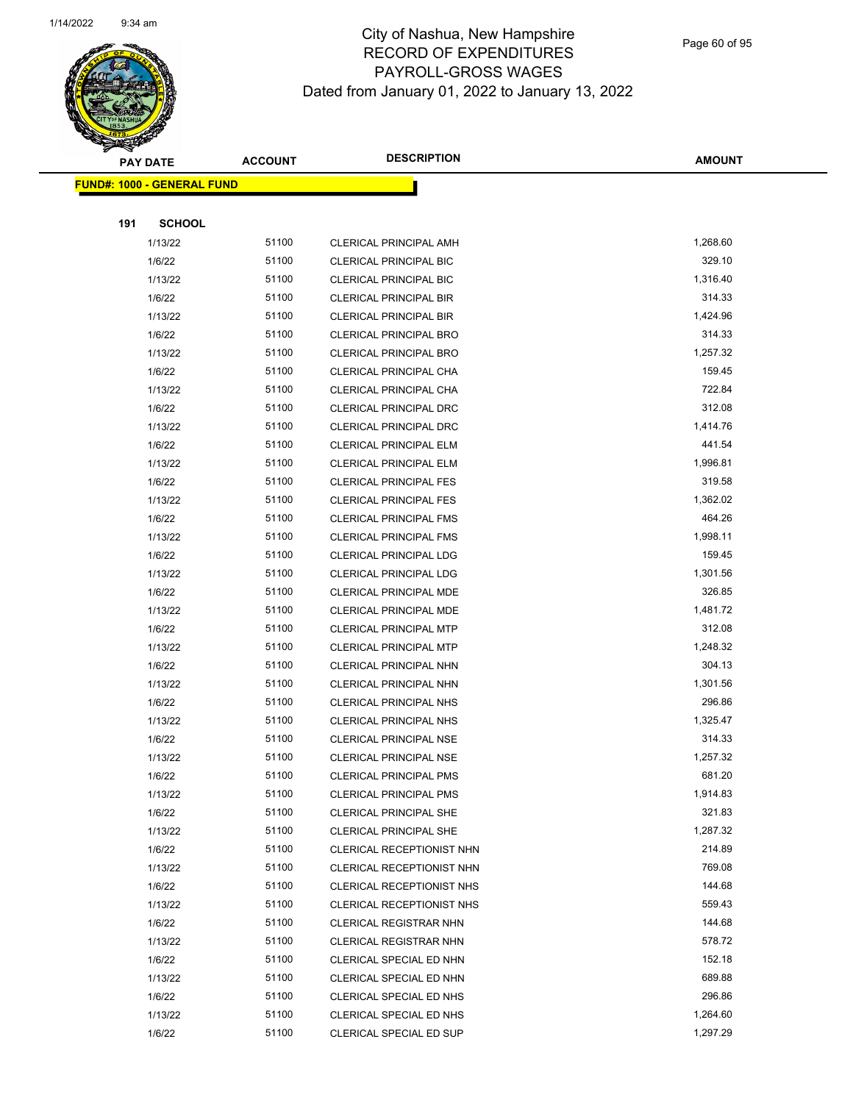

Page 60 of 95

| <b>FUND#: 1000 - GENERAL FUND</b><br>191<br><b>SCHOOL</b><br>51100<br>1,268.60<br>1/13/22<br>CLERICAL PRINCIPAL AMH<br>51100<br>329.10<br>1/6/22<br><b>CLERICAL PRINCIPAL BIC</b><br>51100<br>1,316.40<br>1/13/22<br><b>CLERICAL PRINCIPAL BIC</b><br>51100<br>314.33<br>1/6/22<br><b>CLERICAL PRINCIPAL BIR</b><br>51100<br>1,424.96<br>1/13/22<br><b>CLERICAL PRINCIPAL BIR</b><br>51100<br>314.33<br>1/6/22<br><b>CLERICAL PRINCIPAL BRO</b><br>1,257.32<br>51100<br>1/13/22<br><b>CLERICAL PRINCIPAL BRO</b><br>51100<br>159.45<br>1/6/22<br>CLERICAL PRINCIPAL CHA<br>722.84<br>51100<br>1/13/22<br>CLERICAL PRINCIPAL CHA<br>312.08<br>51100<br>1/6/22<br>CLERICAL PRINCIPAL DRC<br>51100<br>1,414.76<br>1/13/22<br><b>CLERICAL PRINCIPAL DRC</b><br>51100<br>441.54<br>1/6/22<br><b>CLERICAL PRINCIPAL ELM</b><br>1/13/22<br>51100<br>1,996.81<br><b>CLERICAL PRINCIPAL ELM</b><br>1/6/22<br>51100<br>319.58<br><b>CLERICAL PRINCIPAL FES</b><br>51100<br>1,362.02<br>1/13/22<br><b>CLERICAL PRINCIPAL FES</b><br>464.26<br>51100<br>1/6/22<br><b>CLERICAL PRINCIPAL FMS</b><br>1,998.11<br>51100<br>1/13/22<br><b>CLERICAL PRINCIPAL FMS</b><br>51100<br>159.45<br>1/6/22<br><b>CLERICAL PRINCIPAL LDG</b><br>51100<br>1,301.56<br>1/13/22<br><b>CLERICAL PRINCIPAL LDG</b><br>51100<br>326.85<br>1/6/22<br>CLERICAL PRINCIPAL MDE<br>51100<br>1,481.72<br>1/13/22<br>CLERICAL PRINCIPAL MDE<br>51100<br>312.08<br>1/6/22<br><b>CLERICAL PRINCIPAL MTP</b><br>51100<br>1,248.32<br>1/13/22<br><b>CLERICAL PRINCIPAL MTP</b><br>1/6/22<br>51100<br>304.13<br>CLERICAL PRINCIPAL NHN<br>51100<br>1,301.56<br>1/13/22<br>CLERICAL PRINCIPAL NHN<br>51100<br>296.86<br>1/6/22<br><b>CLERICAL PRINCIPAL NHS</b><br>1,325.47<br>51100<br>1/13/22<br><b>CLERICAL PRINCIPAL NHS</b><br>51100<br>314.33<br>1/6/22<br><b>CLERICAL PRINCIPAL NSE</b><br>51100<br>1,257.32<br>1/13/22<br><b>CLERICAL PRINCIPAL NSE</b><br>681.20<br>51100<br>1/6/22<br><b>CLERICAL PRINCIPAL PMS</b><br>51100<br>1,914.83<br>1/13/22<br><b>CLERICAL PRINCIPAL PMS</b><br>51100<br>321.83<br>1/6/22<br><b>CLERICAL PRINCIPAL SHE</b><br>51100<br>1,287.32<br>1/13/22<br><b>CLERICAL PRINCIPAL SHE</b><br>51100<br>214.89<br>1/6/22<br>CLERICAL RECEPTIONIST NHN<br>769.08<br>51100<br>1/13/22<br>CLERICAL RECEPTIONIST NHN<br>144.68<br>51100<br>1/6/22<br>CLERICAL RECEPTIONIST NHS<br>51100<br>559.43<br>1/13/22<br>CLERICAL RECEPTIONIST NHS<br>51100<br>144.68<br>1/6/22<br><b>CLERICAL REGISTRAR NHN</b><br>578.72<br>51100<br>1/13/22<br>CLERICAL REGISTRAR NHN<br>152.18<br>51100<br>1/6/22<br>CLERICAL SPECIAL ED NHN<br>689.88<br>51100<br>1/13/22<br>CLERICAL SPECIAL ED NHN<br>51100<br>296.86<br>1/6/22<br>CLERICAL SPECIAL ED NHS<br>51100<br>1,264.60<br>1/13/22<br>CLERICAL SPECIAL ED NHS<br>51100<br>1,297.29<br>1/6/22<br>CLERICAL SPECIAL ED SUP | <b>PAY DATE</b> | <b>ACCOUNT</b> | <b>DESCRIPTION</b> | <b>AMOUNT</b> |
|------------------------------------------------------------------------------------------------------------------------------------------------------------------------------------------------------------------------------------------------------------------------------------------------------------------------------------------------------------------------------------------------------------------------------------------------------------------------------------------------------------------------------------------------------------------------------------------------------------------------------------------------------------------------------------------------------------------------------------------------------------------------------------------------------------------------------------------------------------------------------------------------------------------------------------------------------------------------------------------------------------------------------------------------------------------------------------------------------------------------------------------------------------------------------------------------------------------------------------------------------------------------------------------------------------------------------------------------------------------------------------------------------------------------------------------------------------------------------------------------------------------------------------------------------------------------------------------------------------------------------------------------------------------------------------------------------------------------------------------------------------------------------------------------------------------------------------------------------------------------------------------------------------------------------------------------------------------------------------------------------------------------------------------------------------------------------------------------------------------------------------------------------------------------------------------------------------------------------------------------------------------------------------------------------------------------------------------------------------------------------------------------------------------------------------------------------------------------------------------------------------------------------------------------------------------------------------------------------------------------------------------------------------------------------------------------------------------------------------------------------------------------------------------------------------------------------------------------|-----------------|----------------|--------------------|---------------|
|                                                                                                                                                                                                                                                                                                                                                                                                                                                                                                                                                                                                                                                                                                                                                                                                                                                                                                                                                                                                                                                                                                                                                                                                                                                                                                                                                                                                                                                                                                                                                                                                                                                                                                                                                                                                                                                                                                                                                                                                                                                                                                                                                                                                                                                                                                                                                                                                                                                                                                                                                                                                                                                                                                                                                                                                                                                |                 |                |                    |               |
|                                                                                                                                                                                                                                                                                                                                                                                                                                                                                                                                                                                                                                                                                                                                                                                                                                                                                                                                                                                                                                                                                                                                                                                                                                                                                                                                                                                                                                                                                                                                                                                                                                                                                                                                                                                                                                                                                                                                                                                                                                                                                                                                                                                                                                                                                                                                                                                                                                                                                                                                                                                                                                                                                                                                                                                                                                                |                 |                |                    |               |
|                                                                                                                                                                                                                                                                                                                                                                                                                                                                                                                                                                                                                                                                                                                                                                                                                                                                                                                                                                                                                                                                                                                                                                                                                                                                                                                                                                                                                                                                                                                                                                                                                                                                                                                                                                                                                                                                                                                                                                                                                                                                                                                                                                                                                                                                                                                                                                                                                                                                                                                                                                                                                                                                                                                                                                                                                                                |                 |                |                    |               |
|                                                                                                                                                                                                                                                                                                                                                                                                                                                                                                                                                                                                                                                                                                                                                                                                                                                                                                                                                                                                                                                                                                                                                                                                                                                                                                                                                                                                                                                                                                                                                                                                                                                                                                                                                                                                                                                                                                                                                                                                                                                                                                                                                                                                                                                                                                                                                                                                                                                                                                                                                                                                                                                                                                                                                                                                                                                |                 |                |                    |               |
|                                                                                                                                                                                                                                                                                                                                                                                                                                                                                                                                                                                                                                                                                                                                                                                                                                                                                                                                                                                                                                                                                                                                                                                                                                                                                                                                                                                                                                                                                                                                                                                                                                                                                                                                                                                                                                                                                                                                                                                                                                                                                                                                                                                                                                                                                                                                                                                                                                                                                                                                                                                                                                                                                                                                                                                                                                                |                 |                |                    |               |
|                                                                                                                                                                                                                                                                                                                                                                                                                                                                                                                                                                                                                                                                                                                                                                                                                                                                                                                                                                                                                                                                                                                                                                                                                                                                                                                                                                                                                                                                                                                                                                                                                                                                                                                                                                                                                                                                                                                                                                                                                                                                                                                                                                                                                                                                                                                                                                                                                                                                                                                                                                                                                                                                                                                                                                                                                                                |                 |                |                    |               |
|                                                                                                                                                                                                                                                                                                                                                                                                                                                                                                                                                                                                                                                                                                                                                                                                                                                                                                                                                                                                                                                                                                                                                                                                                                                                                                                                                                                                                                                                                                                                                                                                                                                                                                                                                                                                                                                                                                                                                                                                                                                                                                                                                                                                                                                                                                                                                                                                                                                                                                                                                                                                                                                                                                                                                                                                                                                |                 |                |                    |               |
|                                                                                                                                                                                                                                                                                                                                                                                                                                                                                                                                                                                                                                                                                                                                                                                                                                                                                                                                                                                                                                                                                                                                                                                                                                                                                                                                                                                                                                                                                                                                                                                                                                                                                                                                                                                                                                                                                                                                                                                                                                                                                                                                                                                                                                                                                                                                                                                                                                                                                                                                                                                                                                                                                                                                                                                                                                                |                 |                |                    |               |
|                                                                                                                                                                                                                                                                                                                                                                                                                                                                                                                                                                                                                                                                                                                                                                                                                                                                                                                                                                                                                                                                                                                                                                                                                                                                                                                                                                                                                                                                                                                                                                                                                                                                                                                                                                                                                                                                                                                                                                                                                                                                                                                                                                                                                                                                                                                                                                                                                                                                                                                                                                                                                                                                                                                                                                                                                                                |                 |                |                    |               |
|                                                                                                                                                                                                                                                                                                                                                                                                                                                                                                                                                                                                                                                                                                                                                                                                                                                                                                                                                                                                                                                                                                                                                                                                                                                                                                                                                                                                                                                                                                                                                                                                                                                                                                                                                                                                                                                                                                                                                                                                                                                                                                                                                                                                                                                                                                                                                                                                                                                                                                                                                                                                                                                                                                                                                                                                                                                |                 |                |                    |               |
|                                                                                                                                                                                                                                                                                                                                                                                                                                                                                                                                                                                                                                                                                                                                                                                                                                                                                                                                                                                                                                                                                                                                                                                                                                                                                                                                                                                                                                                                                                                                                                                                                                                                                                                                                                                                                                                                                                                                                                                                                                                                                                                                                                                                                                                                                                                                                                                                                                                                                                                                                                                                                                                                                                                                                                                                                                                |                 |                |                    |               |
|                                                                                                                                                                                                                                                                                                                                                                                                                                                                                                                                                                                                                                                                                                                                                                                                                                                                                                                                                                                                                                                                                                                                                                                                                                                                                                                                                                                                                                                                                                                                                                                                                                                                                                                                                                                                                                                                                                                                                                                                                                                                                                                                                                                                                                                                                                                                                                                                                                                                                                                                                                                                                                                                                                                                                                                                                                                |                 |                |                    |               |
|                                                                                                                                                                                                                                                                                                                                                                                                                                                                                                                                                                                                                                                                                                                                                                                                                                                                                                                                                                                                                                                                                                                                                                                                                                                                                                                                                                                                                                                                                                                                                                                                                                                                                                                                                                                                                                                                                                                                                                                                                                                                                                                                                                                                                                                                                                                                                                                                                                                                                                                                                                                                                                                                                                                                                                                                                                                |                 |                |                    |               |
|                                                                                                                                                                                                                                                                                                                                                                                                                                                                                                                                                                                                                                                                                                                                                                                                                                                                                                                                                                                                                                                                                                                                                                                                                                                                                                                                                                                                                                                                                                                                                                                                                                                                                                                                                                                                                                                                                                                                                                                                                                                                                                                                                                                                                                                                                                                                                                                                                                                                                                                                                                                                                                                                                                                                                                                                                                                |                 |                |                    |               |
|                                                                                                                                                                                                                                                                                                                                                                                                                                                                                                                                                                                                                                                                                                                                                                                                                                                                                                                                                                                                                                                                                                                                                                                                                                                                                                                                                                                                                                                                                                                                                                                                                                                                                                                                                                                                                                                                                                                                                                                                                                                                                                                                                                                                                                                                                                                                                                                                                                                                                                                                                                                                                                                                                                                                                                                                                                                |                 |                |                    |               |
|                                                                                                                                                                                                                                                                                                                                                                                                                                                                                                                                                                                                                                                                                                                                                                                                                                                                                                                                                                                                                                                                                                                                                                                                                                                                                                                                                                                                                                                                                                                                                                                                                                                                                                                                                                                                                                                                                                                                                                                                                                                                                                                                                                                                                                                                                                                                                                                                                                                                                                                                                                                                                                                                                                                                                                                                                                                |                 |                |                    |               |
|                                                                                                                                                                                                                                                                                                                                                                                                                                                                                                                                                                                                                                                                                                                                                                                                                                                                                                                                                                                                                                                                                                                                                                                                                                                                                                                                                                                                                                                                                                                                                                                                                                                                                                                                                                                                                                                                                                                                                                                                                                                                                                                                                                                                                                                                                                                                                                                                                                                                                                                                                                                                                                                                                                                                                                                                                                                |                 |                |                    |               |
|                                                                                                                                                                                                                                                                                                                                                                                                                                                                                                                                                                                                                                                                                                                                                                                                                                                                                                                                                                                                                                                                                                                                                                                                                                                                                                                                                                                                                                                                                                                                                                                                                                                                                                                                                                                                                                                                                                                                                                                                                                                                                                                                                                                                                                                                                                                                                                                                                                                                                                                                                                                                                                                                                                                                                                                                                                                |                 |                |                    |               |
|                                                                                                                                                                                                                                                                                                                                                                                                                                                                                                                                                                                                                                                                                                                                                                                                                                                                                                                                                                                                                                                                                                                                                                                                                                                                                                                                                                                                                                                                                                                                                                                                                                                                                                                                                                                                                                                                                                                                                                                                                                                                                                                                                                                                                                                                                                                                                                                                                                                                                                                                                                                                                                                                                                                                                                                                                                                |                 |                |                    |               |
|                                                                                                                                                                                                                                                                                                                                                                                                                                                                                                                                                                                                                                                                                                                                                                                                                                                                                                                                                                                                                                                                                                                                                                                                                                                                                                                                                                                                                                                                                                                                                                                                                                                                                                                                                                                                                                                                                                                                                                                                                                                                                                                                                                                                                                                                                                                                                                                                                                                                                                                                                                                                                                                                                                                                                                                                                                                |                 |                |                    |               |
|                                                                                                                                                                                                                                                                                                                                                                                                                                                                                                                                                                                                                                                                                                                                                                                                                                                                                                                                                                                                                                                                                                                                                                                                                                                                                                                                                                                                                                                                                                                                                                                                                                                                                                                                                                                                                                                                                                                                                                                                                                                                                                                                                                                                                                                                                                                                                                                                                                                                                                                                                                                                                                                                                                                                                                                                                                                |                 |                |                    |               |
|                                                                                                                                                                                                                                                                                                                                                                                                                                                                                                                                                                                                                                                                                                                                                                                                                                                                                                                                                                                                                                                                                                                                                                                                                                                                                                                                                                                                                                                                                                                                                                                                                                                                                                                                                                                                                                                                                                                                                                                                                                                                                                                                                                                                                                                                                                                                                                                                                                                                                                                                                                                                                                                                                                                                                                                                                                                |                 |                |                    |               |
|                                                                                                                                                                                                                                                                                                                                                                                                                                                                                                                                                                                                                                                                                                                                                                                                                                                                                                                                                                                                                                                                                                                                                                                                                                                                                                                                                                                                                                                                                                                                                                                                                                                                                                                                                                                                                                                                                                                                                                                                                                                                                                                                                                                                                                                                                                                                                                                                                                                                                                                                                                                                                                                                                                                                                                                                                                                |                 |                |                    |               |
|                                                                                                                                                                                                                                                                                                                                                                                                                                                                                                                                                                                                                                                                                                                                                                                                                                                                                                                                                                                                                                                                                                                                                                                                                                                                                                                                                                                                                                                                                                                                                                                                                                                                                                                                                                                                                                                                                                                                                                                                                                                                                                                                                                                                                                                                                                                                                                                                                                                                                                                                                                                                                                                                                                                                                                                                                                                |                 |                |                    |               |
|                                                                                                                                                                                                                                                                                                                                                                                                                                                                                                                                                                                                                                                                                                                                                                                                                                                                                                                                                                                                                                                                                                                                                                                                                                                                                                                                                                                                                                                                                                                                                                                                                                                                                                                                                                                                                                                                                                                                                                                                                                                                                                                                                                                                                                                                                                                                                                                                                                                                                                                                                                                                                                                                                                                                                                                                                                                |                 |                |                    |               |
|                                                                                                                                                                                                                                                                                                                                                                                                                                                                                                                                                                                                                                                                                                                                                                                                                                                                                                                                                                                                                                                                                                                                                                                                                                                                                                                                                                                                                                                                                                                                                                                                                                                                                                                                                                                                                                                                                                                                                                                                                                                                                                                                                                                                                                                                                                                                                                                                                                                                                                                                                                                                                                                                                                                                                                                                                                                |                 |                |                    |               |
|                                                                                                                                                                                                                                                                                                                                                                                                                                                                                                                                                                                                                                                                                                                                                                                                                                                                                                                                                                                                                                                                                                                                                                                                                                                                                                                                                                                                                                                                                                                                                                                                                                                                                                                                                                                                                                                                                                                                                                                                                                                                                                                                                                                                                                                                                                                                                                                                                                                                                                                                                                                                                                                                                                                                                                                                                                                |                 |                |                    |               |
|                                                                                                                                                                                                                                                                                                                                                                                                                                                                                                                                                                                                                                                                                                                                                                                                                                                                                                                                                                                                                                                                                                                                                                                                                                                                                                                                                                                                                                                                                                                                                                                                                                                                                                                                                                                                                                                                                                                                                                                                                                                                                                                                                                                                                                                                                                                                                                                                                                                                                                                                                                                                                                                                                                                                                                                                                                                |                 |                |                    |               |
|                                                                                                                                                                                                                                                                                                                                                                                                                                                                                                                                                                                                                                                                                                                                                                                                                                                                                                                                                                                                                                                                                                                                                                                                                                                                                                                                                                                                                                                                                                                                                                                                                                                                                                                                                                                                                                                                                                                                                                                                                                                                                                                                                                                                                                                                                                                                                                                                                                                                                                                                                                                                                                                                                                                                                                                                                                                |                 |                |                    |               |
|                                                                                                                                                                                                                                                                                                                                                                                                                                                                                                                                                                                                                                                                                                                                                                                                                                                                                                                                                                                                                                                                                                                                                                                                                                                                                                                                                                                                                                                                                                                                                                                                                                                                                                                                                                                                                                                                                                                                                                                                                                                                                                                                                                                                                                                                                                                                                                                                                                                                                                                                                                                                                                                                                                                                                                                                                                                |                 |                |                    |               |
|                                                                                                                                                                                                                                                                                                                                                                                                                                                                                                                                                                                                                                                                                                                                                                                                                                                                                                                                                                                                                                                                                                                                                                                                                                                                                                                                                                                                                                                                                                                                                                                                                                                                                                                                                                                                                                                                                                                                                                                                                                                                                                                                                                                                                                                                                                                                                                                                                                                                                                                                                                                                                                                                                                                                                                                                                                                |                 |                |                    |               |
|                                                                                                                                                                                                                                                                                                                                                                                                                                                                                                                                                                                                                                                                                                                                                                                                                                                                                                                                                                                                                                                                                                                                                                                                                                                                                                                                                                                                                                                                                                                                                                                                                                                                                                                                                                                                                                                                                                                                                                                                                                                                                                                                                                                                                                                                                                                                                                                                                                                                                                                                                                                                                                                                                                                                                                                                                                                |                 |                |                    |               |
|                                                                                                                                                                                                                                                                                                                                                                                                                                                                                                                                                                                                                                                                                                                                                                                                                                                                                                                                                                                                                                                                                                                                                                                                                                                                                                                                                                                                                                                                                                                                                                                                                                                                                                                                                                                                                                                                                                                                                                                                                                                                                                                                                                                                                                                                                                                                                                                                                                                                                                                                                                                                                                                                                                                                                                                                                                                |                 |                |                    |               |
|                                                                                                                                                                                                                                                                                                                                                                                                                                                                                                                                                                                                                                                                                                                                                                                                                                                                                                                                                                                                                                                                                                                                                                                                                                                                                                                                                                                                                                                                                                                                                                                                                                                                                                                                                                                                                                                                                                                                                                                                                                                                                                                                                                                                                                                                                                                                                                                                                                                                                                                                                                                                                                                                                                                                                                                                                                                |                 |                |                    |               |
|                                                                                                                                                                                                                                                                                                                                                                                                                                                                                                                                                                                                                                                                                                                                                                                                                                                                                                                                                                                                                                                                                                                                                                                                                                                                                                                                                                                                                                                                                                                                                                                                                                                                                                                                                                                                                                                                                                                                                                                                                                                                                                                                                                                                                                                                                                                                                                                                                                                                                                                                                                                                                                                                                                                                                                                                                                                |                 |                |                    |               |
|                                                                                                                                                                                                                                                                                                                                                                                                                                                                                                                                                                                                                                                                                                                                                                                                                                                                                                                                                                                                                                                                                                                                                                                                                                                                                                                                                                                                                                                                                                                                                                                                                                                                                                                                                                                                                                                                                                                                                                                                                                                                                                                                                                                                                                                                                                                                                                                                                                                                                                                                                                                                                                                                                                                                                                                                                                                |                 |                |                    |               |
|                                                                                                                                                                                                                                                                                                                                                                                                                                                                                                                                                                                                                                                                                                                                                                                                                                                                                                                                                                                                                                                                                                                                                                                                                                                                                                                                                                                                                                                                                                                                                                                                                                                                                                                                                                                                                                                                                                                                                                                                                                                                                                                                                                                                                                                                                                                                                                                                                                                                                                                                                                                                                                                                                                                                                                                                                                                |                 |                |                    |               |
|                                                                                                                                                                                                                                                                                                                                                                                                                                                                                                                                                                                                                                                                                                                                                                                                                                                                                                                                                                                                                                                                                                                                                                                                                                                                                                                                                                                                                                                                                                                                                                                                                                                                                                                                                                                                                                                                                                                                                                                                                                                                                                                                                                                                                                                                                                                                                                                                                                                                                                                                                                                                                                                                                                                                                                                                                                                |                 |                |                    |               |
|                                                                                                                                                                                                                                                                                                                                                                                                                                                                                                                                                                                                                                                                                                                                                                                                                                                                                                                                                                                                                                                                                                                                                                                                                                                                                                                                                                                                                                                                                                                                                                                                                                                                                                                                                                                                                                                                                                                                                                                                                                                                                                                                                                                                                                                                                                                                                                                                                                                                                                                                                                                                                                                                                                                                                                                                                                                |                 |                |                    |               |
|                                                                                                                                                                                                                                                                                                                                                                                                                                                                                                                                                                                                                                                                                                                                                                                                                                                                                                                                                                                                                                                                                                                                                                                                                                                                                                                                                                                                                                                                                                                                                                                                                                                                                                                                                                                                                                                                                                                                                                                                                                                                                                                                                                                                                                                                                                                                                                                                                                                                                                                                                                                                                                                                                                                                                                                                                                                |                 |                |                    |               |
|                                                                                                                                                                                                                                                                                                                                                                                                                                                                                                                                                                                                                                                                                                                                                                                                                                                                                                                                                                                                                                                                                                                                                                                                                                                                                                                                                                                                                                                                                                                                                                                                                                                                                                                                                                                                                                                                                                                                                                                                                                                                                                                                                                                                                                                                                                                                                                                                                                                                                                                                                                                                                                                                                                                                                                                                                                                |                 |                |                    |               |
|                                                                                                                                                                                                                                                                                                                                                                                                                                                                                                                                                                                                                                                                                                                                                                                                                                                                                                                                                                                                                                                                                                                                                                                                                                                                                                                                                                                                                                                                                                                                                                                                                                                                                                                                                                                                                                                                                                                                                                                                                                                                                                                                                                                                                                                                                                                                                                                                                                                                                                                                                                                                                                                                                                                                                                                                                                                |                 |                |                    |               |
|                                                                                                                                                                                                                                                                                                                                                                                                                                                                                                                                                                                                                                                                                                                                                                                                                                                                                                                                                                                                                                                                                                                                                                                                                                                                                                                                                                                                                                                                                                                                                                                                                                                                                                                                                                                                                                                                                                                                                                                                                                                                                                                                                                                                                                                                                                                                                                                                                                                                                                                                                                                                                                                                                                                                                                                                                                                |                 |                |                    |               |
|                                                                                                                                                                                                                                                                                                                                                                                                                                                                                                                                                                                                                                                                                                                                                                                                                                                                                                                                                                                                                                                                                                                                                                                                                                                                                                                                                                                                                                                                                                                                                                                                                                                                                                                                                                                                                                                                                                                                                                                                                                                                                                                                                                                                                                                                                                                                                                                                                                                                                                                                                                                                                                                                                                                                                                                                                                                |                 |                |                    |               |
|                                                                                                                                                                                                                                                                                                                                                                                                                                                                                                                                                                                                                                                                                                                                                                                                                                                                                                                                                                                                                                                                                                                                                                                                                                                                                                                                                                                                                                                                                                                                                                                                                                                                                                                                                                                                                                                                                                                                                                                                                                                                                                                                                                                                                                                                                                                                                                                                                                                                                                                                                                                                                                                                                                                                                                                                                                                |                 |                |                    |               |
|                                                                                                                                                                                                                                                                                                                                                                                                                                                                                                                                                                                                                                                                                                                                                                                                                                                                                                                                                                                                                                                                                                                                                                                                                                                                                                                                                                                                                                                                                                                                                                                                                                                                                                                                                                                                                                                                                                                                                                                                                                                                                                                                                                                                                                                                                                                                                                                                                                                                                                                                                                                                                                                                                                                                                                                                                                                |                 |                |                    |               |
|                                                                                                                                                                                                                                                                                                                                                                                                                                                                                                                                                                                                                                                                                                                                                                                                                                                                                                                                                                                                                                                                                                                                                                                                                                                                                                                                                                                                                                                                                                                                                                                                                                                                                                                                                                                                                                                                                                                                                                                                                                                                                                                                                                                                                                                                                                                                                                                                                                                                                                                                                                                                                                                                                                                                                                                                                                                |                 |                |                    |               |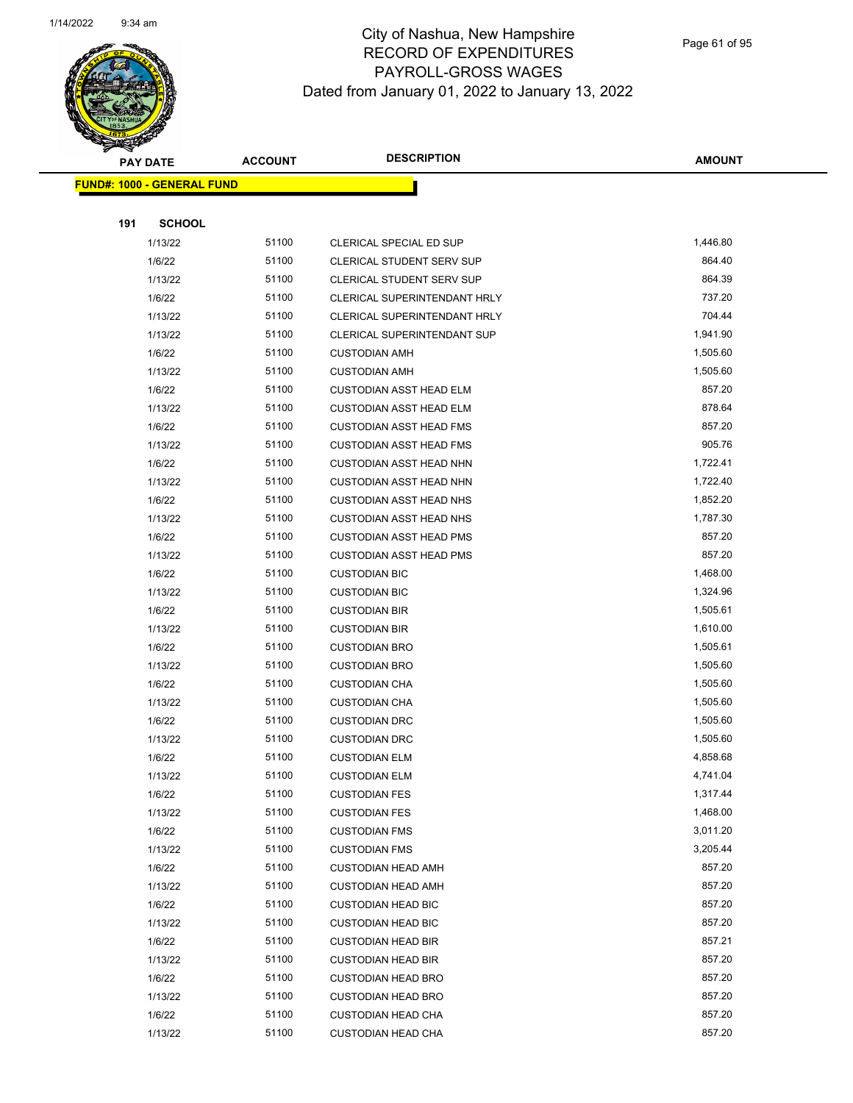

Page 61 of 95

| <b>PAY DATE</b>                   | <b>ACCOUNT</b> | <b>DESCRIPTION</b>             | <b>AMOUNT</b> |
|-----------------------------------|----------------|--------------------------------|---------------|
| <b>FUND#: 1000 - GENERAL FUND</b> |                |                                |               |
|                                   |                |                                |               |
| 191                               | <b>SCHOOL</b>  |                                |               |
| 1/13/22                           | 51100          | CLERICAL SPECIAL ED SUP        | 1,446.80      |
| 1/6/22                            | 51100          | CLERICAL STUDENT SERV SUP      | 864.40        |
| 1/13/22                           | 51100          | CLERICAL STUDENT SERV SUP      | 864.39        |
| 1/6/22                            | 51100          | CLERICAL SUPERINTENDANT HRLY   | 737.20        |
| 1/13/22                           | 51100          | CLERICAL SUPERINTENDANT HRLY   | 704.44        |
| 1/13/22                           | 51100          | CLERICAL SUPERINTENDANT SUP    | 1,941.90      |
| 1/6/22                            | 51100          | <b>CUSTODIAN AMH</b>           | 1,505.60      |
| 1/13/22                           | 51100          | <b>CUSTODIAN AMH</b>           | 1,505.60      |
| 1/6/22                            | 51100          | <b>CUSTODIAN ASST HEAD ELM</b> | 857.20        |
| 1/13/22                           | 51100          | CUSTODIAN ASST HEAD ELM        | 878.64        |
| 1/6/22                            | 51100          | <b>CUSTODIAN ASST HEAD FMS</b> | 857.20        |
| 1/13/22                           | 51100          | <b>CUSTODIAN ASST HEAD FMS</b> | 905.76        |
| 1/6/22                            | 51100          | <b>CUSTODIAN ASST HEAD NHN</b> | 1,722.41      |
| 1/13/22                           | 51100          | <b>CUSTODIAN ASST HEAD NHN</b> | 1,722.40      |
| 1/6/22                            | 51100          | <b>CUSTODIAN ASST HEAD NHS</b> | 1,852.20      |
| 1/13/22                           | 51100          | <b>CUSTODIAN ASST HEAD NHS</b> | 1,787.30      |
| 1/6/22                            | 51100          | <b>CUSTODIAN ASST HEAD PMS</b> | 857.20        |
| 1/13/22                           | 51100          | <b>CUSTODIAN ASST HEAD PMS</b> | 857.20        |
| 1/6/22                            | 51100          | <b>CUSTODIAN BIC</b>           | 1,468.00      |
| 1/13/22                           | 51100          | <b>CUSTODIAN BIC</b>           | 1,324.96      |
| 1/6/22                            | 51100          | <b>CUSTODIAN BIR</b>           | 1,505.61      |
| 1/13/22                           | 51100          | <b>CUSTODIAN BIR</b>           | 1,610.00      |
| 1/6/22                            | 51100          | <b>CUSTODIAN BRO</b>           | 1,505.61      |
| 1/13/22                           | 51100          | <b>CUSTODIAN BRO</b>           | 1,505.60      |
| 1/6/22                            | 51100          | <b>CUSTODIAN CHA</b>           | 1,505.60      |
| 1/13/22                           | 51100          | <b>CUSTODIAN CHA</b>           | 1,505.60      |
| 1/6/22                            | 51100          | <b>CUSTODIAN DRC</b>           | 1,505.60      |
| 1/13/22                           | 51100          | <b>CUSTODIAN DRC</b>           | 1,505.60      |
| 1/6/22                            | 51100          | <b>CUSTODIAN ELM</b>           | 4,858.68      |
| 1/13/22                           | 51100          | <b>CUSTODIAN ELM</b>           | 4,741.04      |
| 1/6/22                            | 51100          | <b>CUSTODIAN FES</b>           | 1,317.44      |
| 1/13/22                           | 51100          | <b>CUSTODIAN FES</b>           | 1,468.00      |
| 1/6/22                            | 51100          | <b>CUSTODIAN FMS</b>           | 3,011.20      |
| 1/13/22                           | 51100          | <b>CUSTODIAN FMS</b>           | 3,205.44      |
| 1/6/22                            | 51100          | <b>CUSTODIAN HEAD AMH</b>      | 857.20        |
| 1/13/22                           | 51100          | <b>CUSTODIAN HEAD AMH</b>      | 857.20        |
| 1/6/22                            | 51100          | <b>CUSTODIAN HEAD BIC</b>      | 857.20        |
| 1/13/22                           | 51100          | <b>CUSTODIAN HEAD BIC</b>      | 857.20        |
| 1/6/22                            | 51100          | <b>CUSTODIAN HEAD BIR</b>      | 857.21        |
| 1/13/22                           | 51100          | <b>CUSTODIAN HEAD BIR</b>      | 857.20        |
| 1/6/22                            | 51100          | <b>CUSTODIAN HEAD BRO</b>      | 857.20        |
| 1/13/22                           | 51100          | <b>CUSTODIAN HEAD BRO</b>      | 857.20        |
| 1/6/22                            | 51100          | <b>CUSTODIAN HEAD CHA</b>      | 857.20        |
| 1/13/22                           | 51100          | <b>CUSTODIAN HEAD CHA</b>      | 857.20        |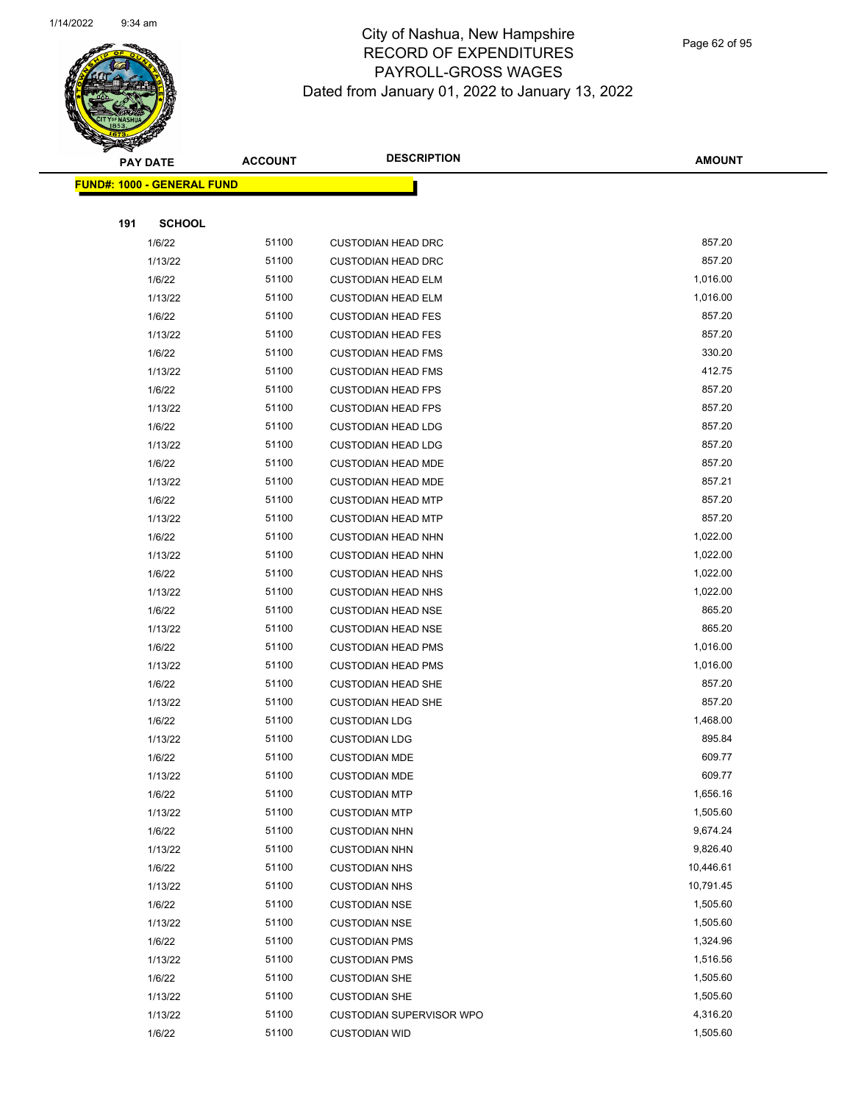

Page 62 of 95

|     | <b>PAY DATE</b>                    | <b>ACCOUNT</b> | <b>DESCRIPTION</b>        | <b>AMOUNT</b> |  |
|-----|------------------------------------|----------------|---------------------------|---------------|--|
|     | <u> FUND#: 1000 - GENERAL FUND</u> |                |                           |               |  |
|     |                                    |                |                           |               |  |
| 191 | <b>SCHOOL</b>                      |                |                           |               |  |
|     | 1/6/22                             | 51100          | <b>CUSTODIAN HEAD DRC</b> | 857.20        |  |
|     | 1/13/22                            | 51100          | <b>CUSTODIAN HEAD DRC</b> | 857.20        |  |
|     | 1/6/22                             | 51100          | <b>CUSTODIAN HEAD ELM</b> | 1,016.00      |  |
|     | 1/13/22                            | 51100          | <b>CUSTODIAN HEAD ELM</b> | 1,016.00      |  |
|     | 1/6/22                             | 51100          | <b>CUSTODIAN HEAD FES</b> | 857.20        |  |
|     | 1/13/22                            | 51100          | <b>CUSTODIAN HEAD FES</b> | 857.20        |  |
|     | 1/6/22                             | 51100          | <b>CUSTODIAN HEAD FMS</b> | 330.20        |  |
|     | 1/13/22                            | 51100          | <b>CUSTODIAN HEAD FMS</b> | 412.75        |  |
|     | 1/6/22                             | 51100          | <b>CUSTODIAN HEAD FPS</b> | 857.20        |  |
|     | 1/13/22                            | 51100          | <b>CUSTODIAN HEAD FPS</b> | 857.20        |  |
|     | 1/6/22                             | 51100          | <b>CUSTODIAN HEAD LDG</b> | 857.20        |  |
|     | 1/13/22                            | 51100          | <b>CUSTODIAN HEAD LDG</b> | 857.20        |  |
|     | 1/6/22                             | 51100          | <b>CUSTODIAN HEAD MDE</b> | 857.20        |  |
|     | 1/13/22                            | 51100          | <b>CUSTODIAN HEAD MDE</b> | 857.21        |  |
|     | 1/6/22                             | 51100          | <b>CUSTODIAN HEAD MTP</b> | 857.20        |  |
|     | 1/13/22                            | 51100          | <b>CUSTODIAN HEAD MTP</b> | 857.20        |  |
|     | 1/6/22                             | 51100          | <b>CUSTODIAN HEAD NHN</b> | 1,022.00      |  |
|     | 1/13/22                            | 51100          | <b>CUSTODIAN HEAD NHN</b> | 1,022.00      |  |
|     | 1/6/22                             | 51100          | <b>CUSTODIAN HEAD NHS</b> | 1,022.00      |  |
|     | 1/13/22                            | 51100          | <b>CUSTODIAN HEAD NHS</b> | 1,022.00      |  |
|     | 1/6/22                             | 51100          | <b>CUSTODIAN HEAD NSE</b> | 865.20        |  |
|     | 1/13/22                            | 51100          | <b>CUSTODIAN HEAD NSE</b> | 865.20        |  |
|     | 1/6/22                             | 51100          | <b>CUSTODIAN HEAD PMS</b> | 1,016.00      |  |
|     | 1/13/22                            | 51100          | <b>CUSTODIAN HEAD PMS</b> | 1,016.00      |  |
|     | 1/6/22                             | 51100          | <b>CUSTODIAN HEAD SHE</b> | 857.20        |  |
|     | 1/13/22                            | 51100          | <b>CUSTODIAN HEAD SHE</b> | 857.20        |  |
|     | 1/6/22                             | 51100          | <b>CUSTODIAN LDG</b>      | 1,468.00      |  |
|     | 1/13/22                            | 51100          | <b>CUSTODIAN LDG</b>      | 895.84        |  |
|     | 1/6/22                             | 51100          | <b>CUSTODIAN MDE</b>      | 609.77        |  |
|     | 1/13/22                            | 51100          | <b>CUSTODIAN MDE</b>      | 609.77        |  |
|     | 1/6/22                             | 51100          | <b>CUSTODIAN MTP</b>      | 1,656.16      |  |
|     | 1/13/22                            | 51100          | <b>CUSTODIAN MTP</b>      | 1,505.60      |  |
|     | 1/6/22                             | 51100          | <b>CUSTODIAN NHN</b>      | 9,674.24      |  |
|     | 1/13/22                            | 51100          | <b>CUSTODIAN NHN</b>      | 9,826.40      |  |
|     | 1/6/22                             | 51100          | <b>CUSTODIAN NHS</b>      | 10,446.61     |  |
|     | 1/13/22                            | 51100          | <b>CUSTODIAN NHS</b>      | 10,791.45     |  |
|     | 1/6/22                             | 51100          | <b>CUSTODIAN NSE</b>      | 1,505.60      |  |
|     | 1/13/22                            | 51100          | <b>CUSTODIAN NSE</b>      | 1,505.60      |  |
|     | 1/6/22                             | 51100          | <b>CUSTODIAN PMS</b>      | 1,324.96      |  |
|     | 1/13/22                            | 51100          | <b>CUSTODIAN PMS</b>      | 1,516.56      |  |
|     | 1/6/22                             | 51100          | <b>CUSTODIAN SHE</b>      | 1,505.60      |  |
|     | 1/13/22                            | 51100          | <b>CUSTODIAN SHE</b>      | 1,505.60      |  |
|     | 1/13/22                            | 51100          | CUSTODIAN SUPERVISOR WPO  | 4,316.20      |  |
|     | 1/6/22                             | 51100          | <b>CUSTODIAN WID</b>      | 1,505.60      |  |
|     |                                    |                |                           |               |  |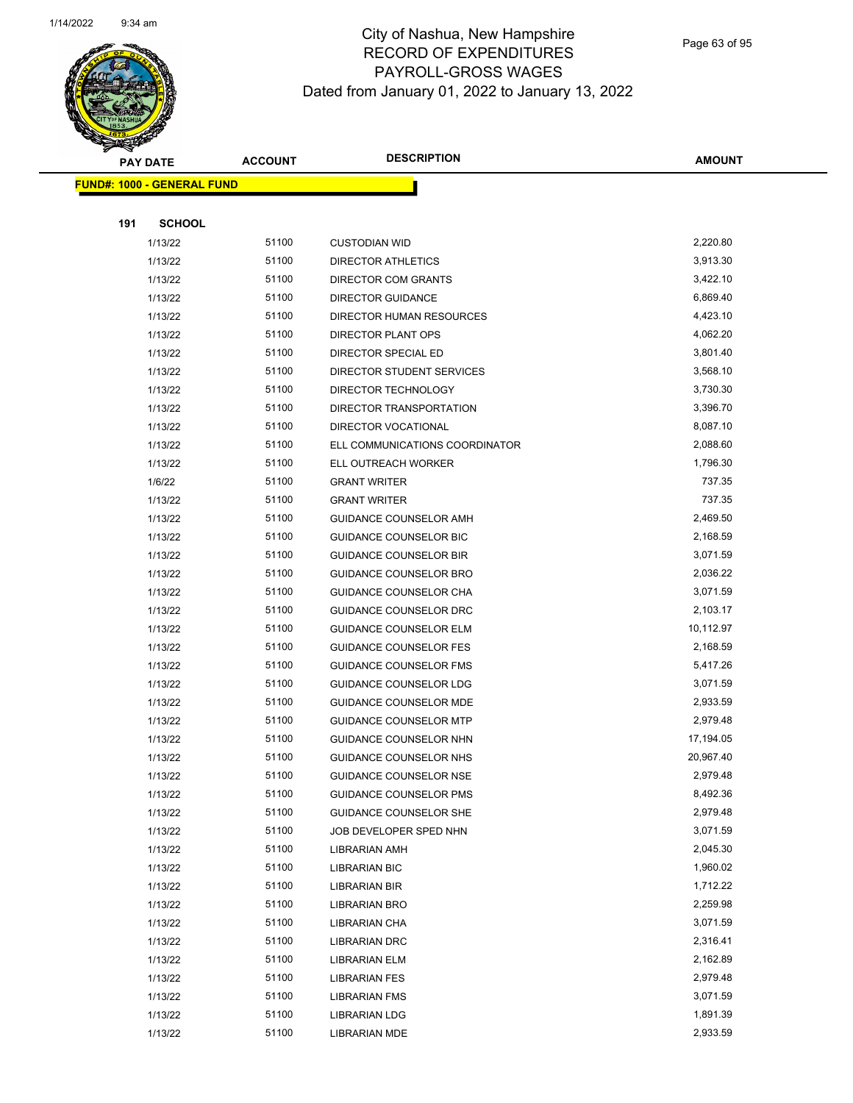

Page 63 of 95

|     | <b>PAY DATE</b>                   | <b>ACCOUNT</b> | <b>DESCRIPTION</b>             | <b>AMOUNT</b>        |
|-----|-----------------------------------|----------------|--------------------------------|----------------------|
|     | <b>FUND#: 1000 - GENERAL FUND</b> |                |                                |                      |
|     |                                   |                |                                |                      |
| 191 | <b>SCHOOL</b>                     |                |                                |                      |
|     | 1/13/22                           | 51100          | <b>CUSTODIAN WID</b>           | 2,220.80             |
|     | 1/13/22                           | 51100          | <b>DIRECTOR ATHLETICS</b>      | 3,913.30             |
|     | 1/13/22                           | 51100          | DIRECTOR COM GRANTS            | 3,422.10             |
|     | 1/13/22                           | 51100          | <b>DIRECTOR GUIDANCE</b>       | 6,869.40             |
|     | 1/13/22                           | 51100          | DIRECTOR HUMAN RESOURCES       | 4,423.10             |
|     | 1/13/22                           | 51100          | DIRECTOR PLANT OPS             | 4,062.20             |
|     | 1/13/22                           | 51100          | DIRECTOR SPECIAL ED            | 3,801.40             |
|     | 1/13/22                           | 51100          | DIRECTOR STUDENT SERVICES      | 3,568.10             |
|     | 1/13/22                           | 51100          | DIRECTOR TECHNOLOGY            | 3,730.30             |
|     | 1/13/22                           | 51100          | DIRECTOR TRANSPORTATION        | 3,396.70             |
|     | 1/13/22                           | 51100          | DIRECTOR VOCATIONAL            | 8,087.10             |
|     | 1/13/22                           | 51100          | ELL COMMUNICATIONS COORDINATOR | 2,088.60             |
|     | 1/13/22                           | 51100          | ELL OUTREACH WORKER            | 1,796.30             |
|     | 1/6/22                            | 51100          | <b>GRANT WRITER</b>            | 737.35               |
|     | 1/13/22                           | 51100          | <b>GRANT WRITER</b>            | 737.35               |
|     | 1/13/22                           | 51100          | GUIDANCE COUNSELOR AMH         | 2,469.50             |
|     | 1/13/22                           | 51100          | <b>GUIDANCE COUNSELOR BIC</b>  | 2,168.59             |
|     | 1/13/22                           | 51100          | <b>GUIDANCE COUNSELOR BIR</b>  | 3,071.59             |
|     | 1/13/22                           | 51100          | GUIDANCE COUNSELOR BRO         | 2,036.22             |
|     | 1/13/22                           | 51100          | GUIDANCE COUNSELOR CHA         | 3,071.59             |
|     | 1/13/22                           | 51100          | GUIDANCE COUNSELOR DRC         | 2,103.17             |
|     | 1/13/22                           | 51100          | <b>GUIDANCE COUNSELOR ELM</b>  | 10,112.97            |
|     | 1/13/22                           | 51100          | <b>GUIDANCE COUNSELOR FES</b>  | 2,168.59             |
|     | 1/13/22                           | 51100          | <b>GUIDANCE COUNSELOR FMS</b>  | 5,417.26             |
|     | 1/13/22                           | 51100          | GUIDANCE COUNSELOR LDG         | 3,071.59             |
|     | 1/13/22                           | 51100          | GUIDANCE COUNSELOR MDE         | 2,933.59             |
|     | 1/13/22                           | 51100          | <b>GUIDANCE COUNSELOR MTP</b>  | 2,979.48             |
|     | 1/13/22                           | 51100          | GUIDANCE COUNSELOR NHN         | 17,194.05            |
|     | 1/13/22                           | 51100          | <b>GUIDANCE COUNSELOR NHS</b>  | 20,967.40            |
|     | 1/13/22                           | 51100          | GUIDANCE COUNSELOR NSE         | 2,979.48             |
|     | 1/13/22                           | 51100          | <b>GUIDANCE COUNSELOR PMS</b>  | 8,492.36             |
|     | 1/13/22                           | 51100          | <b>GUIDANCE COUNSELOR SHE</b>  | 2,979.48             |
|     | 1/13/22                           | 51100          | JOB DEVELOPER SPED NHN         | 3,071.59             |
|     | 1/13/22                           | 51100          | LIBRARIAN AMH                  | 2,045.30<br>1,960.02 |
|     | 1/13/22                           | 51100<br>51100 | <b>LIBRARIAN BIC</b>           | 1,712.22             |
|     | 1/13/22                           | 51100          | LIBRARIAN BIR                  | 2,259.98             |
|     | 1/13/22<br>1/13/22                | 51100          | LIBRARIAN BRO                  | 3,071.59             |
|     | 1/13/22                           | 51100          | LIBRARIAN CHA<br>LIBRARIAN DRC | 2,316.41             |
|     | 1/13/22                           | 51100          | LIBRARIAN ELM                  | 2,162.89             |
|     | 1/13/22                           | 51100          | <b>LIBRARIAN FES</b>           | 2,979.48             |
|     | 1/13/22                           | 51100          | <b>LIBRARIAN FMS</b>           | 3,071.59             |
|     | 1/13/22                           | 51100          | <b>LIBRARIAN LDG</b>           | 1,891.39             |
|     | 1/13/22                           | 51100          | LIBRARIAN MDE                  | 2,933.59             |
|     |                                   |                |                                |                      |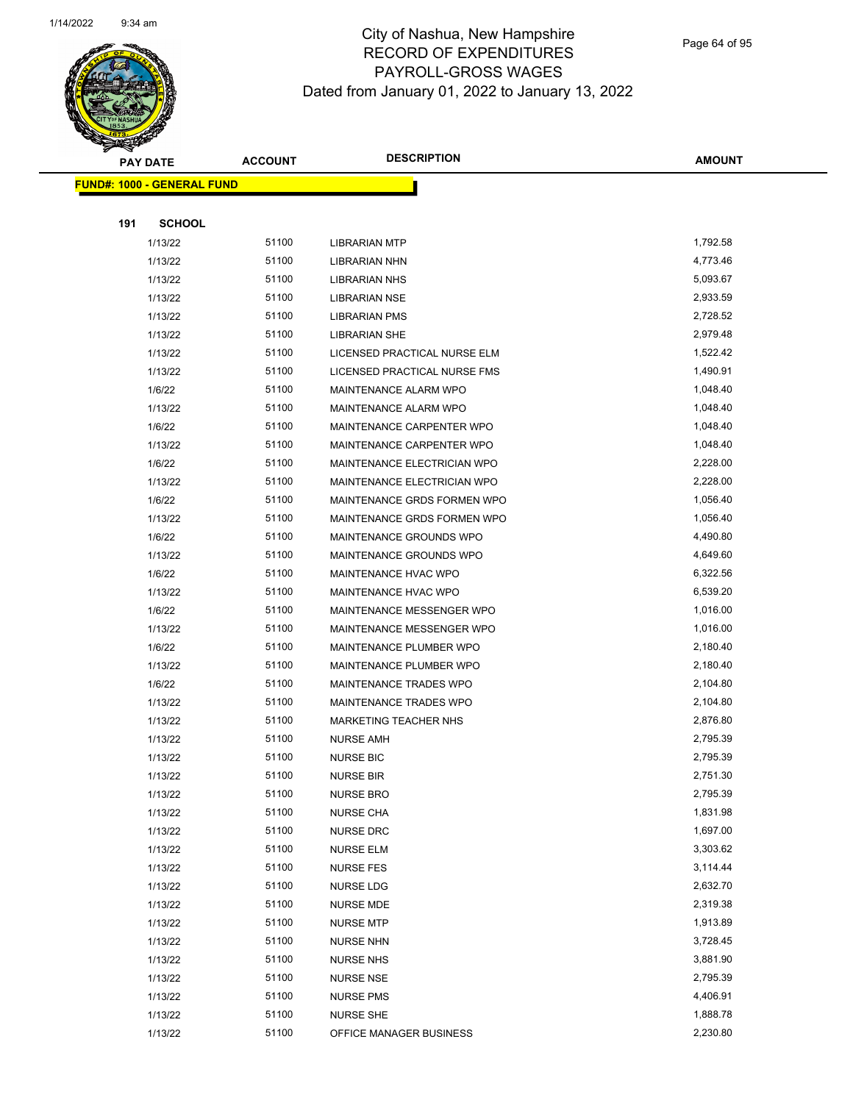

Page 64 of 95

|     | <b>PAY DATE</b>                   | <b>ACCOUNT</b> | <b>DESCRIPTION</b>                   | <b>AMOUNT</b>        |
|-----|-----------------------------------|----------------|--------------------------------------|----------------------|
|     | <b>FUND#: 1000 - GENERAL FUND</b> |                |                                      |                      |
|     |                                   |                |                                      |                      |
| 191 | <b>SCHOOL</b>                     |                |                                      |                      |
|     | 1/13/22                           | 51100          | <b>LIBRARIAN MTP</b>                 | 1,792.58             |
|     | 1/13/22                           | 51100          | LIBRARIAN NHN                        | 4,773.46             |
|     | 1/13/22                           | 51100          | <b>LIBRARIAN NHS</b>                 | 5,093.67             |
|     | 1/13/22                           | 51100          | <b>LIBRARIAN NSE</b>                 | 2,933.59             |
|     | 1/13/22                           | 51100          | <b>LIBRARIAN PMS</b>                 | 2,728.52             |
|     | 1/13/22                           | 51100          | <b>LIBRARIAN SHE</b>                 | 2,979.48             |
|     | 1/13/22                           | 51100          | LICENSED PRACTICAL NURSE ELM         | 1,522.42             |
|     | 1/13/22                           | 51100          | LICENSED PRACTICAL NURSE FMS         | 1,490.91             |
|     | 1/6/22                            | 51100          | MAINTENANCE ALARM WPO                | 1,048.40             |
|     | 1/13/22                           | 51100          | MAINTENANCE ALARM WPO                | 1,048.40             |
|     | 1/6/22                            | 51100          | MAINTENANCE CARPENTER WPO            | 1,048.40             |
|     | 1/13/22                           | 51100          | MAINTENANCE CARPENTER WPO            | 1,048.40             |
|     | 1/6/22                            | 51100          | MAINTENANCE ELECTRICIAN WPO          | 2,228.00             |
|     | 1/13/22                           | 51100          | MAINTENANCE ELECTRICIAN WPO          | 2,228.00             |
|     | 1/6/22                            | 51100          | MAINTENANCE GRDS FORMEN WPO          | 1,056.40             |
|     | 1/13/22                           | 51100          | MAINTENANCE GRDS FORMEN WPO          | 1,056.40             |
|     | 1/6/22                            | 51100          | MAINTENANCE GROUNDS WPO              | 4,490.80             |
|     | 1/13/22                           | 51100          | MAINTENANCE GROUNDS WPO              | 4,649.60             |
|     | 1/6/22                            | 51100          | MAINTENANCE HVAC WPO                 | 6,322.56             |
|     | 1/13/22                           | 51100          | MAINTENANCE HVAC WPO                 | 6,539.20             |
|     | 1/6/22                            | 51100          | MAINTENANCE MESSENGER WPO            | 1,016.00             |
|     | 1/13/22                           | 51100          | MAINTENANCE MESSENGER WPO            | 1,016.00             |
|     | 1/6/22                            | 51100          | MAINTENANCE PLUMBER WPO              | 2,180.40             |
|     | 1/13/22                           | 51100          | MAINTENANCE PLUMBER WPO              | 2,180.40             |
|     | 1/6/22                            | 51100          | MAINTENANCE TRADES WPO               | 2,104.80             |
|     | 1/13/22                           | 51100          | MAINTENANCE TRADES WPO               | 2,104.80             |
|     | 1/13/22                           | 51100          | <b>MARKETING TEACHER NHS</b>         | 2,876.80             |
|     | 1/13/22                           | 51100          | NURSE AMH<br><b>NURSE BIC</b>        | 2,795.39             |
|     | 1/13/22                           | 51100<br>51100 |                                      | 2,795.39<br>2,751.30 |
|     | 1/13/22<br>1/13/22                | 51100          | <b>NURSE BIR</b><br><b>NURSE BRO</b> | 2,795.39             |
|     | 1/13/22                           | 51100          | NURSE CHA                            | 1,831.98             |
|     | 1/13/22                           | 51100          | NURSE DRC                            | 1,697.00             |
|     | 1/13/22                           | 51100          | <b>NURSE ELM</b>                     | 3,303.62             |
|     | 1/13/22                           | 51100          | <b>NURSE FES</b>                     | 3,114.44             |
|     | 1/13/22                           | 51100          | NURSE LDG                            | 2,632.70             |
|     | 1/13/22                           | 51100          | NURSE MDE                            | 2,319.38             |
|     | 1/13/22                           | 51100          | <b>NURSE MTP</b>                     | 1,913.89             |
|     | 1/13/22                           | 51100          | <b>NURSE NHN</b>                     | 3,728.45             |
|     | 1/13/22                           | 51100          | <b>NURSE NHS</b>                     | 3,881.90             |
|     | 1/13/22                           | 51100          | <b>NURSE NSE</b>                     | 2,795.39             |
|     | 1/13/22                           | 51100          | <b>NURSE PMS</b>                     | 4,406.91             |
|     | 1/13/22                           | 51100          | <b>NURSE SHE</b>                     | 1,888.78             |
|     | 1/13/22                           | 51100          | OFFICE MANAGER BUSINESS              | 2,230.80             |
|     |                                   |                |                                      |                      |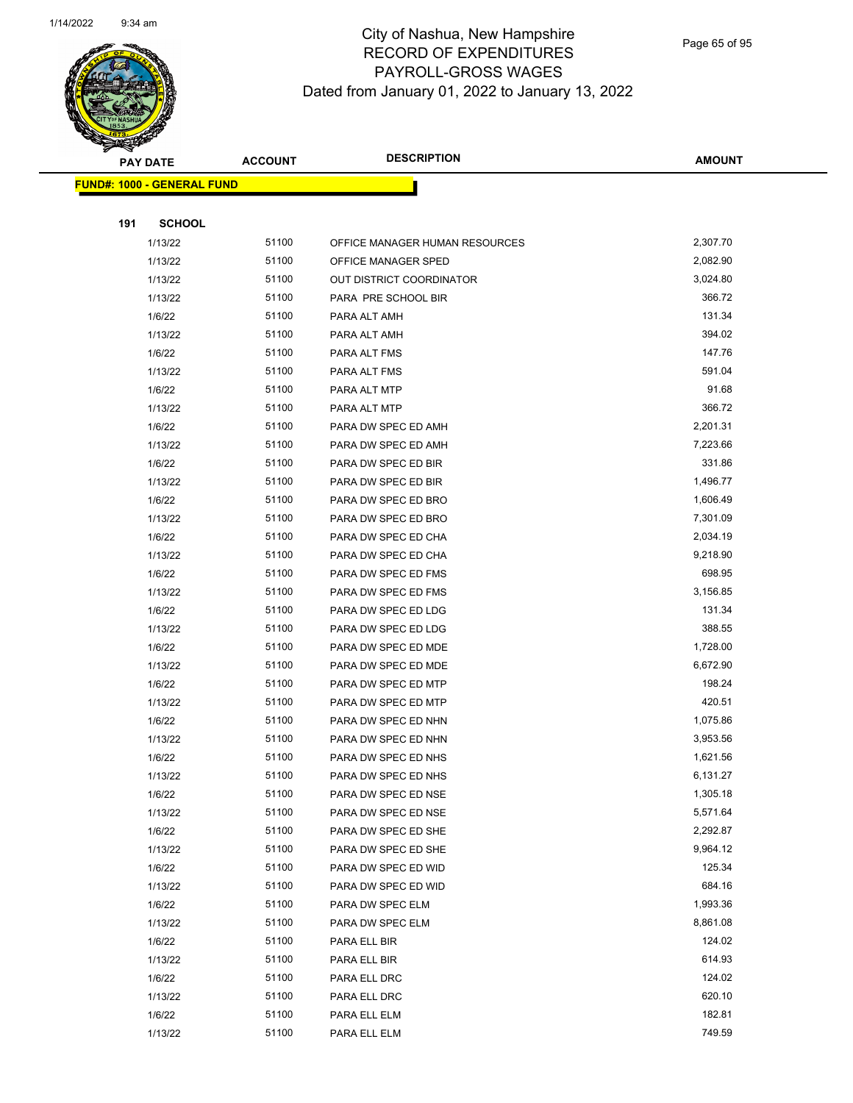

Page 65 of 95

|     | <b>PAY DATE</b>                   | <b>ACCOUNT</b> | <b>DESCRIPTION</b>             | <b>AMOUNT</b> |
|-----|-----------------------------------|----------------|--------------------------------|---------------|
|     | <b>FUND#: 1000 - GENERAL FUND</b> |                |                                |               |
|     |                                   |                |                                |               |
| 191 | <b>SCHOOL</b>                     |                |                                |               |
|     | 1/13/22                           | 51100          | OFFICE MANAGER HUMAN RESOURCES | 2,307.70      |
|     | 1/13/22                           | 51100          | OFFICE MANAGER SPED            | 2,082.90      |
|     | 1/13/22                           | 51100          | OUT DISTRICT COORDINATOR       | 3,024.80      |
|     | 1/13/22                           | 51100          | PARA PRE SCHOOL BIR            | 366.72        |
|     | 1/6/22                            | 51100          | PARA ALT AMH                   | 131.34        |
|     | 1/13/22                           | 51100          | PARA ALT AMH                   | 394.02        |
|     | 1/6/22                            | 51100          | PARA ALT FMS                   | 147.76        |
|     | 1/13/22                           | 51100          | PARA ALT FMS                   | 591.04        |
|     | 1/6/22                            | 51100          | PARA ALT MTP                   | 91.68         |
|     | 1/13/22                           | 51100          | PARA ALT MTP                   | 366.72        |
|     | 1/6/22                            | 51100          | PARA DW SPEC ED AMH            | 2,201.31      |
|     | 1/13/22                           | 51100          | PARA DW SPEC ED AMH            | 7,223.66      |
|     | 1/6/22                            | 51100          | PARA DW SPEC ED BIR            | 331.86        |
|     | 1/13/22                           | 51100          | PARA DW SPEC ED BIR            | 1,496.77      |
|     | 1/6/22                            | 51100          | PARA DW SPEC ED BRO            | 1,606.49      |
|     | 1/13/22                           | 51100          | PARA DW SPEC ED BRO            | 7,301.09      |
|     | 1/6/22                            | 51100          | PARA DW SPEC ED CHA            | 2,034.19      |
|     | 1/13/22                           | 51100          | PARA DW SPEC ED CHA            | 9,218.90      |
|     | 1/6/22                            | 51100          | PARA DW SPEC ED FMS            | 698.95        |
|     | 1/13/22                           | 51100          | PARA DW SPEC ED FMS            | 3,156.85      |
|     | 1/6/22                            | 51100          | PARA DW SPEC ED LDG            | 131.34        |
|     | 1/13/22                           | 51100          | PARA DW SPEC ED LDG            | 388.55        |
|     | 1/6/22                            | 51100          | PARA DW SPEC ED MDE            | 1,728.00      |
|     | 1/13/22                           | 51100          | PARA DW SPEC ED MDE            | 6,672.90      |
|     | 1/6/22                            | 51100          | PARA DW SPEC ED MTP            | 198.24        |
|     | 1/13/22                           | 51100          | PARA DW SPEC ED MTP            | 420.51        |
|     | 1/6/22                            | 51100          | PARA DW SPEC ED NHN            | 1,075.86      |
|     | 1/13/22                           | 51100          | PARA DW SPEC ED NHN            | 3,953.56      |
|     | 1/6/22                            | 51100          | PARA DW SPEC ED NHS            | 1,621.56      |
|     | 1/13/22                           | 51100          | PARA DW SPEC ED NHS            | 6,131.27      |
|     | 1/6/22                            | 51100          | PARA DW SPEC ED NSE            | 1,305.18      |
|     | 1/13/22                           | 51100          | PARA DW SPEC ED NSE            | 5,571.64      |
|     | 1/6/22                            | 51100          | PARA DW SPEC ED SHE            | 2,292.87      |
|     | 1/13/22                           | 51100          | PARA DW SPEC ED SHE            | 9,964.12      |
|     | 1/6/22                            | 51100          | PARA DW SPEC ED WID            | 125.34        |
|     | 1/13/22                           | 51100          | PARA DW SPEC ED WID            | 684.16        |
|     | 1/6/22                            | 51100          | PARA DW SPEC ELM               | 1,993.36      |
|     | 1/13/22                           | 51100          | PARA DW SPEC ELM               | 8,861.08      |
|     | 1/6/22                            | 51100          | PARA ELL BIR                   | 124.02        |
|     | 1/13/22                           | 51100          | PARA ELL BIR                   | 614.93        |
|     | 1/6/22                            | 51100          | PARA ELL DRC                   | 124.02        |
|     | 1/13/22                           | 51100          | PARA ELL DRC                   | 620.10        |
|     | 1/6/22                            | 51100          | PARA ELL ELM                   | 182.81        |
|     | 1/13/22                           | 51100          | PARA ELL ELM                   | 749.59        |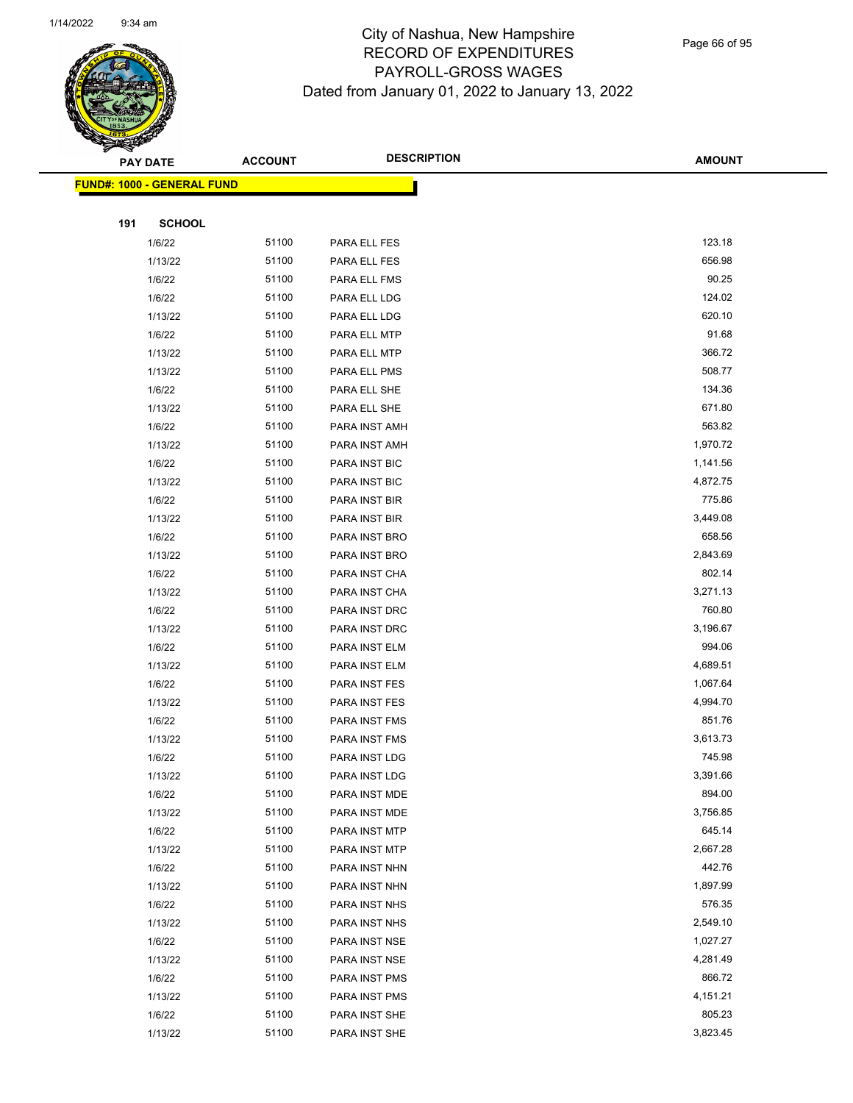

Page 66 of 95

|     | <b>PAY DATE</b>                         | <b>ACCOUNT</b> | <b>DESCRIPTION</b> | <b>AMOUNT</b> |
|-----|-----------------------------------------|----------------|--------------------|---------------|
|     | <mark>FUND#: 1000 - GENERAL FUND</mark> |                |                    |               |
|     |                                         |                |                    |               |
| 191 | <b>SCHOOL</b>                           |                |                    |               |
|     | 1/6/22                                  | 51100          | PARA ELL FES       | 123.18        |
|     | 1/13/22                                 | 51100          | PARA ELL FES       | 656.98        |
|     | 1/6/22                                  | 51100          | PARA ELL FMS       | 90.25         |
|     | 1/6/22                                  | 51100          | PARA ELL LDG       | 124.02        |
|     | 1/13/22                                 | 51100          | PARA ELL LDG       | 620.10        |
|     | 1/6/22                                  | 51100          | PARA ELL MTP       | 91.68         |
|     | 1/13/22                                 | 51100          | PARA ELL MTP       | 366.72        |
|     | 1/13/22                                 | 51100          | PARA ELL PMS       | 508.77        |
|     | 1/6/22                                  | 51100          | PARA ELL SHE       | 134.36        |
|     | 1/13/22                                 | 51100          | PARA ELL SHE       | 671.80        |
|     | 1/6/22                                  | 51100          | PARA INST AMH      | 563.82        |
|     | 1/13/22                                 | 51100          | PARA INST AMH      | 1,970.72      |
|     | 1/6/22                                  | 51100          | PARA INST BIC      | 1,141.56      |
|     | 1/13/22                                 | 51100          | PARA INST BIC      | 4,872.75      |
|     | 1/6/22                                  | 51100          | PARA INST BIR      | 775.86        |
|     | 1/13/22                                 | 51100          | PARA INST BIR      | 3,449.08      |
|     | 1/6/22                                  | 51100          | PARA INST BRO      | 658.56        |
|     | 1/13/22                                 | 51100          | PARA INST BRO      | 2,843.69      |
|     | 1/6/22                                  | 51100          | PARA INST CHA      | 802.14        |
|     | 1/13/22                                 | 51100          | PARA INST CHA      | 3,271.13      |
|     | 1/6/22                                  | 51100          | PARA INST DRC      | 760.80        |
|     | 1/13/22                                 | 51100          | PARA INST DRC      | 3,196.67      |
|     | 1/6/22                                  | 51100          | PARA INST ELM      | 994.06        |
|     | 1/13/22                                 | 51100          | PARA INST ELM      | 4,689.51      |
|     | 1/6/22                                  | 51100          | PARA INST FES      | 1,067.64      |
|     | 1/13/22                                 | 51100          | PARA INST FES      | 4,994.70      |
|     | 1/6/22                                  | 51100          | PARA INST FMS      | 851.76        |
|     | 1/13/22                                 | 51100          | PARA INST FMS      | 3,613.73      |
|     | 1/6/22                                  | 51100          | PARA INST LDG      | 745.98        |
|     | 1/13/22                                 | 51100          | PARA INST LDG      | 3,391.66      |
|     | 1/6/22                                  | 51100          | PARA INST MDE      | 894.00        |
|     | 1/13/22                                 | 51100          | PARA INST MDE      | 3,756.85      |
|     | 1/6/22                                  | 51100          | PARA INST MTP      | 645.14        |
|     | 1/13/22                                 | 51100          | PARA INST MTP      | 2,667.28      |
|     | 1/6/22                                  | 51100          | PARA INST NHN      | 442.76        |
|     | 1/13/22                                 | 51100          | PARA INST NHN      | 1,897.99      |
|     | 1/6/22                                  | 51100          | PARA INST NHS      | 576.35        |
|     | 1/13/22                                 | 51100          | PARA INST NHS      | 2,549.10      |
|     | 1/6/22                                  | 51100          | PARA INST NSE      | 1,027.27      |
|     | 1/13/22                                 | 51100          | PARA INST NSE      | 4,281.49      |
|     | 1/6/22                                  | 51100          | PARA INST PMS      | 866.72        |
|     | 1/13/22                                 | 51100          | PARA INST PMS      | 4,151.21      |
|     | 1/6/22                                  | 51100          | PARA INST SHE      | 805.23        |
|     | 1/13/22                                 | 51100          | PARA INST SHE      | 3,823.45      |
|     |                                         |                |                    |               |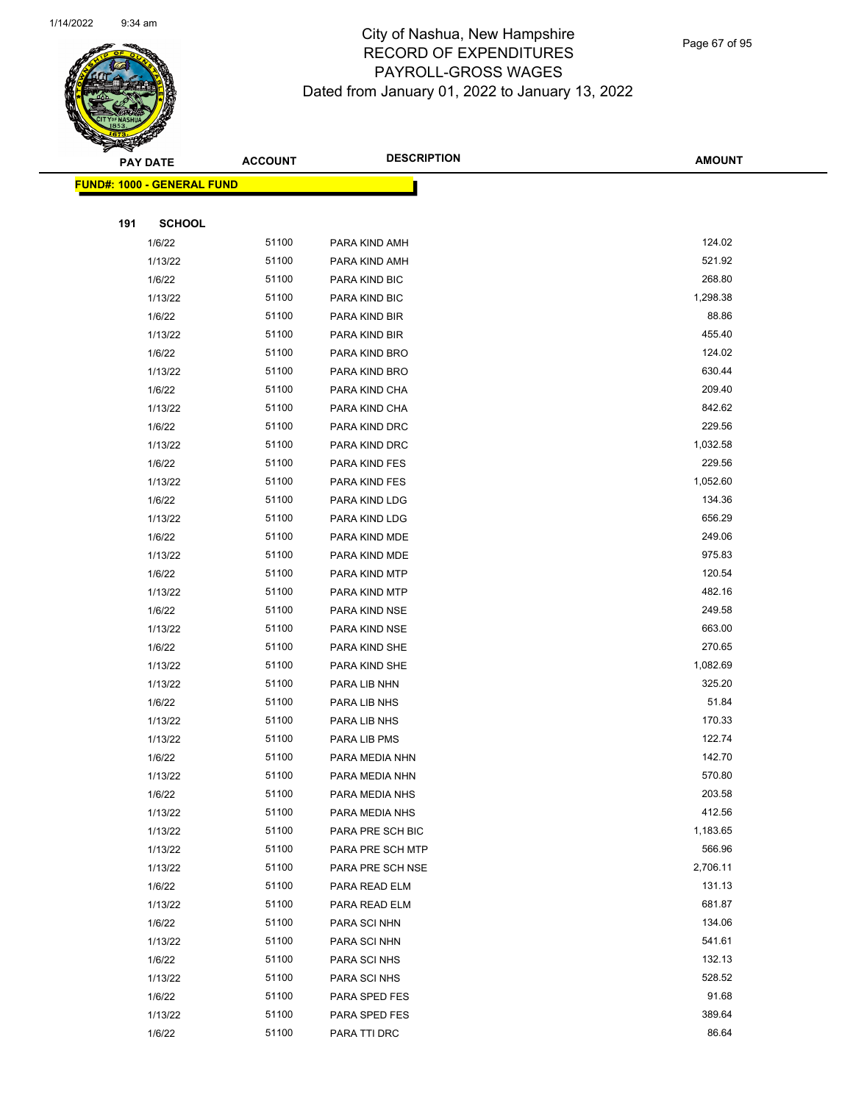

Page 67 of 95

|     | <b>PAY DATE</b>                    | <b>ACCOUNT</b> | <b>DESCRIPTION</b> | <b>AMOUNT</b> |
|-----|------------------------------------|----------------|--------------------|---------------|
|     | <u> FUND#: 1000 - GENERAL FUND</u> |                |                    |               |
|     |                                    |                |                    |               |
| 191 | <b>SCHOOL</b>                      |                |                    |               |
|     | 1/6/22                             | 51100          | PARA KIND AMH      | 124.02        |
|     | 1/13/22                            | 51100          | PARA KIND AMH      | 521.92        |
|     | 1/6/22                             | 51100          | PARA KIND BIC      | 268.80        |
|     | 1/13/22                            | 51100          | PARA KIND BIC      | 1,298.38      |
|     | 1/6/22                             | 51100          | PARA KIND BIR      | 88.86         |
|     | 1/13/22                            | 51100          | PARA KIND BIR      | 455.40        |
|     | 1/6/22                             | 51100          | PARA KIND BRO      | 124.02        |
|     | 1/13/22                            | 51100          | PARA KIND BRO      | 630.44        |
|     | 1/6/22                             | 51100          | PARA KIND CHA      | 209.40        |
|     | 1/13/22                            | 51100          | PARA KIND CHA      | 842.62        |
|     | 1/6/22                             | 51100          | PARA KIND DRC      | 229.56        |
|     | 1/13/22                            | 51100          | PARA KIND DRC      | 1,032.58      |
|     | 1/6/22                             | 51100          | PARA KIND FES      | 229.56        |
|     | 1/13/22                            | 51100          | PARA KIND FES      | 1,052.60      |
|     | 1/6/22                             | 51100          | PARA KIND LDG      | 134.36        |
|     | 1/13/22                            | 51100          | PARA KIND LDG      | 656.29        |
|     | 1/6/22                             | 51100          | PARA KIND MDE      | 249.06        |
|     | 1/13/22                            | 51100          | PARA KIND MDE      | 975.83        |
|     | 1/6/22                             | 51100          | PARA KIND MTP      | 120.54        |
|     | 1/13/22                            | 51100          | PARA KIND MTP      | 482.16        |
|     | 1/6/22                             | 51100          | PARA KIND NSE      | 249.58        |
|     | 1/13/22                            | 51100          | PARA KIND NSE      | 663.00        |
|     | 1/6/22                             | 51100          | PARA KIND SHE      | 270.65        |
|     | 1/13/22                            | 51100          | PARA KIND SHE      | 1,082.69      |
|     | 1/13/22                            | 51100          | PARA LIB NHN       | 325.20        |
|     | 1/6/22                             | 51100          | PARA LIB NHS       | 51.84         |
|     | 1/13/22                            | 51100          | PARA LIB NHS       | 170.33        |
|     | 1/13/22                            | 51100          | PARA LIB PMS       | 122.74        |
|     | 1/6/22                             | 51100          | PARA MEDIA NHN     | 142.70        |
|     | 1/13/22                            | 51100          | PARA MEDIA NHN     | 570.80        |
|     | 1/6/22                             | 51100          | PARA MEDIA NHS     | 203.58        |
|     | 1/13/22                            | 51100          | PARA MEDIA NHS     | 412.56        |
|     | 1/13/22                            | 51100          | PARA PRE SCH BIC   | 1,183.65      |
|     | 1/13/22                            | 51100          | PARA PRE SCH MTP   | 566.96        |
|     | 1/13/22                            | 51100          | PARA PRE SCH NSE   | 2,706.11      |
|     | 1/6/22                             | 51100          | PARA READ ELM      | 131.13        |
|     | 1/13/22                            | 51100          | PARA READ ELM      | 681.87        |
|     | 1/6/22                             | 51100          | PARA SCI NHN       | 134.06        |
|     | 1/13/22                            | 51100          | PARA SCI NHN       | 541.61        |
|     | 1/6/22                             | 51100          | PARA SCI NHS       | 132.13        |
|     | 1/13/22                            | 51100          | PARA SCI NHS       | 528.52        |
|     | 1/6/22                             | 51100          | PARA SPED FES      | 91.68         |
|     | 1/13/22                            | 51100          | PARA SPED FES      | 389.64        |
|     | 1/6/22                             | 51100          | PARA TTI DRC       | 86.64         |
|     |                                    |                |                    |               |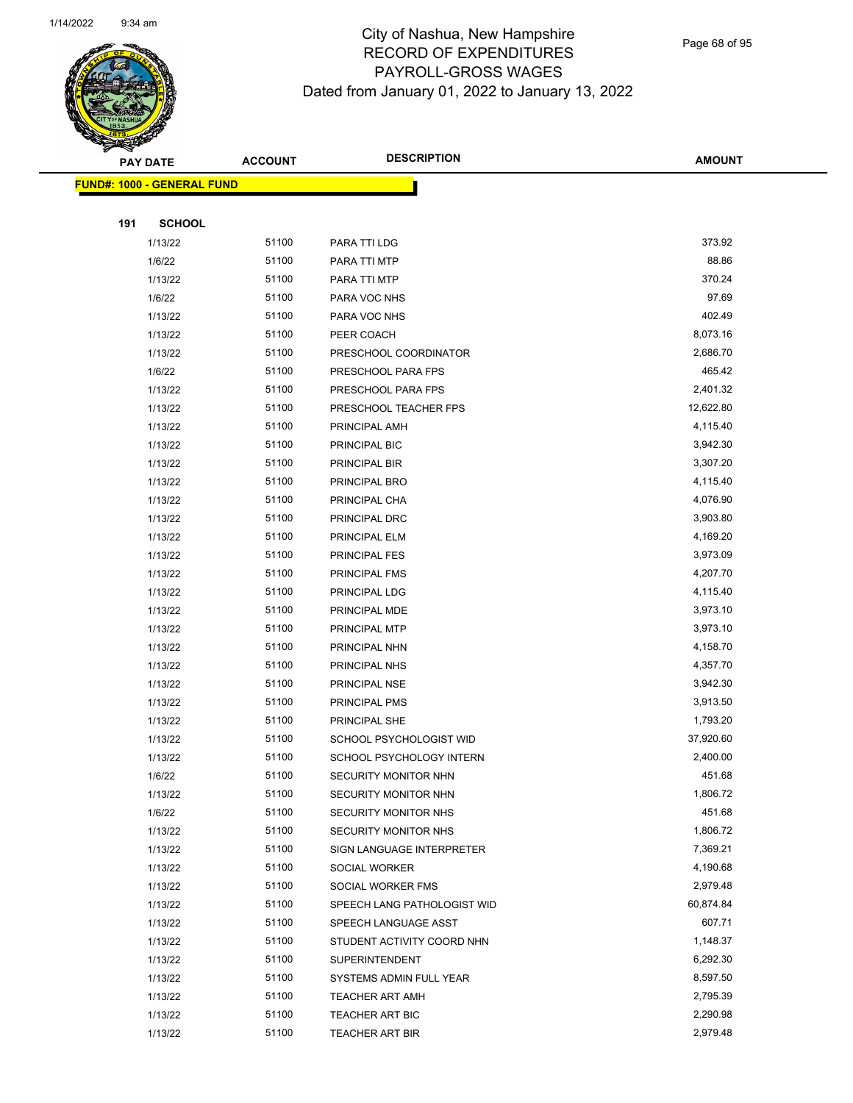

Page 68 of 95

|     | <b>PAY DATE</b>                   | <b>ACCOUNT</b> | <b>DESCRIPTION</b>                         | <b>AMOUNT</b>      |
|-----|-----------------------------------|----------------|--------------------------------------------|--------------------|
|     | <b>FUND#: 1000 - GENERAL FUND</b> |                |                                            |                    |
|     |                                   |                |                                            |                    |
| 191 | <b>SCHOOL</b>                     |                |                                            |                    |
|     | 1/13/22                           | 51100          | PARA TTI LDG                               | 373.92             |
|     | 1/6/22                            | 51100          | PARA TTI MTP                               | 88.86              |
|     | 1/13/22                           | 51100          | PARA TTI MTP                               | 370.24             |
|     | 1/6/22                            | 51100          | PARA VOC NHS                               | 97.69              |
|     | 1/13/22                           | 51100          | PARA VOC NHS                               | 402.49             |
|     | 1/13/22                           | 51100          | PEER COACH                                 | 8,073.16           |
|     | 1/13/22                           | 51100          | PRESCHOOL COORDINATOR                      | 2,686.70           |
|     | 1/6/22                            | 51100          | PRESCHOOL PARA FPS                         | 465.42             |
|     | 1/13/22                           | 51100          | PRESCHOOL PARA FPS                         | 2,401.32           |
|     | 1/13/22                           | 51100          | PRESCHOOL TEACHER FPS                      | 12,622.80          |
|     | 1/13/22                           | 51100          | PRINCIPAL AMH                              | 4,115.40           |
|     | 1/13/22                           | 51100          | PRINCIPAL BIC                              | 3,942.30           |
|     | 1/13/22                           | 51100          | PRINCIPAL BIR                              | 3,307.20           |
|     | 1/13/22                           | 51100          | PRINCIPAL BRO                              | 4,115.40           |
|     | 1/13/22                           | 51100          | PRINCIPAL CHA                              | 4,076.90           |
|     | 1/13/22                           | 51100          | PRINCIPAL DRC                              | 3,903.80           |
|     | 1/13/22                           | 51100          | PRINCIPAL ELM                              | 4,169.20           |
|     | 1/13/22                           | 51100          | PRINCIPAL FES                              | 3,973.09           |
|     | 1/13/22                           | 51100          | PRINCIPAL FMS                              | 4,207.70           |
|     | 1/13/22                           | 51100          | PRINCIPAL LDG                              | 4,115.40           |
|     | 1/13/22                           | 51100          | PRINCIPAL MDE                              | 3,973.10           |
|     | 1/13/22                           | 51100          | PRINCIPAL MTP                              | 3,973.10           |
|     | 1/13/22                           | 51100          | PRINCIPAL NHN                              | 4,158.70           |
|     | 1/13/22                           | 51100          | PRINCIPAL NHS                              | 4,357.70           |
|     | 1/13/22                           | 51100          | PRINCIPAL NSE                              | 3,942.30           |
|     | 1/13/22                           | 51100          | PRINCIPAL PMS                              | 3,913.50           |
|     | 1/13/22                           | 51100          | PRINCIPAL SHE                              | 1,793.20           |
|     | 1/13/22                           | 51100          | SCHOOL PSYCHOLOGIST WID                    | 37,920.60          |
|     | 1/13/22                           | 51100          | SCHOOL PSYCHOLOGY INTERN                   | 2,400.00           |
|     | 1/6/22                            | 51100          | SECURITY MONITOR NHN                       | 451.68             |
|     | 1/13/22                           | 51100          | SECURITY MONITOR NHN                       | 1,806.72           |
|     | 1/6/22                            | 51100<br>51100 | SECURITY MONITOR NHS                       | 451.68<br>1,806.72 |
|     | 1/13/22<br>1/13/22                | 51100          | SECURITY MONITOR NHS                       | 7,369.21           |
|     | 1/13/22                           | 51100          | SIGN LANGUAGE INTERPRETER<br>SOCIAL WORKER | 4,190.68           |
|     | 1/13/22                           | 51100          | SOCIAL WORKER FMS                          | 2,979.48           |
|     | 1/13/22                           | 51100          | SPEECH LANG PATHOLOGIST WID                | 60,874.84          |
|     | 1/13/22                           | 51100          | SPEECH LANGUAGE ASST                       | 607.71             |
|     | 1/13/22                           | 51100          | STUDENT ACTIVITY COORD NHN                 | 1,148.37           |
|     | 1/13/22                           | 51100          | <b>SUPERINTENDENT</b>                      | 6,292.30           |
|     | 1/13/22                           | 51100          | SYSTEMS ADMIN FULL YEAR                    | 8,597.50           |
|     | 1/13/22                           | 51100          | <b>TEACHER ART AMH</b>                     | 2,795.39           |
|     | 1/13/22                           | 51100          | TEACHER ART BIC                            | 2,290.98           |
|     | 1/13/22                           | 51100          | TEACHER ART BIR                            | 2,979.48           |
|     |                                   |                |                                            |                    |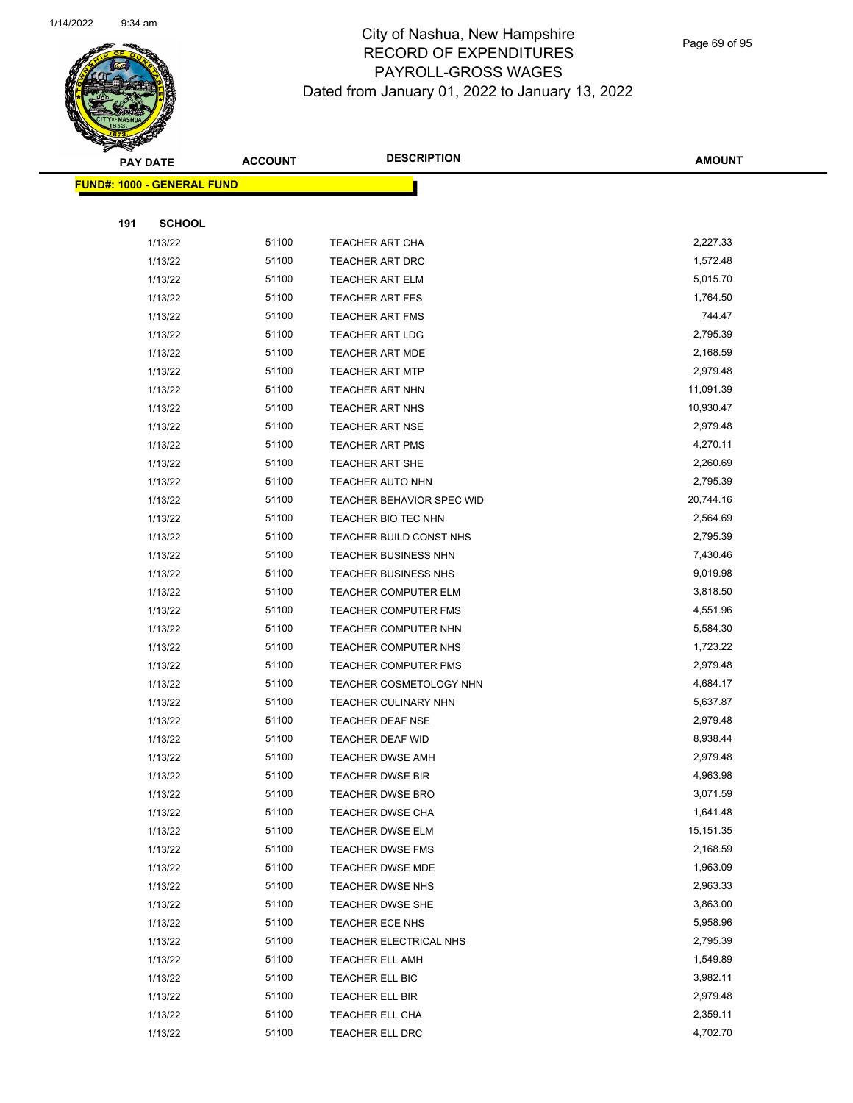

Page 69 of 95

 $\overline{\phantom{0}}$ 

|     | <b>PAY DATE</b>                   | <b>ACCOUNT</b> | <b>DESCRIPTION</b>                               | <b>AMOUNT</b>        |
|-----|-----------------------------------|----------------|--------------------------------------------------|----------------------|
|     | <b>FUND#: 1000 - GENERAL FUND</b> |                |                                                  |                      |
|     |                                   |                |                                                  |                      |
| 191 | <b>SCHOOL</b>                     |                |                                                  |                      |
|     | 1/13/22                           | 51100          | <b>TEACHER ART CHA</b>                           | 2,227.33             |
|     | 1/13/22                           | 51100          | <b>TEACHER ART DRC</b>                           | 1,572.48             |
|     | 1/13/22                           | 51100          | <b>TEACHER ART ELM</b>                           | 5,015.70             |
|     | 1/13/22                           | 51100          | <b>TEACHER ART FES</b>                           | 1,764.50             |
|     | 1/13/22                           | 51100          | <b>TEACHER ART FMS</b>                           | 744.47               |
|     | 1/13/22                           | 51100          | <b>TEACHER ART LDG</b>                           | 2,795.39             |
|     | 1/13/22                           | 51100          | <b>TEACHER ART MDE</b>                           | 2,168.59             |
|     | 1/13/22                           | 51100          | <b>TEACHER ART MTP</b>                           | 2,979.48             |
|     | 1/13/22                           | 51100          | <b>TEACHER ART NHN</b>                           | 11,091.39            |
|     | 1/13/22                           | 51100          | <b>TEACHER ART NHS</b>                           | 10,930.47            |
|     | 1/13/22                           | 51100          | <b>TEACHER ART NSE</b>                           | 2,979.48             |
|     | 1/13/22                           | 51100          | <b>TEACHER ART PMS</b>                           | 4,270.11             |
|     | 1/13/22                           | 51100          | TEACHER ART SHE                                  | 2,260.69             |
|     | 1/13/22                           | 51100          | <b>TEACHER AUTO NHN</b>                          | 2,795.39             |
|     | 1/13/22                           | 51100          | <b>TEACHER BEHAVIOR SPEC WID</b>                 | 20,744.16            |
|     | 1/13/22                           | 51100          | TEACHER BIO TEC NHN                              | 2,564.69             |
|     | 1/13/22                           | 51100          | TEACHER BUILD CONST NHS                          | 2,795.39             |
|     | 1/13/22                           | 51100          | <b>TEACHER BUSINESS NHN</b>                      | 7,430.46             |
|     | 1/13/22                           | 51100          | <b>TEACHER BUSINESS NHS</b>                      | 9,019.98             |
|     | 1/13/22                           | 51100          | <b>TEACHER COMPUTER ELM</b>                      | 3,818.50             |
|     | 1/13/22                           | 51100          | <b>TEACHER COMPUTER FMS</b>                      | 4,551.96             |
|     | 1/13/22                           | 51100          | TEACHER COMPUTER NHN                             | 5,584.30             |
|     | 1/13/22                           | 51100          | TEACHER COMPUTER NHS                             | 1,723.22             |
|     | 1/13/22                           | 51100          | <b>TEACHER COMPUTER PMS</b>                      | 2,979.48             |
|     | 1/13/22                           | 51100          | TEACHER COSMETOLOGY NHN                          | 4,684.17             |
|     | 1/13/22                           | 51100          | <b>TEACHER CULINARY NHN</b>                      | 5,637.87             |
|     | 1/13/22                           | 51100          | <b>TEACHER DEAF NSE</b>                          | 2,979.48             |
|     | 1/13/22                           | 51100          | <b>TEACHER DEAF WID</b>                          | 8,938.44             |
|     | 1/13/22                           | 51100          | <b>TEACHER DWSE AMH</b>                          | 2,979.48             |
|     | 1/13/22                           | 51100          | TEACHER DWSE BIR                                 | 4,963.98             |
|     | 1/13/22                           | 51100          | <b>TEACHER DWSE BRO</b>                          | 3,071.59             |
|     | 1/13/22                           | 51100          | TEACHER DWSE CHA                                 | 1,641.48             |
|     | 1/13/22                           | 51100          | TEACHER DWSE ELM                                 | 15,151.35            |
|     | 1/13/22                           | 51100          | <b>TEACHER DWSE FMS</b>                          | 2,168.59             |
|     | 1/13/22                           | 51100          | <b>TEACHER DWSE MDE</b>                          | 1,963.09             |
|     | 1/13/22                           | 51100<br>51100 | TEACHER DWSE NHS                                 | 2,963.33             |
|     | 1/13/22                           |                | TEACHER DWSE SHE                                 | 3,863.00             |
|     | 1/13/22<br>1/13/22                | 51100<br>51100 | TEACHER ECE NHS                                  | 5,958.96<br>2,795.39 |
|     | 1/13/22                           | 51100          | TEACHER ELECTRICAL NHS<br><b>TEACHER ELL AMH</b> | 1,549.89             |
|     | 1/13/22                           | 51100          | TEACHER ELL BIC                                  | 3,982.11             |
|     | 1/13/22                           | 51100          | TEACHER ELL BIR                                  | 2,979.48             |
|     | 1/13/22                           | 51100          | TEACHER ELL CHA                                  | 2,359.11             |
|     | 1/13/22                           | 51100          | TEACHER ELL DRC                                  | 4,702.70             |
|     |                                   |                |                                                  |                      |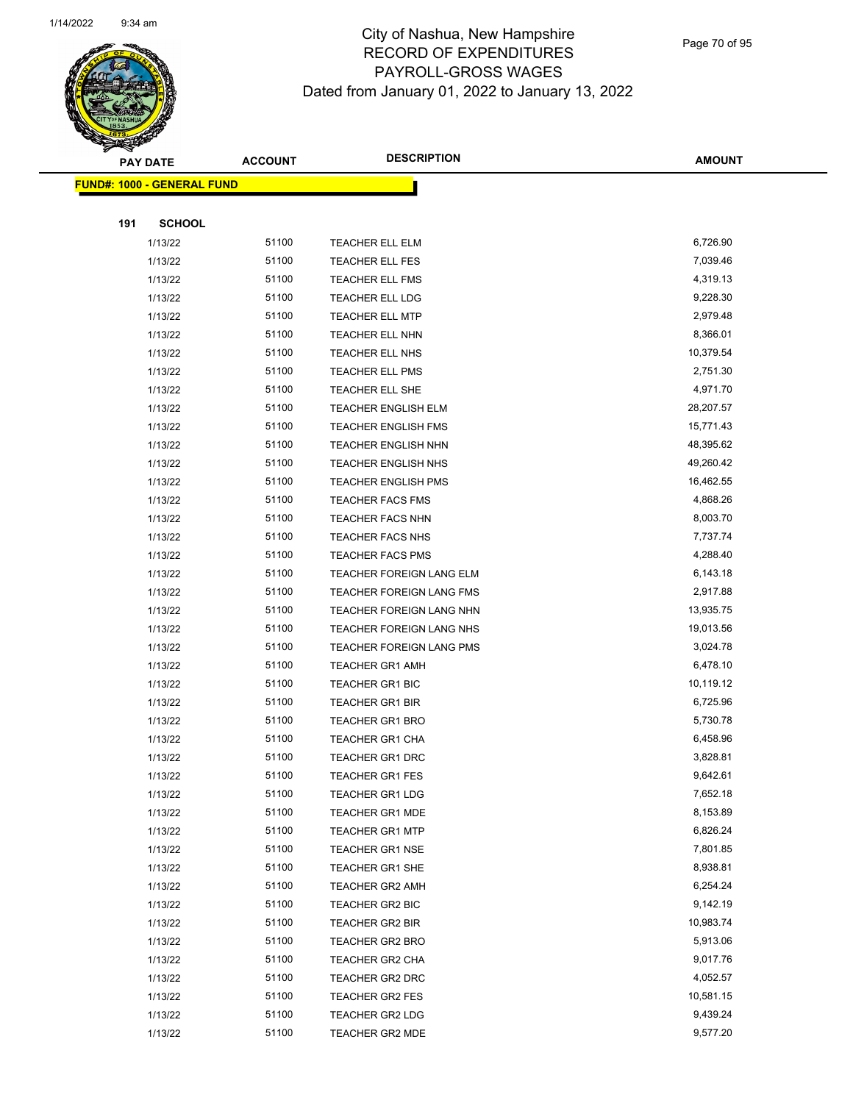

Page 70 of 95

|     | <b>PAY DATE</b>                   | <b>ACCOUNT</b> | <b>DESCRIPTION</b>                               | <b>AMOUNT</b>        |
|-----|-----------------------------------|----------------|--------------------------------------------------|----------------------|
|     | <b>FUND#: 1000 - GENERAL FUND</b> |                |                                                  |                      |
|     |                                   |                |                                                  |                      |
| 191 | <b>SCHOOL</b>                     |                |                                                  |                      |
|     | 1/13/22                           | 51100          | TEACHER ELL ELM                                  | 6,726.90             |
|     | 1/13/22                           | 51100          | TEACHER ELL FES                                  | 7,039.46             |
|     | 1/13/22                           | 51100          | TEACHER ELL FMS                                  | 4,319.13             |
|     | 1/13/22                           | 51100          | TEACHER ELL LDG                                  | 9,228.30             |
|     | 1/13/22                           | 51100          | <b>TEACHER ELL MTP</b>                           | 2,979.48             |
|     | 1/13/22                           | 51100          | TEACHER ELL NHN                                  | 8,366.01             |
|     | 1/13/22                           | 51100          | TEACHER ELL NHS                                  | 10,379.54            |
|     | 1/13/22                           | 51100          | TEACHER ELL PMS                                  | 2,751.30             |
|     | 1/13/22                           | 51100          | TEACHER ELL SHE                                  | 4,971.70             |
|     | 1/13/22                           | 51100          | <b>TEACHER ENGLISH ELM</b>                       | 28,207.57            |
|     | 1/13/22                           | 51100          | <b>TEACHER ENGLISH FMS</b>                       | 15,771.43            |
|     | 1/13/22                           | 51100          | <b>TEACHER ENGLISH NHN</b>                       | 48,395.62            |
|     | 1/13/22                           | 51100          | TEACHER ENGLISH NHS                              | 49,260.42            |
|     | 1/13/22                           | 51100          | <b>TEACHER ENGLISH PMS</b>                       | 16,462.55            |
|     | 1/13/22                           | 51100          | <b>TEACHER FACS FMS</b>                          | 4,868.26             |
|     | 1/13/22                           | 51100          | TEACHER FACS NHN                                 | 8,003.70             |
|     | 1/13/22                           | 51100          | TEACHER FACS NHS                                 | 7,737.74             |
|     | 1/13/22                           | 51100          | TEACHER FACS PMS                                 | 4,288.40             |
|     | 1/13/22                           | 51100          | TEACHER FOREIGN LANG ELM                         | 6,143.18             |
|     | 1/13/22                           | 51100          | TEACHER FOREIGN LANG FMS                         | 2,917.88             |
|     | 1/13/22                           | 51100          | TEACHER FOREIGN LANG NHN                         | 13,935.75            |
|     | 1/13/22                           | 51100          | TEACHER FOREIGN LANG NHS                         | 19,013.56            |
|     | 1/13/22                           | 51100          | TEACHER FOREIGN LANG PMS                         | 3,024.78             |
|     | 1/13/22                           | 51100          | <b>TEACHER GR1 AMH</b>                           | 6,478.10             |
|     | 1/13/22                           | 51100          | TEACHER GR1 BIC                                  | 10,119.12            |
|     | 1/13/22                           | 51100          | TEACHER GR1 BIR                                  | 6,725.96             |
|     | 1/13/22                           | 51100          | <b>TEACHER GR1 BRO</b>                           | 5,730.78             |
|     | 1/13/22<br>1/13/22                | 51100<br>51100 | <b>TEACHER GR1 CHA</b><br><b>TEACHER GR1 DRC</b> | 6,458.96<br>3,828.81 |
|     |                                   | 51100          |                                                  | 9,642.61             |
|     | 1/13/22<br>1/13/22                | 51100          | TEACHER GR1 FES<br><b>TEACHER GR1 LDG</b>        | 7,652.18             |
|     | 1/13/22                           | 51100          | <b>TEACHER GR1 MDE</b>                           | 8,153.89             |
|     | 1/13/22                           | 51100          | <b>TEACHER GR1 MTP</b>                           | 6,826.24             |
|     | 1/13/22                           | 51100          | <b>TEACHER GR1 NSE</b>                           | 7,801.85             |
|     | 1/13/22                           | 51100          | <b>TEACHER GR1 SHE</b>                           | 8,938.81             |
|     | 1/13/22                           | 51100          | <b>TEACHER GR2 AMH</b>                           | 6,254.24             |
|     | 1/13/22                           | 51100          | TEACHER GR2 BIC                                  | 9,142.19             |
|     | 1/13/22                           | 51100          | TEACHER GR2 BIR                                  | 10,983.74            |
|     | 1/13/22                           | 51100          | TEACHER GR2 BRO                                  | 5,913.06             |
|     | 1/13/22                           | 51100          | TEACHER GR2 CHA                                  | 9,017.76             |
|     | 1/13/22                           | 51100          | TEACHER GR2 DRC                                  | 4,052.57             |
|     | 1/13/22                           | 51100          | <b>TEACHER GR2 FES</b>                           | 10,581.15            |
|     | 1/13/22                           | 51100          | TEACHER GR2 LDG                                  | 9,439.24             |
|     | 1/13/22                           | 51100          | <b>TEACHER GR2 MDE</b>                           | 9,577.20             |
|     |                                   |                |                                                  |                      |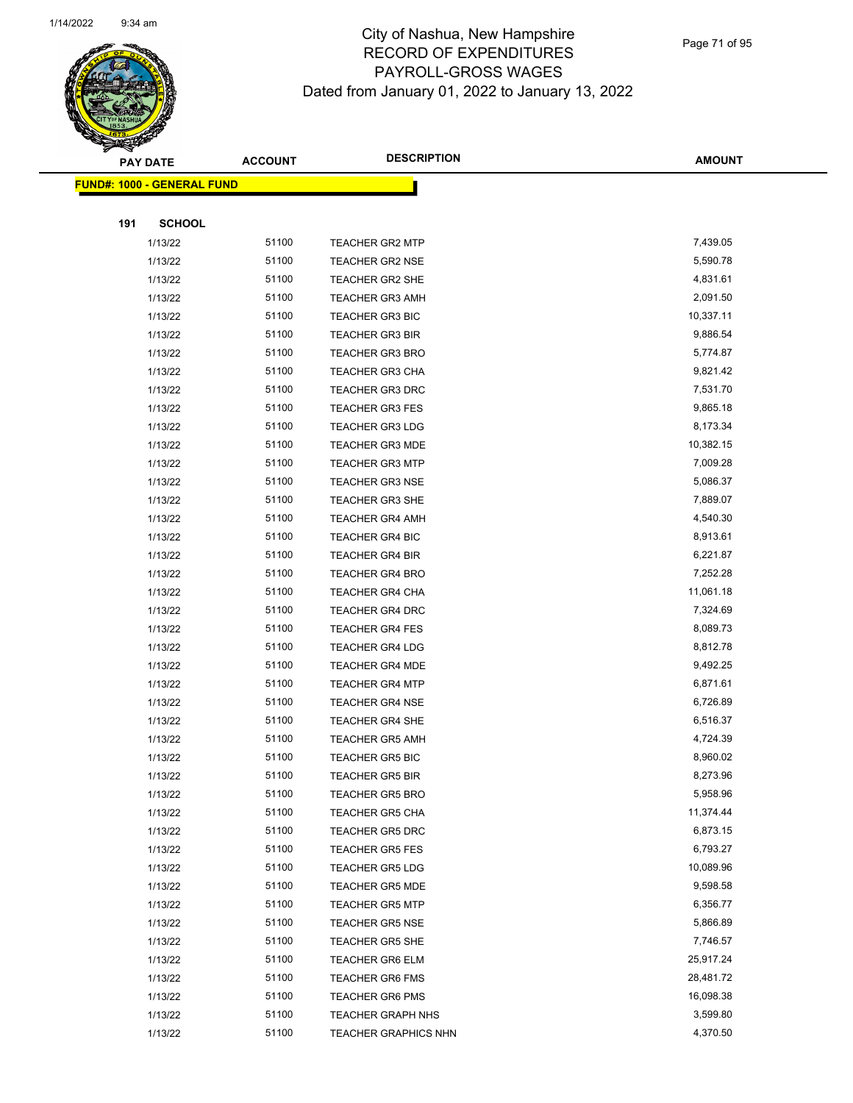

Page 71 of 95

|     | <b>PAY DATE</b>                   | <b>ACCOUNT</b> | <b>DESCRIPTION</b>          | <b>AMOUNT</b> |
|-----|-----------------------------------|----------------|-----------------------------|---------------|
|     | <b>FUND#: 1000 - GENERAL FUND</b> |                |                             |               |
|     |                                   |                |                             |               |
| 191 | <b>SCHOOL</b>                     |                |                             |               |
|     | 1/13/22                           | 51100          | <b>TEACHER GR2 MTP</b>      | 7,439.05      |
|     | 1/13/22                           | 51100          | <b>TEACHER GR2 NSE</b>      | 5,590.78      |
|     | 1/13/22                           | 51100          | <b>TEACHER GR2 SHE</b>      | 4,831.61      |
|     | 1/13/22                           | 51100          | <b>TEACHER GR3 AMH</b>      | 2,091.50      |
|     | 1/13/22                           | 51100          | <b>TEACHER GR3 BIC</b>      | 10,337.11     |
|     | 1/13/22                           | 51100          | <b>TEACHER GR3 BIR</b>      | 9,886.54      |
|     | 1/13/22                           | 51100          | <b>TEACHER GR3 BRO</b>      | 5,774.87      |
|     | 1/13/22                           | 51100          | <b>TEACHER GR3 CHA</b>      | 9,821.42      |
|     | 1/13/22                           | 51100          | <b>TEACHER GR3 DRC</b>      | 7,531.70      |
|     | 1/13/22                           | 51100          | <b>TEACHER GR3 FES</b>      | 9,865.18      |
|     | 1/13/22                           | 51100          | <b>TEACHER GR3 LDG</b>      | 8,173.34      |
|     | 1/13/22                           | 51100          | <b>TEACHER GR3 MDE</b>      | 10,382.15     |
|     | 1/13/22                           | 51100          | <b>TEACHER GR3 MTP</b>      | 7,009.28      |
|     | 1/13/22                           | 51100          | <b>TEACHER GR3 NSE</b>      | 5,086.37      |
|     | 1/13/22                           | 51100          | <b>TEACHER GR3 SHE</b>      | 7,889.07      |
|     | 1/13/22                           | 51100          | <b>TEACHER GR4 AMH</b>      | 4,540.30      |
|     | 1/13/22                           | 51100          | <b>TEACHER GR4 BIC</b>      | 8,913.61      |
|     | 1/13/22                           | 51100          | <b>TEACHER GR4 BIR</b>      | 6,221.87      |
|     | 1/13/22                           | 51100          | <b>TEACHER GR4 BRO</b>      | 7,252.28      |
|     | 1/13/22                           | 51100          | <b>TEACHER GR4 CHA</b>      | 11,061.18     |
|     | 1/13/22                           | 51100          | <b>TEACHER GR4 DRC</b>      | 7,324.69      |
|     | 1/13/22                           | 51100          | <b>TEACHER GR4 FES</b>      | 8,089.73      |
|     | 1/13/22                           | 51100          | <b>TEACHER GR4 LDG</b>      | 8,812.78      |
|     | 1/13/22                           | 51100          | <b>TEACHER GR4 MDE</b>      | 9,492.25      |
|     | 1/13/22                           | 51100          | <b>TEACHER GR4 MTP</b>      | 6,871.61      |
|     | 1/13/22                           | 51100          | <b>TEACHER GR4 NSE</b>      | 6,726.89      |
|     | 1/13/22                           | 51100          | <b>TEACHER GR4 SHE</b>      | 6,516.37      |
|     | 1/13/22                           | 51100          | <b>TEACHER GR5 AMH</b>      | 4,724.39      |
|     | 1/13/22                           | 51100          | <b>TEACHER GR5 BIC</b>      | 8,960.02      |
|     | 1/13/22                           | 51100          | TEACHER GR5 BIR             | 8,273.96      |
|     | 1/13/22                           | 51100          | <b>TEACHER GR5 BRO</b>      | 5,958.96      |
|     | 1/13/22                           | 51100          | <b>TEACHER GR5 CHA</b>      | 11,374.44     |
|     | 1/13/22                           | 51100          | <b>TEACHER GR5 DRC</b>      | 6,873.15      |
|     | 1/13/22                           | 51100          | <b>TEACHER GR5 FES</b>      | 6,793.27      |
|     | 1/13/22                           | 51100          | <b>TEACHER GR5 LDG</b>      | 10,089.96     |
|     | 1/13/22                           | 51100          | <b>TEACHER GR5 MDE</b>      | 9,598.58      |
|     | 1/13/22                           | 51100          | <b>TEACHER GR5 MTP</b>      | 6,356.77      |
|     | 1/13/22                           | 51100          | <b>TEACHER GR5 NSE</b>      | 5,866.89      |
|     | 1/13/22                           | 51100          | <b>TEACHER GR5 SHE</b>      | 7,746.57      |
|     | 1/13/22                           | 51100          | <b>TEACHER GR6 ELM</b>      | 25,917.24     |
|     | 1/13/22                           | 51100          | <b>TEACHER GR6 FMS</b>      | 28,481.72     |
|     | 1/13/22                           | 51100          | <b>TEACHER GR6 PMS</b>      | 16,098.38     |
|     | 1/13/22                           | 51100          | <b>TEACHER GRAPH NHS</b>    | 3,599.80      |
|     | 1/13/22                           | 51100          | <b>TEACHER GRAPHICS NHN</b> | 4,370.50      |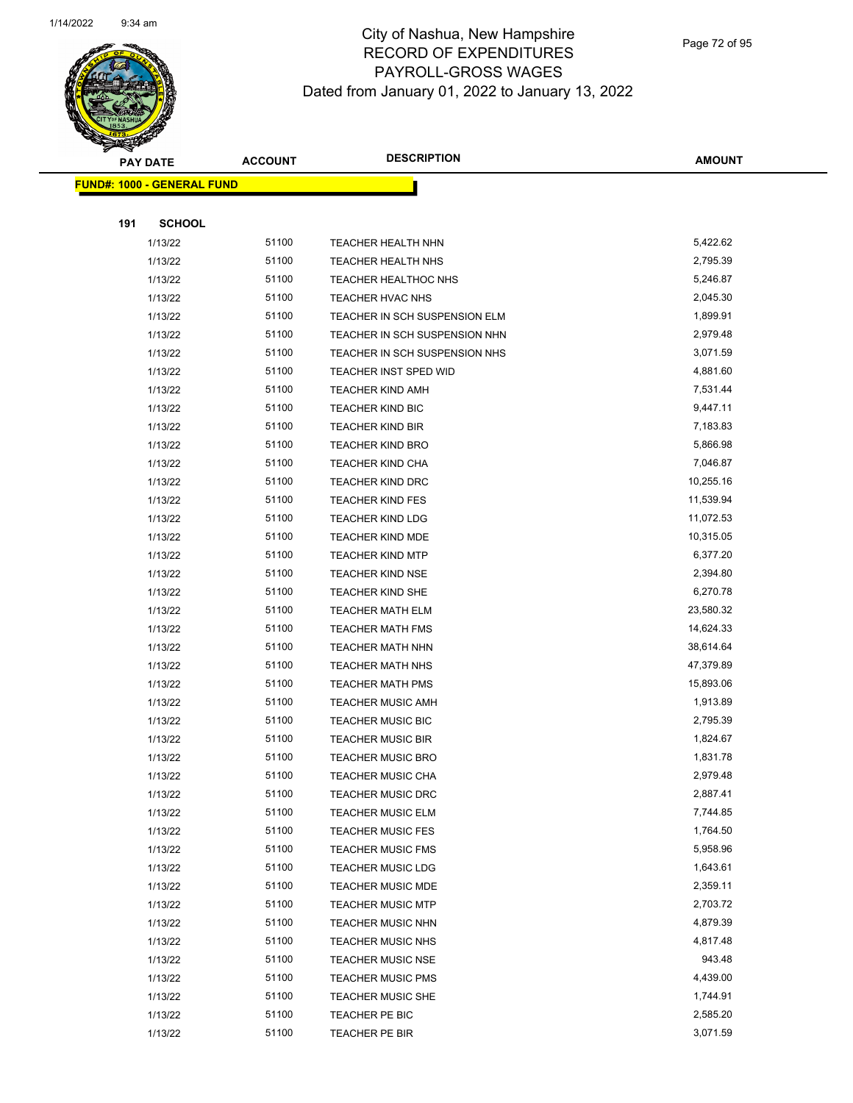

Page 72 of 95

| <b>PAY DATE</b>                   | <b>ACCOUNT</b> | <b>DESCRIPTION</b>            | <b>AMOUNT</b> |
|-----------------------------------|----------------|-------------------------------|---------------|
| <b>FUND#: 1000 - GENERAL FUND</b> |                |                               |               |
|                                   |                |                               |               |
| 191<br><b>SCHOOL</b>              |                |                               |               |
| 1/13/22                           | 51100          | <b>TEACHER HEALTH NHN</b>     | 5,422.62      |
| 1/13/22                           | 51100          | <b>TEACHER HEALTH NHS</b>     | 2,795.39      |
| 1/13/22                           | 51100          | <b>TEACHER HEALTHOC NHS</b>   | 5,246.87      |
| 1/13/22                           | 51100          | TEACHER HVAC NHS              | 2,045.30      |
| 1/13/22                           | 51100          | TEACHER IN SCH SUSPENSION ELM | 1,899.91      |
| 1/13/22                           | 51100          | TEACHER IN SCH SUSPENSION NHN | 2,979.48      |
| 1/13/22                           | 51100          | TEACHER IN SCH SUSPENSION NHS | 3,071.59      |
| 1/13/22                           | 51100          | TEACHER INST SPED WID         | 4,881.60      |
| 1/13/22                           | 51100          | <b>TEACHER KIND AMH</b>       | 7,531.44      |
| 1/13/22                           | 51100          | <b>TEACHER KIND BIC</b>       | 9,447.11      |
| 1/13/22                           | 51100          | <b>TEACHER KIND BIR</b>       | 7,183.83      |
| 1/13/22                           | 51100          | <b>TEACHER KIND BRO</b>       | 5,866.98      |
| 1/13/22                           | 51100          | TEACHER KIND CHA              | 7,046.87      |
| 1/13/22                           | 51100          | <b>TEACHER KIND DRC</b>       | 10,255.16     |
| 1/13/22                           | 51100          | <b>TEACHER KIND FES</b>       | 11,539.94     |
| 1/13/22                           | 51100          | <b>TEACHER KIND LDG</b>       | 11,072.53     |
| 1/13/22                           | 51100          | <b>TEACHER KIND MDE</b>       | 10,315.05     |
| 1/13/22                           | 51100          | <b>TEACHER KIND MTP</b>       | 6,377.20      |
| 1/13/22                           | 51100          | <b>TEACHER KIND NSE</b>       | 2,394.80      |
| 1/13/22                           | 51100          | <b>TEACHER KIND SHE</b>       | 6,270.78      |
| 1/13/22                           | 51100          | <b>TEACHER MATH ELM</b>       | 23,580.32     |
| 1/13/22                           | 51100          | <b>TEACHER MATH FMS</b>       | 14,624.33     |
| 1/13/22                           | 51100          | <b>TEACHER MATH NHN</b>       | 38,614.64     |
| 1/13/22                           | 51100          | <b>TEACHER MATH NHS</b>       | 47,379.89     |
| 1/13/22                           | 51100          | <b>TEACHER MATH PMS</b>       | 15,893.06     |
| 1/13/22                           | 51100          | <b>TEACHER MUSIC AMH</b>      | 1,913.89      |
| 1/13/22                           | 51100          | <b>TEACHER MUSIC BIC</b>      | 2,795.39      |
| 1/13/22                           | 51100          | <b>TEACHER MUSIC BIR</b>      | 1,824.67      |
| 1/13/22                           | 51100          | <b>TEACHER MUSIC BRO</b>      | 1,831.78      |
| 1/13/22                           | 51100          | TEACHER MUSIC CHA             | 2,979.48      |
| 1/13/22                           | 51100          | <b>TEACHER MUSIC DRC</b>      | 2,887.41      |
| 1/13/22                           | 51100          | <b>TEACHER MUSIC ELM</b>      | 7,744.85      |
| 1/13/22                           | 51100          | <b>TEACHER MUSIC FES</b>      | 1,764.50      |
| 1/13/22                           | 51100          | <b>TEACHER MUSIC FMS</b>      | 5,958.96      |
| 1/13/22                           | 51100          | <b>TEACHER MUSIC LDG</b>      | 1,643.61      |
| 1/13/22                           | 51100          | <b>TEACHER MUSIC MDE</b>      | 2,359.11      |
| 1/13/22                           | 51100          | <b>TEACHER MUSIC MTP</b>      | 2,703.72      |
| 1/13/22                           | 51100          | <b>TEACHER MUSIC NHN</b>      | 4,879.39      |
| 1/13/22                           | 51100          | <b>TEACHER MUSIC NHS</b>      | 4,817.48      |
| 1/13/22                           | 51100          | <b>TEACHER MUSIC NSE</b>      | 943.48        |
| 1/13/22                           | 51100          | <b>TEACHER MUSIC PMS</b>      | 4,439.00      |
| 1/13/22                           | 51100          | <b>TEACHER MUSIC SHE</b>      | 1,744.91      |
| 1/13/22                           | 51100          | TEACHER PE BIC                | 2,585.20      |
| 1/13/22                           | 51100          | TEACHER PE BIR                | 3,071.59      |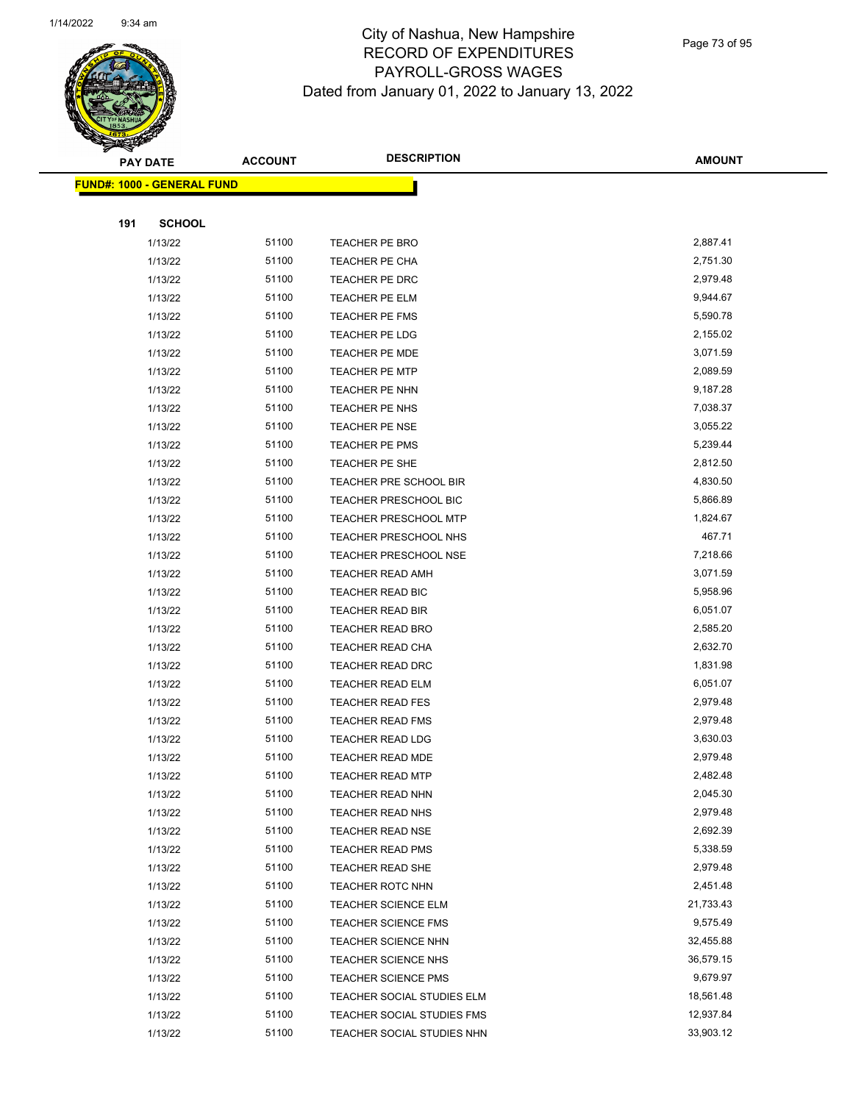

Page 73 of 95

|     | <b>PAY DATE</b>                   | <b>ACCOUNT</b> | <b>DESCRIPTION</b>                                       | <b>AMOUNT</b>          |
|-----|-----------------------------------|----------------|----------------------------------------------------------|------------------------|
|     | <b>FUND#: 1000 - GENERAL FUND</b> |                |                                                          |                        |
|     |                                   |                |                                                          |                        |
| 191 | <b>SCHOOL</b>                     |                |                                                          |                        |
|     | 1/13/22                           | 51100          | TEACHER PE BRO                                           | 2,887.41               |
|     | 1/13/22                           | 51100          | TEACHER PE CHA                                           | 2,751.30               |
|     | 1/13/22                           | 51100          | TEACHER PE DRC                                           | 2,979.48               |
|     | 1/13/22                           | 51100          | TEACHER PE ELM                                           | 9,944.67               |
|     | 1/13/22                           | 51100          | TEACHER PE FMS                                           | 5,590.78               |
|     | 1/13/22                           | 51100          | TEACHER PE LDG                                           | 2,155.02               |
|     | 1/13/22                           | 51100          | <b>TEACHER PE MDE</b>                                    | 3,071.59               |
|     | 1/13/22                           | 51100          | TEACHER PE MTP                                           | 2,089.59               |
|     | 1/13/22                           | 51100          | TEACHER PE NHN                                           | 9,187.28               |
|     | 1/13/22                           | 51100          | TEACHER PE NHS                                           | 7,038.37               |
|     | 1/13/22                           | 51100          | TEACHER PE NSE                                           | 3,055.22               |
|     | 1/13/22                           | 51100          | TEACHER PE PMS                                           | 5,239.44               |
|     | 1/13/22                           | 51100          | TEACHER PE SHE                                           | 2,812.50               |
|     | 1/13/22                           | 51100          | TEACHER PRE SCHOOL BIR                                   | 4,830.50               |
|     | 1/13/22                           | 51100          | TEACHER PRESCHOOL BIC                                    | 5,866.89               |
|     | 1/13/22                           | 51100          | <b>TEACHER PRESCHOOL MTP</b>                             | 1,824.67               |
|     | 1/13/22                           | 51100          | TEACHER PRESCHOOL NHS                                    | 467.71                 |
|     | 1/13/22                           | 51100          | <b>TEACHER PRESCHOOL NSE</b>                             | 7,218.66               |
|     | 1/13/22                           | 51100          | <b>TEACHER READ AMH</b>                                  | 3,071.59               |
|     | 1/13/22                           | 51100          | TEACHER READ BIC                                         | 5,958.96               |
|     | 1/13/22                           | 51100          | <b>TEACHER READ BIR</b>                                  | 6,051.07               |
|     | 1/13/22                           | 51100          | <b>TEACHER READ BRO</b>                                  | 2,585.20               |
|     | 1/13/22                           | 51100          | <b>TEACHER READ CHA</b>                                  | 2,632.70               |
|     | 1/13/22                           | 51100          | <b>TEACHER READ DRC</b>                                  | 1,831.98               |
|     | 1/13/22                           | 51100          | TEACHER READ ELM                                         | 6,051.07               |
|     | 1/13/22                           | 51100          | TEACHER READ FES                                         | 2,979.48               |
|     | 1/13/22                           | 51100          | <b>TEACHER READ FMS</b>                                  | 2,979.48               |
|     | 1/13/22                           | 51100          | <b>TEACHER READ LDG</b>                                  | 3,630.03               |
|     | 1/13/22                           | 51100          | <b>TEACHER READ MDE</b>                                  | 2,979.48               |
|     | 1/13/22                           | 51100          | TEACHER READ MTP                                         | 2,482.48               |
|     | 1/13/22                           | 51100          | <b>TEACHER READ NHN</b>                                  | 2,045.30               |
|     | 1/13/22                           | 51100          | <b>TEACHER READ NHS</b>                                  | 2,979.48               |
|     | 1/13/22                           | 51100          | <b>TEACHER READ NSE</b>                                  | 2,692.39               |
|     | 1/13/22                           | 51100          | <b>TEACHER READ PMS</b>                                  | 5,338.59               |
|     | 1/13/22                           | 51100<br>51100 | <b>TEACHER READ SHE</b>                                  | 2,979.48               |
|     | 1/13/22                           | 51100          | TEACHER ROTC NHN                                         | 2,451.48               |
|     | 1/13/22                           | 51100          | <b>TEACHER SCIENCE ELM</b>                               | 21,733.43<br>9,575.49  |
|     | 1/13/22                           |                | <b>TEACHER SCIENCE FMS</b>                               |                        |
|     | 1/13/22                           | 51100<br>51100 | TEACHER SCIENCE NHN                                      | 32,455.88<br>36,579.15 |
|     | 1/13/22                           | 51100          | <b>TEACHER SCIENCE NHS</b>                               | 9,679.97               |
|     | 1/13/22                           | 51100          | TEACHER SCIENCE PMS                                      | 18,561.48              |
|     | 1/13/22<br>1/13/22                | 51100          | TEACHER SOCIAL STUDIES ELM<br>TEACHER SOCIAL STUDIES FMS | 12,937.84              |
|     | 1/13/22                           | 51100          | TEACHER SOCIAL STUDIES NHN                               | 33,903.12              |
|     |                                   |                |                                                          |                        |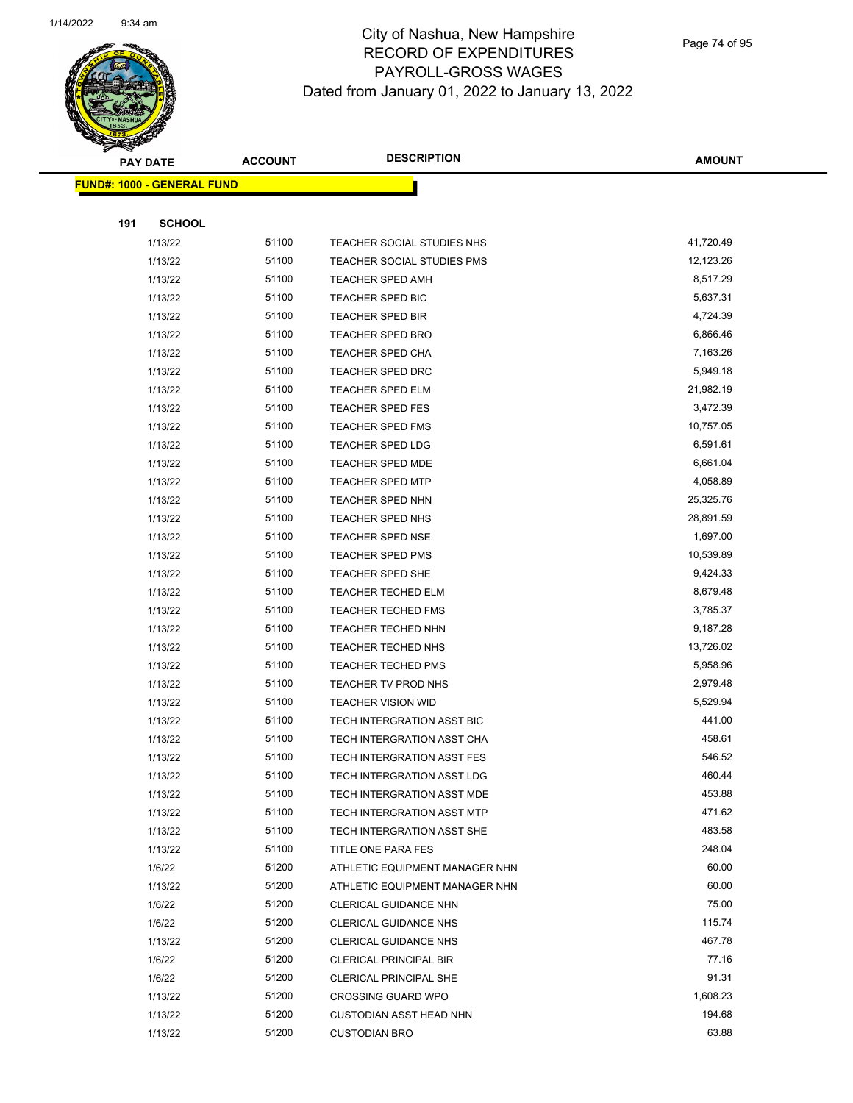

Page 74 of 95

|     | <b>PAY DATE</b>                   | <b>ACCOUNT</b> | <b>DESCRIPTION</b>                | <b>AMOUNT</b>     |
|-----|-----------------------------------|----------------|-----------------------------------|-------------------|
|     | <b>FUND#: 1000 - GENERAL FUND</b> |                |                                   |                   |
|     |                                   |                |                                   |                   |
| 191 | <b>SCHOOL</b>                     |                |                                   |                   |
|     | 1/13/22                           | 51100          | TEACHER SOCIAL STUDIES NHS        | 41,720.49         |
|     | 1/13/22                           | 51100          | TEACHER SOCIAL STUDIES PMS        | 12,123.26         |
|     | 1/13/22                           | 51100          | <b>TEACHER SPED AMH</b>           | 8,517.29          |
|     | 1/13/22                           | 51100          | <b>TEACHER SPED BIC</b>           | 5,637.31          |
|     | 1/13/22                           | 51100          | TEACHER SPED BIR                  | 4,724.39          |
|     | 1/13/22                           | 51100          | <b>TEACHER SPED BRO</b>           | 6,866.46          |
|     | 1/13/22                           | 51100          | <b>TEACHER SPED CHA</b>           | 7,163.26          |
|     | 1/13/22                           | 51100          | TEACHER SPED DRC                  | 5,949.18          |
|     | 1/13/22                           | 51100          | <b>TEACHER SPED ELM</b>           | 21,982.19         |
|     | 1/13/22                           | 51100          | <b>TEACHER SPED FES</b>           | 3,472.39          |
|     | 1/13/22                           | 51100          | <b>TEACHER SPED FMS</b>           | 10,757.05         |
|     | 1/13/22                           | 51100          | TEACHER SPED LDG                  | 6,591.61          |
|     | 1/13/22                           | 51100          | TEACHER SPED MDE                  | 6,661.04          |
|     | 1/13/22                           | 51100          | <b>TEACHER SPED MTP</b>           | 4,058.89          |
|     | 1/13/22                           | 51100          | TEACHER SPED NHN                  | 25,325.76         |
|     | 1/13/22                           | 51100          | TEACHER SPED NHS                  | 28,891.59         |
|     | 1/13/22                           | 51100          | <b>TEACHER SPED NSE</b>           | 1,697.00          |
|     | 1/13/22                           | 51100          | TEACHER SPED PMS                  | 10,539.89         |
|     | 1/13/22                           | 51100          | <b>TEACHER SPED SHE</b>           | 9,424.33          |
|     | 1/13/22                           | 51100          | <b>TEACHER TECHED ELM</b>         | 8,679.48          |
|     | 1/13/22                           | 51100          | <b>TEACHER TECHED FMS</b>         | 3,785.37          |
|     | 1/13/22                           | 51100          | <b>TEACHER TECHED NHN</b>         | 9,187.28          |
|     | 1/13/22                           | 51100          | <b>TEACHER TECHED NHS</b>         | 13,726.02         |
|     | 1/13/22                           | 51100          | <b>TEACHER TECHED PMS</b>         | 5,958.96          |
|     | 1/13/22                           | 51100          | TEACHER TV PROD NHS               | 2,979.48          |
|     | 1/13/22                           | 51100          | <b>TEACHER VISION WID</b>         | 5,529.94          |
|     | 1/13/22                           | 51100          | TECH INTERGRATION ASST BIC        | 441.00            |
|     | 1/13/22                           | 51100          | TECH INTERGRATION ASST CHA        | 458.61            |
|     | 1/13/22                           | 51100          | <b>TECH INTERGRATION ASST FES</b> | 546.52            |
|     | 1/13/22                           | 51100          | TECH INTERGRATION ASST LDG        | 460.44            |
|     | 1/13/22                           | 51100          | TECH INTERGRATION ASST MDE        | 453.88            |
|     | 1/13/22                           | 51100          | TECH INTERGRATION ASST MTP        | 471.62            |
|     | 1/13/22                           | 51100          | TECH INTERGRATION ASST SHE        | 483.58            |
|     | 1/13/22                           | 51100          | TITLE ONE PARA FES                | 248.04            |
|     | 1/6/22                            | 51200          | ATHLETIC EQUIPMENT MANAGER NHN    | 60.00             |
|     | 1/13/22                           | 51200          | ATHLETIC EQUIPMENT MANAGER NHN    | 60.00             |
|     | 1/6/22                            | 51200          | CLERICAL GUIDANCE NHN             | 75.00             |
|     | 1/6/22                            | 51200          | <b>CLERICAL GUIDANCE NHS</b>      | 115.74            |
|     | 1/13/22                           | 51200          | <b>CLERICAL GUIDANCE NHS</b>      | 467.78            |
|     | 1/6/22                            | 51200          | <b>CLERICAL PRINCIPAL BIR</b>     | 77.16             |
|     | 1/6/22                            | 51200<br>51200 | <b>CLERICAL PRINCIPAL SHE</b>     | 91.31<br>1,608.23 |
|     | 1/13/22                           | 51200          | <b>CROSSING GUARD WPO</b>         | 194.68            |
|     | 1/13/22                           |                | <b>CUSTODIAN ASST HEAD NHN</b>    | 63.88             |
|     | 1/13/22                           | 51200          | <b>CUSTODIAN BRO</b>              |                   |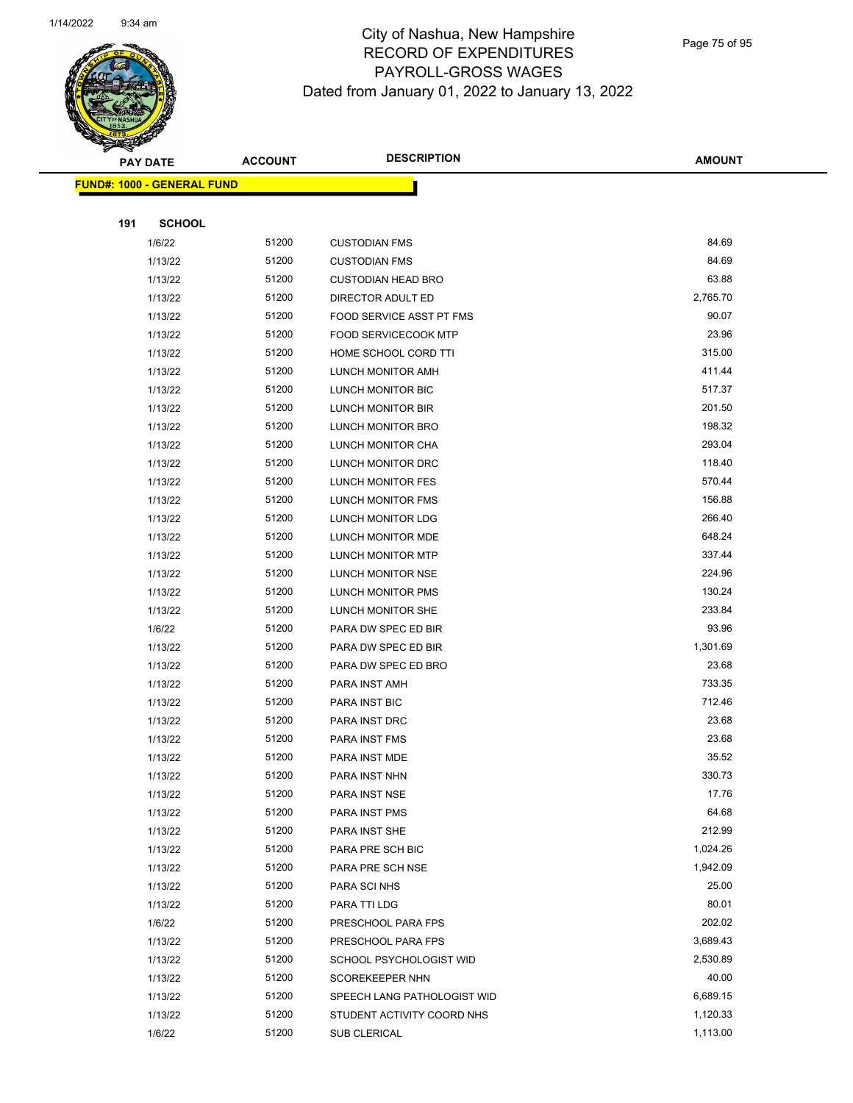

Page 75 of 95

|     | <b>PAY DATE</b>            | <b>ACCOUNT</b> | <b>DESCRIPTION</b>               | <b>AMOUNT</b>      |
|-----|----------------------------|----------------|----------------------------------|--------------------|
|     | FUND#: 1000 - GENERAL FUND |                |                                  |                    |
|     |                            |                |                                  |                    |
| 191 | <b>SCHOOL</b>              |                |                                  |                    |
|     | 1/6/22                     | 51200          | <b>CUSTODIAN FMS</b>             | 84.69              |
|     | 1/13/22                    | 51200          | <b>CUSTODIAN FMS</b>             | 84.69              |
|     | 1/13/22                    | 51200          | <b>CUSTODIAN HEAD BRO</b>        | 63.88              |
|     | 1/13/22                    | 51200          | DIRECTOR ADULT ED                | 2,765.70           |
|     | 1/13/22                    | 51200          | FOOD SERVICE ASST PT FMS         | 90.07              |
|     | 1/13/22                    | 51200          | FOOD SERVICECOOK MTP             | 23.96              |
|     | 1/13/22                    | 51200          | HOME SCHOOL CORD TTI             | 315.00             |
|     | 1/13/22                    | 51200          | LUNCH MONITOR AMH                | 411.44             |
|     | 1/13/22                    | 51200          | LUNCH MONITOR BIC                | 517.37             |
|     | 1/13/22                    | 51200          | <b>LUNCH MONITOR BIR</b>         | 201.50             |
|     | 1/13/22                    | 51200          | LUNCH MONITOR BRO                | 198.32             |
|     | 1/13/22                    | 51200          | LUNCH MONITOR CHA                | 293.04             |
|     | 1/13/22                    | 51200          | LUNCH MONITOR DRC                | 118.40             |
|     | 1/13/22                    | 51200          | LUNCH MONITOR FES                | 570.44             |
|     | 1/13/22                    | 51200          | LUNCH MONITOR FMS                | 156.88             |
|     | 1/13/22                    | 51200          | <b>LUNCH MONITOR LDG</b>         | 266.40             |
|     | 1/13/22                    | 51200          | LUNCH MONITOR MDE                | 648.24             |
|     | 1/13/22                    | 51200          | LUNCH MONITOR MTP                | 337.44             |
|     | 1/13/22                    | 51200          | LUNCH MONITOR NSE                | 224.96             |
|     | 1/13/22                    | 51200          | LUNCH MONITOR PMS                | 130.24             |
|     | 1/13/22                    | 51200          | LUNCH MONITOR SHE                | 233.84             |
|     | 1/6/22                     | 51200          | PARA DW SPEC ED BIR              | 93.96              |
|     | 1/13/22                    | 51200          | PARA DW SPEC ED BIR              | 1,301.69           |
|     | 1/13/22                    | 51200          | PARA DW SPEC ED BRO              | 23.68              |
|     | 1/13/22                    | 51200          | PARA INST AMH                    | 733.35             |
|     | 1/13/22                    | 51200          | PARA INST BIC                    | 712.46             |
|     | 1/13/22                    | 51200          | PARA INST DRC                    | 23.68              |
|     | 1/13/22                    | 51200          | PARA INST FMS                    | 23.68              |
|     | 1/13/22                    | 51200          | PARA INST MDE                    | 35.52              |
|     | 1/13/22                    | 51200          | PARA INST NHN                    | 330.73             |
|     | 1/13/22                    | 51200          | PARA INST NSE                    | 17.76              |
|     | 1/13/22                    | 51200          | PARA INST PMS                    | 64.68              |
|     | 1/13/22                    | 51200<br>51200 | PARA INST SHE                    | 212.99<br>1,024.26 |
|     | 1/13/22<br>1/13/22         | 51200          | PARA PRE SCH BIC                 | 1,942.09           |
|     | 1/13/22                    | 51200          | PARA PRE SCH NSE<br>PARA SCI NHS | 25.00              |
|     | 1/13/22                    | 51200          | PARA TTI LDG                     | 80.01              |
|     | 1/6/22                     | 51200          | PRESCHOOL PARA FPS               | 202.02             |
|     | 1/13/22                    | 51200          | PRESCHOOL PARA FPS               | 3,689.43           |
|     | 1/13/22                    | 51200          | SCHOOL PSYCHOLOGIST WID          | 2,530.89           |
|     | 1/13/22                    | 51200          | SCOREKEEPER NHN                  | 40.00              |
|     | 1/13/22                    | 51200          | SPEECH LANG PATHOLOGIST WID      | 6,689.15           |
|     | 1/13/22                    | 51200          | STUDENT ACTIVITY COORD NHS       | 1,120.33           |
|     | 1/6/22                     | 51200          | <b>SUB CLERICAL</b>              | 1,113.00           |
|     |                            |                |                                  |                    |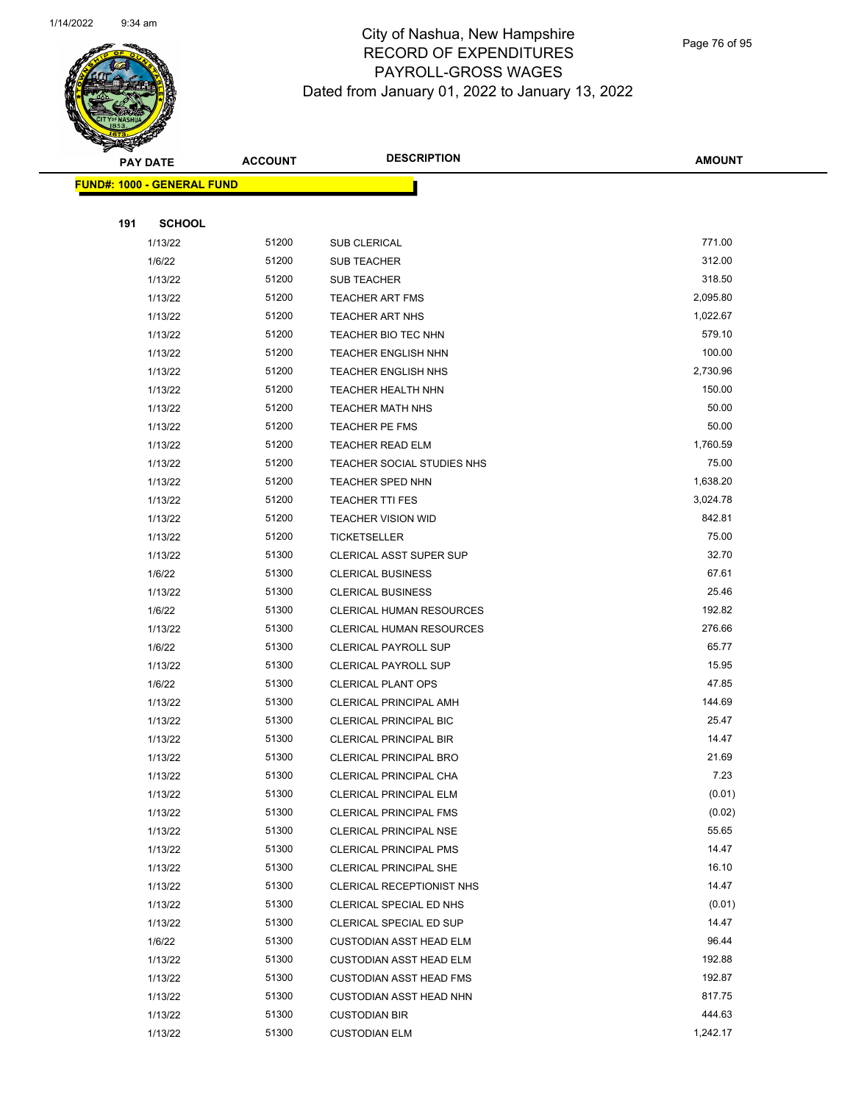

Page 76 of 95

 $\overline{\phantom{0}}$ 

|     | <b>PAY DATE</b>                   | <b>ACCOUNT</b> | <b>DESCRIPTION</b>                               | <b>AMOUNT</b>    |
|-----|-----------------------------------|----------------|--------------------------------------------------|------------------|
|     | <b>FUND#: 1000 - GENERAL FUND</b> |                |                                                  |                  |
|     |                                   |                |                                                  |                  |
| 191 | <b>SCHOOL</b>                     |                |                                                  |                  |
|     | 1/13/22                           | 51200          | SUB CLERICAL                                     | 771.00           |
|     | 1/6/22                            | 51200          | <b>SUB TEACHER</b>                               | 312.00           |
|     | 1/13/22                           | 51200          | <b>SUB TEACHER</b>                               | 318.50           |
|     | 1/13/22                           | 51200          | <b>TEACHER ART FMS</b>                           | 2,095.80         |
|     | 1/13/22                           | 51200          | <b>TEACHER ART NHS</b>                           | 1,022.67         |
|     | 1/13/22                           | 51200          | <b>TEACHER BIO TEC NHN</b>                       | 579.10           |
|     | 1/13/22                           | 51200          | TEACHER ENGLISH NHN                              | 100.00           |
|     | 1/13/22                           | 51200          | <b>TEACHER ENGLISH NHS</b>                       | 2,730.96         |
|     | 1/13/22                           | 51200          | TEACHER HEALTH NHN                               | 150.00           |
|     | 1/13/22                           | 51200          | <b>TEACHER MATH NHS</b>                          | 50.00            |
|     | 1/13/22                           | 51200          | TEACHER PE FMS                                   | 50.00            |
|     | 1/13/22                           | 51200          | <b>TEACHER READ ELM</b>                          | 1,760.59         |
|     | 1/13/22                           | 51200          | TEACHER SOCIAL STUDIES NHS                       | 75.00            |
|     | 1/13/22                           | 51200          | <b>TEACHER SPED NHN</b>                          | 1,638.20         |
|     | 1/13/22                           | 51200          | <b>TEACHER TTI FES</b>                           | 3,024.78         |
|     | 1/13/22                           | 51200          | <b>TEACHER VISION WID</b>                        | 842.81           |
|     | 1/13/22                           | 51200          | <b>TICKETSELLER</b>                              | 75.00            |
|     | 1/13/22                           | 51300          | CLERICAL ASST SUPER SUP                          | 32.70            |
|     | 1/6/22                            | 51300          | <b>CLERICAL BUSINESS</b>                         | 67.61            |
|     | 1/13/22                           | 51300          | <b>CLERICAL BUSINESS</b>                         | 25.46            |
|     | 1/6/22                            | 51300          | <b>CLERICAL HUMAN RESOURCES</b>                  | 192.82           |
|     | 1/13/22                           | 51300          | CLERICAL HUMAN RESOURCES                         | 276.66           |
|     | 1/6/22                            | 51300          | <b>CLERICAL PAYROLL SUP</b>                      | 65.77            |
|     | 1/13/22                           | 51300          | <b>CLERICAL PAYROLL SUP</b>                      | 15.95            |
|     | 1/6/22                            | 51300          | <b>CLERICAL PLANT OPS</b>                        | 47.85            |
|     | 1/13/22                           | 51300          | <b>CLERICAL PRINCIPAL AMH</b>                    | 144.69           |
|     | 1/13/22                           | 51300          | <b>CLERICAL PRINCIPAL BIC</b>                    | 25.47            |
|     | 1/13/22                           | 51300          | <b>CLERICAL PRINCIPAL BIR</b>                    | 14.47            |
|     | 1/13/22                           | 51300          | <b>CLERICAL PRINCIPAL BRO</b>                    | 21.69            |
|     | 1/13/22                           | 51300          | CLERICAL PRINCIPAL CHA                           | 7.23             |
|     | 1/13/22<br>1/13/22                | 51300<br>51300 | CLERICAL PRINCIPAL ELM                           | (0.01)<br>(0.02) |
|     | 1/13/22                           | 51300          | CLERICAL PRINCIPAL FMS<br>CLERICAL PRINCIPAL NSE | 55.65            |
|     | 1/13/22                           | 51300          | <b>CLERICAL PRINCIPAL PMS</b>                    | 14.47            |
|     | 1/13/22                           | 51300          | CLERICAL PRINCIPAL SHE                           | 16.10            |
|     | 1/13/22                           | 51300          | CLERICAL RECEPTIONIST NHS                        | 14.47            |
|     | 1/13/22                           | 51300          | CLERICAL SPECIAL ED NHS                          | (0.01)           |
|     | 1/13/22                           | 51300          | CLERICAL SPECIAL ED SUP                          | 14.47            |
|     | 1/6/22                            | 51300          | <b>CUSTODIAN ASST HEAD ELM</b>                   | 96.44            |
|     | 1/13/22                           | 51300          | <b>CUSTODIAN ASST HEAD ELM</b>                   | 192.88           |
|     | 1/13/22                           | 51300          | <b>CUSTODIAN ASST HEAD FMS</b>                   | 192.87           |
|     | 1/13/22                           | 51300          | <b>CUSTODIAN ASST HEAD NHN</b>                   | 817.75           |
|     | 1/13/22                           | 51300          | <b>CUSTODIAN BIR</b>                             | 444.63           |
|     | 1/13/22                           | 51300          | <b>CUSTODIAN ELM</b>                             | 1,242.17         |
|     |                                   |                |                                                  |                  |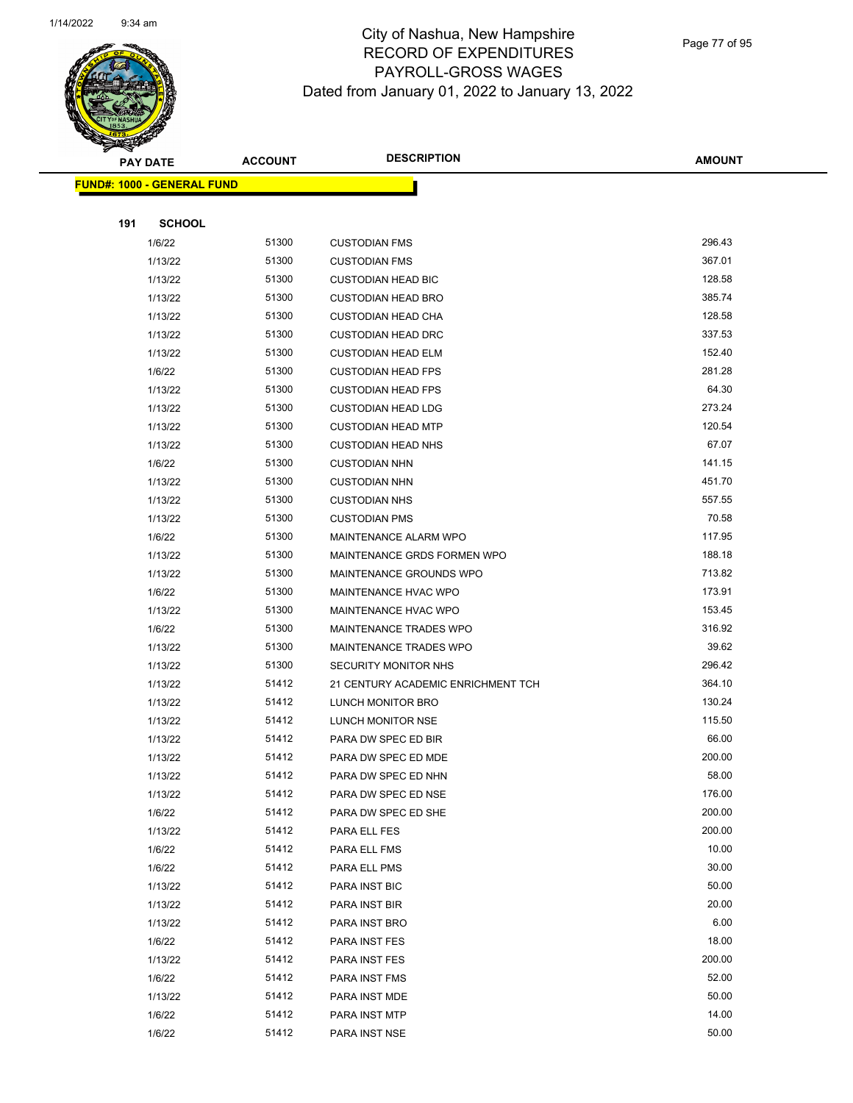

Page 77 of 95

|     | <b>PAY DATE</b>                   | <b>ACCOUNT</b> | <b>DESCRIPTION</b>                         | <b>AMOUNT</b>   |
|-----|-----------------------------------|----------------|--------------------------------------------|-----------------|
|     | <b>FUND#: 1000 - GENERAL FUND</b> |                |                                            |                 |
|     |                                   |                |                                            |                 |
| 191 | <b>SCHOOL</b>                     |                |                                            |                 |
|     | 1/6/22                            | 51300          | <b>CUSTODIAN FMS</b>                       | 296.43          |
|     | 1/13/22                           | 51300          | <b>CUSTODIAN FMS</b>                       | 367.01          |
|     | 1/13/22                           | 51300          | <b>CUSTODIAN HEAD BIC</b>                  | 128.58          |
|     | 1/13/22                           | 51300          | <b>CUSTODIAN HEAD BRO</b>                  | 385.74          |
|     | 1/13/22                           | 51300          | <b>CUSTODIAN HEAD CHA</b>                  | 128.58          |
|     | 1/13/22                           | 51300          | <b>CUSTODIAN HEAD DRC</b>                  | 337.53          |
|     | 1/13/22                           | 51300          | <b>CUSTODIAN HEAD ELM</b>                  | 152.40          |
|     | 1/6/22                            | 51300          | <b>CUSTODIAN HEAD FPS</b>                  | 281.28          |
|     | 1/13/22                           | 51300          | <b>CUSTODIAN HEAD FPS</b>                  | 64.30           |
|     | 1/13/22                           | 51300          | <b>CUSTODIAN HEAD LDG</b>                  | 273.24          |
|     | 1/13/22                           | 51300          | <b>CUSTODIAN HEAD MTP</b>                  | 120.54          |
|     | 1/13/22                           | 51300          | <b>CUSTODIAN HEAD NHS</b>                  | 67.07           |
|     | 1/6/22                            | 51300          | <b>CUSTODIAN NHN</b>                       | 141.15          |
|     | 1/13/22                           | 51300          | <b>CUSTODIAN NHN</b>                       | 451.70          |
|     | 1/13/22                           | 51300          | <b>CUSTODIAN NHS</b>                       | 557.55          |
|     | 1/13/22                           | 51300          | <b>CUSTODIAN PMS</b>                       | 70.58           |
|     | 1/6/22                            | 51300          | MAINTENANCE ALARM WPO                      | 117.95          |
|     | 1/13/22                           | 51300          | MAINTENANCE GRDS FORMEN WPO                | 188.18          |
|     | 1/13/22                           | 51300          | MAINTENANCE GROUNDS WPO                    | 713.82          |
|     | 1/6/22                            | 51300          | <b>MAINTENANCE HVAC WPO</b>                | 173.91          |
|     | 1/13/22                           | 51300          | MAINTENANCE HVAC WPO                       | 153.45          |
|     | 1/6/22                            | 51300          | MAINTENANCE TRADES WPO                     | 316.92          |
|     | 1/13/22                           | 51300          | <b>MAINTENANCE TRADES WPO</b>              | 39.62           |
|     | 1/13/22                           | 51300          | <b>SECURITY MONITOR NHS</b>                | 296.42          |
|     | 1/13/22                           | 51412          | 21 CENTURY ACADEMIC ENRICHMENT TCH         | 364.10          |
|     | 1/13/22                           | 51412          | LUNCH MONITOR BRO                          | 130.24          |
|     | 1/13/22                           | 51412          | LUNCH MONITOR NSE                          | 115.50          |
|     | 1/13/22                           | 51412<br>51412 | PARA DW SPEC ED BIR<br>PARA DW SPEC ED MDE | 66.00<br>200.00 |
|     | 1/13/22                           | 51412          |                                            | 58.00           |
|     | 1/13/22<br>1/13/22                | 51412          | PARA DW SPEC ED NHN<br>PARA DW SPEC ED NSE | 176.00          |
|     | 1/6/22                            | 51412          | PARA DW SPEC ED SHE                        | 200.00          |
|     | 1/13/22                           | 51412          | PARA ELL FES                               | 200.00          |
|     | 1/6/22                            | 51412          | PARA ELL FMS                               | 10.00           |
|     | 1/6/22                            | 51412          | PARA ELL PMS                               | 30.00           |
|     | 1/13/22                           | 51412          | PARA INST BIC                              | 50.00           |
|     | 1/13/22                           | 51412          | PARA INST BIR                              | 20.00           |
|     | 1/13/22                           | 51412          | PARA INST BRO                              | 6.00            |
|     | 1/6/22                            | 51412          | PARA INST FES                              | 18.00           |
|     | 1/13/22                           | 51412          | PARA INST FES                              | 200.00          |
|     | 1/6/22                            | 51412          | PARA INST FMS                              | 52.00           |
|     | 1/13/22                           | 51412          | PARA INST MDE                              | 50.00           |
|     | 1/6/22                            | 51412          | PARA INST MTP                              | 14.00           |
|     | 1/6/22                            | 51412          | PARA INST NSE                              | 50.00           |
|     |                                   |                |                                            |                 |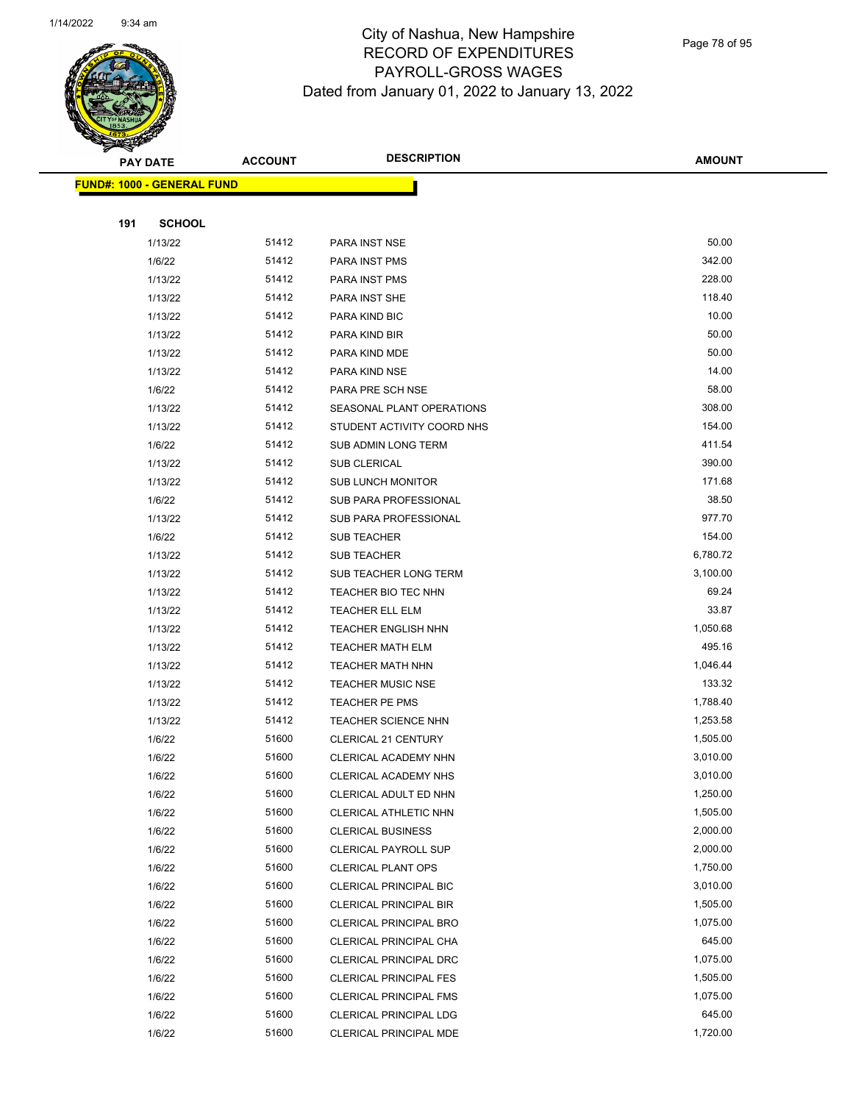

Page 78 of 95

|     | <b>PAY DATE</b>                   | <b>ACCOUNT</b> | <b>DESCRIPTION</b>                             | <b>AMOUNT</b>        |
|-----|-----------------------------------|----------------|------------------------------------------------|----------------------|
|     | <b>FUND#: 1000 - GENERAL FUND</b> |                |                                                |                      |
|     |                                   |                |                                                |                      |
| 191 | <b>SCHOOL</b>                     |                |                                                |                      |
|     | 1/13/22                           | 51412          | PARA INST NSE                                  | 50.00                |
|     | 1/6/22                            | 51412          | PARA INST PMS                                  | 342.00               |
|     | 1/13/22                           | 51412          | PARA INST PMS                                  | 228.00               |
|     | 1/13/22                           | 51412          | PARA INST SHE                                  | 118.40               |
|     | 1/13/22                           | 51412          | PARA KIND BIC                                  | 10.00                |
|     | 1/13/22                           | 51412          | PARA KIND BIR                                  | 50.00                |
|     | 1/13/22                           | 51412          | PARA KIND MDE                                  | 50.00                |
|     | 1/13/22                           | 51412          | PARA KIND NSE                                  | 14.00                |
|     | 1/6/22                            | 51412          | PARA PRE SCH NSE                               | 58.00                |
|     | 1/13/22                           | 51412          | SEASONAL PLANT OPERATIONS                      | 308.00               |
|     | 1/13/22                           | 51412          | STUDENT ACTIVITY COORD NHS                     | 154.00               |
|     | 1/6/22                            | 51412          | SUB ADMIN LONG TERM                            | 411.54               |
|     | 1/13/22                           | 51412          | SUB CLERICAL                                   | 390.00               |
|     | 1/13/22                           | 51412          | <b>SUB LUNCH MONITOR</b>                       | 171.68               |
|     | 1/6/22                            | 51412          | <b>SUB PARA PROFESSIONAL</b>                   | 38.50                |
|     | 1/13/22                           | 51412          | SUB PARA PROFESSIONAL                          | 977.70               |
|     | 1/6/22                            | 51412          | <b>SUB TEACHER</b>                             | 154.00               |
|     | 1/13/22                           | 51412          | <b>SUB TEACHER</b>                             | 6,780.72             |
|     | 1/13/22                           | 51412          | SUB TEACHER LONG TERM                          | 3,100.00             |
|     | 1/13/22                           | 51412          | TEACHER BIO TEC NHN                            | 69.24                |
|     | 1/13/22                           | 51412          | TEACHER ELL ELM                                | 33.87                |
|     | 1/13/22                           | 51412          | <b>TEACHER ENGLISH NHN</b>                     | 1,050.68             |
|     | 1/13/22                           | 51412          | <b>TEACHER MATH ELM</b>                        | 495.16               |
|     | 1/13/22                           | 51412          | <b>TEACHER MATH NHN</b>                        | 1,046.44             |
|     | 1/13/22                           | 51412          | <b>TEACHER MUSIC NSE</b>                       | 133.32               |
|     | 1/13/22                           | 51412          | <b>TEACHER PE PMS</b>                          | 1,788.40             |
|     | 1/13/22                           | 51412          | <b>TEACHER SCIENCE NHN</b>                     | 1,253.58             |
|     | 1/6/22                            | 51600          | <b>CLERICAL 21 CENTURY</b>                     | 1,505.00             |
|     | 1/6/22                            | 51600<br>51600 | <b>CLERICAL ACADEMY NHN</b>                    | 3,010.00<br>3,010.00 |
|     | 1/6/22                            | 51600          | CLERICAL ACADEMY NHS                           | 1,250.00             |
|     | 1/6/22<br>1/6/22                  | 51600          | CLERICAL ADULT ED NHN<br>CLERICAL ATHLETIC NHN | 1,505.00             |
|     | 1/6/22                            | 51600          | <b>CLERICAL BUSINESS</b>                       | 2,000.00             |
|     | 1/6/22                            | 51600          | <b>CLERICAL PAYROLL SUP</b>                    | 2,000.00             |
|     | 1/6/22                            | 51600          | <b>CLERICAL PLANT OPS</b>                      | 1,750.00             |
|     | 1/6/22                            | 51600          | CLERICAL PRINCIPAL BIC                         | 3,010.00             |
|     | 1/6/22                            | 51600          | <b>CLERICAL PRINCIPAL BIR</b>                  | 1,505.00             |
|     | 1/6/22                            | 51600          | <b>CLERICAL PRINCIPAL BRO</b>                  | 1,075.00             |
|     | 1/6/22                            | 51600          | CLERICAL PRINCIPAL CHA                         | 645.00               |
|     | 1/6/22                            | 51600          | CLERICAL PRINCIPAL DRC                         | 1,075.00             |
|     | 1/6/22                            | 51600          | <b>CLERICAL PRINCIPAL FES</b>                  | 1,505.00             |
|     | 1/6/22                            | 51600          | <b>CLERICAL PRINCIPAL FMS</b>                  | 1,075.00             |
|     | 1/6/22                            | 51600          | CLERICAL PRINCIPAL LDG                         | 645.00               |
|     | 1/6/22                            | 51600          | CLERICAL PRINCIPAL MDE                         | 1,720.00             |
|     |                                   |                |                                                |                      |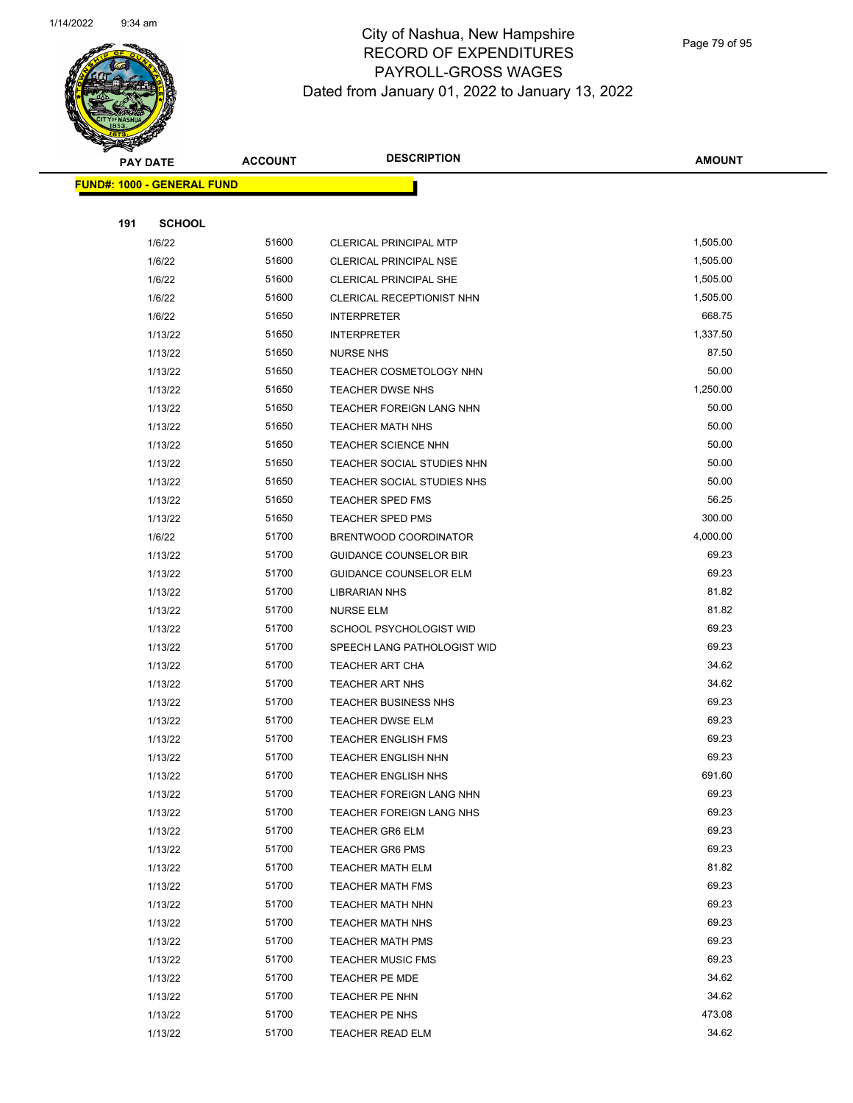

Page 79 of 95

| <b>PAY DATE</b>                   | <b>ACCOUNT</b> | <b>DESCRIPTION</b>            | <b>AMOUNT</b> |  |
|-----------------------------------|----------------|-------------------------------|---------------|--|
| <b>FUND#: 1000 - GENERAL FUND</b> |                |                               |               |  |
|                                   |                |                               |               |  |
| 191                               | <b>SCHOOL</b>  |                               |               |  |
| 1/6/22                            | 51600          | <b>CLERICAL PRINCIPAL MTP</b> | 1,505.00      |  |
| 1/6/22                            | 51600          | <b>CLERICAL PRINCIPAL NSE</b> | 1,505.00      |  |
| 1/6/22                            | 51600          | <b>CLERICAL PRINCIPAL SHE</b> | 1,505.00      |  |
| 1/6/22                            | 51600          | CLERICAL RECEPTIONIST NHN     | 1,505.00      |  |
| 1/6/22                            | 51650          | <b>INTERPRETER</b>            | 668.75        |  |
| 1/13/22                           | 51650          | <b>INTERPRETER</b>            | 1,337.50      |  |
| 1/13/22                           | 51650          | <b>NURSE NHS</b>              | 87.50         |  |
| 1/13/22                           | 51650          | TEACHER COSMETOLOGY NHN       | 50.00         |  |
| 1/13/22                           | 51650          | TEACHER DWSE NHS              | 1,250.00      |  |
| 1/13/22                           | 51650          | TEACHER FOREIGN LANG NHN      | 50.00         |  |
| 1/13/22                           | 51650          | <b>TEACHER MATH NHS</b>       | 50.00         |  |
| 1/13/22                           | 51650          | TEACHER SCIENCE NHN           | 50.00         |  |
| 1/13/22                           | 51650          | TEACHER SOCIAL STUDIES NHN    | 50.00         |  |
| 1/13/22                           | 51650          | TEACHER SOCIAL STUDIES NHS    | 50.00         |  |
| 1/13/22                           | 51650          | TEACHER SPED FMS              | 56.25         |  |
| 1/13/22                           | 51650          | <b>TEACHER SPED PMS</b>       | 300.00        |  |
| 1/6/22                            | 51700          | BRENTWOOD COORDINATOR         | 4,000.00      |  |
| 1/13/22                           | 51700          | <b>GUIDANCE COUNSELOR BIR</b> | 69.23         |  |
| 1/13/22                           | 51700          | <b>GUIDANCE COUNSELOR ELM</b> | 69.23         |  |
| 1/13/22                           | 51700          | <b>LIBRARIAN NHS</b>          | 81.82         |  |
| 1/13/22                           | 51700          | <b>NURSE ELM</b>              | 81.82         |  |
| 1/13/22                           | 51700          | SCHOOL PSYCHOLOGIST WID       | 69.23         |  |
| 1/13/22                           | 51700          | SPEECH LANG PATHOLOGIST WID   | 69.23         |  |
| 1/13/22                           | 51700          | <b>TEACHER ART CHA</b>        | 34.62         |  |
| 1/13/22                           | 51700          | <b>TEACHER ART NHS</b>        | 34.62         |  |
| 1/13/22                           | 51700          | <b>TEACHER BUSINESS NHS</b>   | 69.23         |  |
| 1/13/22                           | 51700          | <b>TEACHER DWSE ELM</b>       | 69.23         |  |
| 1/13/22                           | 51700          | <b>TEACHER ENGLISH FMS</b>    | 69.23         |  |
| 1/13/22                           | 51700          | TEACHER ENGLISH NHN           | 69.23         |  |
| 1/13/22                           | 51700          | TEACHER ENGLISH NHS           | 691.60        |  |
| 1/13/22                           | 51700          | TEACHER FOREIGN LANG NHN      | 69.23         |  |
| 1/13/22                           | 51700          | TEACHER FOREIGN LANG NHS      | 69.23         |  |
| 1/13/22                           | 51700          | <b>TEACHER GR6 ELM</b>        | 69.23         |  |
| 1/13/22                           | 51700          | <b>TEACHER GR6 PMS</b>        | 69.23         |  |
| 1/13/22                           | 51700          | <b>TEACHER MATH ELM</b>       | 81.82         |  |
| 1/13/22                           | 51700          | <b>TEACHER MATH FMS</b>       | 69.23         |  |
| 1/13/22                           | 51700          | TEACHER MATH NHN              | 69.23         |  |
| 1/13/22                           | 51700          | TEACHER MATH NHS              | 69.23         |  |
| 1/13/22                           | 51700          | <b>TEACHER MATH PMS</b>       | 69.23         |  |
| 1/13/22                           | 51700          | <b>TEACHER MUSIC FMS</b>      | 69.23         |  |
| 1/13/22                           | 51700          | <b>TEACHER PE MDE</b>         | 34.62         |  |
| 1/13/22                           | 51700          | TEACHER PE NHN                | 34.62         |  |
| 1/13/22                           | 51700          | TEACHER PE NHS                | 473.08        |  |
| 1/13/22                           | 51700          | <b>TEACHER READ ELM</b>       | 34.62         |  |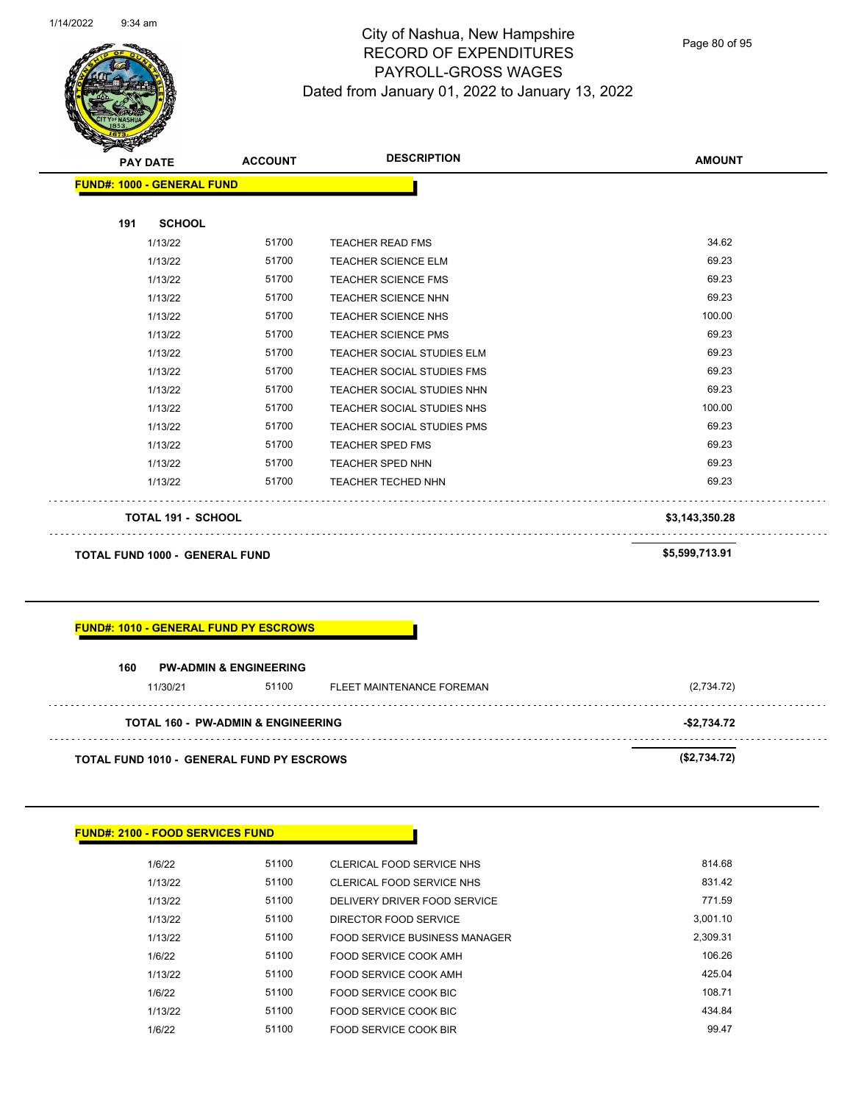

Page 80 of 95

| <b>PAY DATE</b>                   | <b>ACCOUNT</b>                        | <b>DESCRIPTION</b>                | <b>AMOUNT</b>  |
|-----------------------------------|---------------------------------------|-----------------------------------|----------------|
| <b>FUND#: 1000 - GENERAL FUND</b> |                                       |                                   |                |
| 191                               | <b>SCHOOL</b>                         |                                   |                |
| 1/13/22                           | 51700                                 | <b>TEACHER READ FMS</b>           | 34.62          |
| 1/13/22                           | 51700                                 | <b>TEACHER SCIENCE ELM</b>        | 69.23          |
| 1/13/22                           | 51700                                 | <b>TEACHER SCIENCE FMS</b>        | 69.23          |
| 1/13/22                           | 51700                                 | <b>TEACHER SCIENCE NHN</b>        | 69.23          |
| 1/13/22                           | 51700                                 | <b>TEACHER SCIENCE NHS</b>        | 100.00         |
| 1/13/22                           | 51700                                 | <b>TEACHER SCIENCE PMS</b>        | 69.23          |
| 1/13/22                           | 51700                                 | TEACHER SOCIAL STUDIES ELM        | 69.23          |
| 1/13/22                           | 51700                                 | <b>TEACHER SOCIAL STUDIES FMS</b> | 69.23          |
| 1/13/22                           | 51700                                 | TEACHER SOCIAL STUDIES NHN        | 69.23          |
| 1/13/22                           | 51700                                 | TEACHER SOCIAL STUDIES NHS        | 100.00         |
| 1/13/22                           | 51700                                 | <b>TEACHER SOCIAL STUDIES PMS</b> | 69.23          |
| 1/13/22                           | 51700                                 | <b>TEACHER SPED FMS</b>           | 69.23          |
| 1/13/22                           | 51700                                 | <b>TEACHER SPED NHN</b>           | 69.23          |
| 1/13/22                           | 51700                                 | <b>TEACHER TECHED NHN</b>         | 69.23          |
|                                   | <b>TOTAL 191 - SCHOOL</b>             |                                   | \$3,143,350.28 |
|                                   | <b>TOTAL FUND 1000 - GENERAL FUND</b> |                                   | \$5,599,713.91 |

#### **FUND#: 1010 - GENERAL FUND PY ESCROWS**

| 160      | <b>PW-ADMIN &amp; ENGINEERING</b>                |                           |              |  |  |
|----------|--------------------------------------------------|---------------------------|--------------|--|--|
| 11/30/21 | 51100                                            | FLEET MAINTENANCE FOREMAN | (2,734.72)   |  |  |
|          | <b>TOTAL 160 - PW-ADMIN &amp; ENGINEERING</b>    |                           | -\$2,734.72  |  |  |
|          | <b>TOTAL FUND 1010 - GENERAL FUND PY ESCROWS</b> |                           | (\$2,734.72) |  |  |

#### **FUND#: 2100 - FOOD SERVICES FUND**

| 1/6/22  | 51100 | CLERICAL FOOD SERVICE NHS     | 814.68   |
|---------|-------|-------------------------------|----------|
| 1/13/22 | 51100 | CLERICAL FOOD SERVICE NHS     | 831.42   |
| 1/13/22 | 51100 | DELIVERY DRIVER FOOD SERVICE  | 771.59   |
| 1/13/22 | 51100 | DIRECTOR FOOD SERVICE         | 3.001.10 |
| 1/13/22 | 51100 | FOOD SERVICE BUSINESS MANAGER | 2.309.31 |
| 1/6/22  | 51100 | FOOD SERVICE COOK AMH         | 106.26   |
| 1/13/22 | 51100 | FOOD SERVICE COOK AMH         | 425.04   |
| 1/6/22  | 51100 | FOOD SERVICE COOK BIC         | 108.71   |
| 1/13/22 | 51100 | FOOD SERVICE COOK BIC         | 434.84   |
| 1/6/22  | 51100 | FOOD SERVICE COOK BIR         | 99.47    |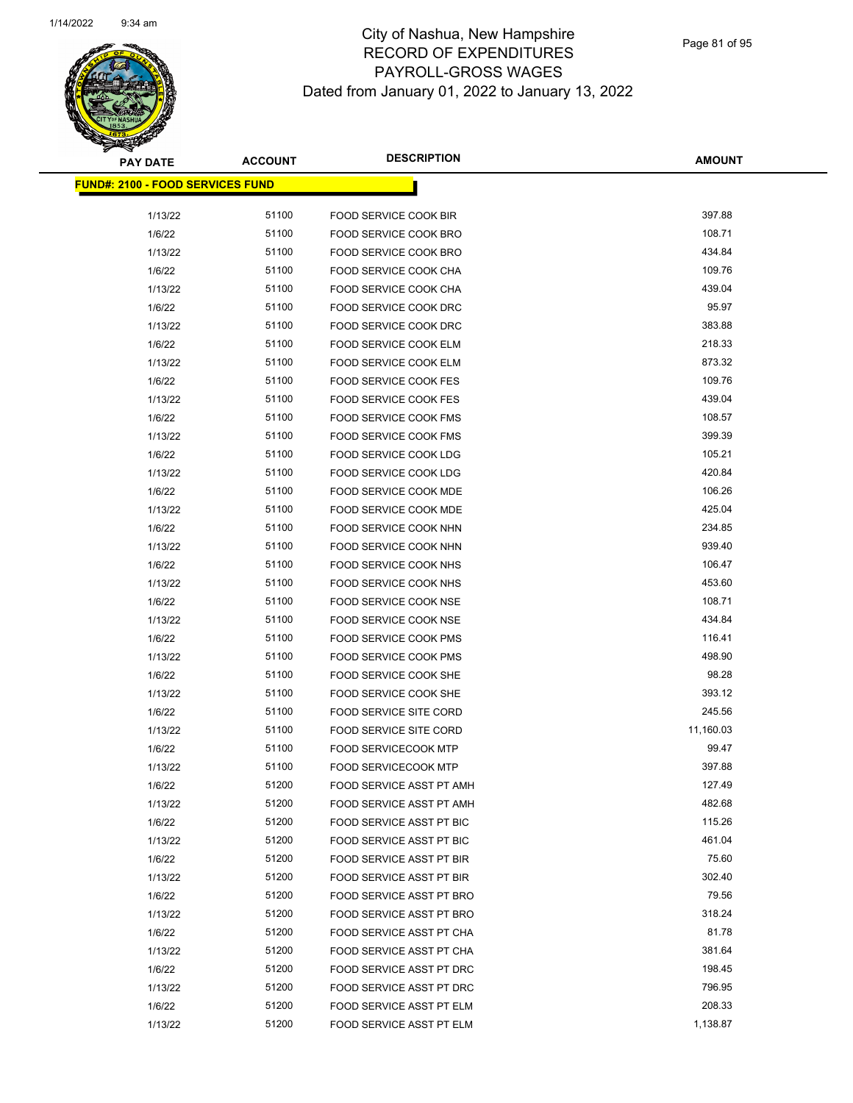

| <b>PAY DATE</b>                          | <b>ACCOUNT</b> | <b>DESCRIPTION</b>                                   | <b>AMOUNT</b>    |
|------------------------------------------|----------------|------------------------------------------------------|------------------|
| <u> FUND#: 2100 - FOOD SERVICES FUND</u> |                |                                                      |                  |
|                                          |                |                                                      |                  |
| 1/13/22                                  | 51100          | <b>FOOD SERVICE COOK BIR</b>                         | 397.88           |
| 1/6/22                                   | 51100          | FOOD SERVICE COOK BRO                                | 108.71           |
| 1/13/22                                  | 51100          | FOOD SERVICE COOK BRO                                | 434.84           |
| 1/6/22                                   | 51100          | FOOD SERVICE COOK CHA                                | 109.76           |
| 1/13/22                                  | 51100          | FOOD SERVICE COOK CHA                                | 439.04           |
| 1/6/22                                   | 51100          | FOOD SERVICE COOK DRC                                | 95.97            |
| 1/13/22                                  | 51100          | FOOD SERVICE COOK DRC                                | 383.88           |
| 1/6/22                                   | 51100          | FOOD SERVICE COOK ELM                                | 218.33           |
| 1/13/22                                  | 51100          | FOOD SERVICE COOK ELM                                | 873.32           |
| 1/6/22                                   | 51100          | <b>FOOD SERVICE COOK FES</b>                         | 109.76           |
| 1/13/22                                  | 51100          | <b>FOOD SERVICE COOK FES</b>                         | 439.04           |
| 1/6/22                                   | 51100          | FOOD SERVICE COOK FMS                                | 108.57           |
| 1/13/22                                  | 51100          | FOOD SERVICE COOK FMS                                | 399.39           |
| 1/6/22                                   | 51100          | FOOD SERVICE COOK LDG                                | 105.21           |
| 1/13/22                                  | 51100          | FOOD SERVICE COOK LDG                                | 420.84           |
| 1/6/22                                   | 51100          | <b>FOOD SERVICE COOK MDE</b>                         | 106.26           |
| 1/13/22                                  | 51100          | FOOD SERVICE COOK MDE                                | 425.04           |
| 1/6/22                                   | 51100          | FOOD SERVICE COOK NHN                                | 234.85           |
| 1/13/22                                  | 51100          | FOOD SERVICE COOK NHN                                | 939.40           |
| 1/6/22                                   | 51100          | FOOD SERVICE COOK NHS                                | 106.47           |
| 1/13/22                                  | 51100          | FOOD SERVICE COOK NHS                                | 453.60           |
| 1/6/22                                   | 51100          | FOOD SERVICE COOK NSE                                | 108.71           |
| 1/13/22                                  | 51100          | FOOD SERVICE COOK NSE                                | 434.84           |
| 1/6/22                                   | 51100          | FOOD SERVICE COOK PMS                                | 116.41           |
| 1/13/22                                  | 51100          | FOOD SERVICE COOK PMS                                | 498.90           |
| 1/6/22                                   | 51100          | FOOD SERVICE COOK SHE                                | 98.28            |
| 1/13/22                                  | 51100          | FOOD SERVICE COOK SHE                                | 393.12           |
| 1/6/22                                   | 51100          | <b>FOOD SERVICE SITE CORD</b>                        | 245.56           |
| 1/13/22                                  | 51100          | <b>FOOD SERVICE SITE CORD</b>                        | 11,160.03        |
| 1/6/22                                   | 51100          | <b>FOOD SERVICECOOK MTP</b>                          | 99.47            |
| 1/13/22                                  | 51100          | <b>FOOD SERVICECOOK MTP</b>                          | 397.88           |
| 1/6/22                                   | 51200          | FOOD SERVICE ASST PT AMH                             | 127.49           |
| 1/13/22                                  | 51200<br>51200 | FOOD SERVICE ASST PT AMH                             | 482.68<br>115.26 |
| 1/6/22                                   | 51200          | FOOD SERVICE ASST PT BIC                             | 461.04           |
| 1/13/22<br>1/6/22                        | 51200          | FOOD SERVICE ASST PT BIC<br>FOOD SERVICE ASST PT BIR | 75.60            |
| 1/13/22                                  | 51200          | FOOD SERVICE ASST PT BIR                             | 302.40           |
|                                          | 51200          |                                                      | 79.56            |
| 1/6/22                                   | 51200          | FOOD SERVICE ASST PT BRO                             | 318.24           |
| 1/13/22<br>1/6/22                        | 51200          | FOOD SERVICE ASST PT BRO<br>FOOD SERVICE ASST PT CHA | 81.78            |
| 1/13/22                                  | 51200          | FOOD SERVICE ASST PT CHA                             | 381.64           |
| 1/6/22                                   | 51200          | FOOD SERVICE ASST PT DRC                             | 198.45           |
| 1/13/22                                  | 51200          | FOOD SERVICE ASST PT DRC                             | 796.95           |
| 1/6/22                                   | 51200          | FOOD SERVICE ASST PT ELM                             | 208.33           |
| 1/13/22                                  | 51200          | FOOD SERVICE ASST PT ELM                             | 1,138.87         |
|                                          |                |                                                      |                  |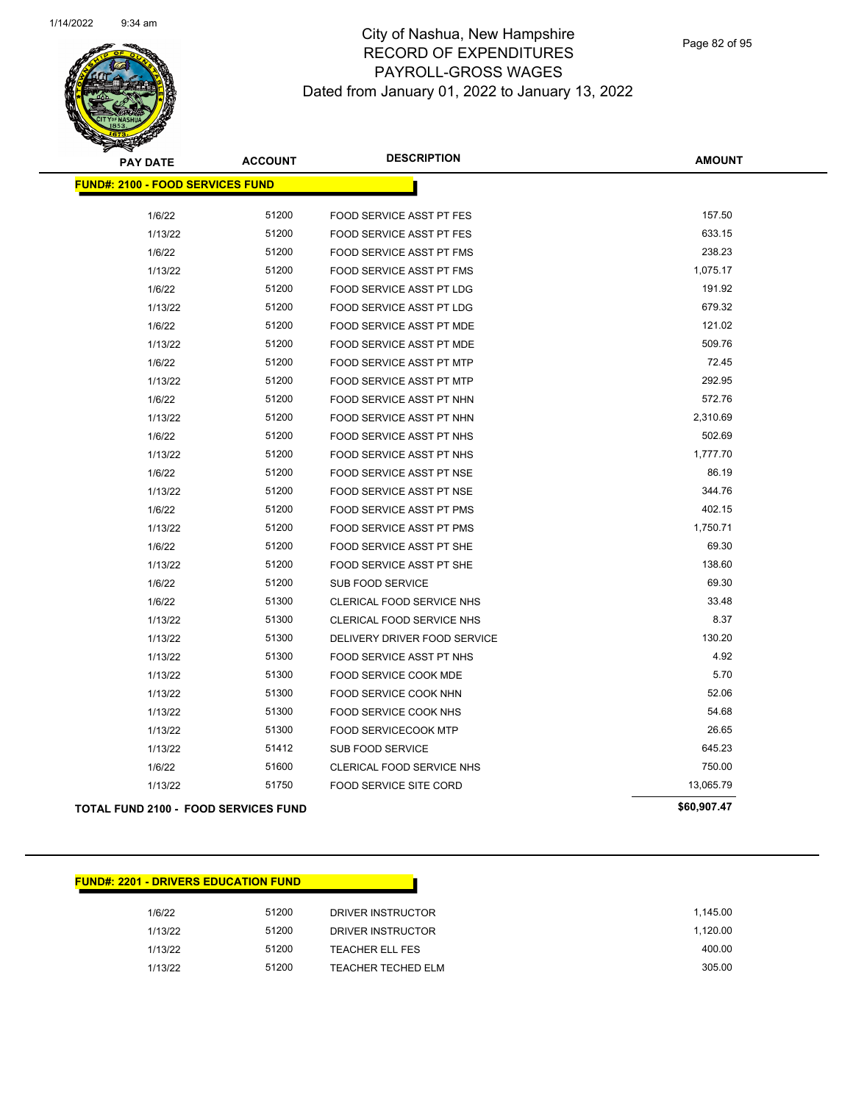

Page 82 of 95

| <b>PAY DATE</b>                             | <b>ACCOUNT</b> | <b>DESCRIPTION</b>               | <b>AMOUNT</b> |
|---------------------------------------------|----------------|----------------------------------|---------------|
| <b>FUND#: 2100 - FOOD SERVICES FUND</b>     |                |                                  |               |
| 1/6/22                                      | 51200          | <b>FOOD SERVICE ASST PT FES</b>  | 157.50        |
| 1/13/22                                     | 51200          | FOOD SERVICE ASST PT FES         | 633.15        |
| 1/6/22                                      | 51200          | <b>FOOD SERVICE ASST PT FMS</b>  | 238.23        |
| 1/13/22                                     | 51200          | <b>FOOD SERVICE ASST PT FMS</b>  | 1,075.17      |
| 1/6/22                                      | 51200          | <b>FOOD SERVICE ASST PT LDG</b>  | 191.92        |
| 1/13/22                                     | 51200          | FOOD SERVICE ASST PT LDG         | 679.32        |
| 1/6/22                                      | 51200          | <b>FOOD SERVICE ASST PT MDE</b>  | 121.02        |
| 1/13/22                                     | 51200          | FOOD SERVICE ASST PT MDE         | 509.76        |
| 1/6/22                                      | 51200          | <b>FOOD SERVICE ASST PT MTP</b>  | 72.45         |
| 1/13/22                                     | 51200          | <b>FOOD SERVICE ASST PT MTP</b>  | 292.95        |
| 1/6/22                                      | 51200          | FOOD SERVICE ASST PT NHN         | 572.76        |
| 1/13/22                                     | 51200          | FOOD SERVICE ASST PT NHN         | 2,310.69      |
| 1/6/22                                      | 51200          | <b>FOOD SERVICE ASST PT NHS</b>  | 502.69        |
| 1/13/22                                     | 51200          | FOOD SERVICE ASST PT NHS         | 1,777.70      |
| 1/6/22                                      | 51200          | FOOD SERVICE ASST PT NSE         | 86.19         |
| 1/13/22                                     | 51200          | <b>FOOD SERVICE ASST PT NSE</b>  | 344.76        |
| 1/6/22                                      | 51200          | FOOD SERVICE ASST PT PMS         | 402.15        |
| 1/13/22                                     | 51200          | FOOD SERVICE ASST PT PMS         | 1,750.71      |
| 1/6/22                                      | 51200          | FOOD SERVICE ASST PT SHE         | 69.30         |
| 1/13/22                                     | 51200          | FOOD SERVICE ASST PT SHE         | 138.60        |
| 1/6/22                                      | 51200          | SUB FOOD SERVICE                 | 69.30         |
| 1/6/22                                      | 51300          | <b>CLERICAL FOOD SERVICE NHS</b> | 33.48         |
| 1/13/22                                     | 51300          | <b>CLERICAL FOOD SERVICE NHS</b> | 8.37          |
| 1/13/22                                     | 51300          | DELIVERY DRIVER FOOD SERVICE     | 130.20        |
| 1/13/22                                     | 51300          | <b>FOOD SERVICE ASST PT NHS</b>  | 4.92          |
| 1/13/22                                     | 51300          | <b>FOOD SERVICE COOK MDE</b>     | 5.70          |
| 1/13/22                                     | 51300          | FOOD SERVICE COOK NHN            | 52.06         |
| 1/13/22                                     | 51300          | FOOD SERVICE COOK NHS            | 54.68         |
| 1/13/22                                     | 51300          | <b>FOOD SERVICECOOK MTP</b>      | 26.65         |
| 1/13/22                                     | 51412          | <b>SUB FOOD SERVICE</b>          | 645.23        |
| 1/6/22                                      | 51600          | CLERICAL FOOD SERVICE NHS        | 750.00        |
| 1/13/22                                     | 51750          | FOOD SERVICE SITE CORD           | 13,065.79     |
| <b>TOTAL FUND 2100 - FOOD SERVICES FUND</b> |                |                                  | \$60,907.47   |

#### **FUND#: 2201 - DRIVERS EDUCATION FUND**

| 1/6/22  | 51200 | DRIVER INSTRUCTOR  | 1.145.00 |
|---------|-------|--------------------|----------|
| 1/13/22 | 51200 | DRIVER INSTRUCTOR  | 1.120.00 |
| 1/13/22 | 51200 | TEACHER ELL FES    | 400.00   |
| 1/13/22 | 51200 | TEACHER TECHED ELM | 305.00   |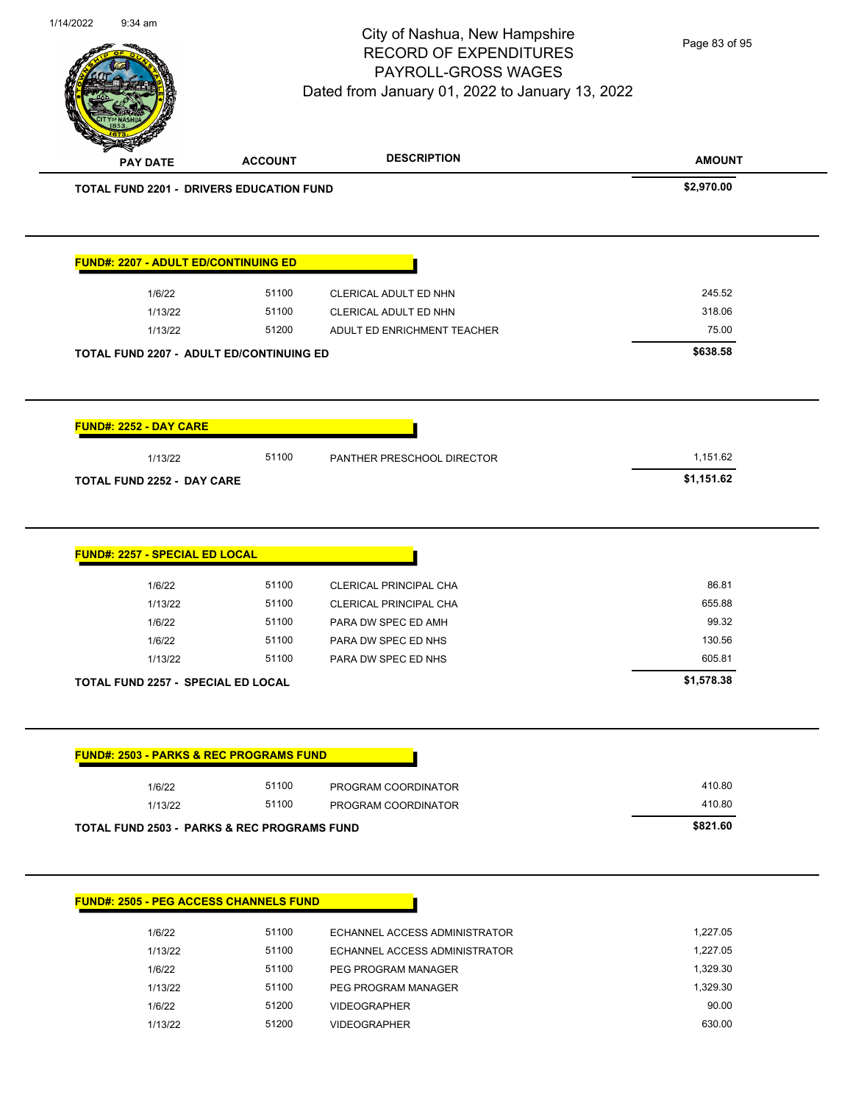| <b>PAY DATE</b>                                    | <b>ACCOUNT</b> | <b>DESCRIPTION</b>                            | <b>AMOUNT</b>   |
|----------------------------------------------------|----------------|-----------------------------------------------|-----------------|
| <b>TOTAL FUND 2201 - DRIVERS EDUCATION FUND</b>    |                |                                               | \$2,970.00      |
| <b>FUND#: 2207 - ADULT ED/CONTINUING ED</b>        |                |                                               |                 |
| 1/6/22                                             | 51100          | CLERICAL ADULT ED NHN                         | 245.52          |
| 1/13/22                                            | 51100          | CLERICAL ADULT ED NHN                         | 318.06          |
| 1/13/22                                            | 51200          | ADULT ED ENRICHMENT TEACHER                   | 75.00           |
| <b>TOTAL FUND 2207 - ADULT ED/CONTINUING ED</b>    |                |                                               | \$638.58        |
| <b>FUND#: 2252 - DAY CARE</b>                      |                |                                               |                 |
| 1/13/22                                            | 51100          | PANTHER PRESCHOOL DIRECTOR                    | 1,151.62        |
| <b>TOTAL FUND 2252 - DAY CARE</b>                  |                |                                               | \$1,151.62      |
| FUND#: 2257 - SPECIAL ED LOCAL                     |                |                                               |                 |
| 1/6/22                                             | 51100          | CLERICAL PRINCIPAL CHA                        | 86.81           |
| 1/13/22<br>1/6/22                                  | 51100<br>51100 | CLERICAL PRINCIPAL CHA<br>PARA DW SPEC ED AMH | 655.88<br>99.32 |
| 1/6/22                                             | 51100          | PARA DW SPEC ED NHS                           | 130.56          |
| 1/13/22                                            | 51100          | PARA DW SPEC ED NHS                           | 605.81          |
| <b>TOTAL FUND 2257 - SPECIAL ED LOCAL</b>          |                |                                               | \$1,578.38      |
| <b>FUND#: 2503 - PARKS &amp; REC PROGRAMS FUND</b> |                |                                               |                 |
| 1/6/22                                             | 51100          | PROGRAM COORDINATOR                           | 410.80          |
| 1/13/22                                            | 51100          | PROGRAM COORDINATOR                           | 410.80          |
| TOTAL FUND 2503 - PARKS & REC PROGRAMS FUND        |                |                                               | \$821.60        |
| <b>FUND#: 2505 - PEG ACCESS CHANNELS FUND</b>      |                |                                               |                 |
| 1/6/22                                             | 51100          | ECHANNEL ACCESS ADMINISTRATOR                 | 1 227 05        |

1/14/2022 9:34 am

1/6/22 51100 ECHANNEL ACCESS ADMINISTRATOR 1/13/22 51100 ECHANNEL ACCESS ADMINISTRATOR 1,227.05 1/6/22 51100 PEG PROGRAM MANAGER 1,329.30 1/13/22 51100 PEG PROGRAM MANAGER 1,329.30 1/6/22 51200 VIDEOGRAPHER 90.00 1/13/22 51200 VIDEOGRAPHER 630.00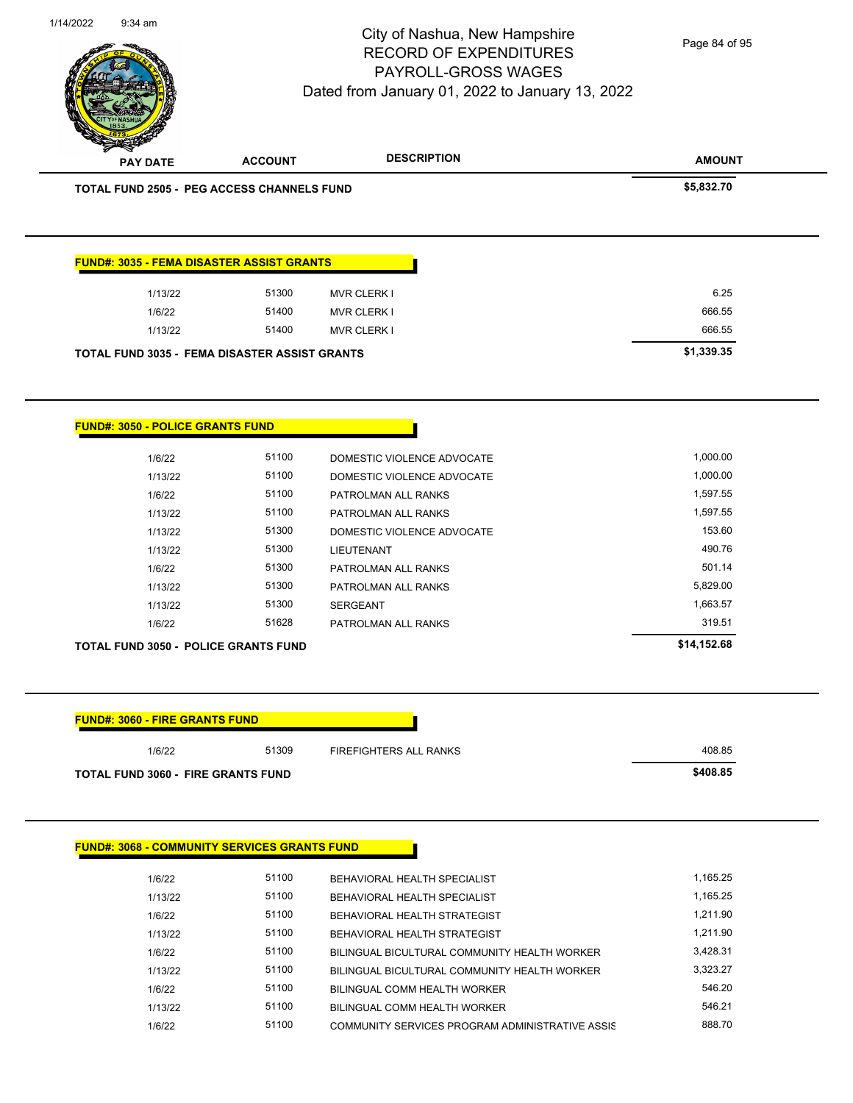City of Nashua, New Hampshire RECORD OF EXPENDITURES

1/14/2022 9:34 am

PAYROLL-GROSS WAGES

#### Dated from January 01, 2022 to January 13, 2022

Page 84 of 95

| <b>PAY DATE</b>                                      | <b>ACCOUNT</b> | <b>DESCRIPTION</b>           | <b>AMOUNT</b> |
|------------------------------------------------------|----------------|------------------------------|---------------|
| <b>TOTAL FUND 2505 - PEG ACCESS CHANNELS FUND</b>    |                |                              | \$5,832.70    |
|                                                      |                |                              |               |
| <b>FUND#: 3035 - FEMA DISASTER ASSIST GRANTS</b>     |                |                              |               |
| 1/13/22                                              | 51300          | <b>MVR CLERK I</b>           | 6.25          |
| 1/6/22                                               | 51400          | <b>MVR CLERK I</b>           | 666.55        |
| 1/13/22                                              | 51400          | <b>MVR CLERK I</b>           | 666.55        |
| <b>TOTAL FUND 3035 - FEMA DISASTER ASSIST GRANTS</b> |                |                              | \$1,339.35    |
|                                                      |                |                              |               |
|                                                      |                |                              |               |
| <b>FUND#: 3050 - POLICE GRANTS FUND</b>              |                |                              |               |
| 1/6/22                                               | 51100          | DOMESTIC VIOLENCE ADVOCATE   | 1,000.00      |
| 1/13/22                                              | 51100          | DOMESTIC VIOLENCE ADVOCATE   | 1,000.00      |
| 1/6/22                                               | 51100          | PATROLMAN ALL RANKS          | 1,597.55      |
| 1/13/22                                              | 51100          | PATROLMAN ALL RANKS          | 1,597.55      |
| 1/13/22                                              | 51300          | DOMESTIC VIOLENCE ADVOCATE   | 153.60        |
| 1/13/22                                              | 51300          | <b>LIEUTENANT</b>            | 490.76        |
| 1/6/22                                               | 51300          | PATROLMAN ALL RANKS          | 501.14        |
| 1/13/22                                              | 51300          | PATROLMAN ALL RANKS          | 5,829.00      |
| 1/13/22                                              | 51300          | SERGEANT                     | 1,663.57      |
| 1/6/22                                               | 51628          | PATROLMAN ALL RANKS          | 319.51        |
| <b>TOTAL FUND 3050 - POLICE GRANTS FUND</b>          |                |                              | \$14,152.68   |
|                                                      |                |                              |               |
| <b>FUND#: 3060 - FIRE GRANTS FUND</b>                |                |                              |               |
| 1/6/22                                               | 51309          | FIREFIGHTERS ALL RANKS       | 408.85        |
| <b>TOTAL FUND 3060 - FIRE GRANTS FUND</b>            |                |                              | \$408.85      |
|                                                      |                |                              |               |
|                                                      |                |                              |               |
| <b>FUND#: 3068 - COMMUNITY SERVICES GRANTS FUND</b>  |                |                              |               |
| 1/6/22                                               | 51100          | BEHAVIORAL HEALTH SPECIALIST | 1,165.25      |
|                                                      |                |                              |               |
| 1/13/22                                              | 51100          | BEHAVIORAL HEALTH SPECIALIST | 1,165.25      |

1/13/22 51100 BEHAVIORAL HEALTH STRATEGIST 1,211.90 1/6/22 51100 BILINGUAL BICULTURAL COMMUNITY HEALTH WORKER 3,428.31 1/13/22 51100 BILINGUAL BICULTURAL COMMUNITY HEALTH WORKER 3,323.27 1/6/22 51100 BILINGUAL COMM HEALTH WORKER 546.20 1/13/22 51100 BILINGUAL COMM HEALTH WORKER 546.21 1/6/22 51100 COMMUNITY SERVICES PROGRAM ADMINISTRATIVE ASSIS 688.70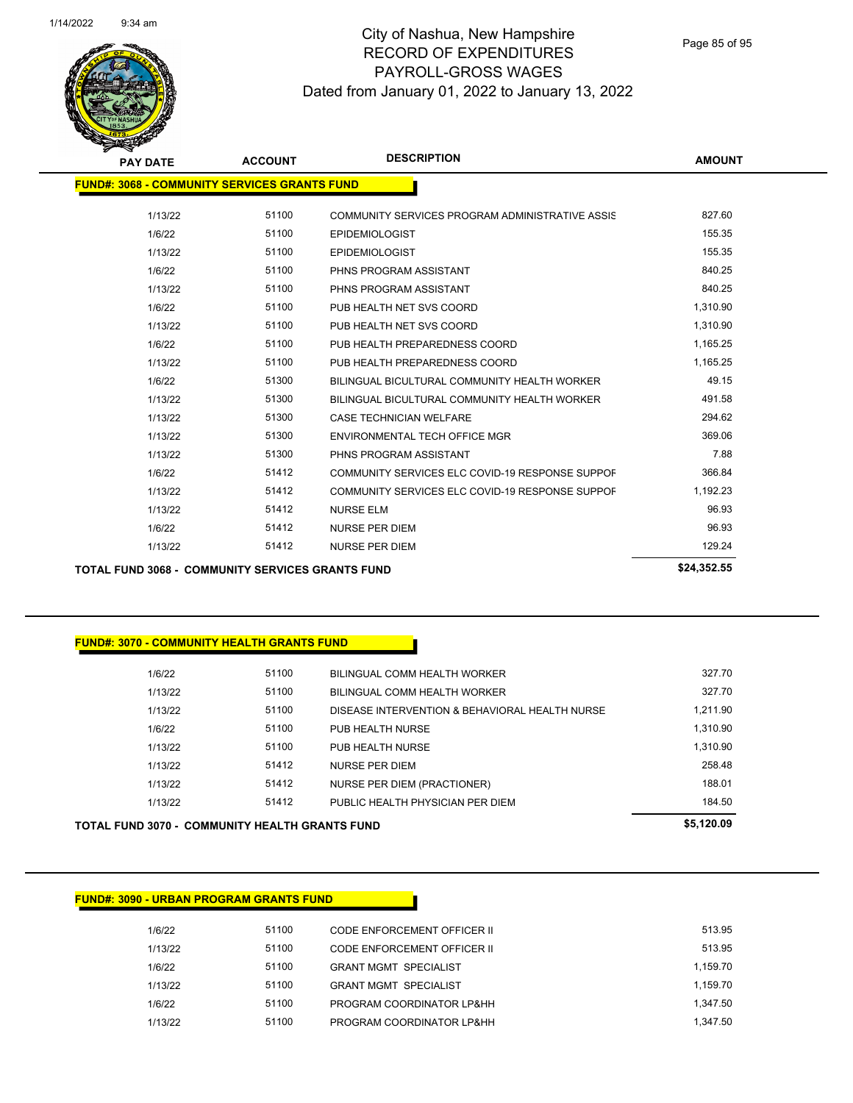

Page 85 of 95

| <b>PAY DATE</b>                                     | <b>ACCOUNT</b> | <b>DESCRIPTION</b>                              | <b>AMOUNT</b> |  |  |  |  |
|-----------------------------------------------------|----------------|-------------------------------------------------|---------------|--|--|--|--|
| <b>FUND#: 3068 - COMMUNITY SERVICES GRANTS FUND</b> |                |                                                 |               |  |  |  |  |
| 1/13/22                                             | 51100          | COMMUNITY SERVICES PROGRAM ADMINISTRATIVE ASSIS | 827.60        |  |  |  |  |
| 1/6/22                                              | 51100          | <b>EPIDEMIOLOGIST</b>                           | 155.35        |  |  |  |  |
| 1/13/22                                             | 51100          | <b>EPIDEMIOLOGIST</b>                           | 155.35        |  |  |  |  |
| 1/6/22                                              | 51100          | PHNS PROGRAM ASSISTANT                          | 840.25        |  |  |  |  |
| 1/13/22                                             | 51100          | PHNS PROGRAM ASSISTANT                          | 840.25        |  |  |  |  |
| 1/6/22                                              | 51100          | PUB HEALTH NET SVS COORD                        | 1,310.90      |  |  |  |  |
| 1/13/22                                             | 51100          | PUB HEALTH NET SVS COORD                        | 1,310.90      |  |  |  |  |
| 1/6/22                                              | 51100          | PUB HEALTH PREPAREDNESS COORD                   | 1,165.25      |  |  |  |  |
| 1/13/22                                             | 51100          | PUB HEALTH PREPAREDNESS COORD                   | 1,165.25      |  |  |  |  |
| 1/6/22                                              | 51300          | BILINGUAL BICULTURAL COMMUNITY HEALTH WORKER    | 49.15         |  |  |  |  |
| 1/13/22                                             | 51300          | BILINGUAL BICULTURAL COMMUNITY HEALTH WORKER    | 491.58        |  |  |  |  |
| 1/13/22                                             | 51300          | <b>CASE TECHNICIAN WELFARE</b>                  | 294.62        |  |  |  |  |
| 1/13/22                                             | 51300          | ENVIRONMENTAL TECH OFFICE MGR                   | 369.06        |  |  |  |  |
| 1/13/22                                             | 51300          | PHNS PROGRAM ASSISTANT                          | 7.88          |  |  |  |  |
| 1/6/22                                              | 51412          | COMMUNITY SERVICES ELC COVID-19 RESPONSE SUPPOF | 366.84        |  |  |  |  |
| 1/13/22                                             | 51412          | COMMUNITY SERVICES ELC COVID-19 RESPONSE SUPPOR | 1,192.23      |  |  |  |  |
| 1/13/22                                             | 51412          | <b>NURSE ELM</b>                                | 96.93         |  |  |  |  |
| 1/6/22                                              | 51412          | <b>NURSE PER DIEM</b>                           | 96.93         |  |  |  |  |
| 1/13/22                                             | 51412          | <b>NURSE PER DIEM</b>                           | 129.24        |  |  |  |  |
|                                                     |                |                                                 |               |  |  |  |  |

**TOTAL FUND 3068 - COMMUNITY SERVICES GRANTS FUND \$24,352.55** 

#### **FUND#: 3070 - COMMUNITY HEALTH GRANTS FUND**

|         |       |                                                | .        |
|---------|-------|------------------------------------------------|----------|
| 1/13/22 | 51412 | PUBLIC HEALTH PHYSICIAN PER DIEM               | 184.50   |
| 1/13/22 | 51412 | NURSE PER DIEM (PRACTIONER)                    | 188.01   |
| 1/13/22 | 51412 | <b>NURSE PER DIEM</b>                          | 258.48   |
| 1/13/22 | 51100 | PUB HEALTH NURSE                               | 1.310.90 |
| 1/6/22  | 51100 | PUB HEALTH NURSE                               | 1.310.90 |
| 1/13/22 | 51100 | DISEASE INTERVENTION & BEHAVIORAL HEALTH NURSE | 1.211.90 |
| 1/13/22 | 51100 | BILINGUAL COMM HEALTH WORKER                   | 327.70   |
| 1/6/22  | 51100 | BILINGUAL COMM HEALTH WORKER                   | 327.70   |
|         |       |                                                |          |

**TOTAL FUND 3070 - COMMUNITY HEALTH GRANTS FUND \$5,120.09** 

#### **FUND#: 3090 - URBAN PROGRAM GRANTS FUND**

| 1/6/22  | 51100 | CODE ENFORCEMENT OFFICER II  | 513.95   |
|---------|-------|------------------------------|----------|
| 1/13/22 | 51100 | CODE ENFORCEMENT OFFICER II  | 513.95   |
| 1/6/22  | 51100 | <b>GRANT MGMT SPECIALIST</b> | 1.159.70 |
| 1/13/22 | 51100 | <b>GRANT MGMT SPECIALIST</b> | 1.159.70 |
| 1/6/22  | 51100 | PROGRAM COORDINATOR LP&HH    | 1.347.50 |
| 1/13/22 | 51100 | PROGRAM COORDINATOR LP&HH    | 1.347.50 |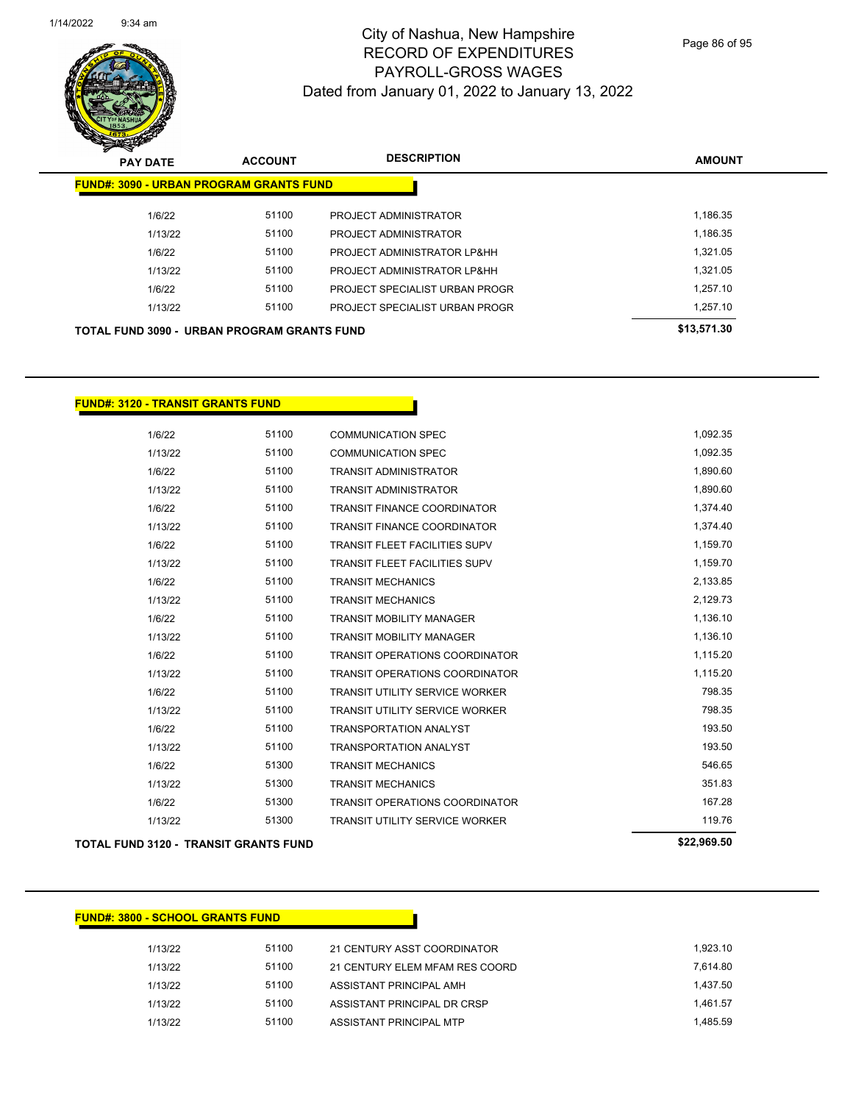

Page 86 of 95

| <b>PAY DATE</b>                                    | <b>ACCOUNT</b> | <b>DESCRIPTION</b>             | <b>AMOUNT</b> |  |  |  |  |
|----------------------------------------------------|----------------|--------------------------------|---------------|--|--|--|--|
| <b>FUND#: 3090 - URBAN PROGRAM GRANTS FUND</b>     |                |                                |               |  |  |  |  |
| 1/6/22                                             | 51100          | PROJECT ADMINISTRATOR          | 1,186.35      |  |  |  |  |
| 1/13/22                                            | 51100          | <b>PROJECT ADMINISTRATOR</b>   | 1,186.35      |  |  |  |  |
| 1/6/22                                             | 51100          | PROJECT ADMINISTRATOR LP&HH    | 1.321.05      |  |  |  |  |
| 1/13/22                                            | 51100          | PROJECT ADMINISTRATOR LP&HH    | 1.321.05      |  |  |  |  |
| 1/6/22                                             | 51100          | PROJECT SPECIALIST URBAN PROGR | 1.257.10      |  |  |  |  |
| 1/13/22                                            | 51100          | PROJECT SPECIALIST URBAN PROGR | 1.257.10      |  |  |  |  |
| <b>TOTAL FUND 3090 - URBAN PROGRAM GRANTS FUND</b> |                | \$13,571.30                    |               |  |  |  |  |

#### **FUND#: 3120 - TRANSIT GRANTS FUND**

| <b>TOTAL FUND 3120 - TRANSIT GRANTS FUND</b> |         | \$22,969.50 |                                       |          |
|----------------------------------------------|---------|-------------|---------------------------------------|----------|
|                                              | 1/13/22 | 51300       | <b>TRANSIT UTILITY SERVICE WORKER</b> | 119.76   |
|                                              | 1/6/22  | 51300       | <b>TRANSIT OPERATIONS COORDINATOR</b> | 167.28   |
|                                              | 1/13/22 | 51300       | <b>TRANSIT MECHANICS</b>              | 351.83   |
|                                              | 1/6/22  | 51300       | <b>TRANSIT MECHANICS</b>              | 546.65   |
|                                              | 1/13/22 | 51100       | <b>TRANSPORTATION ANALYST</b>         | 193.50   |
|                                              | 1/6/22  | 51100       | <b>TRANSPORTATION ANALYST</b>         | 193.50   |
|                                              | 1/13/22 | 51100       | <b>TRANSIT UTILITY SERVICE WORKER</b> | 798.35   |
|                                              | 1/6/22  | 51100       | <b>TRANSIT UTILITY SERVICE WORKER</b> | 798.35   |
|                                              | 1/13/22 | 51100       | <b>TRANSIT OPERATIONS COORDINATOR</b> | 1,115.20 |
|                                              | 1/6/22  | 51100       | <b>TRANSIT OPERATIONS COORDINATOR</b> | 1,115.20 |
|                                              | 1/13/22 | 51100       | <b>TRANSIT MOBILITY MANAGER</b>       | 1,136.10 |
|                                              | 1/6/22  | 51100       | <b>TRANSIT MOBILITY MANAGER</b>       | 1,136.10 |
|                                              | 1/13/22 | 51100       | <b>TRANSIT MECHANICS</b>              | 2,129.73 |
|                                              | 1/6/22  | 51100       | <b>TRANSIT MECHANICS</b>              | 2,133.85 |
|                                              | 1/13/22 | 51100       | <b>TRANSIT FLEET FACILITIES SUPV</b>  | 1,159.70 |
|                                              | 1/6/22  | 51100       | <b>TRANSIT FLEET FACILITIES SUPV</b>  | 1,159.70 |
|                                              | 1/13/22 | 51100       | <b>TRANSIT FINANCE COORDINATOR</b>    | 1,374.40 |
|                                              | 1/6/22  | 51100       | <b>TRANSIT FINANCE COORDINATOR</b>    | 1,374.40 |
|                                              | 1/13/22 | 51100       | <b>TRANSIT ADMINISTRATOR</b>          | 1,890.60 |
|                                              | 1/6/22  | 51100       | <b>TRANSIT ADMINISTRATOR</b>          | 1,890.60 |
|                                              | 1/13/22 | 51100       | <b>COMMUNICATION SPEC</b>             | 1,092.35 |
|                                              | 1/6/22  | 51100       | <b>COMMUNICATION SPEC</b>             | 1,092.35 |

#### **FUND#: 3800 - SCHOOL GRANTS FUND**

| 1/13/22 | 51100 | 21 CENTURY ASST COORDINATOR    | 1.923.10 |
|---------|-------|--------------------------------|----------|
| 1/13/22 | 51100 | 21 CENTURY ELEM MFAM RES COORD | 7.614.80 |
| 1/13/22 | 51100 | ASSISTANT PRINCIPAL AMH        | 1.437.50 |
| 1/13/22 | 51100 | ASSISTANT PRINCIPAL DR CRSP    | 1.461.57 |
| 1/13/22 | 51100 | ASSISTANT PRINCIPAL MTP        | 1.485.59 |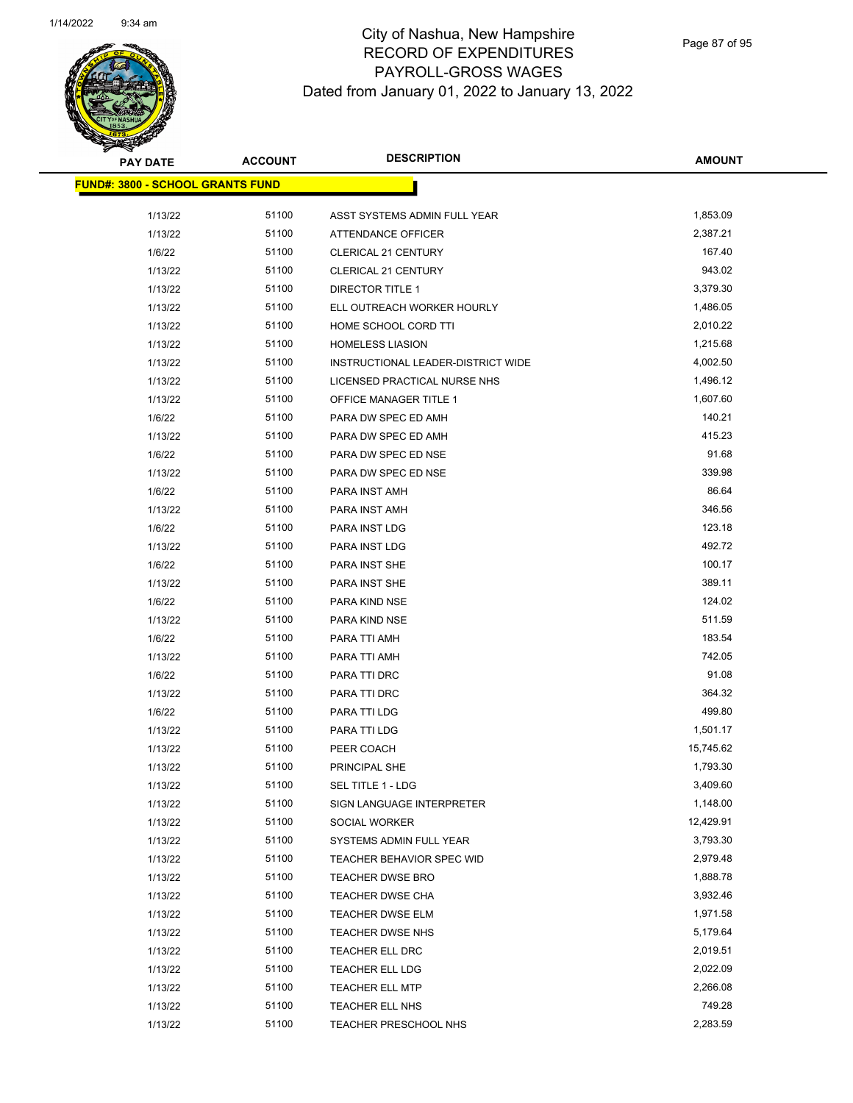

| <b>PAY DATE</b>                          | <b>ACCOUNT</b> | <b>DESCRIPTION</b>                 | <b>AMOUNT</b> |
|------------------------------------------|----------------|------------------------------------|---------------|
| <u> FUND#: 3800 - SCHOOL GRANTS FUND</u> |                |                                    |               |
|                                          |                |                                    |               |
| 1/13/22                                  | 51100          | ASST SYSTEMS ADMIN FULL YEAR       | 1,853.09      |
| 1/13/22                                  | 51100          | ATTENDANCE OFFICER                 | 2,387.21      |
| 1/6/22                                   | 51100          | <b>CLERICAL 21 CENTURY</b>         | 167.40        |
| 1/13/22                                  | 51100          | <b>CLERICAL 21 CENTURY</b>         | 943.02        |
| 1/13/22                                  | 51100          | <b>DIRECTOR TITLE 1</b>            | 3,379.30      |
| 1/13/22                                  | 51100          | ELL OUTREACH WORKER HOURLY         | 1,486.05      |
| 1/13/22                                  | 51100          | HOME SCHOOL CORD TTI               | 2,010.22      |
| 1/13/22                                  | 51100          | <b>HOMELESS LIASION</b>            | 1,215.68      |
| 1/13/22                                  | 51100          | INSTRUCTIONAL LEADER-DISTRICT WIDE | 4,002.50      |
| 1/13/22                                  | 51100          | LICENSED PRACTICAL NURSE NHS       | 1,496.12      |
| 1/13/22                                  | 51100          | OFFICE MANAGER TITLE 1             | 1,607.60      |
| 1/6/22                                   | 51100          | PARA DW SPEC ED AMH                | 140.21        |
| 1/13/22                                  | 51100          | PARA DW SPEC ED AMH                | 415.23        |
| 1/6/22                                   | 51100          | PARA DW SPEC ED NSE                | 91.68         |
| 1/13/22                                  | 51100          | PARA DW SPEC ED NSE                | 339.98        |
| 1/6/22                                   | 51100          | PARA INST AMH                      | 86.64         |
| 1/13/22                                  | 51100          | PARA INST AMH                      | 346.56        |
| 1/6/22                                   | 51100          | PARA INST LDG                      | 123.18        |
| 1/13/22                                  | 51100          | PARA INST LDG                      | 492.72        |
| 1/6/22                                   | 51100          | PARA INST SHE                      | 100.17        |
| 1/13/22                                  | 51100          | PARA INST SHE                      | 389.11        |
| 1/6/22                                   | 51100          | PARA KIND NSE                      | 124.02        |
| 1/13/22                                  | 51100          | PARA KIND NSE                      | 511.59        |
| 1/6/22                                   | 51100          | PARA TTI AMH                       | 183.54        |
| 1/13/22                                  | 51100          | PARA TTI AMH                       | 742.05        |
| 1/6/22                                   | 51100          | PARA TTI DRC                       | 91.08         |
| 1/13/22                                  | 51100          | PARA TTI DRC                       | 364.32        |
| 1/6/22                                   | 51100          | PARA TTI LDG                       | 499.80        |
| 1/13/22                                  | 51100          | PARA TTI LDG                       | 1,501.17      |
| 1/13/22                                  | 51100          | PEER COACH                         | 15,745.62     |
| 1/13/22                                  | 51100          | PRINCIPAL SHE                      | 1,793.30      |
| 1/13/22                                  | 51100          | SEL TITLE 1 - LDG                  | 3,409.60      |
| 1/13/22                                  | 51100          | SIGN LANGUAGE INTERPRETER          | 1,148.00      |
| 1/13/22                                  | 51100          | SOCIAL WORKER                      | 12,429.91     |
| 1/13/22                                  | 51100          | SYSTEMS ADMIN FULL YEAR            | 3,793.30      |
| 1/13/22                                  | 51100          | TEACHER BEHAVIOR SPEC WID          | 2,979.48      |
| 1/13/22                                  | 51100          | TEACHER DWSE BRO                   | 1,888.78      |
| 1/13/22                                  | 51100          | TEACHER DWSE CHA                   | 3,932.46      |
| 1/13/22                                  | 51100          | TEACHER DWSE ELM                   | 1,971.58      |
| 1/13/22                                  | 51100          | TEACHER DWSE NHS                   | 5,179.64      |
| 1/13/22                                  | 51100          | TEACHER ELL DRC                    | 2,019.51      |
| 1/13/22                                  | 51100          | TEACHER ELL LDG                    | 2,022.09      |
| 1/13/22                                  | 51100          | TEACHER ELL MTP                    | 2,266.08      |
| 1/13/22                                  | 51100          | TEACHER ELL NHS                    | 749.28        |
| 1/13/22                                  | 51100          | TEACHER PRESCHOOL NHS              | 2,283.59      |
|                                          |                |                                    |               |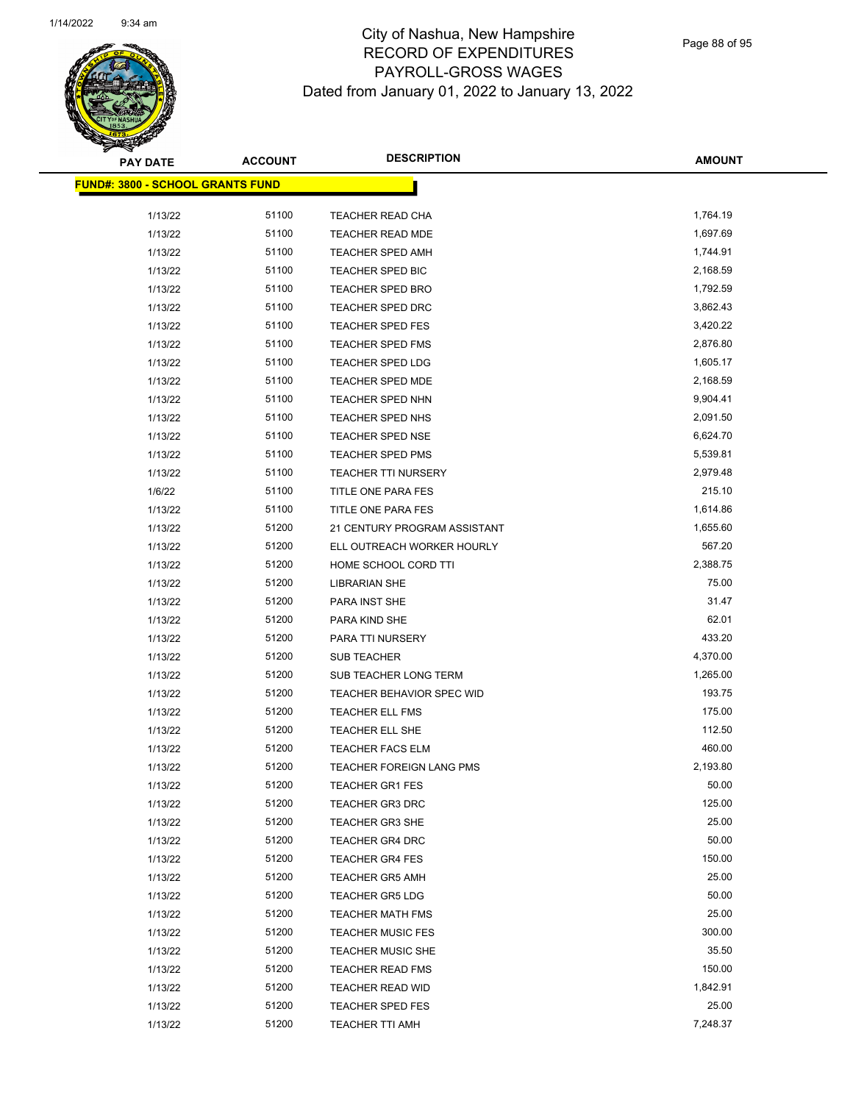

Page 88 of 95

| <b>PAY DATE</b>                          | <b>ACCOUNT</b> | <b>DESCRIPTION</b>           | <b>AMOUNT</b> |
|------------------------------------------|----------------|------------------------------|---------------|
| <u> FUND#: 3800 - SCHOOL GRANTS FUND</u> |                |                              |               |
|                                          |                |                              |               |
| 1/13/22                                  | 51100          | TEACHER READ CHA             | 1,764.19      |
| 1/13/22                                  | 51100          | <b>TEACHER READ MDE</b>      | 1,697.69      |
| 1/13/22                                  | 51100          | <b>TEACHER SPED AMH</b>      | 1,744.91      |
| 1/13/22                                  | 51100          | TEACHER SPED BIC             | 2,168.59      |
| 1/13/22                                  | 51100          | <b>TEACHER SPED BRO</b>      | 1,792.59      |
| 1/13/22                                  | 51100          | TEACHER SPED DRC             | 3,862.43      |
| 1/13/22                                  | 51100          | <b>TEACHER SPED FES</b>      | 3,420.22      |
| 1/13/22                                  | 51100          | <b>TEACHER SPED FMS</b>      | 2,876.80      |
| 1/13/22                                  | 51100          | TEACHER SPED LDG             | 1,605.17      |
| 1/13/22                                  | 51100          | TEACHER SPED MDE             | 2,168.59      |
| 1/13/22                                  | 51100          | <b>TEACHER SPED NHN</b>      | 9,904.41      |
| 1/13/22                                  | 51100          | TEACHER SPED NHS             | 2,091.50      |
| 1/13/22                                  | 51100          | <b>TEACHER SPED NSE</b>      | 6,624.70      |
| 1/13/22                                  | 51100          | <b>TEACHER SPED PMS</b>      | 5,539.81      |
| 1/13/22                                  | 51100          | TEACHER TTI NURSERY          | 2,979.48      |
| 1/6/22                                   | 51100          | TITLE ONE PARA FES           | 215.10        |
| 1/13/22                                  | 51100          | TITLE ONE PARA FES           | 1,614.86      |
| 1/13/22                                  | 51200          | 21 CENTURY PROGRAM ASSISTANT | 1,655.60      |
| 1/13/22                                  | 51200          | ELL OUTREACH WORKER HOURLY   | 567.20        |
| 1/13/22                                  | 51200          | HOME SCHOOL CORD TTI         | 2,388.75      |
| 1/13/22                                  | 51200          | <b>LIBRARIAN SHE</b>         | 75.00         |
| 1/13/22                                  | 51200          | PARA INST SHE                | 31.47         |
| 1/13/22                                  | 51200          | PARA KIND SHE                | 62.01         |
| 1/13/22                                  | 51200          | PARA TTI NURSERY             | 433.20        |
| 1/13/22                                  | 51200          | <b>SUB TEACHER</b>           | 4,370.00      |
| 1/13/22                                  | 51200          | SUB TEACHER LONG TERM        | 1,265.00      |
| 1/13/22                                  | 51200          | TEACHER BEHAVIOR SPEC WID    | 193.75        |
| 1/13/22                                  | 51200          | <b>TEACHER ELL FMS</b>       | 175.00        |
| 1/13/22                                  | 51200          | TEACHER ELL SHE              | 112.50        |
| 1/13/22                                  | 51200          | <b>TEACHER FACS ELM</b>      | 460.00        |
| 1/13/22                                  | 51200          | TEACHER FOREIGN LANG PMS     | 2,193.80      |
| 1/13/22                                  | 51200          | TEACHER GR1 FES              | 50.00         |
| 1/13/22                                  | 51200          | <b>TEACHER GR3 DRC</b>       | 125.00        |
| 1/13/22                                  | 51200          | TEACHER GR3 SHE              | 25.00         |
| 1/13/22                                  | 51200          | <b>TEACHER GR4 DRC</b>       | 50.00         |
| 1/13/22                                  | 51200          | <b>TEACHER GR4 FES</b>       | 150.00        |
| 1/13/22                                  | 51200          | <b>TEACHER GR5 AMH</b>       | 25.00         |
| 1/13/22                                  | 51200          | <b>TEACHER GR5 LDG</b>       | 50.00         |
| 1/13/22                                  | 51200          | <b>TEACHER MATH FMS</b>      | 25.00         |
| 1/13/22                                  | 51200          | <b>TEACHER MUSIC FES</b>     | 300.00        |
| 1/13/22                                  | 51200          | <b>TEACHER MUSIC SHE</b>     | 35.50         |
| 1/13/22                                  | 51200          | <b>TEACHER READ FMS</b>      | 150.00        |
| 1/13/22                                  | 51200          | <b>TEACHER READ WID</b>      | 1,842.91      |
| 1/13/22                                  | 51200          | TEACHER SPED FES             | 25.00         |
| 1/13/22                                  | 51200          | <b>TEACHER TTI AMH</b>       | 7,248.37      |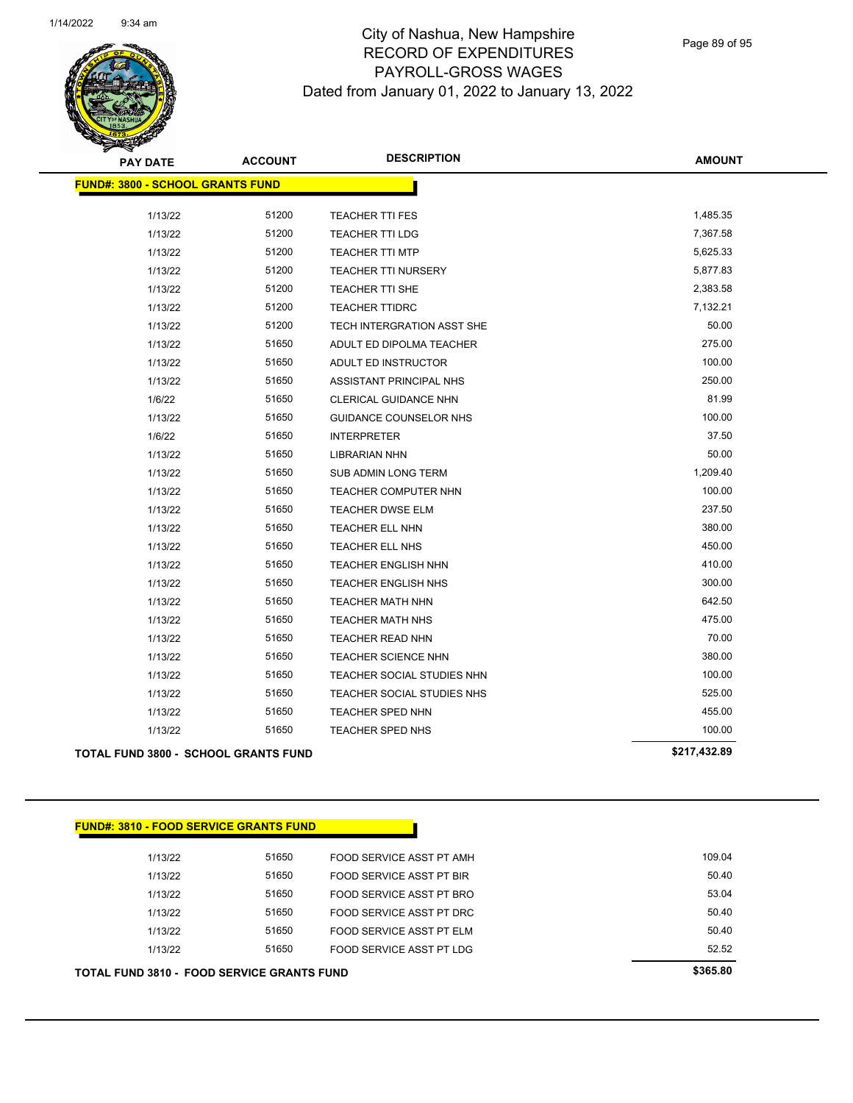

Page 89 of 95

| PAY DATE                                    | <b>ACCOUNT</b> | <b>DESCRIPTION</b>         | <b>AMOUNT</b> |
|---------------------------------------------|----------------|----------------------------|---------------|
| <b>FUND#: 3800 - SCHOOL GRANTS FUND</b>     |                |                            |               |
| 1/13/22                                     | 51200          | <b>TEACHER TTI FES</b>     | 1,485.35      |
| 1/13/22                                     | 51200          | <b>TEACHER TTI LDG</b>     | 7,367.58      |
| 1/13/22                                     | 51200          | <b>TEACHER TTI MTP</b>     | 5,625.33      |
| 1/13/22                                     | 51200          | <b>TEACHER TTI NURSERY</b> | 5,877.83      |
| 1/13/22                                     | 51200          | TEACHER TTI SHE            | 2,383.58      |
| 1/13/22                                     | 51200          | <b>TEACHER TTIDRC</b>      | 7,132.21      |
| 1/13/22                                     | 51200          | TECH INTERGRATION ASST SHE | 50.00         |
| 1/13/22                                     | 51650          | ADULT ED DIPOLMA TEACHER   | 275.00        |
| 1/13/22                                     | 51650          | ADULT ED INSTRUCTOR        | 100.00        |
| 1/13/22                                     | 51650          | ASSISTANT PRINCIPAL NHS    | 250.00        |
| 1/6/22                                      | 51650          | CLERICAL GUIDANCE NHN      | 81.99         |
| 1/13/22                                     | 51650          | GUIDANCE COUNSELOR NHS     | 100.00        |
| 1/6/22                                      | 51650          | <b>INTERPRETER</b>         | 37.50         |
| 1/13/22                                     | 51650          | <b>LIBRARIAN NHN</b>       | 50.00         |
| 1/13/22                                     | 51650          | SUB ADMIN LONG TERM        | 1,209.40      |
| 1/13/22                                     | 51650          | TEACHER COMPUTER NHN       | 100.00        |
| 1/13/22                                     | 51650          | <b>TEACHER DWSE ELM</b>    | 237.50        |
| 1/13/22                                     | 51650          | TEACHER ELL NHN            | 380.00        |
| 1/13/22                                     | 51650          | TEACHER ELL NHS            | 450.00        |
| 1/13/22                                     | 51650          | <b>TEACHER ENGLISH NHN</b> | 410.00        |
| 1/13/22                                     | 51650          | <b>TEACHER ENGLISH NHS</b> | 300.00        |
| 1/13/22                                     | 51650          | TEACHER MATH NHN           | 642.50        |
| 1/13/22                                     | 51650          | <b>TEACHER MATH NHS</b>    | 475.00        |
| 1/13/22                                     | 51650          | TEACHER READ NHN           | 70.00         |
| 1/13/22                                     | 51650          | <b>TEACHER SCIENCE NHN</b> | 380.00        |
| 1/13/22                                     | 51650          | TEACHER SOCIAL STUDIES NHN | 100.00        |
| 1/13/22                                     | 51650          | TEACHER SOCIAL STUDIES NHS | 525.00        |
| 1/13/22                                     | 51650          | TEACHER SPED NHN           | 455.00        |
| 1/13/22                                     | 51650          | TEACHER SPED NHS           | 100.00        |
| <b>TOTAL FUND 3800 - SCHOOL GRANTS FUND</b> |                |                            | \$217,432.89  |

|  |  | <b>FUND#: 3810 - FOOD SERVICE GRANTS FUND.</b> |  |
|--|--|------------------------------------------------|--|
|  |  |                                                |  |
|  |  |                                                |  |

| <b>TOTAL FUND 3810 - FOOD SERVICE GRANTS FUND</b> | \$365.80 |                          |        |
|---------------------------------------------------|----------|--------------------------|--------|
| 1/13/22                                           | 51650    | FOOD SERVICE ASST PT LDG | 52.52  |
| 1/13/22                                           | 51650    | FOOD SERVICE ASST PT ELM | 50.40  |
| 1/13/22                                           | 51650    | FOOD SERVICE ASST PT DRC | 50.40  |
| 1/13/22                                           | 51650    | FOOD SERVICE ASST PT BRO | 53.04  |
| 1/13/22                                           | 51650    | FOOD SERVICE ASST PT BIR | 50.40  |
| 1/13/22                                           | 51650    | FOOD SERVICE ASST PT AMH | 109.04 |
|                                                   |          |                          |        |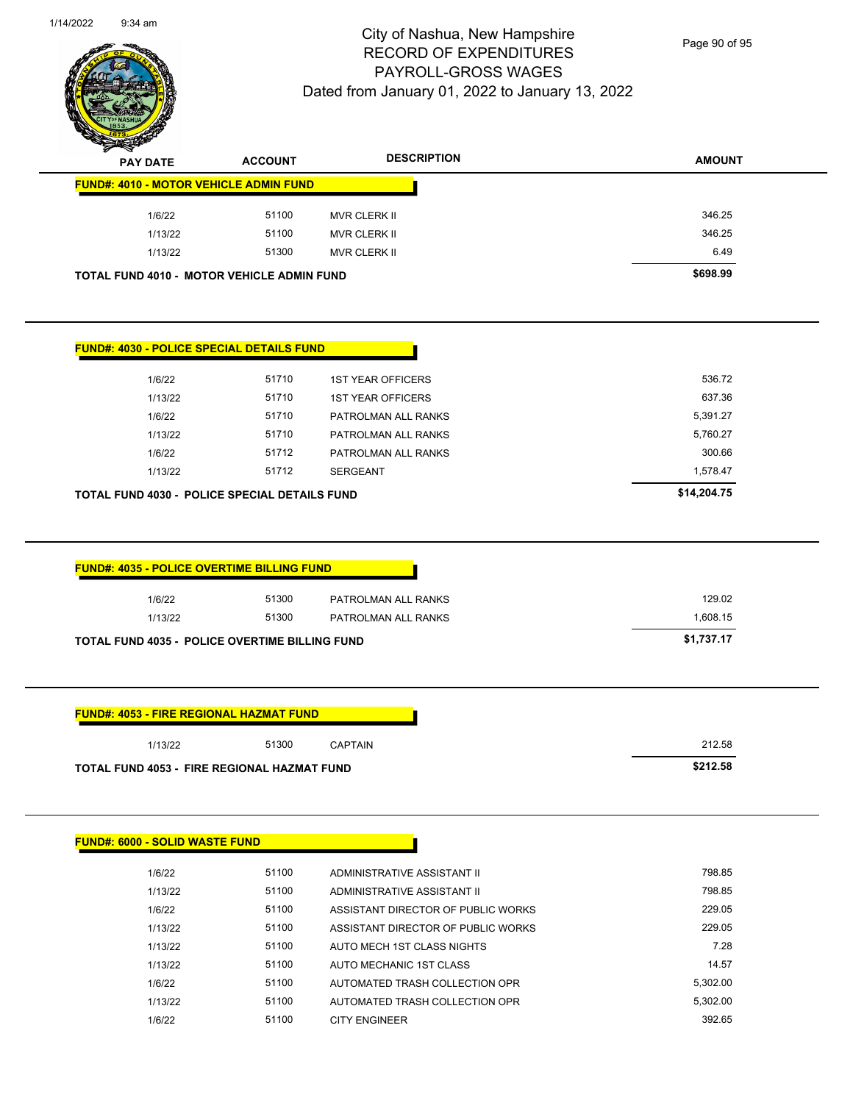

Page 90 of 95

| <b>PAY DATE</b>                       |                   | <b>ACCOUNT</b>                                                          | <b>DESCRIPTION</b>                         | <b>AMOUNT</b>                    |
|---------------------------------------|-------------------|-------------------------------------------------------------------------|--------------------------------------------|----------------------------------|
|                                       |                   | <b>FUND#: 4010 - MOTOR VEHICLE ADMIN FUND</b>                           |                                            |                                  |
|                                       | 1/6/22            | 51100                                                                   | MVR CLERK II                               | 346.25                           |
|                                       | 1/13/22           | 51100                                                                   | <b>MVR CLERK II</b>                        | 346.25                           |
|                                       | 1/13/22           | 51300                                                                   | <b>MVR CLERK II</b>                        | 6.49                             |
|                                       |                   | <b>TOTAL FUND 4010 - MOTOR VEHICLE ADMIN FUND</b>                       |                                            | \$698.99                         |
|                                       |                   | <b>FUND#: 4030 - POLICE SPECIAL DETAILS FUND</b>                        |                                            |                                  |
|                                       | 1/6/22            | 51710                                                                   | <b>1ST YEAR OFFICERS</b>                   | 536.72                           |
|                                       | 1/13/22           | 51710                                                                   | <b>1ST YEAR OFFICERS</b>                   | 637.36                           |
|                                       | 1/6/22            | 51710                                                                   | PATROLMAN ALL RANKS                        | 5,391.27                         |
|                                       | 1/13/22           | 51710                                                                   | PATROLMAN ALL RANKS                        | 5,760.27                         |
|                                       | 1/6/22            | 51712                                                                   | PATROLMAN ALL RANKS                        | 300.66                           |
|                                       | 1/13/22           | 51712                                                                   | <b>SERGEANT</b>                            | 1,578.47                         |
|                                       |                   | TOTAL FUND 4030 - POLICE SPECIAL DETAILS FUND                           |                                            | \$14,204.75                      |
|                                       | 1/6/22<br>1/13/22 | 51300<br>51300<br><b>TOTAL FUND 4035 - POLICE OVERTIME BILLING FUND</b> | PATROLMAN ALL RANKS<br>PATROLMAN ALL RANKS | 129.02<br>1,608.15<br>\$1,737.17 |
|                                       |                   |                                                                         |                                            |                                  |
|                                       |                   | <b>FUND#: 4053 - FIRE REGIONAL HAZMAT FUND</b>                          |                                            |                                  |
|                                       | 1/13/22           | 51300                                                                   | CAPTAIN                                    | 212.58                           |
|                                       |                   | TOTAL FUND 4053 - FIRE REGIONAL HAZMAT FUND                             |                                            | \$212.58                         |
| <b>FUND#: 6000 - SOLID WASTE FUND</b> |                   |                                                                         |                                            |                                  |
|                                       | 1/6/22            | 51100                                                                   | ADMINISTRATIVE ASSISTANT II                | 798.85                           |
|                                       | 1/13/22           | 51100                                                                   | ADMINISTRATIVE ASSISTANT II                | 798.85                           |
|                                       | 1/6/22            | 51100                                                                   | ASSISTANT DIRECTOR OF PUBLIC WORKS         | 229.05                           |
|                                       |                   |                                                                         |                                            |                                  |
|                                       | 1/13/22           | 51100                                                                   | ASSISTANT DIRECTOR OF PUBLIC WORKS         | 229.05                           |
|                                       | 1/13/22           | 51100                                                                   | AUTO MECH 1ST CLASS NIGHTS                 | 7.28                             |
|                                       | 1/13/22           | 51100                                                                   | AUTO MECHANIC 1ST CLASS                    | 14.57                            |

1/13/22 51100 AUTOMATED TRASH COLLECTION OPR 5,302.00 1/6/22 51100 CITY ENGINEER 392.65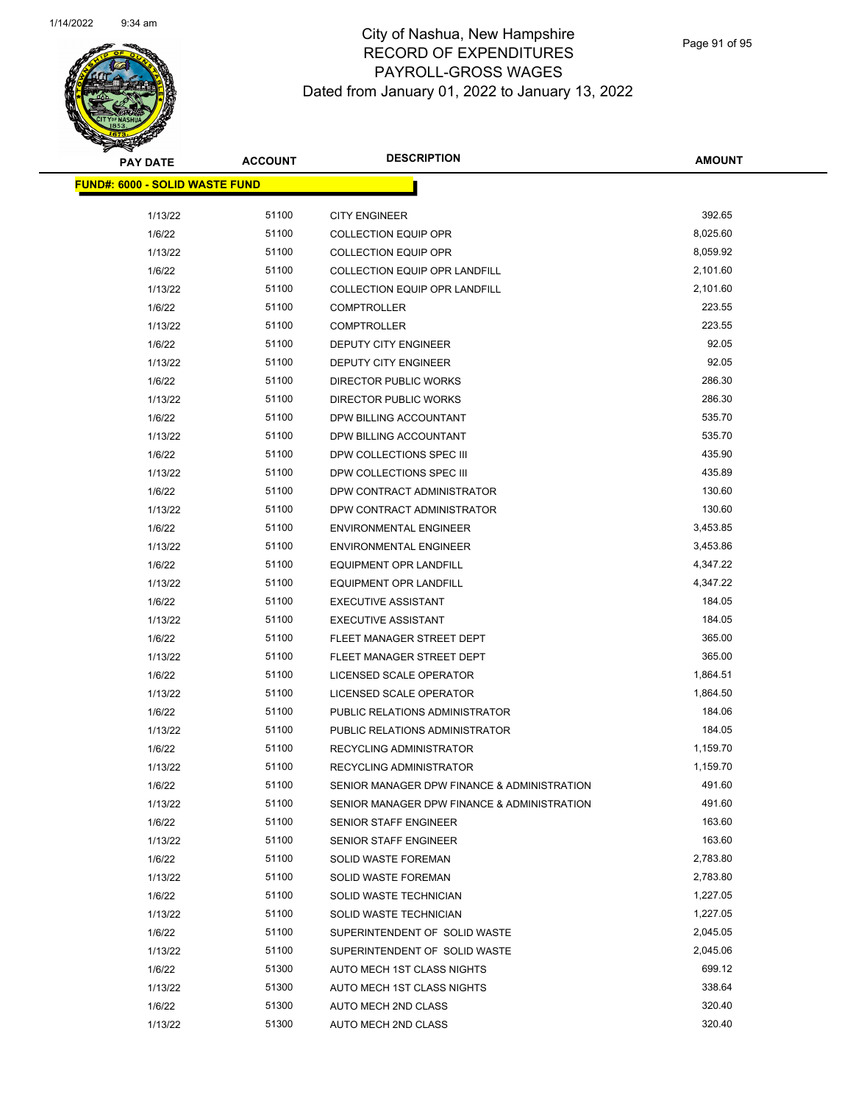

| <b>PAY DATE</b>                        | <b>ACCOUNT</b> | <b>DESCRIPTION</b>                          | <b>AMOUNT</b> |
|----------------------------------------|----------------|---------------------------------------------|---------------|
| <u> FUND#: 6000 - SOLID WASTE FUND</u> |                |                                             |               |
|                                        |                |                                             |               |
| 1/13/22                                | 51100          | <b>CITY ENGINEER</b>                        | 392.65        |
| 1/6/22                                 | 51100          | <b>COLLECTION EQUIP OPR</b>                 | 8,025.60      |
| 1/13/22                                | 51100          | <b>COLLECTION EQUIP OPR</b>                 | 8,059.92      |
| 1/6/22                                 | 51100          | COLLECTION EQUIP OPR LANDFILL               | 2,101.60      |
| 1/13/22                                | 51100          | <b>COLLECTION EQUIP OPR LANDFILL</b>        | 2,101.60      |
| 1/6/22                                 | 51100          | <b>COMPTROLLER</b>                          | 223.55        |
| 1/13/22                                | 51100          | <b>COMPTROLLER</b>                          | 223.55        |
| 1/6/22                                 | 51100          | DEPUTY CITY ENGINEER                        | 92.05         |
| 1/13/22                                | 51100          | DEPUTY CITY ENGINEER                        | 92.05         |
| 1/6/22                                 | 51100          | <b>DIRECTOR PUBLIC WORKS</b>                | 286.30        |
| 1/13/22                                | 51100          | DIRECTOR PUBLIC WORKS                       | 286.30        |
| 1/6/22                                 | 51100          | DPW BILLING ACCOUNTANT                      | 535.70        |
| 1/13/22                                | 51100          | DPW BILLING ACCOUNTANT                      | 535.70        |
| 1/6/22                                 | 51100          | DPW COLLECTIONS SPEC III                    | 435.90        |
| 1/13/22                                | 51100          | DPW COLLECTIONS SPEC III                    | 435.89        |
| 1/6/22                                 | 51100          | DPW CONTRACT ADMINISTRATOR                  | 130.60        |
| 1/13/22                                | 51100          | DPW CONTRACT ADMINISTRATOR                  | 130.60        |
| 1/6/22                                 | 51100          | <b>ENVIRONMENTAL ENGINEER</b>               | 3,453.85      |
| 1/13/22                                | 51100          | <b>ENVIRONMENTAL ENGINEER</b>               | 3,453.86      |
| 1/6/22                                 | 51100          | EQUIPMENT OPR LANDFILL                      | 4,347.22      |
| 1/13/22                                | 51100          | EQUIPMENT OPR LANDFILL                      | 4,347.22      |
| 1/6/22                                 | 51100          | <b>EXECUTIVE ASSISTANT</b>                  | 184.05        |
| 1/13/22                                | 51100          | <b>EXECUTIVE ASSISTANT</b>                  | 184.05        |
| 1/6/22                                 | 51100          | FLEET MANAGER STREET DEPT                   | 365.00        |
| 1/13/22                                | 51100          | FLEET MANAGER STREET DEPT                   | 365.00        |
| 1/6/22                                 | 51100          | LICENSED SCALE OPERATOR                     | 1,864.51      |
| 1/13/22                                | 51100          | LICENSED SCALE OPERATOR                     | 1,864.50      |
| 1/6/22                                 | 51100          | PUBLIC RELATIONS ADMINISTRATOR              | 184.06        |
| 1/13/22                                | 51100          | PUBLIC RELATIONS ADMINISTRATOR              | 184.05        |
| 1/6/22                                 | 51100          | RECYCLING ADMINISTRATOR                     | 1,159.70      |
| 1/13/22                                | 51100          | <b>RECYCLING ADMINISTRATOR</b>              | 1,159.70      |
| 1/6/22                                 | 51100          | SENIOR MANAGER DPW FINANCE & ADMINISTRATION | 491.60        |
| 1/13/22                                | 51100          | SENIOR MANAGER DPW FINANCE & ADMINISTRATION | 491.60        |
| 1/6/22                                 | 51100          | SENIOR STAFF ENGINEER                       | 163.60        |
| 1/13/22                                | 51100          | SENIOR STAFF ENGINEER                       | 163.60        |
| 1/6/22                                 | 51100          | <b>SOLID WASTE FOREMAN</b>                  | 2,783.80      |
| 1/13/22                                | 51100          | <b>SOLID WASTE FOREMAN</b>                  | 2,783.80      |
| 1/6/22                                 | 51100          | SOLID WASTE TECHNICIAN                      | 1,227.05      |
| 1/13/22                                | 51100          | SOLID WASTE TECHNICIAN                      | 1,227.05      |
| 1/6/22                                 | 51100          | SUPERINTENDENT OF SOLID WASTE               | 2,045.05      |
| 1/13/22                                | 51100          | SUPERINTENDENT OF SOLID WASTE               | 2,045.06      |
| 1/6/22                                 | 51300          | AUTO MECH 1ST CLASS NIGHTS                  | 699.12        |
| 1/13/22                                | 51300          | AUTO MECH 1ST CLASS NIGHTS                  | 338.64        |
| 1/6/22                                 | 51300          | AUTO MECH 2ND CLASS                         | 320.40        |
| 1/13/22                                | 51300          | AUTO MECH 2ND CLASS                         | 320.40        |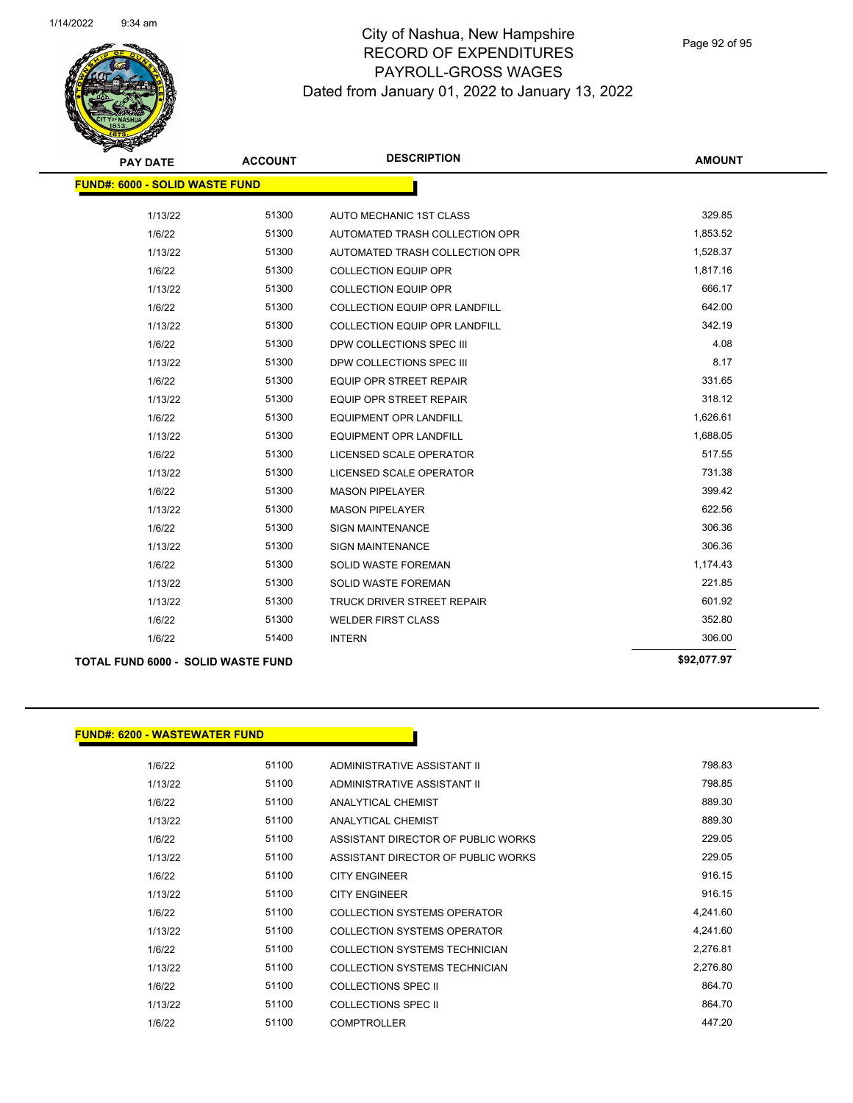

Page 92 of 95

| <b>PAY DATE</b>                           | <b>ACCOUNT</b> | <b>DESCRIPTION</b>                   | <b>AMOUNT</b> |
|-------------------------------------------|----------------|--------------------------------------|---------------|
| <b>FUND#: 6000 - SOLID WASTE FUND</b>     |                |                                      |               |
| 1/13/22                                   | 51300          | AUTO MECHANIC 1ST CLASS              | 329.85        |
| 1/6/22                                    | 51300          | AUTOMATED TRASH COLLECTION OPR       | 1,853.52      |
| 1/13/22                                   | 51300          | AUTOMATED TRASH COLLECTION OPR       | 1,528.37      |
| 1/6/22                                    | 51300          | <b>COLLECTION EQUIP OPR</b>          | 1,817.16      |
| 1/13/22                                   | 51300          | <b>COLLECTION EQUIP OPR</b>          | 666.17        |
| 1/6/22                                    | 51300          | COLLECTION EQUIP OPR LANDFILL        | 642.00        |
| 1/13/22                                   | 51300          | <b>COLLECTION EQUIP OPR LANDFILL</b> | 342.19        |
| 1/6/22                                    | 51300          | DPW COLLECTIONS SPEC III             | 4.08          |
| 1/13/22                                   | 51300          | DPW COLLECTIONS SPEC III             | 8.17          |
| 1/6/22                                    | 51300          | <b>EQUIP OPR STREET REPAIR</b>       | 331.65        |
| 1/13/22                                   | 51300          | <b>EQUIP OPR STREET REPAIR</b>       | 318.12        |
| 1/6/22                                    | 51300          | <b>EQUIPMENT OPR LANDFILL</b>        | 1,626.61      |
| 1/13/22                                   | 51300          | <b>EQUIPMENT OPR LANDFILL</b>        | 1,688.05      |
| 1/6/22                                    | 51300          | LICENSED SCALE OPERATOR              | 517.55        |
| 1/13/22                                   | 51300          | LICENSED SCALE OPERATOR              | 731.38        |
| 1/6/22                                    | 51300          | <b>MASON PIPELAYER</b>               | 399.42        |
| 1/13/22                                   | 51300          | <b>MASON PIPELAYER</b>               | 622.56        |
| 1/6/22                                    | 51300          | <b>SIGN MAINTENANCE</b>              | 306.36        |
| 1/13/22                                   | 51300          | <b>SIGN MAINTENANCE</b>              | 306.36        |
| 1/6/22                                    | 51300          | <b>SOLID WASTE FOREMAN</b>           | 1,174.43      |
| 1/13/22                                   | 51300          | <b>SOLID WASTE FOREMAN</b>           | 221.85        |
| 1/13/22                                   | 51300          | <b>TRUCK DRIVER STREET REPAIR</b>    | 601.92        |
| 1/6/22                                    | 51300          | <b>WELDER FIRST CLASS</b>            | 352.80        |
| 1/6/22                                    | 51400          | <b>INTERN</b>                        | 306.00        |
| <b>TOTAL FUND 6000 - SOLID WASTE FUND</b> |                |                                      | \$92,077.97   |

#### **FUND#: 6200 - WASTEWATER FUND**

| 1/6/22  | 51100 | ADMINISTRATIVE ASSISTANT II        | 798.83   |
|---------|-------|------------------------------------|----------|
| 1/13/22 | 51100 | ADMINISTRATIVE ASSISTANT II        | 798.85   |
| 1/6/22  | 51100 | ANALYTICAL CHEMIST                 | 889.30   |
| 1/13/22 | 51100 | ANALYTICAL CHEMIST                 | 889.30   |
| 1/6/22  | 51100 | ASSISTANT DIRECTOR OF PUBLIC WORKS | 229.05   |
| 1/13/22 | 51100 | ASSISTANT DIRECTOR OF PUBLIC WORKS | 229.05   |
| 1/6/22  | 51100 | <b>CITY ENGINEER</b>               | 916.15   |
| 1/13/22 | 51100 | <b>CITY ENGINEER</b>               | 916.15   |
| 1/6/22  | 51100 | COLLECTION SYSTEMS OPERATOR        | 4,241.60 |
| 1/13/22 | 51100 | COLLECTION SYSTEMS OPERATOR        | 4,241.60 |
| 1/6/22  | 51100 | COLLECTION SYSTEMS TECHNICIAN      | 2.276.81 |
| 1/13/22 | 51100 | COLLECTION SYSTEMS TECHNICIAN      | 2,276.80 |
| 1/6/22  | 51100 | COLLECTIONS SPEC II                | 864.70   |
| 1/13/22 | 51100 | <b>COLLECTIONS SPEC II</b>         | 864.70   |
| 1/6/22  | 51100 | <b>COMPTROLLER</b>                 | 447.20   |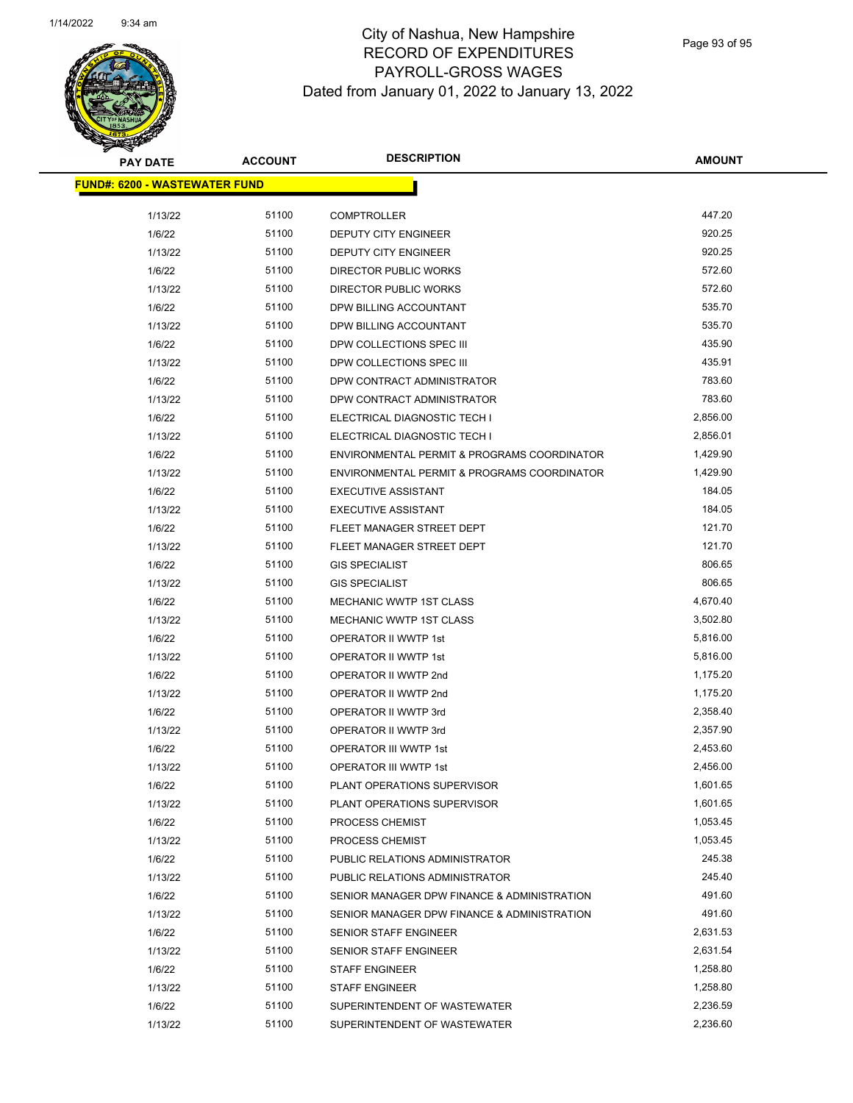

Page 93 of 95

| <u> FUND#: 6200 - WASTEWATER FUND</u><br>51100<br>447.20<br>1/13/22<br><b>COMPTROLLER</b><br>1/6/22<br>51100<br>920.25<br><b>DEPUTY CITY ENGINEER</b><br>920.25<br>51100<br>1/13/22<br>DEPUTY CITY ENGINEER<br>51100<br>572.60<br>1/6/22<br>DIRECTOR PUBLIC WORKS<br>51100<br>572.60<br>1/13/22<br>DIRECTOR PUBLIC WORKS<br>535.70<br>1/6/22<br>51100<br>DPW BILLING ACCOUNTANT<br>51100<br>535.70<br>1/13/22<br>DPW BILLING ACCOUNTANT<br>435.90<br>1/6/22<br>51100<br>DPW COLLECTIONS SPEC III<br>435.91<br>51100<br>1/13/22<br>DPW COLLECTIONS SPEC III<br>783.60<br>51100<br>1/6/22<br>DPW CONTRACT ADMINISTRATOR<br>783.60<br>1/13/22<br>51100<br>DPW CONTRACT ADMINISTRATOR<br>1/6/22<br>51100<br>2,856.00<br>ELECTRICAL DIAGNOSTIC TECH I<br>51100<br>2,856.01<br>1/13/22<br>ELECTRICAL DIAGNOSTIC TECH I<br>51100<br>1,429.90<br>1/6/22<br>ENVIRONMENTAL PERMIT & PROGRAMS COORDINATOR<br>51100<br>1,429.90<br>1/13/22<br>ENVIRONMENTAL PERMIT & PROGRAMS COORDINATOR<br>1/6/22<br>51100<br><b>EXECUTIVE ASSISTANT</b><br>184.05<br>51100<br>184.05<br>1/13/22<br><b>EXECUTIVE ASSISTANT</b><br>51100<br>121.70<br>1/6/22<br>FLEET MANAGER STREET DEPT<br>121.70<br>51100<br>1/13/22<br>FLEET MANAGER STREET DEPT<br>51100<br>806.65<br>1/6/22<br><b>GIS SPECIALIST</b><br>806.65<br>1/13/22<br>51100<br><b>GIS SPECIALIST</b><br>1/6/22<br>51100<br>4,670.40<br>MECHANIC WWTP 1ST CLASS<br>51100<br>3,502.80<br>1/13/22<br>MECHANIC WWTP 1ST CLASS<br>51100<br>5,816.00<br>1/6/22<br>OPERATOR II WWTP 1st<br>51100<br>5,816.00<br>1/13/22<br>OPERATOR II WWTP 1st<br>1/6/22<br>51100<br>OPERATOR II WWTP 2nd<br>1,175.20<br>51100<br>1,175.20<br>1/13/22<br>OPERATOR II WWTP 2nd<br>51100<br>2,358.40<br>1/6/22<br>OPERATOR II WWTP 3rd<br>51100<br>2,357.90<br>1/13/22<br>OPERATOR II WWTP 3rd<br>51100<br>2,453.60<br>1/6/22<br>OPERATOR III WWTP 1st<br>1/13/22<br>51100<br><b>OPERATOR III WWTP 1st</b><br>2,456.00<br>51100<br>1,601.65<br>1/6/22<br>PLANT OPERATIONS SUPERVISOR<br>51100<br>1,601.65<br>1/13/22<br>PLANT OPERATIONS SUPERVISOR<br>51100<br>1,053.45<br>1/6/22<br>PROCESS CHEMIST<br>51100<br>1,053.45<br>1/13/22<br>PROCESS CHEMIST<br>245.38<br>1/6/22<br>51100<br>PUBLIC RELATIONS ADMINISTRATOR<br>51100<br>245.40<br>1/13/22<br>PUBLIC RELATIONS ADMINISTRATOR<br>51100<br>491.60<br>1/6/22<br>SENIOR MANAGER DPW FINANCE & ADMINISTRATION<br>491.60<br>51100<br>1/13/22<br>SENIOR MANAGER DPW FINANCE & ADMINISTRATION<br>51100<br>2,631.53<br>1/6/22<br>SENIOR STAFF ENGINEER<br>51100<br>1/13/22<br><b>SENIOR STAFF ENGINEER</b><br>2,631.54<br>1/6/22<br>51100<br>1,258.80<br><b>STAFF ENGINEER</b><br>51100<br>1,258.80<br>1/13/22<br><b>STAFF ENGINEER</b><br>51100<br>2,236.59<br>1/6/22<br>SUPERINTENDENT OF WASTEWATER<br>2,236.60<br>51100<br>1/13/22<br>SUPERINTENDENT OF WASTEWATER | <b>PAY DATE</b> | <b>ACCOUNT</b> | <b>DESCRIPTION</b> | <b>AMOUNT</b> |  |
|------------------------------------------------------------------------------------------------------------------------------------------------------------------------------------------------------------------------------------------------------------------------------------------------------------------------------------------------------------------------------------------------------------------------------------------------------------------------------------------------------------------------------------------------------------------------------------------------------------------------------------------------------------------------------------------------------------------------------------------------------------------------------------------------------------------------------------------------------------------------------------------------------------------------------------------------------------------------------------------------------------------------------------------------------------------------------------------------------------------------------------------------------------------------------------------------------------------------------------------------------------------------------------------------------------------------------------------------------------------------------------------------------------------------------------------------------------------------------------------------------------------------------------------------------------------------------------------------------------------------------------------------------------------------------------------------------------------------------------------------------------------------------------------------------------------------------------------------------------------------------------------------------------------------------------------------------------------------------------------------------------------------------------------------------------------------------------------------------------------------------------------------------------------------------------------------------------------------------------------------------------------------------------------------------------------------------------------------------------------------------------------------------------------------------------------------------------------------------------------------------------------------------------------------------------------------------------------------------------------------------------------------------------------------------------------------------------------------------------------------------------------------------------------------------------------------------------|-----------------|----------------|--------------------|---------------|--|
|                                                                                                                                                                                                                                                                                                                                                                                                                                                                                                                                                                                                                                                                                                                                                                                                                                                                                                                                                                                                                                                                                                                                                                                                                                                                                                                                                                                                                                                                                                                                                                                                                                                                                                                                                                                                                                                                                                                                                                                                                                                                                                                                                                                                                                                                                                                                                                                                                                                                                                                                                                                                                                                                                                                                                                                                                                    |                 |                |                    |               |  |
|                                                                                                                                                                                                                                                                                                                                                                                                                                                                                                                                                                                                                                                                                                                                                                                                                                                                                                                                                                                                                                                                                                                                                                                                                                                                                                                                                                                                                                                                                                                                                                                                                                                                                                                                                                                                                                                                                                                                                                                                                                                                                                                                                                                                                                                                                                                                                                                                                                                                                                                                                                                                                                                                                                                                                                                                                                    |                 |                |                    |               |  |
|                                                                                                                                                                                                                                                                                                                                                                                                                                                                                                                                                                                                                                                                                                                                                                                                                                                                                                                                                                                                                                                                                                                                                                                                                                                                                                                                                                                                                                                                                                                                                                                                                                                                                                                                                                                                                                                                                                                                                                                                                                                                                                                                                                                                                                                                                                                                                                                                                                                                                                                                                                                                                                                                                                                                                                                                                                    |                 |                |                    |               |  |
|                                                                                                                                                                                                                                                                                                                                                                                                                                                                                                                                                                                                                                                                                                                                                                                                                                                                                                                                                                                                                                                                                                                                                                                                                                                                                                                                                                                                                                                                                                                                                                                                                                                                                                                                                                                                                                                                                                                                                                                                                                                                                                                                                                                                                                                                                                                                                                                                                                                                                                                                                                                                                                                                                                                                                                                                                                    |                 |                |                    |               |  |
|                                                                                                                                                                                                                                                                                                                                                                                                                                                                                                                                                                                                                                                                                                                                                                                                                                                                                                                                                                                                                                                                                                                                                                                                                                                                                                                                                                                                                                                                                                                                                                                                                                                                                                                                                                                                                                                                                                                                                                                                                                                                                                                                                                                                                                                                                                                                                                                                                                                                                                                                                                                                                                                                                                                                                                                                                                    |                 |                |                    |               |  |
|                                                                                                                                                                                                                                                                                                                                                                                                                                                                                                                                                                                                                                                                                                                                                                                                                                                                                                                                                                                                                                                                                                                                                                                                                                                                                                                                                                                                                                                                                                                                                                                                                                                                                                                                                                                                                                                                                                                                                                                                                                                                                                                                                                                                                                                                                                                                                                                                                                                                                                                                                                                                                                                                                                                                                                                                                                    |                 |                |                    |               |  |
|                                                                                                                                                                                                                                                                                                                                                                                                                                                                                                                                                                                                                                                                                                                                                                                                                                                                                                                                                                                                                                                                                                                                                                                                                                                                                                                                                                                                                                                                                                                                                                                                                                                                                                                                                                                                                                                                                                                                                                                                                                                                                                                                                                                                                                                                                                                                                                                                                                                                                                                                                                                                                                                                                                                                                                                                                                    |                 |                |                    |               |  |
|                                                                                                                                                                                                                                                                                                                                                                                                                                                                                                                                                                                                                                                                                                                                                                                                                                                                                                                                                                                                                                                                                                                                                                                                                                                                                                                                                                                                                                                                                                                                                                                                                                                                                                                                                                                                                                                                                                                                                                                                                                                                                                                                                                                                                                                                                                                                                                                                                                                                                                                                                                                                                                                                                                                                                                                                                                    |                 |                |                    |               |  |
|                                                                                                                                                                                                                                                                                                                                                                                                                                                                                                                                                                                                                                                                                                                                                                                                                                                                                                                                                                                                                                                                                                                                                                                                                                                                                                                                                                                                                                                                                                                                                                                                                                                                                                                                                                                                                                                                                                                                                                                                                                                                                                                                                                                                                                                                                                                                                                                                                                                                                                                                                                                                                                                                                                                                                                                                                                    |                 |                |                    |               |  |
|                                                                                                                                                                                                                                                                                                                                                                                                                                                                                                                                                                                                                                                                                                                                                                                                                                                                                                                                                                                                                                                                                                                                                                                                                                                                                                                                                                                                                                                                                                                                                                                                                                                                                                                                                                                                                                                                                                                                                                                                                                                                                                                                                                                                                                                                                                                                                                                                                                                                                                                                                                                                                                                                                                                                                                                                                                    |                 |                |                    |               |  |
|                                                                                                                                                                                                                                                                                                                                                                                                                                                                                                                                                                                                                                                                                                                                                                                                                                                                                                                                                                                                                                                                                                                                                                                                                                                                                                                                                                                                                                                                                                                                                                                                                                                                                                                                                                                                                                                                                                                                                                                                                                                                                                                                                                                                                                                                                                                                                                                                                                                                                                                                                                                                                                                                                                                                                                                                                                    |                 |                |                    |               |  |
|                                                                                                                                                                                                                                                                                                                                                                                                                                                                                                                                                                                                                                                                                                                                                                                                                                                                                                                                                                                                                                                                                                                                                                                                                                                                                                                                                                                                                                                                                                                                                                                                                                                                                                                                                                                                                                                                                                                                                                                                                                                                                                                                                                                                                                                                                                                                                                                                                                                                                                                                                                                                                                                                                                                                                                                                                                    |                 |                |                    |               |  |
|                                                                                                                                                                                                                                                                                                                                                                                                                                                                                                                                                                                                                                                                                                                                                                                                                                                                                                                                                                                                                                                                                                                                                                                                                                                                                                                                                                                                                                                                                                                                                                                                                                                                                                                                                                                                                                                                                                                                                                                                                                                                                                                                                                                                                                                                                                                                                                                                                                                                                                                                                                                                                                                                                                                                                                                                                                    |                 |                |                    |               |  |
|                                                                                                                                                                                                                                                                                                                                                                                                                                                                                                                                                                                                                                                                                                                                                                                                                                                                                                                                                                                                                                                                                                                                                                                                                                                                                                                                                                                                                                                                                                                                                                                                                                                                                                                                                                                                                                                                                                                                                                                                                                                                                                                                                                                                                                                                                                                                                                                                                                                                                                                                                                                                                                                                                                                                                                                                                                    |                 |                |                    |               |  |
|                                                                                                                                                                                                                                                                                                                                                                                                                                                                                                                                                                                                                                                                                                                                                                                                                                                                                                                                                                                                                                                                                                                                                                                                                                                                                                                                                                                                                                                                                                                                                                                                                                                                                                                                                                                                                                                                                                                                                                                                                                                                                                                                                                                                                                                                                                                                                                                                                                                                                                                                                                                                                                                                                                                                                                                                                                    |                 |                |                    |               |  |
|                                                                                                                                                                                                                                                                                                                                                                                                                                                                                                                                                                                                                                                                                                                                                                                                                                                                                                                                                                                                                                                                                                                                                                                                                                                                                                                                                                                                                                                                                                                                                                                                                                                                                                                                                                                                                                                                                                                                                                                                                                                                                                                                                                                                                                                                                                                                                                                                                                                                                                                                                                                                                                                                                                                                                                                                                                    |                 |                |                    |               |  |
|                                                                                                                                                                                                                                                                                                                                                                                                                                                                                                                                                                                                                                                                                                                                                                                                                                                                                                                                                                                                                                                                                                                                                                                                                                                                                                                                                                                                                                                                                                                                                                                                                                                                                                                                                                                                                                                                                                                                                                                                                                                                                                                                                                                                                                                                                                                                                                                                                                                                                                                                                                                                                                                                                                                                                                                                                                    |                 |                |                    |               |  |
|                                                                                                                                                                                                                                                                                                                                                                                                                                                                                                                                                                                                                                                                                                                                                                                                                                                                                                                                                                                                                                                                                                                                                                                                                                                                                                                                                                                                                                                                                                                                                                                                                                                                                                                                                                                                                                                                                                                                                                                                                                                                                                                                                                                                                                                                                                                                                                                                                                                                                                                                                                                                                                                                                                                                                                                                                                    |                 |                |                    |               |  |
|                                                                                                                                                                                                                                                                                                                                                                                                                                                                                                                                                                                                                                                                                                                                                                                                                                                                                                                                                                                                                                                                                                                                                                                                                                                                                                                                                                                                                                                                                                                                                                                                                                                                                                                                                                                                                                                                                                                                                                                                                                                                                                                                                                                                                                                                                                                                                                                                                                                                                                                                                                                                                                                                                                                                                                                                                                    |                 |                |                    |               |  |
|                                                                                                                                                                                                                                                                                                                                                                                                                                                                                                                                                                                                                                                                                                                                                                                                                                                                                                                                                                                                                                                                                                                                                                                                                                                                                                                                                                                                                                                                                                                                                                                                                                                                                                                                                                                                                                                                                                                                                                                                                                                                                                                                                                                                                                                                                                                                                                                                                                                                                                                                                                                                                                                                                                                                                                                                                                    |                 |                |                    |               |  |
|                                                                                                                                                                                                                                                                                                                                                                                                                                                                                                                                                                                                                                                                                                                                                                                                                                                                                                                                                                                                                                                                                                                                                                                                                                                                                                                                                                                                                                                                                                                                                                                                                                                                                                                                                                                                                                                                                                                                                                                                                                                                                                                                                                                                                                                                                                                                                                                                                                                                                                                                                                                                                                                                                                                                                                                                                                    |                 |                |                    |               |  |
|                                                                                                                                                                                                                                                                                                                                                                                                                                                                                                                                                                                                                                                                                                                                                                                                                                                                                                                                                                                                                                                                                                                                                                                                                                                                                                                                                                                                                                                                                                                                                                                                                                                                                                                                                                                                                                                                                                                                                                                                                                                                                                                                                                                                                                                                                                                                                                                                                                                                                                                                                                                                                                                                                                                                                                                                                                    |                 |                |                    |               |  |
|                                                                                                                                                                                                                                                                                                                                                                                                                                                                                                                                                                                                                                                                                                                                                                                                                                                                                                                                                                                                                                                                                                                                                                                                                                                                                                                                                                                                                                                                                                                                                                                                                                                                                                                                                                                                                                                                                                                                                                                                                                                                                                                                                                                                                                                                                                                                                                                                                                                                                                                                                                                                                                                                                                                                                                                                                                    |                 |                |                    |               |  |
|                                                                                                                                                                                                                                                                                                                                                                                                                                                                                                                                                                                                                                                                                                                                                                                                                                                                                                                                                                                                                                                                                                                                                                                                                                                                                                                                                                                                                                                                                                                                                                                                                                                                                                                                                                                                                                                                                                                                                                                                                                                                                                                                                                                                                                                                                                                                                                                                                                                                                                                                                                                                                                                                                                                                                                                                                                    |                 |                |                    |               |  |
|                                                                                                                                                                                                                                                                                                                                                                                                                                                                                                                                                                                                                                                                                                                                                                                                                                                                                                                                                                                                                                                                                                                                                                                                                                                                                                                                                                                                                                                                                                                                                                                                                                                                                                                                                                                                                                                                                                                                                                                                                                                                                                                                                                                                                                                                                                                                                                                                                                                                                                                                                                                                                                                                                                                                                                                                                                    |                 |                |                    |               |  |
|                                                                                                                                                                                                                                                                                                                                                                                                                                                                                                                                                                                                                                                                                                                                                                                                                                                                                                                                                                                                                                                                                                                                                                                                                                                                                                                                                                                                                                                                                                                                                                                                                                                                                                                                                                                                                                                                                                                                                                                                                                                                                                                                                                                                                                                                                                                                                                                                                                                                                                                                                                                                                                                                                                                                                                                                                                    |                 |                |                    |               |  |
|                                                                                                                                                                                                                                                                                                                                                                                                                                                                                                                                                                                                                                                                                                                                                                                                                                                                                                                                                                                                                                                                                                                                                                                                                                                                                                                                                                                                                                                                                                                                                                                                                                                                                                                                                                                                                                                                                                                                                                                                                                                                                                                                                                                                                                                                                                                                                                                                                                                                                                                                                                                                                                                                                                                                                                                                                                    |                 |                |                    |               |  |
|                                                                                                                                                                                                                                                                                                                                                                                                                                                                                                                                                                                                                                                                                                                                                                                                                                                                                                                                                                                                                                                                                                                                                                                                                                                                                                                                                                                                                                                                                                                                                                                                                                                                                                                                                                                                                                                                                                                                                                                                                                                                                                                                                                                                                                                                                                                                                                                                                                                                                                                                                                                                                                                                                                                                                                                                                                    |                 |                |                    |               |  |
|                                                                                                                                                                                                                                                                                                                                                                                                                                                                                                                                                                                                                                                                                                                                                                                                                                                                                                                                                                                                                                                                                                                                                                                                                                                                                                                                                                                                                                                                                                                                                                                                                                                                                                                                                                                                                                                                                                                                                                                                                                                                                                                                                                                                                                                                                                                                                                                                                                                                                                                                                                                                                                                                                                                                                                                                                                    |                 |                |                    |               |  |
|                                                                                                                                                                                                                                                                                                                                                                                                                                                                                                                                                                                                                                                                                                                                                                                                                                                                                                                                                                                                                                                                                                                                                                                                                                                                                                                                                                                                                                                                                                                                                                                                                                                                                                                                                                                                                                                                                                                                                                                                                                                                                                                                                                                                                                                                                                                                                                                                                                                                                                                                                                                                                                                                                                                                                                                                                                    |                 |                |                    |               |  |
|                                                                                                                                                                                                                                                                                                                                                                                                                                                                                                                                                                                                                                                                                                                                                                                                                                                                                                                                                                                                                                                                                                                                                                                                                                                                                                                                                                                                                                                                                                                                                                                                                                                                                                                                                                                                                                                                                                                                                                                                                                                                                                                                                                                                                                                                                                                                                                                                                                                                                                                                                                                                                                                                                                                                                                                                                                    |                 |                |                    |               |  |
|                                                                                                                                                                                                                                                                                                                                                                                                                                                                                                                                                                                                                                                                                                                                                                                                                                                                                                                                                                                                                                                                                                                                                                                                                                                                                                                                                                                                                                                                                                                                                                                                                                                                                                                                                                                                                                                                                                                                                                                                                                                                                                                                                                                                                                                                                                                                                                                                                                                                                                                                                                                                                                                                                                                                                                                                                                    |                 |                |                    |               |  |
|                                                                                                                                                                                                                                                                                                                                                                                                                                                                                                                                                                                                                                                                                                                                                                                                                                                                                                                                                                                                                                                                                                                                                                                                                                                                                                                                                                                                                                                                                                                                                                                                                                                                                                                                                                                                                                                                                                                                                                                                                                                                                                                                                                                                                                                                                                                                                                                                                                                                                                                                                                                                                                                                                                                                                                                                                                    |                 |                |                    |               |  |
|                                                                                                                                                                                                                                                                                                                                                                                                                                                                                                                                                                                                                                                                                                                                                                                                                                                                                                                                                                                                                                                                                                                                                                                                                                                                                                                                                                                                                                                                                                                                                                                                                                                                                                                                                                                                                                                                                                                                                                                                                                                                                                                                                                                                                                                                                                                                                                                                                                                                                                                                                                                                                                                                                                                                                                                                                                    |                 |                |                    |               |  |
|                                                                                                                                                                                                                                                                                                                                                                                                                                                                                                                                                                                                                                                                                                                                                                                                                                                                                                                                                                                                                                                                                                                                                                                                                                                                                                                                                                                                                                                                                                                                                                                                                                                                                                                                                                                                                                                                                                                                                                                                                                                                                                                                                                                                                                                                                                                                                                                                                                                                                                                                                                                                                                                                                                                                                                                                                                    |                 |                |                    |               |  |
|                                                                                                                                                                                                                                                                                                                                                                                                                                                                                                                                                                                                                                                                                                                                                                                                                                                                                                                                                                                                                                                                                                                                                                                                                                                                                                                                                                                                                                                                                                                                                                                                                                                                                                                                                                                                                                                                                                                                                                                                                                                                                                                                                                                                                                                                                                                                                                                                                                                                                                                                                                                                                                                                                                                                                                                                                                    |                 |                |                    |               |  |
|                                                                                                                                                                                                                                                                                                                                                                                                                                                                                                                                                                                                                                                                                                                                                                                                                                                                                                                                                                                                                                                                                                                                                                                                                                                                                                                                                                                                                                                                                                                                                                                                                                                                                                                                                                                                                                                                                                                                                                                                                                                                                                                                                                                                                                                                                                                                                                                                                                                                                                                                                                                                                                                                                                                                                                                                                                    |                 |                |                    |               |  |
|                                                                                                                                                                                                                                                                                                                                                                                                                                                                                                                                                                                                                                                                                                                                                                                                                                                                                                                                                                                                                                                                                                                                                                                                                                                                                                                                                                                                                                                                                                                                                                                                                                                                                                                                                                                                                                                                                                                                                                                                                                                                                                                                                                                                                                                                                                                                                                                                                                                                                                                                                                                                                                                                                                                                                                                                                                    |                 |                |                    |               |  |
|                                                                                                                                                                                                                                                                                                                                                                                                                                                                                                                                                                                                                                                                                                                                                                                                                                                                                                                                                                                                                                                                                                                                                                                                                                                                                                                                                                                                                                                                                                                                                                                                                                                                                                                                                                                                                                                                                                                                                                                                                                                                                                                                                                                                                                                                                                                                                                                                                                                                                                                                                                                                                                                                                                                                                                                                                                    |                 |                |                    |               |  |
|                                                                                                                                                                                                                                                                                                                                                                                                                                                                                                                                                                                                                                                                                                                                                                                                                                                                                                                                                                                                                                                                                                                                                                                                                                                                                                                                                                                                                                                                                                                                                                                                                                                                                                                                                                                                                                                                                                                                                                                                                                                                                                                                                                                                                                                                                                                                                                                                                                                                                                                                                                                                                                                                                                                                                                                                                                    |                 |                |                    |               |  |
|                                                                                                                                                                                                                                                                                                                                                                                                                                                                                                                                                                                                                                                                                                                                                                                                                                                                                                                                                                                                                                                                                                                                                                                                                                                                                                                                                                                                                                                                                                                                                                                                                                                                                                                                                                                                                                                                                                                                                                                                                                                                                                                                                                                                                                                                                                                                                                                                                                                                                                                                                                                                                                                                                                                                                                                                                                    |                 |                |                    |               |  |
|                                                                                                                                                                                                                                                                                                                                                                                                                                                                                                                                                                                                                                                                                                                                                                                                                                                                                                                                                                                                                                                                                                                                                                                                                                                                                                                                                                                                                                                                                                                                                                                                                                                                                                                                                                                                                                                                                                                                                                                                                                                                                                                                                                                                                                                                                                                                                                                                                                                                                                                                                                                                                                                                                                                                                                                                                                    |                 |                |                    |               |  |
|                                                                                                                                                                                                                                                                                                                                                                                                                                                                                                                                                                                                                                                                                                                                                                                                                                                                                                                                                                                                                                                                                                                                                                                                                                                                                                                                                                                                                                                                                                                                                                                                                                                                                                                                                                                                                                                                                                                                                                                                                                                                                                                                                                                                                                                                                                                                                                                                                                                                                                                                                                                                                                                                                                                                                                                                                                    |                 |                |                    |               |  |
|                                                                                                                                                                                                                                                                                                                                                                                                                                                                                                                                                                                                                                                                                                                                                                                                                                                                                                                                                                                                                                                                                                                                                                                                                                                                                                                                                                                                                                                                                                                                                                                                                                                                                                                                                                                                                                                                                                                                                                                                                                                                                                                                                                                                                                                                                                                                                                                                                                                                                                                                                                                                                                                                                                                                                                                                                                    |                 |                |                    |               |  |
|                                                                                                                                                                                                                                                                                                                                                                                                                                                                                                                                                                                                                                                                                                                                                                                                                                                                                                                                                                                                                                                                                                                                                                                                                                                                                                                                                                                                                                                                                                                                                                                                                                                                                                                                                                                                                                                                                                                                                                                                                                                                                                                                                                                                                                                                                                                                                                                                                                                                                                                                                                                                                                                                                                                                                                                                                                    |                 |                |                    |               |  |
|                                                                                                                                                                                                                                                                                                                                                                                                                                                                                                                                                                                                                                                                                                                                                                                                                                                                                                                                                                                                                                                                                                                                                                                                                                                                                                                                                                                                                                                                                                                                                                                                                                                                                                                                                                                                                                                                                                                                                                                                                                                                                                                                                                                                                                                                                                                                                                                                                                                                                                                                                                                                                                                                                                                                                                                                                                    |                 |                |                    |               |  |
|                                                                                                                                                                                                                                                                                                                                                                                                                                                                                                                                                                                                                                                                                                                                                                                                                                                                                                                                                                                                                                                                                                                                                                                                                                                                                                                                                                                                                                                                                                                                                                                                                                                                                                                                                                                                                                                                                                                                                                                                                                                                                                                                                                                                                                                                                                                                                                                                                                                                                                                                                                                                                                                                                                                                                                                                                                    |                 |                |                    |               |  |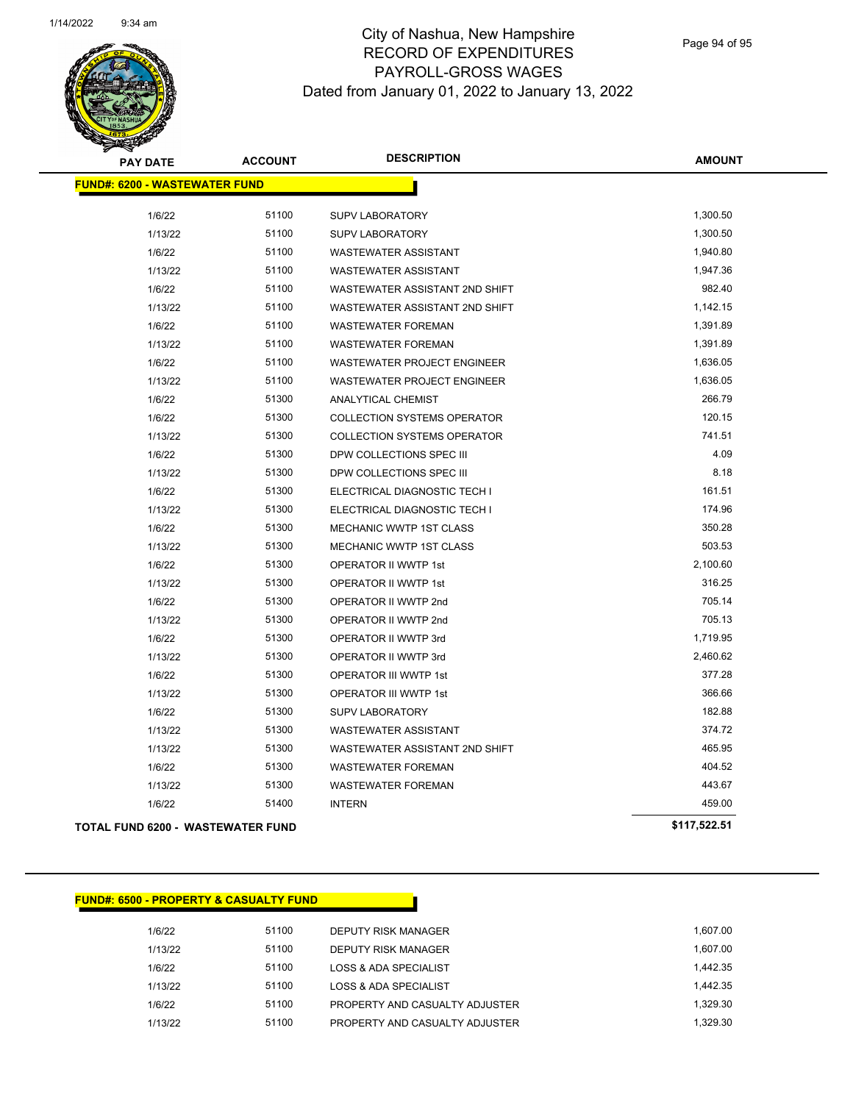

Page 94 of 95

**AMOUNT**

| <b>FUND#: 6200 - WASTEWATER FUND</b> |       |                                    |              |
|--------------------------------------|-------|------------------------------------|--------------|
|                                      |       |                                    |              |
| 1/6/22                               | 51100 | <b>SUPV LABORATORY</b>             | 1,300.50     |
| 1/13/22                              | 51100 | <b>SUPV LABORATORY</b>             | 1,300.50     |
| 1/6/22                               | 51100 | <b>WASTEWATER ASSISTANT</b>        | 1,940.80     |
| 1/13/22                              | 51100 | <b>WASTEWATER ASSISTANT</b>        | 1,947.36     |
| 1/6/22                               | 51100 | WASTEWATER ASSISTANT 2ND SHIFT     | 982.40       |
| 1/13/22                              | 51100 | WASTEWATER ASSISTANT 2ND SHIFT     | 1,142.15     |
| 1/6/22                               | 51100 | <b>WASTEWATER FOREMAN</b>          | 1,391.89     |
| 1/13/22                              | 51100 | <b>WASTEWATER FOREMAN</b>          | 1,391.89     |
| 1/6/22                               | 51100 | WASTEWATER PROJECT ENGINEER        | 1,636.05     |
| 1/13/22                              | 51100 | <b>WASTEWATER PROJECT ENGINEER</b> | 1,636.05     |
| 1/6/22                               | 51300 | <b>ANALYTICAL CHEMIST</b>          | 266.79       |
| 1/6/22                               | 51300 | <b>COLLECTION SYSTEMS OPERATOR</b> | 120.15       |
| 1/13/22                              | 51300 | <b>COLLECTION SYSTEMS OPERATOR</b> | 741.51       |
| 1/6/22                               | 51300 | DPW COLLECTIONS SPEC III           | 4.09         |
| 1/13/22                              | 51300 | DPW COLLECTIONS SPEC III           | 8.18         |
| 1/6/22                               | 51300 | ELECTRICAL DIAGNOSTIC TECH I       | 161.51       |
| 1/13/22                              | 51300 | ELECTRICAL DIAGNOSTIC TECH I       | 174.96       |
| 1/6/22                               | 51300 | MECHANIC WWTP 1ST CLASS            | 350.28       |
| 1/13/22                              | 51300 | MECHANIC WWTP 1ST CLASS            | 503.53       |
| 1/6/22                               | 51300 | OPERATOR II WWTP 1st               | 2,100.60     |
| 1/13/22                              | 51300 | OPERATOR II WWTP 1st               | 316.25       |
| 1/6/22                               | 51300 | OPERATOR II WWTP 2nd               | 705.14       |
| 1/13/22                              | 51300 | OPERATOR II WWTP 2nd               | 705.13       |
| 1/6/22                               | 51300 | OPERATOR II WWTP 3rd               | 1,719.95     |
| 1/13/22                              | 51300 | OPERATOR II WWTP 3rd               | 2,460.62     |
| 1/6/22                               | 51300 | OPERATOR III WWTP 1st              | 377.28       |
| 1/13/22                              | 51300 | OPERATOR III WWTP 1st              | 366.66       |
| 1/6/22                               | 51300 | <b>SUPV LABORATORY</b>             | 182.88       |
| 1/13/22                              | 51300 | <b>WASTEWATER ASSISTANT</b>        | 374.72       |
| 1/13/22                              | 51300 | WASTEWATER ASSISTANT 2ND SHIFT     | 465.95       |
| 1/6/22                               | 51300 | <b>WASTEWATER FOREMAN</b>          | 404.52       |
| 1/13/22                              | 51300 | <b>WASTEWATER FOREMAN</b>          | 443.67       |
| 1/6/22                               | 51400 | <b>INTERN</b>                      | 459.00       |
| TOTAL FUND 6200 - WASTEWATER FUND    |       |                                    | \$117,522.51 |

#### **FUND#: 6500 - PROPERTY & CASUALTY FUND**

1/6/22 51100 DEPUTY RISK MANAGER 1,607.00 1/13/22 51100 DEPUTY RISK MANAGER 1,607.00 1/6/22 51100 LOSS & ADA SPECIALIST 1,442.35 1/13/22 51100 LOSS & ADA SPECIALIST 1,442.35 1/6/22 51100 PROPERTY AND CASUALTY ADJUSTER 1,329.30 1/13/22 51100 PROPERTY AND CASUALTY ADJUSTER 1,329.30